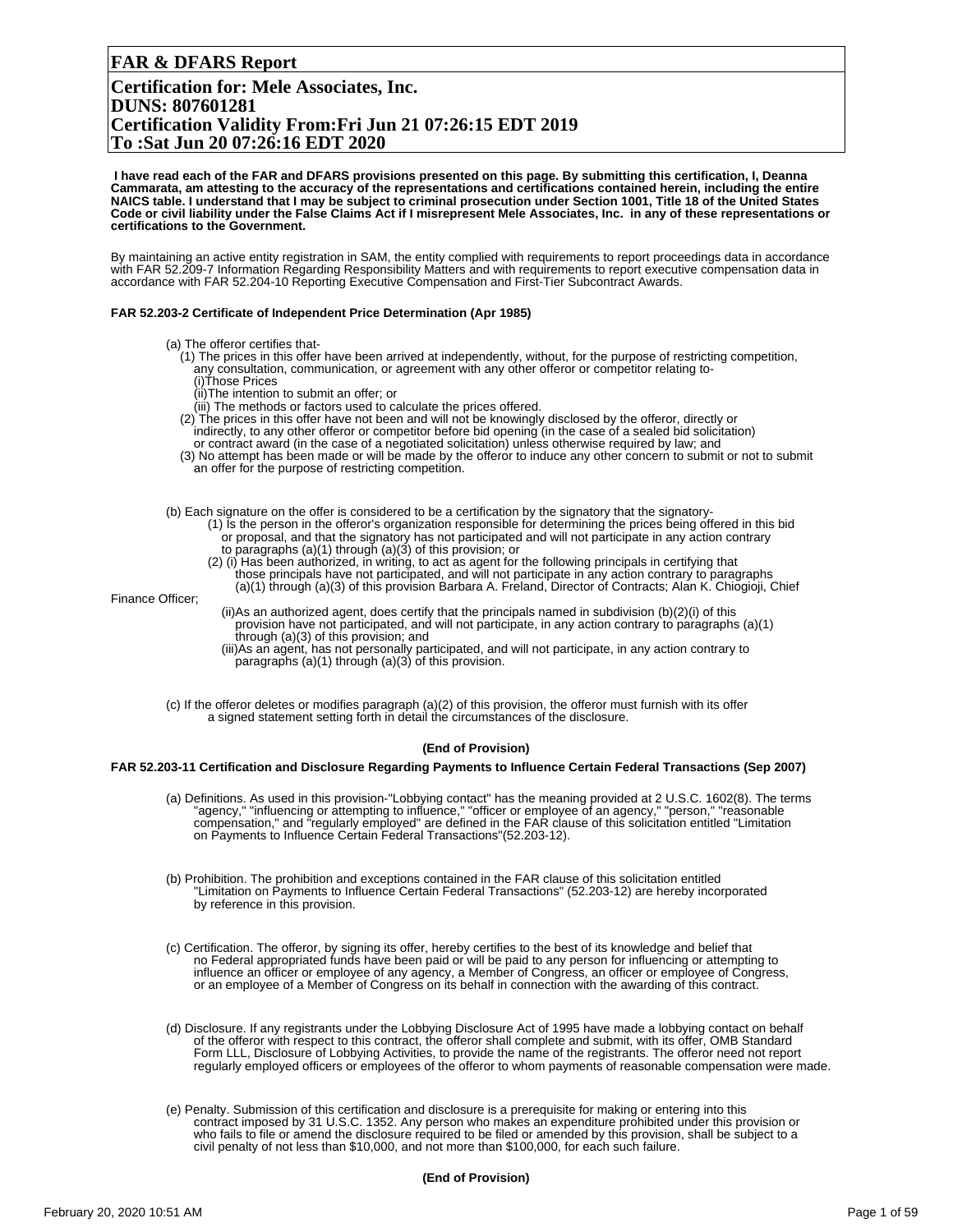# **FAR & DFARS Report**

# **Certification for: Mele Associates, Inc. DUNS: 807601281 Certification Validity From:Fri Jun 21 07:26:15 EDT 2019 To :Sat Jun 20 07:26:16 EDT 2020**

 **I have read each of the FAR and DFARS provisions presented on this page. By submitting this certification, I, Deanna Cammarata, am attesting to the accuracy of the representations and certifications contained herein, including the entire NAICS table. I understand that I may be subject to criminal prosecution under Section 1001, Title 18 of the United States Code or civil liability under the False Claims Act if I misrepresent Mele Associates, Inc. in any of these representations or certifications to the Government.**

By maintaining an active entity registration in SAM, the entity complied with requirements to report proceedings data in accordance with FAR 52.209-7 Information Regarding Responsibility Matters and with requirements to report executive compensation data in accordance with FAR 52.204-10 Reporting Executive Compensation and First-Tier Subcontract Awards.

### **FAR 52.203-2 Certificate of Independent Price Determination (Apr 1985)**

- (a) The offeror certifies that-
	- (1) The prices in this offer have been arrived at independently, without, for the purpose of restricting competition, any consultation, communication, or agreement with any other offeror or competitor relating to-
- (i)Those Prices
- (ii)The intention to submit an offer; or
	- (iii) The methods or factors used to calculate the prices offered.
- (2) The prices in this offer have not been and will not be knowingly disclosed by the offeror, directly or indirectly, to any other offeror or competitor before bid opening (in the case of a sealed bid solicitation) or contract award (in the case of a negotiated solicitation) unless otherwise required by law; and
	- (3) No attempt has been made or will be made by the offeror to induce any other concern to submit or not to submit an offer for the purpose of restricting competition.

(b) Each signature on the offer is considered to be a certification by the signatory that the signatory-

- (1) Is the person in the offeror's organization responsible for determining the prices being offered in this bid or proposal, and that the signatory has not participated and will not participate in any action contrary to paragraphs (a)(1) through (a)(3) of this provision; or
	- (2) (i) Has been authorized, in writing, to act as agent for the following principals in certifying that those principals have not participated, and will not participate in any action contrary to paragraphs (a)(1) through (a)(3) of this provision Barbara A. Freland, Director of Contracts; Alan K. Chiogioji, Chief

Finance Officer;

- (ii)As an authorized agent, does certify that the principals named in subdivision (b)(2)(i) of this provision have not participated, and will not participate, in any action contrary to paragraphs (a)(1) through (a)(3) of this provision; and
- (iii)As an agent, has not personally participated, and will not participate, in any action contrary to paragraphs (a)(1) through (a)(3) of this provision.
	- (c) If the offeror deletes or modifies paragraph (a)(2) of this provision, the offeror must furnish with its offer a signed statement setting forth in detail the circumstances of the disclosure.

# **(End of Provision)**

# **FAR 52.203-11 Certification and Disclosure Regarding Payments to Influence Certain Federal Transactions (Sep 2007)**

- (a) Definitions. As used in this provision-"Lobbying contact" has the meaning provided at 2 U.S.C. 1602(8). The terms "agency," "influencing or attempting to influence," "officer or employee of an agency," "person," "reasonable compensation," and "regularly employed" are defined in the FAR clause of this solicitation entitled "Limitation on Payments to Influence Certain Federal Transactions"(52.203-12).
	- (b) Prohibition. The prohibition and exceptions contained in the FAR clause of this solicitation entitled "Limitation on Payments to Influence Certain Federal Transactions" (52.203-12) are hereby incorporated by reference in this provision.
	- (c) Certification. The offeror, by signing its offer, hereby certifies to the best of its knowledge and belief that no Federal appropriated funds have been paid or will be paid to any person for influencing or attempting to influence an officer or employee of any agency, a Member of Congress, an officer or employee of Congress, or an employee of a Member of Congress on its behalf in connection with the awarding of this contract.
	- (d) Disclosure. If any registrants under the Lobbying Disclosure Act of 1995 have made a lobbying contact on behalf of the offeror with respect to this contract, the offeror shall complete and submit, with its offer, OMB Standard Form LLL, Disclosure of Lobbying Activities, to provide the name of the registrants. The offeror need not report regularly employed officers or employees of the offeror to whom payments of reasonable compensation were made.
- (e) Penalty. Submission of this certification and disclosure is a prerequisite for making or entering into this contract imposed by 31 U.S.C. 1352. Any person who makes an expenditure prohibited under this provision or who fails to file or amend the disclosure required to be filed or amended by this provision, shall be subject to a civil penalty of not less than \$10,000, and not more than \$100,000, for each such failure.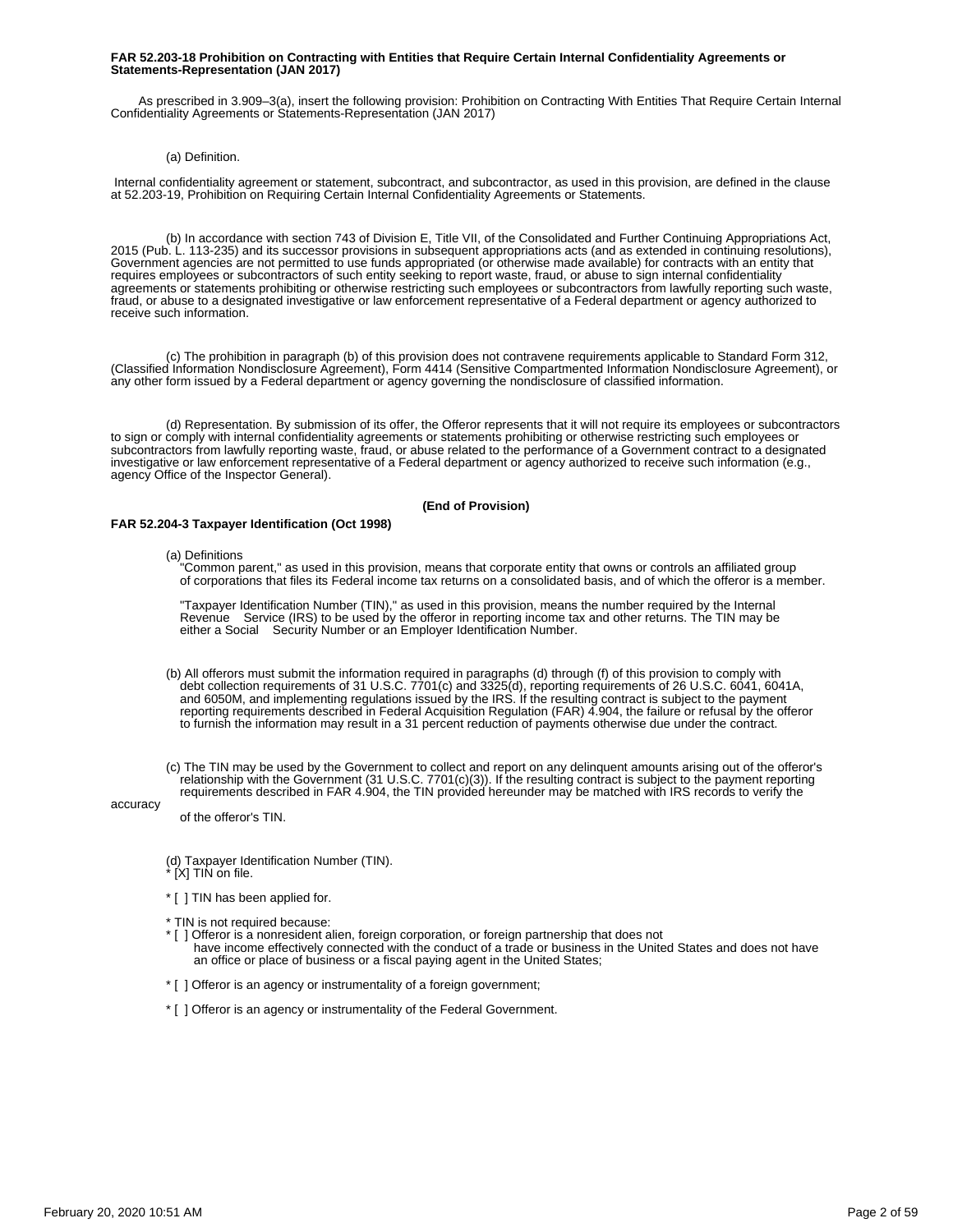#### **FAR 52.203-18 Prohibition on Contracting with Entities that Require Certain Internal Confidentiality Agreements or Statements-Representation (JAN 2017)**

 As prescribed in 3.909–3(a), insert the following provision: Prohibition on Contracting With Entities That Require Certain Internal Confidentiality Agreements or Statements-Representation (JAN 2017)

# (a) Definition.

 Internal confidentiality agreement or statement, subcontract, and subcontractor, as used in this provision, are defined in the clause at 52.203-19, Prohibition on Requiring Certain Internal Confidentiality Agreements or Statements.

 (b) In accordance with section 743 of Division E, Title VII, of the Consolidated and Further Continuing Appropriations Act, 2015 (Pub. L. 113-235) and its successor provisions in subsequent appropriations acts (and as extended in continuing resolutions), Government agencies are not permitted to use funds appropriated (or otherwise made available) for contracts with an entity that requires employees or subcontractors of such entity seeking to report waste, fraud, or abuse to sign internal confidentiality agreements or statements prohibiting or otherwise restricting such employees or subcontractors from lawfully reporting such waste, fraud, or abuse to a designated investigative or law enforcement representative of a Federal department or agency authorized to receive such information.

 (c) The prohibition in paragraph (b) of this provision does not contravene requirements applicable to Standard Form 312, (Classified Information Nondisclosure Agreement), Form 4414 (Sensitive Compartmented Information Nondisclosure Agreement), or any other form issued by a Federal department or agency governing the nondisclosure of classified information.

 (d) Representation. By submission of its offer, the Offeror represents that it will not require its employees or subcontractors to sign or comply with internal confidentiality agreements or statements prohibiting or otherwise restricting such employees or<br>subcontractors from lawfully reporting waste, fraud, or abuse related to the performance of a investigative or law enforcement representative of a Federal department or agency authorized to receive such information (e.g., agency Office of the Inspector General).

# **(End of Provision)**

# **FAR 52.204-3 Taxpayer Identification (Oct 1998)**

(a) Definitions

 "Common parent," as used in this provision, means that corporate entity that owns or controls an affiliated group of corporations that files its Federal income tax returns on a consolidated basis, and of which the offeror is a member.

 "Taxpayer Identification Number (TIN)," as used in this provision, means the number required by the Internal Revenue Service (IRS) to be used by the offeror in reporting income tax and other returns. The TIN may be either a Social Security Number or an Employer Identification Number.

 (b) All offerors must submit the information required in paragraphs (d) through (f) of this provision to comply with debt collection requirements of 31 U.S.C. 7701(c) and 3325(d), reporting requirements of 26 U.S.C. 6041, 6041A, and 6050M, and implementing regulations issued by the IRS. If the resulting contract is subject to the payment reporting requirements described in Federal Acquisition Regulation (FAR) 4.904, the failure or refusal by the offeror to furnish the information may result in a 31 percent reduction of payments otherwise due under the contract.

 (c) The TIN may be used by the Government to collect and report on any delinquent amounts arising out of the offeror's relationship with the Government (31 U.S.C. 7701(c)(3)). If the resulting contract is subject to the payment reporting requirements described in FAR 4.904, the TIN provided hereunder may be matched with IRS records to verify the

accuracy

of the offeror's TIN.

(d) Taxpayer Identification Number (TIN).

 $*$  [X] TIN on file.

\* [ ] TIN has been applied for.

\* TIN is not required because:

- \* [ ] Offeror is a nonresident alien, foreign corporation, or foreign partnership that does not have income effectively connected with the conduct of a trade or business in the United States and does not have an office or place of business or a fiscal paying agent in the United States;
- \* [ ] Offeror is an agency or instrumentality of a foreign government;
- \* [ ] Offeror is an agency or instrumentality of the Federal Government.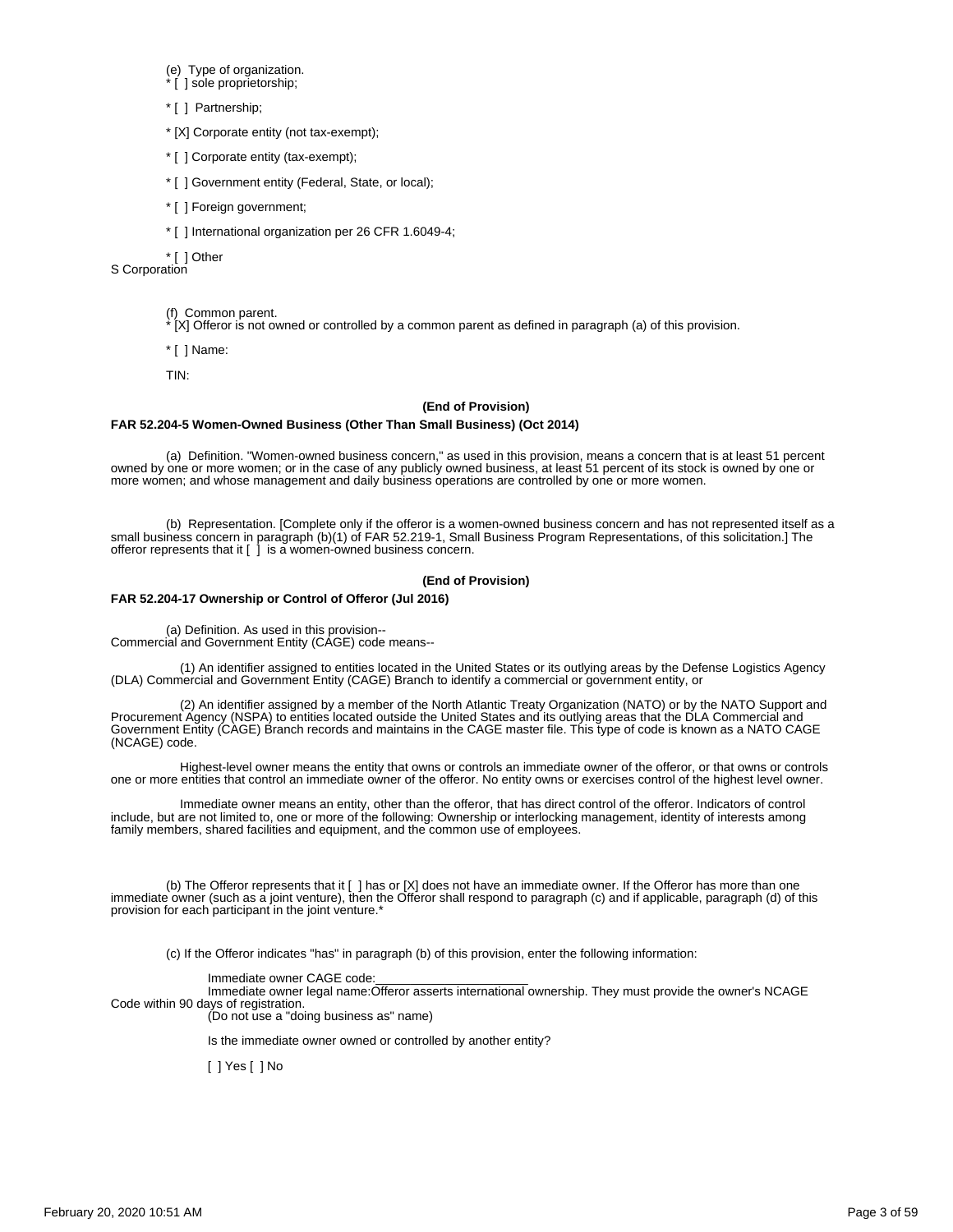(e) Type of organization.

\* [ ] sole proprietorship;

\* [ ] Partnership;

\* [X] Corporate entity (not tax-exempt);

- \* [ ] Corporate entity (tax-exempt);
- \* [ ] Government entity (Federal, State, or local);
- \* [ ] Foreign government;
- \* [ ] International organization per 26 CFR 1.6049-4;

\* [ ] Other

S Corporation

- (f) Common parent.
- [X] Offeror is not owned or controlled by a common parent as defined in paragraph (a) of this provision.
- \* [ ] Name:
- TIN:

# **(End of Provision)**

# **FAR 52.204-5 Women-Owned Business (Other Than Small Business) (Oct 2014)**

 (a) Definition. "Women-owned business concern," as used in this provision, means a concern that is at least 51 percent owned by one or more women; or in the case of any publicly owned business, at least 51 percent of its stock is owned by one or more women; and whose management and daily business operations are controlled by one or more women.

 (b) Representation. [Complete only if the offeror is a women-owned business concern and has not represented itself as a small business concern in paragraph (b)(1) of FAR 52.219-1, Small Business Program Representations, of this solicitation.] The offeror represents that it [ ] is a women-owned business concern.

### **(End of Provision)**

# **FAR 52.204-17 Ownership or Control of Offeror (Jul 2016)**

 (a) Definition. As used in this provision-- Commercial and Government Entity (CAGE) code means--

 (1) An identifier assigned to entities located in the United States or its outlying areas by the Defense Logistics Agency (DLA) Commercial and Government Entity (CAGE) Branch to identify a commercial or government entity, or

 (2) An identifier assigned by a member of the North Atlantic Treaty Organization (NATO) or by the NATO Support and Procurement Agency (NSPA) to entities located outside the United States and its outlying areas that the DLA Commercial and Government Entity (CAGE) Branch records and maintains in the CAGE master file. This type of code is known as a NATO CAGE (NCAGE) code.

 Highest-level owner means the entity that owns or controls an immediate owner of the offeror, or that owns or controls one or more entities that control an immediate owner of the offeror. No entity owns or exercises control of the highest level owner.

 Immediate owner means an entity, other than the offeror, that has direct control of the offeror. Indicators of control include, but are not limited to, one or more of the following: Ownership or interlocking management, identity of interests among family members, shared facilities and equipment, and the common use of employees.

 (b) The Offeror represents that it [ ] has or [X] does not have an immediate owner. If the Offeror has more than one immediate owner (such as a joint venture), then the Offeror shall respond to paragraph (c) and if applicable, paragraph (d) of this provision for each participant in the joint venture.\*

(c) If the Offeror indicates "has" in paragraph (b) of this provision, enter the following information:

Immediate owner CAGE code: Immediate owner legal name:Offeror asserts international ownership. They must provide the owner's NCAGE Code within 90 days of registration.

(Do not use a "doing business as" name)

Is the immediate owner owned or controlled by another entity?

[ ] Yes [ ] No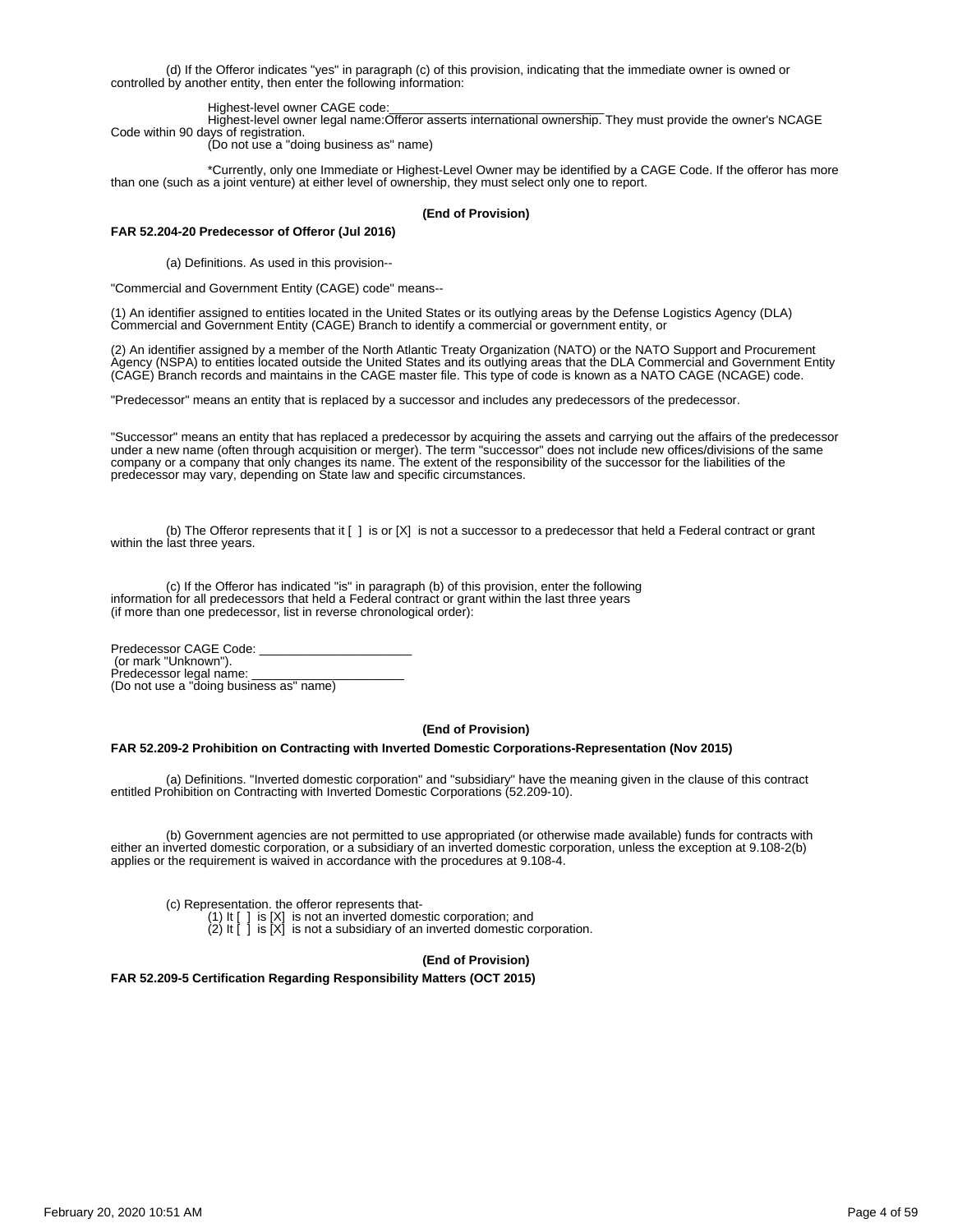(d) If the Offeror indicates "yes" in paragraph (c) of this provision, indicating that the immediate owner is owned or controlled by another entity, then enter the following information:

Highest-level owner CAGE code:

 Highest-level owner legal name:Offeror asserts international ownership. They must provide the owner's NCAGE Code within 90 days of registration.

(Do not use a "doing business as" name)

 \*Currently, only one Immediate or Highest-Level Owner may be identified by a CAGE Code. If the offeror has more than one (such as a joint venture) at either level of ownership, they must select only one to report.

# **(End of Provision)**

# **FAR 52.204-20 Predecessor of Offeror (Jul 2016)**

(a) Definitions. As used in this provision--

 "Commercial and Government Entity (CAGE) code" means--

 (1) An identifier assigned to entities located in the United States or its outlying areas by the Defense Logistics Agency (DLA) Commercial and Government Entity (CAGE) Branch to identify a commercial or government entity, or

 (2) An identifier assigned by a member of the North Atlantic Treaty Organization (NATO) or the NATO Support and Procurement Agency (NSPA) to entities located outside the United States and its outlying areas that the DLA Commercial and Government Entity (CAGE) Branch records and maintains in the CAGE master file. This type of code is known as a NATO CAGE (NCAGE) code.

 "Predecessor" means an entity that is replaced by a successor and includes any predecessors of the predecessor.

"Successor" means an entity that has replaced a predecessor by acquiring the assets and carrying out the affairs of the predecessor<br>under a new name (often through acquisition or merger). The term "successor" does not incl company or a company that only changes its name. The extent of the responsibility of the successor for the liabilities of the predecessor may vary, depending on State law and specific circumstances.

 (b) The Offeror represents that it [ ] is or [X] is not a successor to a predecessor that held a Federal contract or grant within the last three years.

 (c) If the Offeror has indicated "is" in paragraph (b) of this provision, enter the following information for all predecessors that held a Federal contract or grant within the last three years (if more than one predecessor, list in reverse chronological order):

Predecessor CAGE Code: (or mark "Unknown"). Predecessor legal name:

 (Do not use a "doing business as" name)

# **(End of Provision)**

# **FAR 52.209-2 Prohibition on Contracting with Inverted Domestic Corporations-Representation (Nov 2015)**

 (a) Definitions. "Inverted domestic corporation" and "subsidiary" have the meaning given in the clause of this contract entitled Prohibition on Contracting with Inverted Domestic Corporations (52.209-10).

 (b) Government agencies are not permitted to use appropriated (or otherwise made available) funds for contracts with either an inverted domestic corporation, or a subsidiary of an inverted domestic corporation, unless the exception at 9.108-2(b) applies or the requirement is waived in accordance with the procedures at 9.108-4.

 (c) Representation. the offeror represents that- (1) It [ ] is [X] is not an inverted domestic corporation; and  $(2)$  It  $\left[\begin{array}{c}1\end{array}\right]$  is  $[X]$  is not a subsidiary of an inverted domestic corporation.

**(End of Provision)**

**FAR 52.209-5 Certification Regarding Responsibility Matters (OCT 2015)**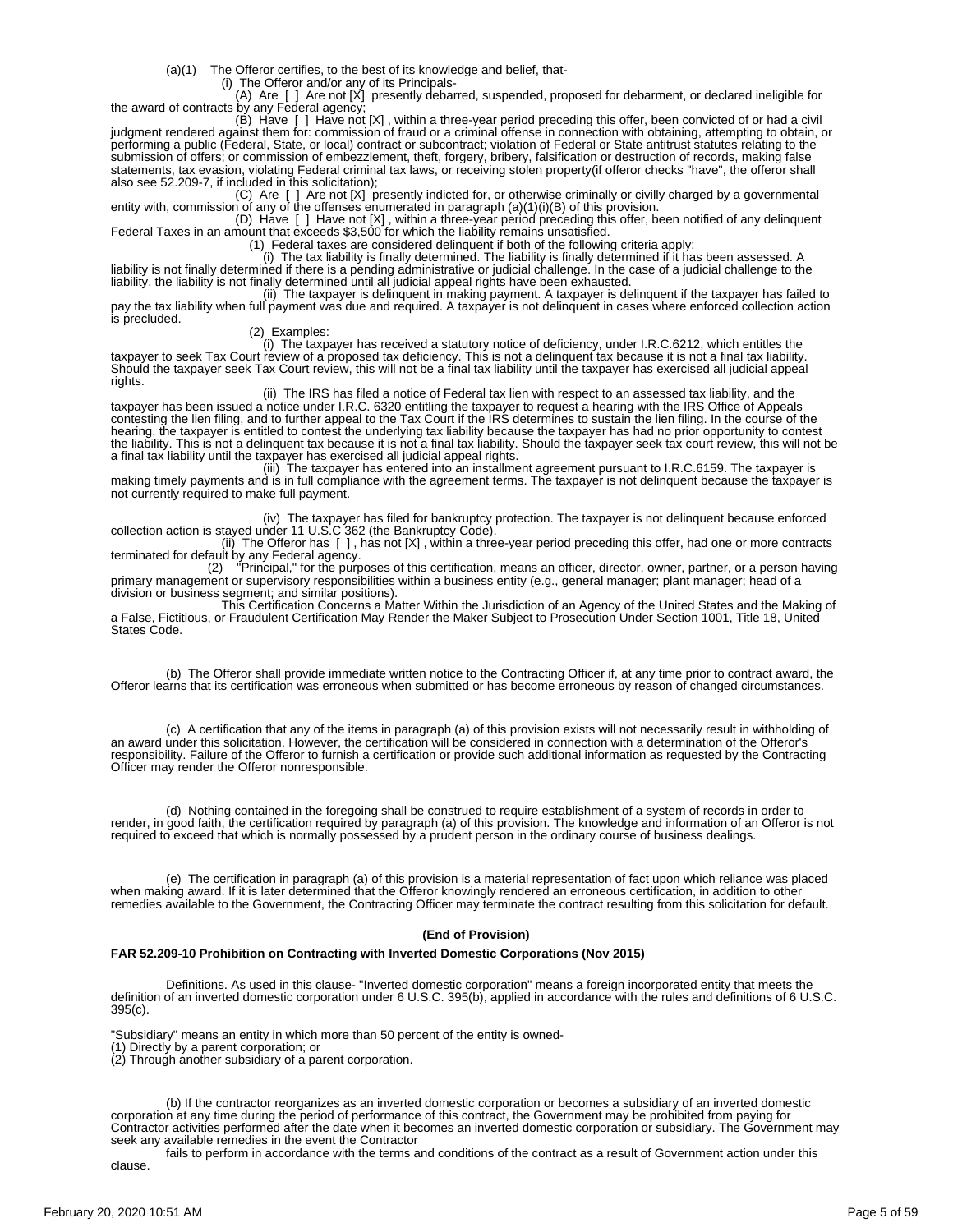(a)(1) The Offeror certifies, to the best of its knowledge and belief, that-

(i) The Offeror and/or any of its Principals-

 (A) Are [ ] Are not [X] presently debarred, suspended, proposed for debarment, or declared ineligible for the award of contracts by any Federal agency;

 (B) Have [ ] Have not [X] , within a three-year period preceding this offer, been convicted of or had a civil judgment rendered against them for: commission of fraud or a criminal offense in connection with obtaining, attempting to obtain, or performing a public (Federal, State, or local) contract or subcontract; violation of Federal or State antitrust statutes relating to the submission of offers; or commission of embezzlement, theft, forgery, bribery, falsification or destruction of records, making false statements, tax evasion, violating Federal criminal tax laws, or receiving stolen property(if offeror checks "have", the offeror shall also see 52.209-7, if included in this solicitation);

 (C) Are [ ] Are not [X] presently indicted for, or otherwise criminally or civilly charged by a governmental entity with, commission of any of the offenses enumerated in paragraph (a)(1)(i)(B) of this provision.

 (D) Have [ ] Have not [X] , within a three-year period preceding this offer, been notified of any delinquent Federal Taxes in an amount that exceeds \$3,500 for which the liability remains unsatisfied.

(1) Federal taxes are considered delinquent if both of the following criteria apply:

 (i) The tax liability is finally determined. The liability is finally determined if it has been assessed. A liability is not finally determined if there is a pending administrative or judicial challenge. In the case of a judicial challenge to the liability, the liability is not finally determined until all judicial appeal rights have been exhausted.

 (ii) The taxpayer is delinquent in making payment. A taxpayer is delinquent if the taxpayer has failed to pay the tax liability when full payment was due and required. A taxpayer is not delinquent in cases where enforced collection action is precluded.

(2) Examples:

 (i) The taxpayer has received a statutory notice of deficiency, under I.R.C.6212, which entitles the taxpayer to seek Tax Court review of a proposed tax deficiency. This is not a delinquent tax because it is not a final tax liability. Should the taxpayer seek Tax Court review, this will not be a final tax liability until the taxpayer has exercised all judicial appeal rights.

 (ii) The IRS has filed a notice of Federal tax lien with respect to an assessed tax liability, and the taxpayer has been issued a notice under I.R.C. 6320 entitling the taxpayer to request a hearing with the IRS Office of Appeals contesting the lien filing, and to further appeal to the Tax Court if the IRS determines to sustain the lien filing. In the course of the hearing, the taxpayer is entitled to contest the underlying tax liability because the taxpayer has had no prior opportunity to contest the liability. This is not a delinquent tax because it is not a final tax liability. Should the taxpayer seek tax court review, this will not be a final tax liability until the taxpayer has exercised all judicial appeal rights.

 (iii) The taxpayer has entered into an installment agreement pursuant to I.R.C.6159. The taxpayer is making timely payments and is in full compliance with the agreement terms. The taxpayer is not delinquent because the taxpayer is not currently required to make full payment.

(iv) The taxpayer has filed for bankruptcy protection. The taxpayer is not delinquent because enforced

collection action is stayed under 11 U.S.C 362 (the Bankruptcy Code). (ii) The Offeror has [ ] , has not [X] , within a three-year period preceding this offer, had one or more contracts terminated for default by any Federal agency.

 (2) "Principal," for the purposes of this certification, means an officer, director, owner, partner, or a person having primary management or supervisory responsibilities within a business entity (e.g., general manager; plant manager; head of a division or business segment; and similar positions).

 This Certification Concerns a Matter Within the Jurisdiction of an Agency of the United States and the Making of a False, Fictitious, or Fraudulent Certification May Render the Maker Subject to Prosecution Under Section 1001, Title 18, United States Code.

 (b) The Offeror shall provide immediate written notice to the Contracting Officer if, at any time prior to contract award, the Offeror learns that its certification was erroneous when submitted or has become erroneous by reason of changed circumstances.

 (c) A certification that any of the items in paragraph (a) of this provision exists will not necessarily result in withholding of an award under this solicitation. However, the certification will be considered in connection with a determination of the Offeror's responsibility. Failure of the Offeror to furnish a certification or provide such additional information as requested by the Contracting Officer may render the Offeror nonresponsible.

 (d) Nothing contained in the foregoing shall be construed to require establishment of a system of records in order to render, in good faith, the certification required by paragraph (a) of this provision. The knowledge and information of an Offeror is not required to exceed that which is normally possessed by a prudent person in the ordinary course of business dealings.

 (e) The certification in paragraph (a) of this provision is a material representation of fact upon which reliance was placed when making award. If it is later determined that the Offeror knowingly rendered an erroneous certification, in addition to other remedies available to the Government, the Contracting Officer may terminate the contract resulting from this solicitation for default.

# **(End of Provision)**

# **FAR 52.209-10 Prohibition on Contracting with Inverted Domestic Corporations (Nov 2015)**

 Definitions. As used in this clause- "Inverted domestic corporation" means a foreign incorporated entity that meets the definition of an inverted domestic corporation under 6 U.S.C. 395(b), applied in accordance with the rules and definitions of 6 U.S.C. 395(c).

 "Subsidiary" means an entity in which more than 50 percent of the entity is owned-

 (1) Directly by a parent corporation; or

 (2) Through another subsidiary of a parent corporation.

 (b) If the contractor reorganizes as an inverted domestic corporation or becomes a subsidiary of an inverted domestic corporation at any time during the period of performance of this contract, the Government may be prohibited from paying for Contractor activities performed after the date when it becomes an inverted domestic corporation or subsidiary. The Government may seek any available remedies in the event the Contractor

 fails to perform in accordance with the terms and conditions of the contract as a result of Government action under this clause.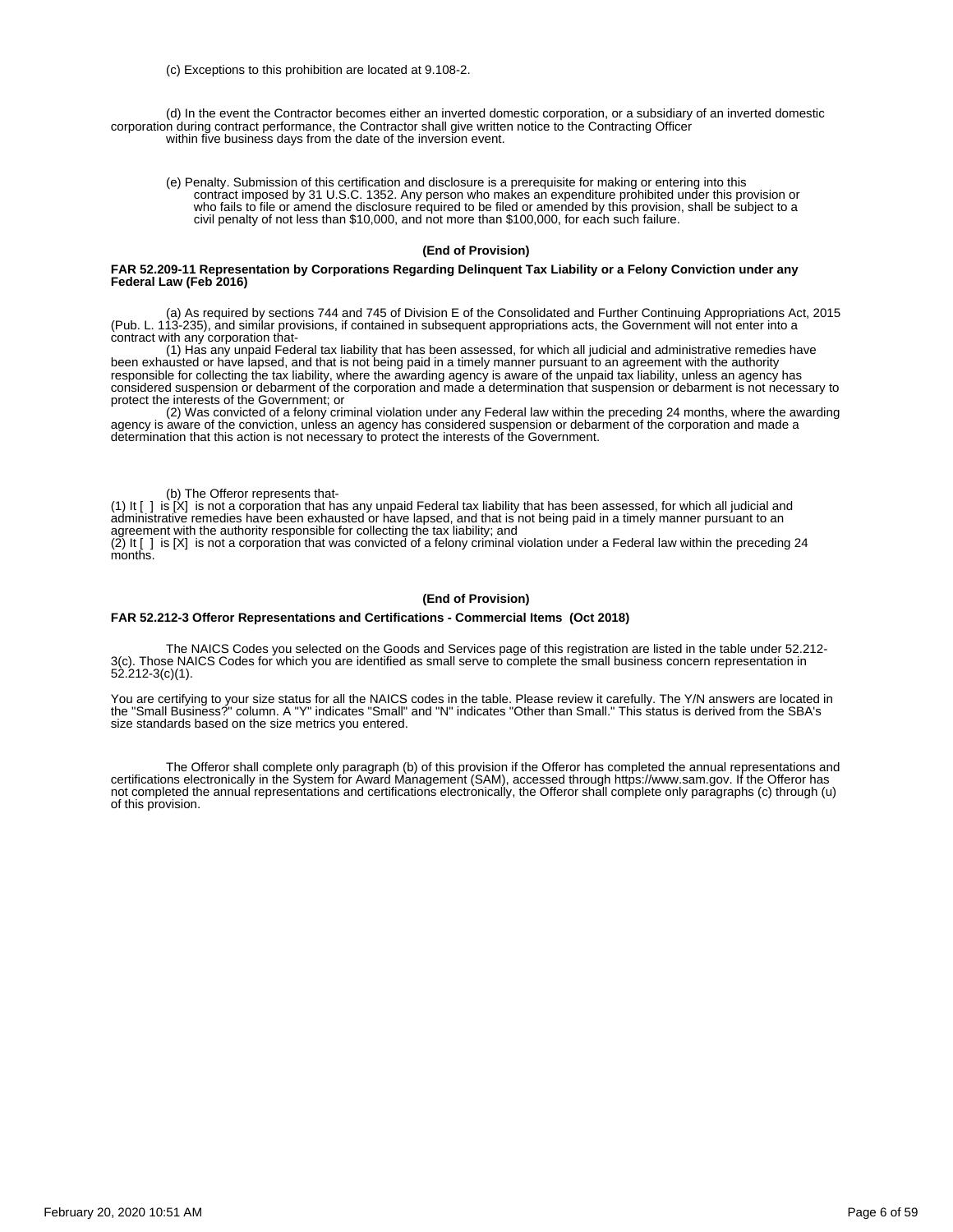(d) In the event the Contractor becomes either an inverted domestic corporation, or a subsidiary of an inverted domestic corporation during contract performance, the Contractor shall give written notice to the Contracting Officer within five business days from the date of the inversion event.

 (e) Penalty. Submission of this certification and disclosure is a prerequisite for making or entering into this contract imposed by 31 U.S.C. 1352. Any person who makes an expenditure prohibited under this provision or who fails to file or amend the disclosure required to be filed or amended by this provision, shall be subject to a civil penalty of not less than \$10,000, and not more than \$100,000, for each such failure.

# **(End of Provision)**

#### **FAR 52.209-11 Representation by Corporations Regarding Delinquent Tax Liability or a Felony Conviction under any Federal Law (Feb 2016)**

 (a) As required by sections 744 and 745 of Division E of the Consolidated and Further Continuing Appropriations Act, 2015 (Pub. L. 113-235), and similar provisions, if contained in subsequent appropriations acts, the Government will not enter into a contract with any corporation that-

 (1) Has any unpaid Federal tax liability that has been assessed, for which all judicial and administrative remedies have been exhausted or have lapsed, and that is not being paid in a timely manner pursuant to an agreement with the authority responsible for collecting the tax liability, where the awarding agency is aware of the unpaid tax liability, unless an agency has considered suspension or debarment of the corporation and made a determination that suspension or debarment is not necessary to protect the interests of the Government; or

 (2) Was convicted of a felony criminal violation under any Federal law within the preceding 24 months, where the awarding agency is aware of the conviction, unless an agency has considered suspension or debarment of the corporation and made a determination that this action is not necessary to protect the interests of the Government.

(b) The Offeror represents that-

 (1) It [ ] is [X] is not a corporation that has any unpaid Federal tax liability that has been assessed, for which all judicial and administrative remedies have been exhausted or have lapsed, and that is not being paid in a timely manner pursuant to an agreement with the authority responsible for collecting the tax liability; and

 (2) It [ ] is [X] is not a corporation that was convicted of a felony criminal violation under a Federal law within the preceding 24 months.

### **(End of Provision)**

### **FAR 52.212-3 Offeror Representations and Certifications - Commercial Items (Oct 2018)**

 The NAICS Codes you selected on the Goods and Services page of this registration are listed in the table under 52.212- 3(c). Those NAICS Codes for which you are identified as small serve to complete the small business concern representation in  $52.212 - 3(c)(1)$ .

 You are certifying to your size status for all the NAICS codes in the table. Please review it carefully. The Y/N answers are located in the "Small Business?" column. A "Y" indicates "Small" and "N" indicates "Other than Small." This status is derived from the SBA's size standards based on the size metrics you entered.

 The Offeror shall complete only paragraph (b) of this provision if the Offeror has completed the annual representations and certifications electronically in the System for Award Management (SAM), accessed through https://www.sam.gov. If the Offeror has not completed the annual representations and certifications electronically, the Offeror shall complete only paragraphs (c) through (u) of this provision.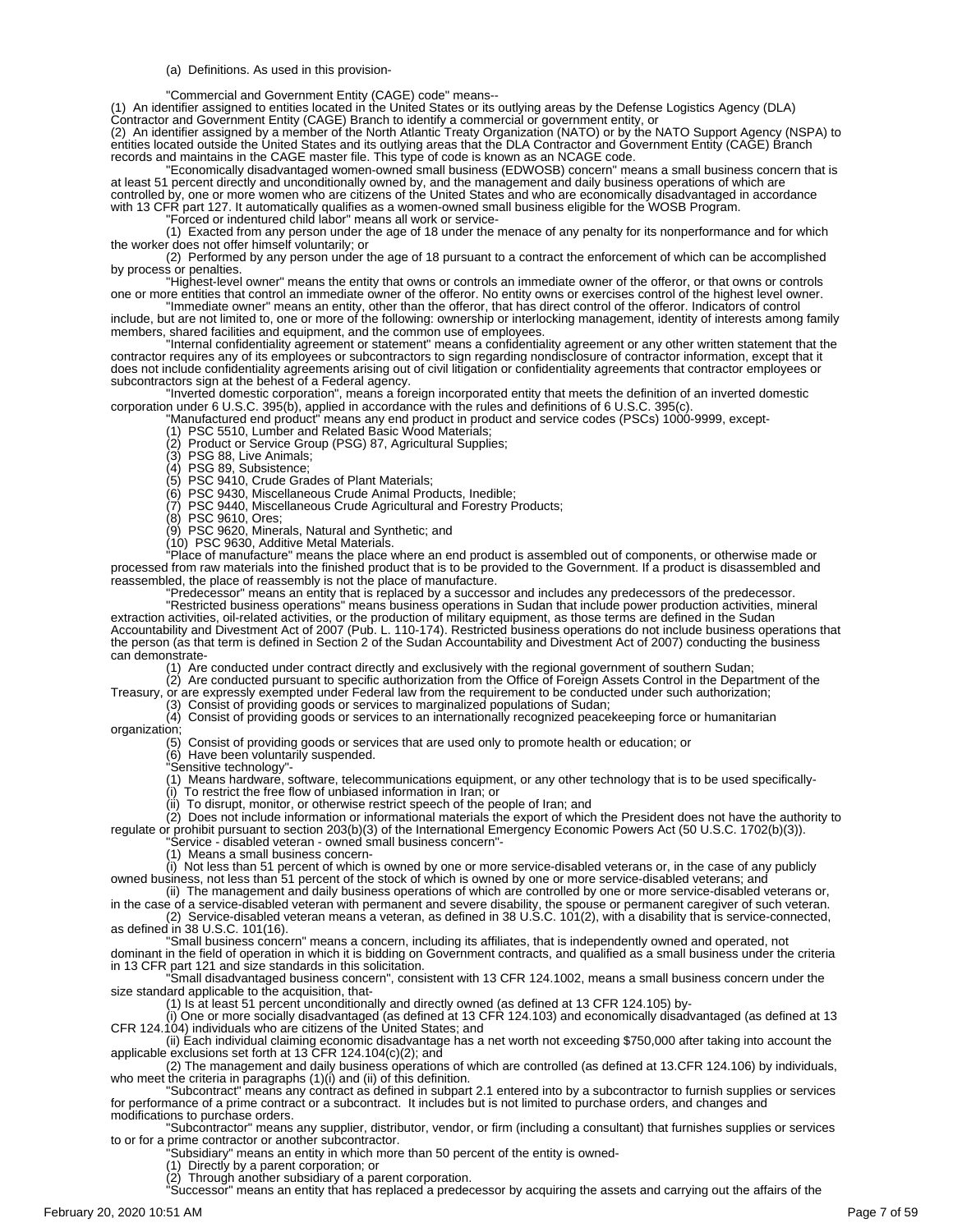### (a) Definitions. As used in this provision-

"Commercial and Government Entity (CAGE) code" means--

 (1) An identifier assigned to entities located in the United States or its outlying areas by the Defense Logistics Agency (DLA) Contractor and Government Entity (CAGE) Branch to identify a commercial or government entity, or

 (2) An identifier assigned by a member of the North Atlantic Treaty Organization (NATO) or by the NATO Support Agency (NSPA) to entities located outside the United States and its outlying areas that the DLA Contractor and Government Entity (CAGE) Branch records and maintains in the CAGE master file. This type of code is known as an NCAGE code.

 "Economically disadvantaged women-owned small business (EDWOSB) concern" means a small business concern that is at least 51 percent directly and unconditionally owned by, and the management and daily business operations of which are controlled by, one or more women who are citizens of the United States and who are economically disadvantaged in accordance with 13 CFR part 127. It automatically qualifies as a women-owned small business eligible for the WOSB Program.

"Forced or indentured child labor" means all work or service-

 (1) Exacted from any person under the age of 18 under the menace of any penalty for its nonperformance and for which the worker does not offer himself voluntarily; or

 (2) Performed by any person under the age of 18 pursuant to a contract the enforcement of which can be accomplished by process or penalties.

 "Highest-level owner" means the entity that owns or controls an immediate owner of the offeror, or that owns or controls one or more entities that control an immediate owner of the offeror. No entity owns or exercises control of the highest level owner.

 "Immediate owner" means an entity, other than the offeror, that has direct control of the offeror. Indicators of control include, but are not limited to, one or more of the following: ownership or interlocking management, identity of interests among family members, shared facilities and equipment, and the common use of employees.

 "Internal confidentiality agreement or statement" means a confidentiality agreement or any other written statement that the contractor requires any of its employees or subcontractors to sign regarding nondisclosure of contractor information, except that it does not include confidentiality agreements arising out of civil litigation or confidentiality agreements that contractor employees or subcontractors sign at the behest of a Federal agency.

 "Inverted domestic corporation", means a foreign incorporated entity that meets the definition of an inverted domestic corporation under 6 U.S.C. 395(b), applied in accordance with the rules and definitions of 6 U.S.C. 395(c).

"Manufactured end product" means any end product in product and service codes (PSCs) 1000-9999, except- (1) PSC 5510, Lumber and Related Basic Wood Materials;

(2) Product or Service Group (PSG) 87, Agricultural Supplies;

(3) PSG 88, Live Animals;

(4) PSG 89, Subsistence;

(5) PSC 9410, Crude Grades of Plant Materials;

 (6) PSC 9430, Miscellaneous Crude Animal Products, Inedible; (7) PSC 9440, Miscellaneous Crude Agricultural and Forestry Products;

(8) PSC 9610, Ores;

(9) PSC 9620, Minerals, Natural and Synthetic; and

(10) PSC 9630, Additive Metal Materials.

 "Place of manufacture" means the place where an end product is assembled out of components, or otherwise made or processed from raw materials into the finished product that is to be provided to the Government. If a product is disassembled and reassembled, the place of reassembly is not the place of manufacture.

"Predecessor" means an entity that is replaced by a successor and includes any predecessors of the predecessor.

 "Restricted business operations" means business operations in Sudan that include power production activities, mineral extraction activities, oil-related activities, or the production of military equipment, as those terms are defined in the Sudan Accountability and Divestment Act of 2007 (Pub. L. 110-174). Restricted business operations do not include business operations that the person (as that term is defined in Section 2 of the Sudan Accountability and Divestment Act of 2007) conducting the business can demonstrate-

(1) Are conducted under contract directly and exclusively with the regional government of southern Sudan;

 (2) Are conducted pursuant to specific authorization from the Office of Foreign Assets Control in the Department of the Treasury, or are expressly exempted under Federal law from the requirement to be conducted under such authorization;

(3) Consist of providing goods or services to marginalized populations of Sudan;

(4) Consist of providing goods or services to an internationally recognized peacekeeping force or humanitarian

#### organization;

(5) Consist of providing goods or services that are used only to promote health or education; or

(6) Have been voluntarily suspended.

"Sensitive technology"-

(1) Means hardware, software, telecommunications equipment, or any other technology that is to be used specifically-

To restrict the free flow of unbiased information in Iran; or

To disrupt, monitor, or otherwise restrict speech of the people of Iran; and

 (2) Does not include information or informational materials the export of which the President does not have the authority to regulate or prohibit pursuant to section 203(b)(3) of the International Emergency Economic Powers Act (50 U.S.C. 1702(b)(3)).

"Service - disabled veteran - owned small business concern"-

(1) Means a small business concern-

 (i) Not less than 51 percent of which is owned by one or more service-disabled veterans or, in the case of any publicly owned business, not less than 51 percent of the stock of which is owned by one or more service-disabled veterans; and

(ii) The management and daily business operations of which are controlled by one or more service-disabled veterans or,

in the case of a service-disabled veteran with permanent and severe disability, the spouse or permanent caregiver of such veteran. (2) Service-disabled veteran means a veteran, as defined in 38 U.S.C. 101(2), with a disability that is service-connected, as defined in 38 U.S.C. 101(16).

 "Small business concern" means a concern, including its affiliates, that is independently owned and operated, not dominant in the field of operation in which it is bidding on Government contracts, and qualified as a small business under the criteria

in 13 CFR part 121 and size standards in this solicitation.

 "Small disadvantaged business concern", consistent with 13 CFR 124.1002, means a small business concern under the size standard applicable to the acquisition, that-

(1) Is at least 51 percent unconditionally and directly owned (as defined at 13 CFR 124.105) by-

 (i) One or more socially disadvantaged (as defined at 13 CFR 124.103) and economically disadvantaged (as defined at 13 CFR 124.104) individuals who are citizens of the United States; and

 (ii) Each individual claiming economic disadvantage has a net worth not exceeding \$750,000 after taking into account the applicable exclusions set forth at 13 CFR 124.104(c)(2); and

 (2) The management and daily business operations of which are controlled (as defined at 13.CFR 124.106) by individuals, who meet the criteria in paragraphs (1)(i) and (ii) of this definition.

 "Subcontract" means any contract as defined in subpart 2.1 entered into by a subcontractor to furnish supplies or services for performance of a prime contract or a subcontract. It includes but is not limited to purchase orders, and changes and modifications to purchase orders.

 "Subcontractor" means any supplier, distributor, vendor, or firm (including a consultant) that furnishes supplies or services to or for a prime contractor or another subcontractor.

"Subsidiary" means an entity in which more than 50 percent of the entity is owned-

Directly by a parent corporation; or<br>Through another subsidiary of a parent corporation.

(2) Through another subsidiary of a parent corporation. "Successor" means an entity that has replaced a predecessor by acquiring the assets and carrying out the affairs of the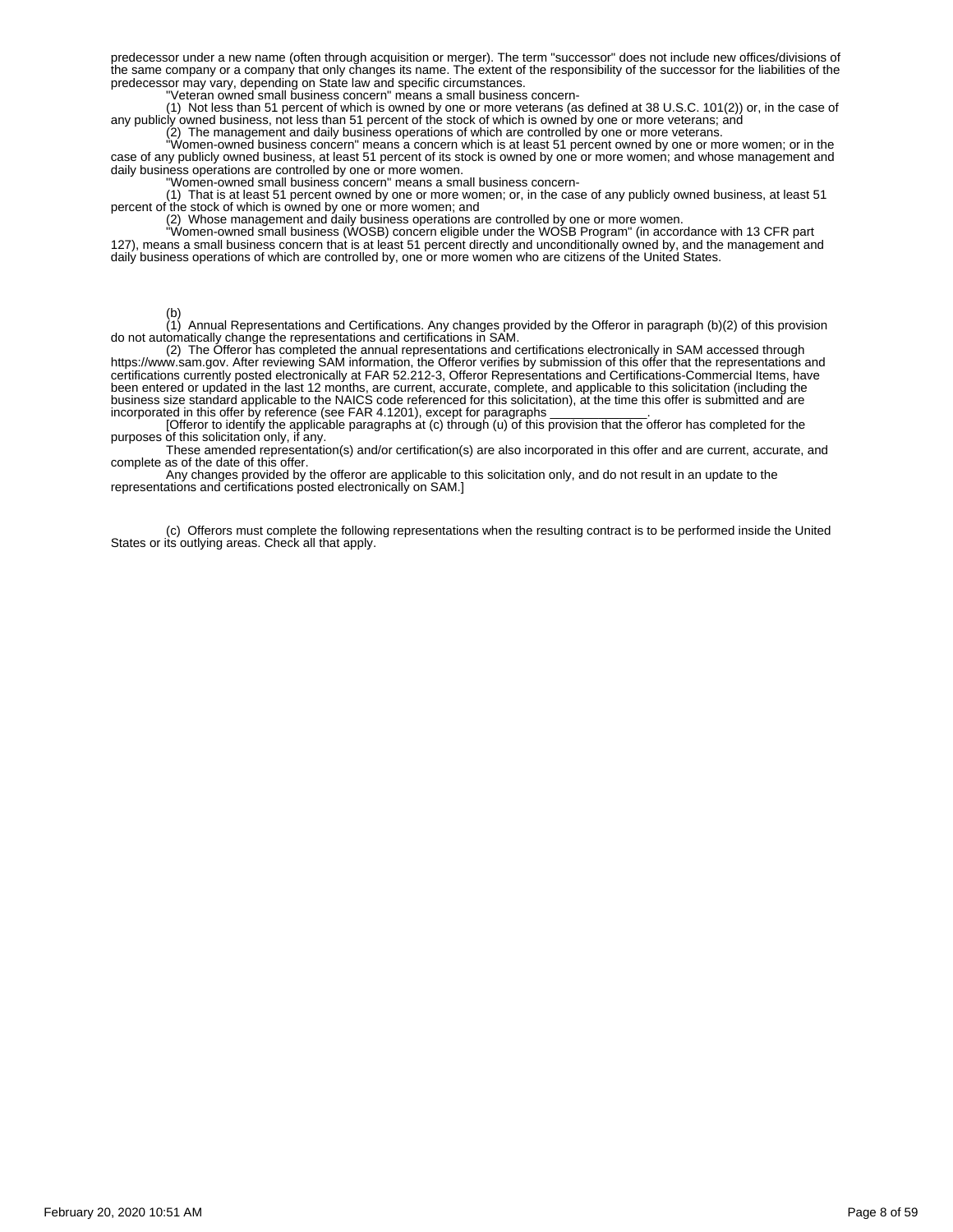predecessor under a new name (often through acquisition or merger). The term "successor" does not include new offices/divisions of the same company or a company that only changes its name. The extent of the responsibility of the successor for the liabilities of the predecessor may vary, depending on State law and specific circumstances.

"Veteran owned small business concern" means a small business concern-

 (1) Not less than 51 percent of which is owned by one or more veterans (as defined at 38 U.S.C. 101(2)) or, in the case of any publicly owned business, not less than 51 percent of the stock of which is owned by one or more veterans; and

 (2) The management and daily business operations of which are controlled by one or more veterans. "Women-owned business concern" means a concern which is at least 51 percent owned by one or more women; or in the case of any publicly owned business, at least 51 percent of its stock is owned by one or more women; and whose management and daily business operations are controlled by one or more women.

"Women-owned small business concern" means a small business concern-

 (1) That is at least 51 percent owned by one or more women; or, in the case of any publicly owned business, at least 51 percent of the stock of which is owned by one or more women; and

(2) Whose management and daily business operations are controlled by one or more women.

 "Women-owned small business (WOSB) concern eligible under the WOSB Program" (in accordance with 13 CFR part 127), means a small business concern that is at least 51 percent directly and unconditionally owned by, and the management and daily business operations of which are controlled by, one or more women who are citizens of the United States.

(b)

 (1) Annual Representations and Certifications. Any changes provided by the Offeror in paragraph (b)(2) of this provision do not automatically change the representations and certifications in SAM.

 (2) The Offeror has completed the annual representations and certifications electronically in SAM accessed through https://www.sam.gov. After reviewing SAM information, the Offeror verifies by submission of this offer that the representations and certifications currently posted electronically at FAR 52.212-3, Offeror Representations and Certifications-Commercial Items, have been entered or updated in the last 12 months, are current, accurate, complete, and applicable to this solicitation (including the business size standard applicable to the NAICS code referenced for this solicitation), at the time this offer is submitted and are incorporated in this offer by reference (see FAR 4.1201), except for paragraphs \_\_\_\_\_\_\_\_\_\_\_\_\_.

 [Offeror to identify the applicable paragraphs at (c) through (u) of this provision that the offeror has completed for the purposes of this solicitation only, if any.

 These amended representation(s) and/or certification(s) are also incorporated in this offer and are current, accurate, and complete as of the date of this offer.

 Any changes provided by the offeror are applicable to this solicitation only, and do not result in an update to the representations and certifications posted electronically on SAM.]

 (c) Offerors must complete the following representations when the resulting contract is to be performed inside the United States or its outlying areas. Check all that apply.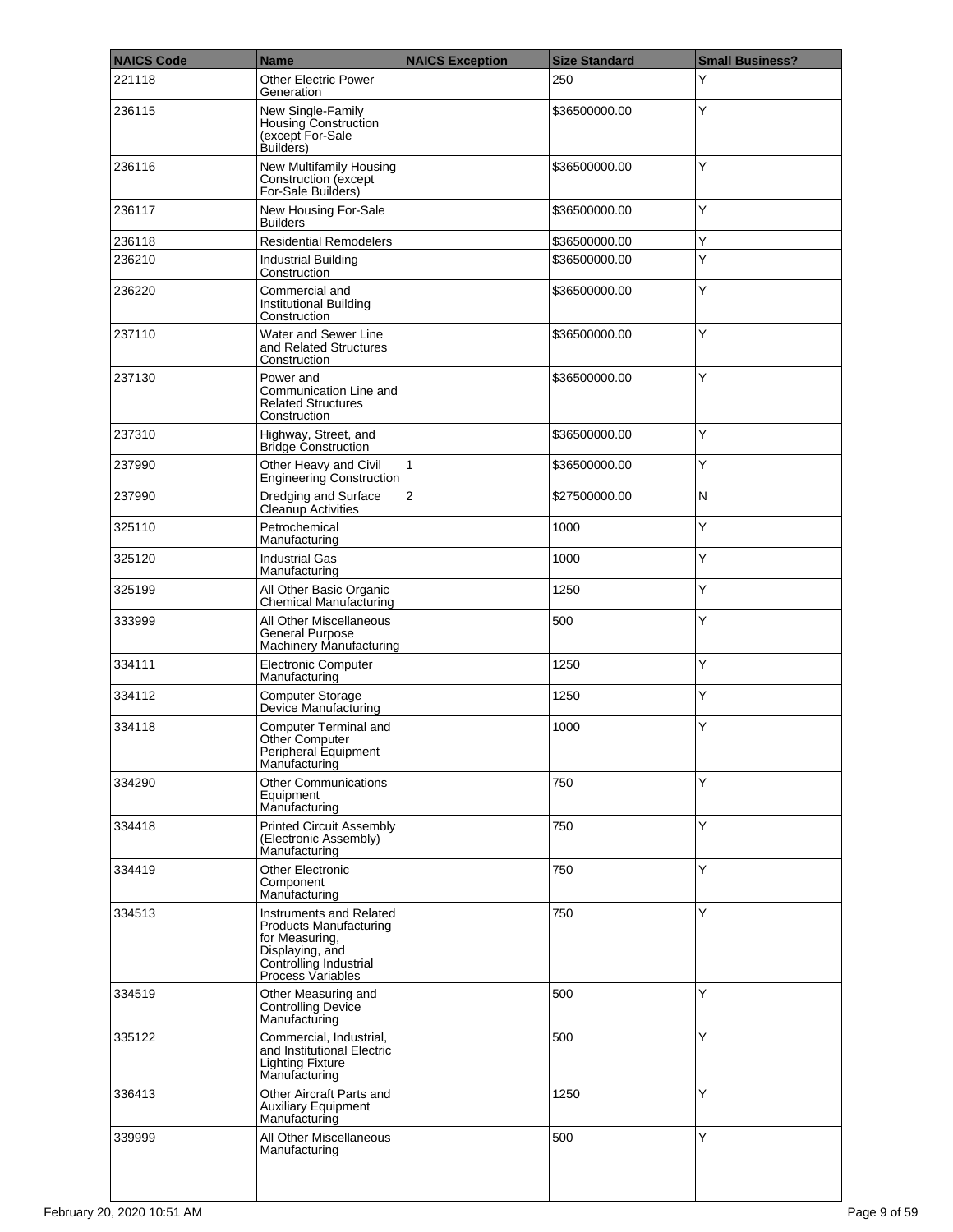| <b>NAICS Code</b> | <b>Name</b>                                                                                                                           | <b>NAICS Exception</b> | <b>Size Standard</b> | <b>Small Business?</b> |
|-------------------|---------------------------------------------------------------------------------------------------------------------------------------|------------------------|----------------------|------------------------|
| 221118            | <b>Other Electric Power</b><br>Generation                                                                                             |                        | 250                  | Y                      |
| 236115            | New Single-Family<br>Housing Construction<br>(except For-Sale<br>Builders)                                                            |                        | \$36500000.00        | Y                      |
| 236116            | New Multifamily Housing<br>Construction (except<br>For-Sale Builders)                                                                 |                        | \$36500000.00        | Y                      |
| 236117            | New Housing For-Sale<br><b>Builders</b>                                                                                               |                        | \$36500000.00        | Y                      |
| 236118            | <b>Residential Remodelers</b>                                                                                                         |                        | \$36500000.00        | Y                      |
| 236210            | <b>Industrial Building</b><br>Construction                                                                                            |                        | \$36500000.00        | Y                      |
| 236220            | Commercial and<br>Institutional Building<br>Construction                                                                              |                        | \$36500000.00        | Y                      |
| 237110            | Water and Sewer Line<br>and Related Structures<br>Construction                                                                        |                        | \$36500000.00        | Y                      |
| 237130            | Power and<br>Communication Line and<br><b>Related Structures</b><br>Construction                                                      |                        | \$36500000.00        | Y                      |
| 237310            | Highway, Street, and<br><b>Bridge Construction</b>                                                                                    |                        | \$36500000.00        | Y                      |
| 237990            | Other Heavy and Civil<br><b>Engineering Construction</b>                                                                              | $\mathbf{1}$           | \$36500000.00        | Y                      |
| 237990            | Dredging and Surface<br>Cleanup Activities                                                                                            | 2                      | \$27500000.00        | N                      |
| 325110            | Petrochemical<br>Manufacturing                                                                                                        |                        | 1000                 | Y                      |
| 325120            | <b>Industrial Gas</b><br>Manufacturing                                                                                                |                        | 1000                 | Y                      |
| 325199            | All Other Basic Organic<br>Chemical Manufacturing                                                                                     |                        | 1250                 | Y                      |
| 333999            | All Other Miscellaneous<br><b>General Purpose</b><br>Machinery Manufacturing                                                          |                        | 500                  | Y                      |
| 334111            | <b>Electronic Computer</b><br>Manufacturing                                                                                           |                        | 1250                 | Y                      |
| 334112            | <b>Computer Storage</b><br>Device Manufacturing                                                                                       |                        | 1250                 | Y                      |
| 334118            | <b>Computer Terminal and</b><br>Other Computer<br>Peripheral Equipment<br>Manufacturing                                               |                        | 1000                 | Y                      |
| 334290            | <b>Other Communications</b><br>Equipment<br>Manufacturing                                                                             |                        | 750                  | Y                      |
| 334418            | <b>Printed Circuit Assembly</b><br>(Electronic Assembly)<br>Manufacturing                                                             |                        | 750                  | Y                      |
| 334419            | <b>Other Electronic</b><br>Component<br>Manufacturing                                                                                 |                        | 750                  | Y                      |
| 334513            | Instruments and Related<br>Products Manufacturing<br>for Measuring,<br>Displaying, and<br>Controlling Industrial<br>Process Variables |                        | 750                  | Y                      |
| 334519            | Other Measuring and<br><b>Controlling Device</b><br>Manufacturing                                                                     |                        | 500                  | Y                      |
| 335122            | Commercial, Industrial,<br>and Institutional Electric<br><b>Lighting Fixture</b><br>Manufacturing                                     |                        | 500                  | Y                      |
| 336413            | Other Aircraft Parts and<br><b>Auxiliary Equipment</b><br>Manufacturing                                                               |                        | 1250                 | Y                      |
| 339999            | All Other Miscellaneous<br>Manufacturing                                                                                              |                        | 500                  | Y                      |

 $\mathbf{I}$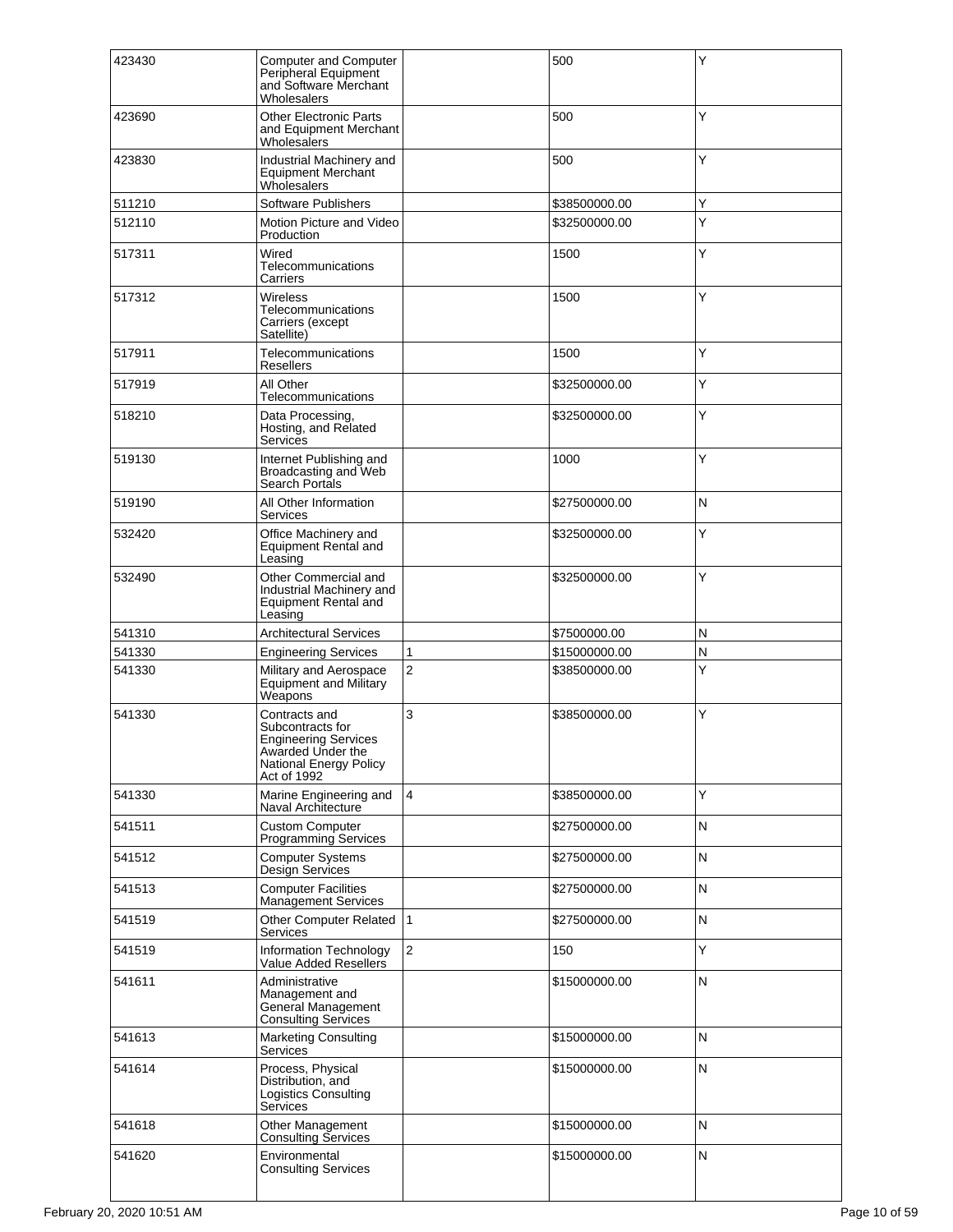| 423430 | <b>Computer and Computer</b><br>Peripheral Equipment<br>and Software Merchant<br>Wholesalers                                          |                | 500           | Y |
|--------|---------------------------------------------------------------------------------------------------------------------------------------|----------------|---------------|---|
| 423690 | <b>Other Electronic Parts</b><br>and Equipment Merchant<br>Wholesalers                                                                |                | 500           | Y |
| 423830 | Industrial Machinery and<br>Equipment Merchant<br>Wholesalers                                                                         |                | 500           | Y |
| 511210 | Software Publishers                                                                                                                   |                | \$38500000.00 | Y |
| 512110 | Motion Picture and Video<br>Production                                                                                                |                | \$32500000.00 | Y |
| 517311 | Wired<br>Telecommunications<br>Carriers                                                                                               |                | 1500          | Y |
| 517312 | <b>Wireless</b><br>Telecommunications<br>Carriers (except<br>Satellite)                                                               |                | 1500          | Y |
| 517911 | Telecommunications<br><b>Resellers</b>                                                                                                |                | 1500          | Y |
| 517919 | All Other<br>Telecommunications                                                                                                       |                | \$32500000.00 | Y |
| 518210 | Data Processing,<br>Hosting, and Related<br>Services                                                                                  |                | \$32500000.00 | Y |
| 519130 | Internet Publishing and<br>Broadcasting and Web<br>Search Portals                                                                     |                | 1000          | Y |
| 519190 | All Other Information<br>Services                                                                                                     |                | \$27500000.00 | N |
| 532420 | Office Machinery and<br>Equipment Rental and<br>Leasing                                                                               |                | \$32500000.00 | Y |
| 532490 | Other Commercial and<br>Industrial Machinery and<br>Equipment Rental and<br>Leasing                                                   |                | \$32500000.00 | Y |
| 541310 | <b>Architectural Services</b>                                                                                                         |                | \$7500000.00  | N |
| 541330 | <b>Engineering Services</b>                                                                                                           | 1              | \$15000000.00 | N |
| 541330 | Military and Aerospace<br><b>Equipment and Military</b><br>Weapons                                                                    | $\overline{2}$ | \$38500000.00 | Ý |
| 541330 | Contracts and<br>Subcontracts for<br><b>Engineering Services</b><br>Awarded Under the<br><b>National Energy Policy</b><br>Act of 1992 | 3              | \$38500000.00 | Y |
| 541330 | Marine Engineering and<br>Naval Architecture                                                                                          | $\overline{4}$ | \$38500000.00 | Y |
| 541511 | <b>Custom Computer</b><br><b>Programming Services</b>                                                                                 |                | \$27500000.00 | N |
| 541512 | <b>Computer Systems</b><br><b>Design Services</b>                                                                                     |                | \$27500000.00 | N |
| 541513 | <b>Computer Facilities</b><br>Management Services                                                                                     |                | \$27500000.00 | N |
| 541519 | Other Computer Related<br>Services                                                                                                    | 1              | \$27500000.00 | N |
| 541519 | Information Technology<br>Value Added Resellers                                                                                       | $\overline{2}$ | 150           | Y |
| 541611 | Administrative<br>Management and<br>General Management<br><b>Consulting Services</b>                                                  |                | \$15000000.00 | N |
| 541613 | <b>Marketing Consulting</b><br>Services                                                                                               |                | \$15000000.00 | N |
| 541614 | Process, Physical<br>Distribution, and<br><b>Logistics Consulting</b><br>Services                                                     |                | \$15000000.00 | N |
| 541618 | Other Management<br><b>Consulting Services</b>                                                                                        |                | \$15000000.00 | N |
| 541620 | Environmental<br><b>Consulting Services</b>                                                                                           |                | \$15000000.00 | N |

 $\mathbf{I}$ 

 $\mathbf{I}$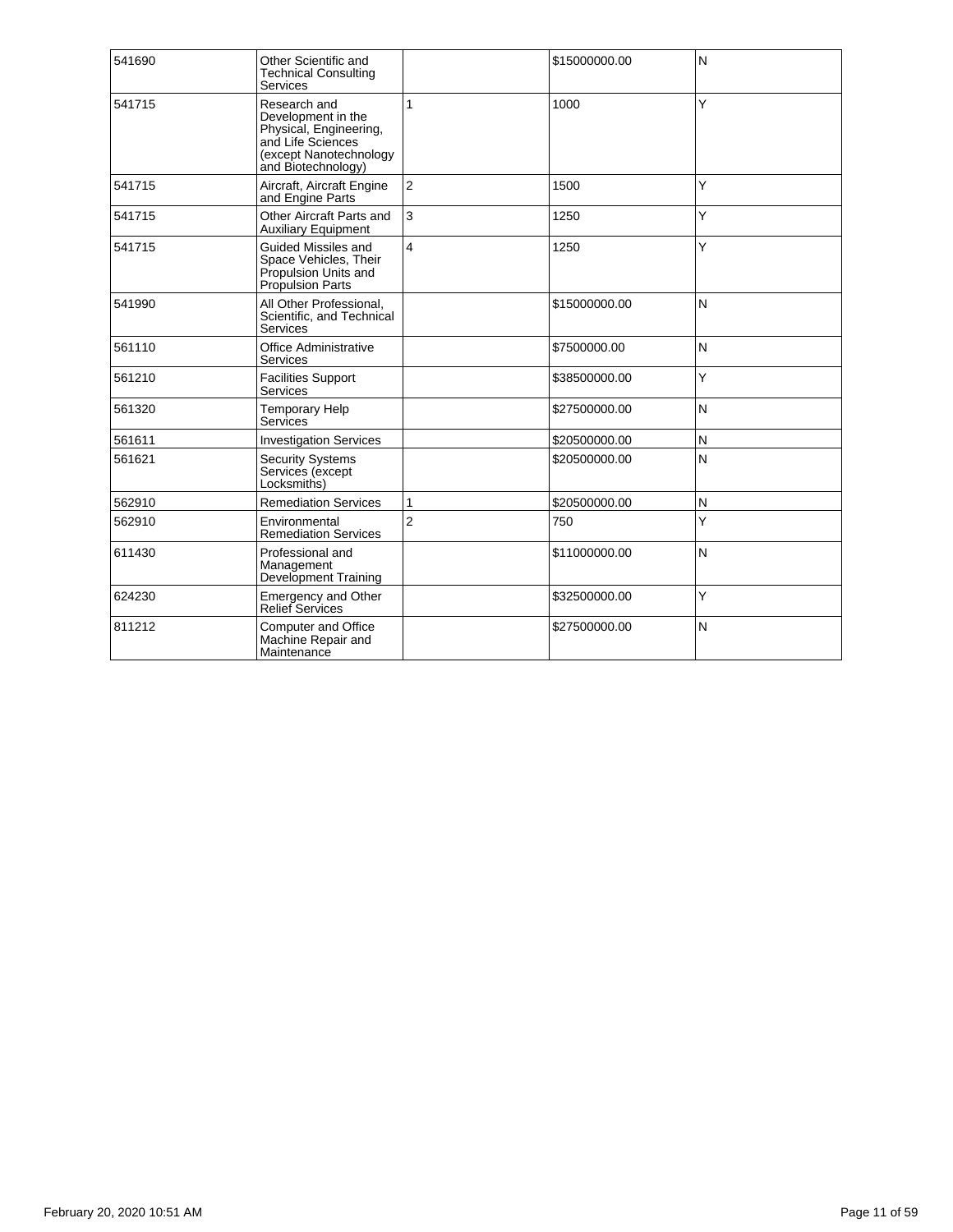| 541690 | Other Scientific and<br><b>Technical Consulting</b><br>Services                                                                   |                | \$15000000.00 | N            |
|--------|-----------------------------------------------------------------------------------------------------------------------------------|----------------|---------------|--------------|
| 541715 | Research and<br>Development in the<br>Physical, Engineering,<br>and Life Sciences<br>(except Nanotechnology<br>and Biotechnology) | 1              | 1000          | Y            |
| 541715 | Aircraft, Aircraft Engine<br>and Engine Parts                                                                                     | $\overline{2}$ | 1500          | Y            |
| 541715 | Other Aircraft Parts and<br><b>Auxiliary Equipment</b>                                                                            | l3             | 1250          | Y            |
| 541715 | Guided Missiles and<br>Space Vehicles, Their<br>Propulsion Units and<br><b>Propulsion Parts</b>                                   | 4              | 1250          | Y            |
| 541990 | All Other Professional.<br>Scientific, and Technical<br><b>Services</b>                                                           |                | \$15000000.00 | N            |
| 561110 | Office Administrative<br>Services                                                                                                 |                | \$7500000.00  | N            |
| 561210 | <b>Facilities Support</b><br>Services                                                                                             |                | \$38500000.00 | Y            |
| 561320 | <b>Temporary Help</b><br>Services                                                                                                 |                | \$27500000.00 | N            |
| 561611 | <b>Investigation Services</b>                                                                                                     |                | \$20500000.00 | N            |
| 561621 | <b>Security Systems</b><br>Services (except<br>Locksmiths)                                                                        |                | \$20500000.00 | $\mathsf{N}$ |
| 562910 | <b>Remediation Services</b>                                                                                                       | 1              | \$20500000.00 | $\mathsf{N}$ |
| 562910 | Environmental<br><b>Remediation Services</b>                                                                                      | $\overline{2}$ | 750           | Y            |
| 611430 | Professional and<br>Management<br>Development Training                                                                            |                | \$11000000.00 | N            |
| 624230 | <b>Emergency and Other</b><br><b>Relief Services</b>                                                                              |                | \$32500000.00 | Ý            |
| 811212 | <b>Computer and Office</b><br>Machine Repair and<br>Maintenance                                                                   |                | \$27500000.00 | N            |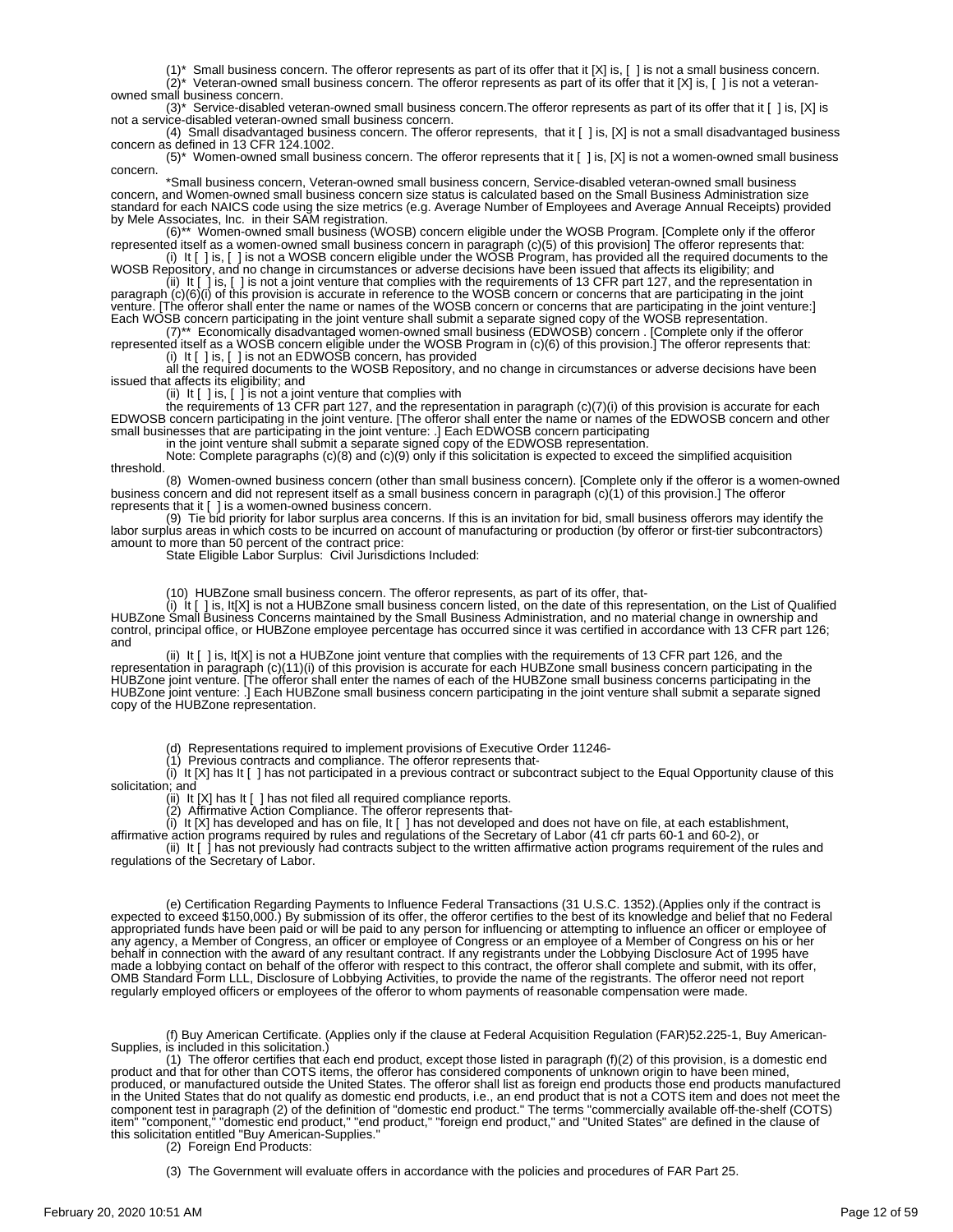(1)\* Small business concern. The offeror represents as part of its offer that it [X] is, [ ] is not a small business concern.  $(2)^*$  Veteran-owned small business concern. The offeror represents as part of its offer that it [X] is, [] is not a veteran-

owned small business concern.

 $(3)$ <sup>\*</sup> Service-disabled veteran-owned small business concern. The offeror represents as part of its offer that it  $[ \ ]$  is,  $[X]$  is not a service-disabled veteran-owned small business concern.

 (4) Small disadvantaged business concern. The offeror represents, that it [ ] is, [X] is not a small disadvantaged business concern as defined in 13 CFR 124.1002.

 (5)\* Women-owned small business concern. The offeror represents that it [ ] is, [X] is not a women-owned small business concern.

 \*Small business concern, Veteran-owned small business concern, Service-disabled veteran-owned small business concern, and Women-owned small business concern size status is calculated based on the Small Business Administration size standard for each NAICS code using the size metrics (e.g. Average Number of Employees and Average Annual Receipts) provided by Mele Associates, Inc. in their SAM registration.

 (6)\*\* Women-owned small business (WOSB) concern eligible under the WOSB Program. [Complete only if the offeror represented itself as a women-owned small business concern in paragraph (c)(5) of this provision] The offeror represents that: (i) It [ ] is, [ ] is not a WOSB concern eligible under the WOSB Program, has provided all the required documents to the

WOSB Repository, and no change in circumstances or adverse decisions have been issued that affects its eligibility; and (ii) It [ ] is, [ ] is not a joint venture that complies with the requirements of 13 CFR part 127, and the representation in

paragraph (c)(6)(i) of this provision is accurate in reference to the WOSB concern or concerns that are participating in the joint venture. [The offeror shall enter the name or names of the WOSB concern or concerns that are participating in the joint venture:] Each WOSB concern participating in the joint venture shall submit a separate signed copy of the WOSB representation.

 (7)\*\* Economically disadvantaged women-owned small business (EDWOSB) concern . [Complete only if the offeror represented itself as a WOSB concern eligible under the WOSB Program in (c)(6) of this provision.] The offeror represents that: (i) It [ ] is, [ ] is not an EDWOSB concern, has provided

 all the required documents to the WOSB Repository, and no change in circumstances or adverse decisions have been issued that affects its eligibility; and

(ii) It [ ] is, [ ] is not a joint venture that complies with

 the requirements of 13 CFR part 127, and the representation in paragraph (c)(7)(i) of this provision is accurate for each EDWOSB concern participating in the joint venture. [The offeror shall enter the name or names of the EDWOSB concern and other small businesses that are participating in the joint venture: .] Each EDWOSB concern participating

in the joint venture shall submit a separate signed copy of the EDWOSB representation.

 Note: Complete paragraphs (c)(8) and (c)(9) only if this solicitation is expected to exceed the simplified acquisition threshold.

 (8) Women-owned business concern (other than small business concern). [Complete only if the offeror is a women-owned business concern and did not represent itself as a small business concern in paragraph (c)(1) of this provision.] The offeror represents that it [ ] is a women-owned business concern.

 (9) Tie bid priority for labor surplus area concerns. If this is an invitation for bid, small business offerors may identify the labor surplus areas in which costs to be incurred on account of manufacturing or production (by offeror or first-tier subcontractors) amount to more than 50 percent of the contract price:

State Eligible Labor Surplus: Civil Jurisdictions Included:

(10) HUBZone small business concern. The offeror represents, as part of its offer, that-

 (i) It [ ] is, It[X] is not a HUBZone small business concern listed, on the date of this representation, on the List of Qualified HUBZone Small Business Concerns maintained by the Small Business Administration, and no material change in ownership and control, principal office, or HUBZone employee percentage has occurred since it was certified in accordance with 13 CFR part 126; and

 (ii) It [ ] is, It[X] is not a HUBZone joint venture that complies with the requirements of 13 CFR part 126, and the representation in paragraph (c)(11)(i) of this provision is accurate for each HUBZone small business concern participating in the HUBZone joint venture. [The offeror shall enter the names of each of the HUBZone small business concerns participating in the HUBZone joint venture: .] Each HUBZone small business concern participating in the joint venture shall submit a separate signed copy of the HUBZone representation.

(d) Representations required to implement provisions of Executive Order 11246-

(1) Previous contracts and compliance. The offeror represents that-

 (i) It [X] has It [ ] has not participated in a previous contract or subcontract subject to the Equal Opportunity clause of this solicitation; and

(ii) It [X] has It [ ] has not filed all required compliance reports.

(2) Affirmative Action Compliance. The offeror represents that-

(i) It [X] has developed and has on file, It [ ] has not developed and does not have on file, at each establishment,

affirmative action programs required by rules and regulations of the Secretary of Labor (41 cfr parts 60-1 and 60-2), or (ii) It [ ] has not previously had contracts subject to the written affirmative action programs requirement of the rules and regulations of the Secretary of Labor.

 (e) Certification Regarding Payments to Influence Federal Transactions (31 U.S.C. 1352).(Applies only if the contract is expected to exceed \$150,000.) By submission of its offer, the offeror certifies to the best of its knowledge and belief that no Federal appropriated funds have been paid or will be paid to any person for influencing or attempting to influence an officer or employee of any agency, a Member of Congress, an officer or employee of Congress or an employee of a Member of Congress on his or her behalf in connection with the award of any resultant contract. If any registrants under the Lobbying Disclosure Act of 1995 have made a lobbying contact on behalf of the offeror with respect to this contract, the offeror shall complete and submit, with its offer, OMB Standard Form LLL, Disclosure of Lobbying Activities, to provide the name of the registrants. The offeror need not report regularly employed officers or employees of the offeror to whom payments of reasonable compensation were made.

 (f) Buy American Certificate. (Applies only if the clause at Federal Acquisition Regulation (FAR)52.225-1, Buy American-Supplies, is included in this solicitation.)

 (1) The offeror certifies that each end product, except those listed in paragraph (f)(2) of this provision, is a domestic end product and that for other than COTS items, the offeror has considered components of unknown origin to have been mined, produced, or manufactured outside the United States. The offeror shall list as foreign end products those end products manufactured in the United States that do not qualify as domestic end products, i.e., an end product that is not a COTS item and does not meet the component test in paragraph (2) of the definition of "domestic end product." The terms "commercially available off-the-shelf (COTS) item" "component," "domestic end product," "end product," "foreign end product," and "United States" are defined in the clause of this solicitation entitled "Buy American-Supplies."

(2) Foreign End Products:

(3) The Government will evaluate offers in accordance with the policies and procedures of FAR Part 25.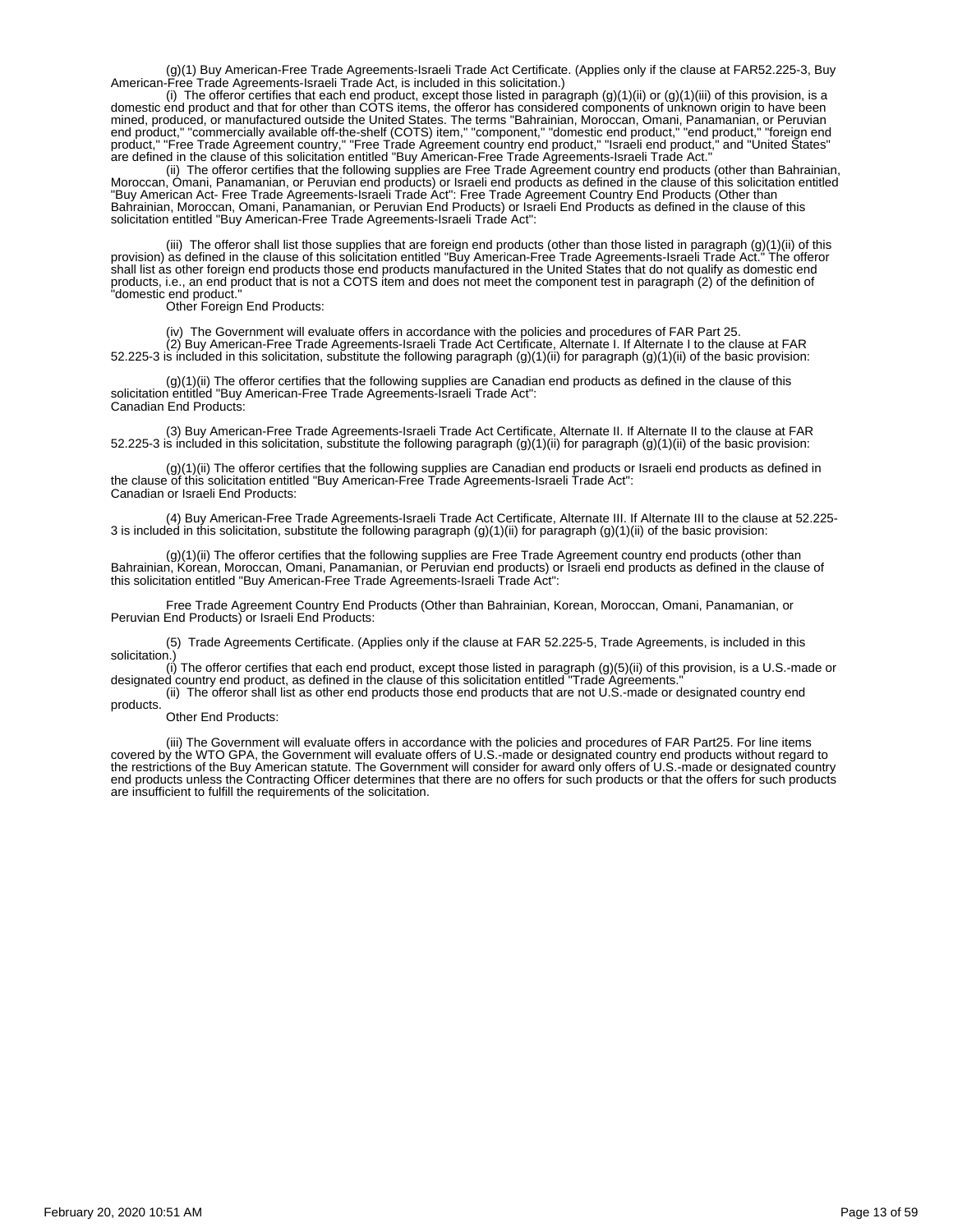(g)(1) Buy American-Free Trade Agreements-Israeli Trade Act Certificate. (Applies only if the clause at FAR52.225-3, Buy American-Free Trade Agreements-Israeli Trade Act, is included in this solicitation.)

(i) The offeror certifies that each end product, except those listed in paragraph (g)(1)(ii) or (g)(1)(iii) of this provision, is a domestic end product and that for other than COTS items, the offeror has considered components of unknown origin to have been mined, produced, or manufactured outside the United States. The terms "Bahrainian, Moroccan, Omani, Panamanian, or Peruvian end product," "commercially available off-the-shelf (COTS) item," "component," "domestic end product," "end product," "foreign end product," "Free Trade Agreement country," "Free Trade Agreement country end product," "Israeli end product," and "United States" are defined in the clause of this solicitation entitled "Buy American-Free Trade Agreements-Israeli Trade Act."

 (ii) The offeror certifies that the following supplies are Free Trade Agreement country end products (other than Bahrainian, Moroccan, Omani, Panamanian, or Peruvian end products) or Israeli end products as defined in the clause of this solicitation entitled "Buy American Act- Free Trade Agreements-Israeli Trade Act": Free Trade Agreement Country End Products (Other than Bahrainian, Moroccan, Omani, Panamanian, or Peruvian End Products) or Israeli End Products as defined in the clause of this solicitation entitled "Buy American-Free Trade Agreements-Israeli Trade Act":

 (iii) The offeror shall list those supplies that are foreign end products (other than those listed in paragraph (g)(1)(ii) of this provision) as defined in the clause of this solicitation entitled "Buy American-Free Trade Agreements-Israeli Trade Act." The offeror shall list as other foreign end products those end products manufactured in the United States that do not qualify as domestic end products, i.e., an end product that is not a COTS item and does not meet the component test in paragraph (2) of the definition of "domestic end product."

Other Foreign End Products:

 (iv) The Government will evaluate offers in accordance with the policies and procedures of FAR Part 25. (2) Buy American-Free Trade Agreements-Israeli Trade Act Certificate, Alternate I. If Alternate I to the clause at FAR 52.225-3 is included in this solicitation, substitute the following paragraph (g)(1)(ii) for paragraph (g)(1)(ii) of the basic provision:

 (g)(1)(ii) The offeror certifies that the following supplies are Canadian end products as defined in the clause of this solicitation entitled "Buy American-Free Trade Agreements-Israeli Trade Act": Canadian End Products:

 (3) Buy American-Free Trade Agreements-Israeli Trade Act Certificate, Alternate II. If Alternate II to the clause at FAR 52.225-3 is included in this solicitation, substitute the following paragraph (g)(1)(ii) for paragraph (g)(1)(ii) of the basic provision:

 (g)(1)(ii) The offeror certifies that the following supplies are Canadian end products or Israeli end products as defined in the clause of this solicitation entitled "Buy American-Free Trade Agreements-Israeli Trade Act": Canadian or Israeli End Products:

 (4) Buy American-Free Trade Agreements-Israeli Trade Act Certificate, Alternate III. If Alternate III to the clause at 52.225- 3 is included in this solicitation, substitute the following paragraph (g)(1)(ii) for paragraph (g)(1)(ii) of the basic provision:

 (g)(1)(ii) The offeror certifies that the following supplies are Free Trade Agreement country end products (other than Bahrainian, Korean, Moroccan, Omani, Panamanian, or Peruvian end products) or Israeli end products as defined in the clause of this solicitation entitled "Buy American-Free Trade Agreements-Israeli Trade Act":

 Free Trade Agreement Country End Products (Other than Bahrainian, Korean, Moroccan, Omani, Panamanian, or Peruvian End Products) or Israeli End Products:

 (5) Trade Agreements Certificate. (Applies only if the clause at FAR 52.225-5, Trade Agreements, is included in this solicitation.)

 (i) The offeror certifies that each end product, except those listed in paragraph (g)(5)(ii) of this provision, is a U.S.-made or designated country end product, as defined in the clause of this solicitation entitled "Trade Agreements."

 (ii) The offeror shall list as other end products those end products that are not U.S.-made or designated country end products.

# Other End Products:

 (iii) The Government will evaluate offers in accordance with the policies and procedures of FAR Part25. For line items covered by the WTO GPA, the Government will evaluate offers of U.S.-made or designated country end products without regard to the restrictions of the Buy American statute. The Government will consider for award only offers of U.S.-made or designated country end products unless the Contracting Officer determines that there are no offers for such products or that the offers for such products are insufficient to fulfill the requirements of the solicitation.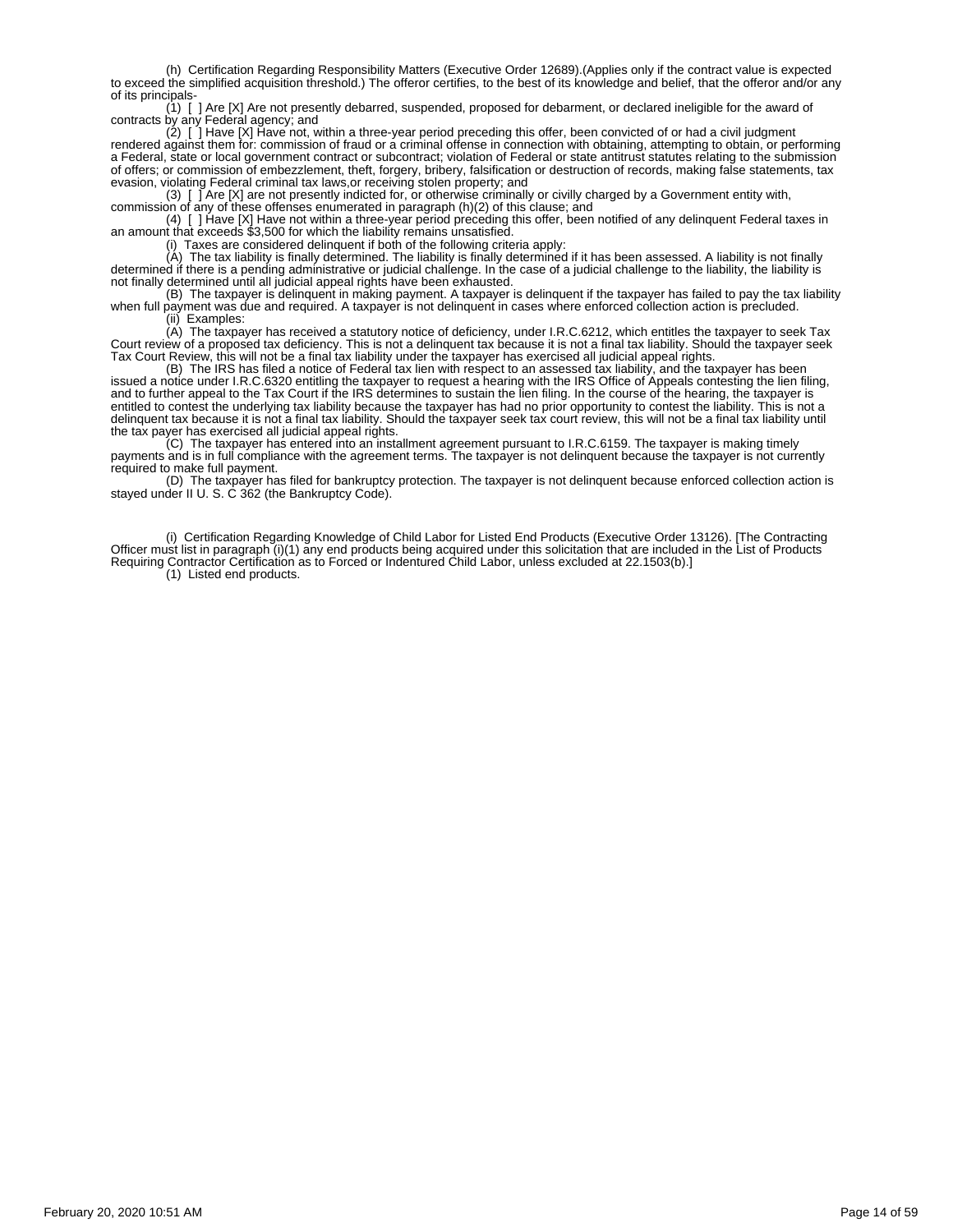(h) Certification Regarding Responsibility Matters (Executive Order 12689).(Applies only if the contract value is expected to exceed the simplified acquisition threshold.) The offeror certifies, to the best of its knowledge and belief, that the offeror and/or any of its principals-

 (1) [ ] Are [X] Are not presently debarred, suspended, proposed for debarment, or declared ineligible for the award of contracts by any Federal agency; and

 (2) [ ] Have [X] Have not, within a three-year period preceding this offer, been convicted of or had a civil judgment rendered against them for: commission of fraud or a criminal offense in connection with obtaining, attempting to obtain, or performing a Federal, state or local government contract or subcontract; violation of Federal or state antitrust statutes relating to the submission of offers; or commission of embezzlement, theft, forgery, bribery, falsification or destruction of records, making false statements, tax evasion, violating Federal criminal tax laws,or receiving stolen property; and

 (3) [ ] Are [X] are not presently indicted for, or otherwise criminally or civilly charged by a Government entity with, commission of any of these offenses enumerated in paragraph (h)(2) of this clause; and

 (4) [ ] Have [X] Have not within a three-year period preceding this offer, been notified of any delinquent Federal taxes in an amount that exceeds \$3,500 for which the liability remains unsatisfied.

(i) Taxes are considered delinquent if both of the following criteria apply:

 (A) The tax liability is finally determined. The liability is finally determined if it has been assessed. A liability is not finally determined if there is a pending administrative or judicial challenge. In the case of a judicial challenge to the liability, the liability is not finally determined until all judicial appeal rights have been exhausted.

 (B) The taxpayer is delinquent in making payment. A taxpayer is delinquent if the taxpayer has failed to pay the tax liability when full payment was due and required. A taxpayer is not delinquent in cases where enforced collection action is precluded. (ii) Examples:

 (A) The taxpayer has received a statutory notice of deficiency, under I.R.C.6212, which entitles the taxpayer to seek Tax Court review of a proposed tax deficiency. This is not a delinquent tax because it is not a final tax liability. Should the taxpayer seek Tax Court Review, this will not be a final tax liability under the taxpayer has exercised all judicial appeal rights.

 (B) The IRS has filed a notice of Federal tax lien with respect to an assessed tax liability, and the taxpayer has been issued a notice under I.R.C.6320 entitling the taxpayer to request a hearing with the IRS Office of Appeals contesting the lien filing, and to further appeal to the Tax Court if the IRS determines to sustain the lien filing. In the course of the hearing, the taxpayer is entitled to contest the underlying tax liability because the taxpayer has had no prior opportunity to contest the liability. This is not a delinquent tax because it is not a final tax liability. Should the taxpayer seek tax court review, this will not be a final tax liability until the tax payer has exercised all judicial appeal rights.

 (C) The taxpayer has entered into an installment agreement pursuant to I.R.C.6159. The taxpayer is making timely payments and is in full compliance with the agreement terms. The taxpayer is not delinquent because the taxpayer is not currently required to make full payment.

 (D) The taxpayer has filed for bankruptcy protection. The taxpayer is not delinquent because enforced collection action is stayed under II U. S. C 362 (the Bankruptcy Code).

 (i) Certification Regarding Knowledge of Child Labor for Listed End Products (Executive Order 13126). [The Contracting Officer must list in paragraph (i)(1) any end products being acquired under this solicitation that are included in the List of Products Requiring Contractor Certification as to Forced or Indentured Child Labor, unless excluded at 22.1503(b).]

(1) Listed end products.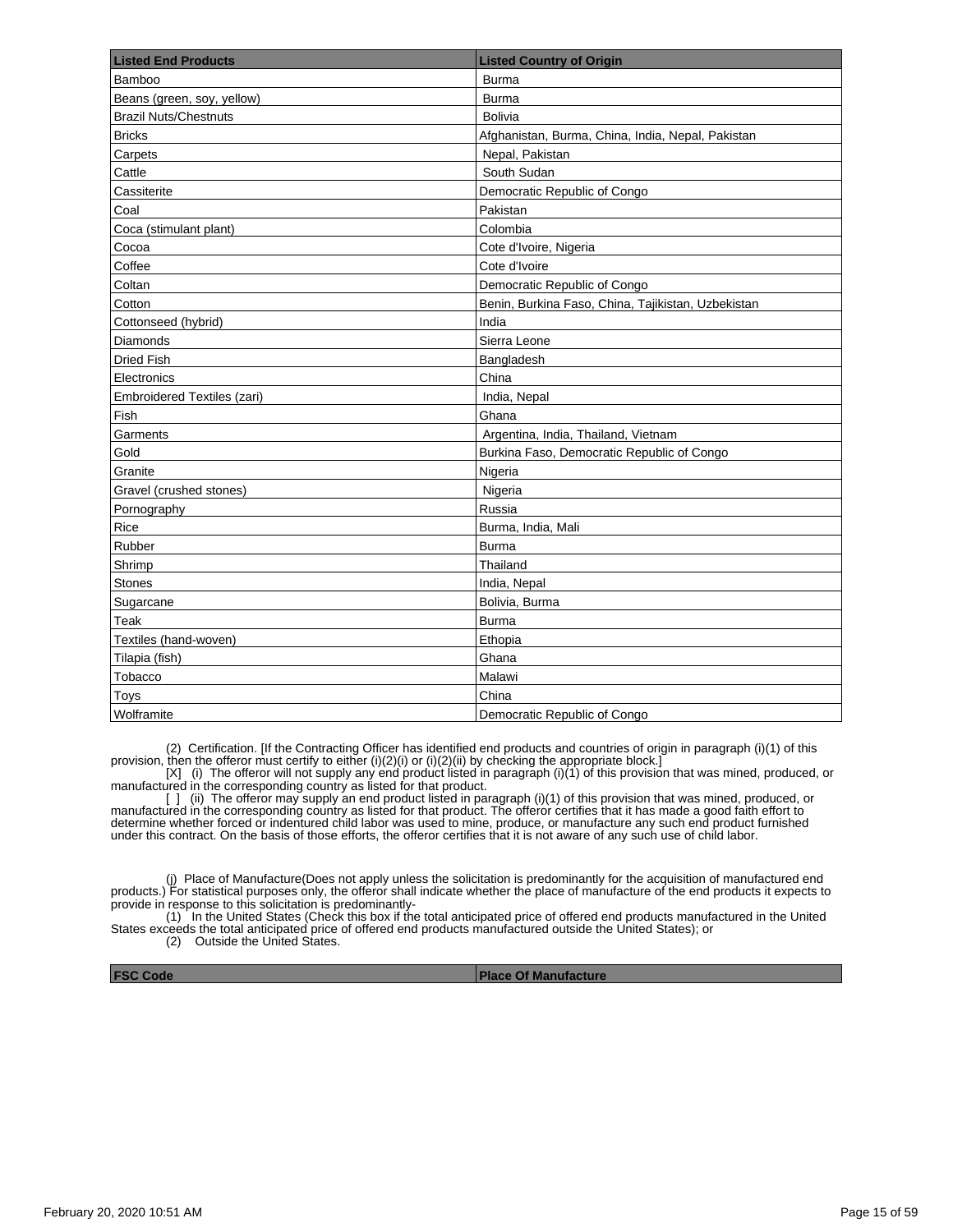| <b>Listed End Products</b>   | <b>Listed Country of Origin</b>                    |
|------------------------------|----------------------------------------------------|
| Bamboo                       | <b>Burma</b>                                       |
| Beans (green, soy, yellow)   | <b>Burma</b>                                       |
| <b>Brazil Nuts/Chestnuts</b> | <b>Bolivia</b>                                     |
| <b>Bricks</b>                | Afghanistan, Burma, China, India, Nepal, Pakistan  |
| Carpets                      | Nepal, Pakistan                                    |
| Cattle                       | South Sudan                                        |
| Cassiterite                  | Democratic Republic of Congo                       |
| Coal                         | Pakistan                                           |
| Coca (stimulant plant)       | Colombia                                           |
| Cocoa                        | Cote d'Ivoire, Nigeria                             |
| Coffee                       | Cote d'Ivoire                                      |
| Coltan                       | Democratic Republic of Congo                       |
| Cotton                       | Benin, Burkina Faso, China, Tajikistan, Uzbekistan |
| Cottonseed (hybrid)          | India                                              |
| <b>Diamonds</b>              | Sierra Leone                                       |
| <b>Dried Fish</b>            | Bangladesh                                         |
| Electronics                  | China                                              |
| Embroidered Textiles (zari)  | India, Nepal                                       |
| Fish                         | Ghana                                              |
| Garments                     | Argentina, India, Thailand, Vietnam                |
| Gold                         | Burkina Faso, Democratic Republic of Congo         |
| Granite                      | Nigeria                                            |
| Gravel (crushed stones)      | Nigeria                                            |
| Pornography                  | Russia                                             |
| Rice                         | Burma, India, Mali                                 |
| Rubber                       | <b>Burma</b>                                       |
| Shrimp                       | Thailand                                           |
| <b>Stones</b>                | India, Nepal                                       |
| Sugarcane                    | Bolivia, Burma                                     |
| Teak                         | <b>Burma</b>                                       |
| Textiles (hand-woven)        | Ethopia                                            |
| Tilapia (fish)               | Ghana                                              |
| Tobacco                      | Malawi                                             |
| Toys                         | China                                              |
| Wolframite                   | Democratic Republic of Congo                       |

 (2) Certification. [If the Contracting Officer has identified end products and countries of origin in paragraph (i)(1) of this provision, then the offeror must certify to either (i)(2)(i) or (i)(2)(ii) by checking the appropriate block.]

 [X] (i) The offeror will not supply any end product listed in paragraph (i)(1) of this provision that was mined, produced, or manufactured in the corresponding country as listed for that product.

 [ ] (ii) The offeror may supply an end product listed in paragraph (i)(1) of this provision that was mined, produced, or manufactured in the corresponding country as listed for that product. The offeror certifies that it has made a good faith effort to determine whether forced or indentured child labor was used to mine, produce, or manufacture any such end product furnished under this contract. On the basis of those efforts, the offeror certifies that it is not aware of any such use of child labor.

 (j) Place of Manufacture(Does not apply unless the solicitation is predominantly for the acquisition of manufactured end products.) For statistical purposes only, the offeror shall indicate whether the place of manufacture of the end products it expects to provide in response to this solicitation is predominantly-

 (1) In the United States (Check this box if the total anticipated price of offered end products manufactured in the United States exceeds the total anticipated price of offered end products manufactured outside the United States); or

(2) Outside the United States.

**FSC Code Place Of Manufacture**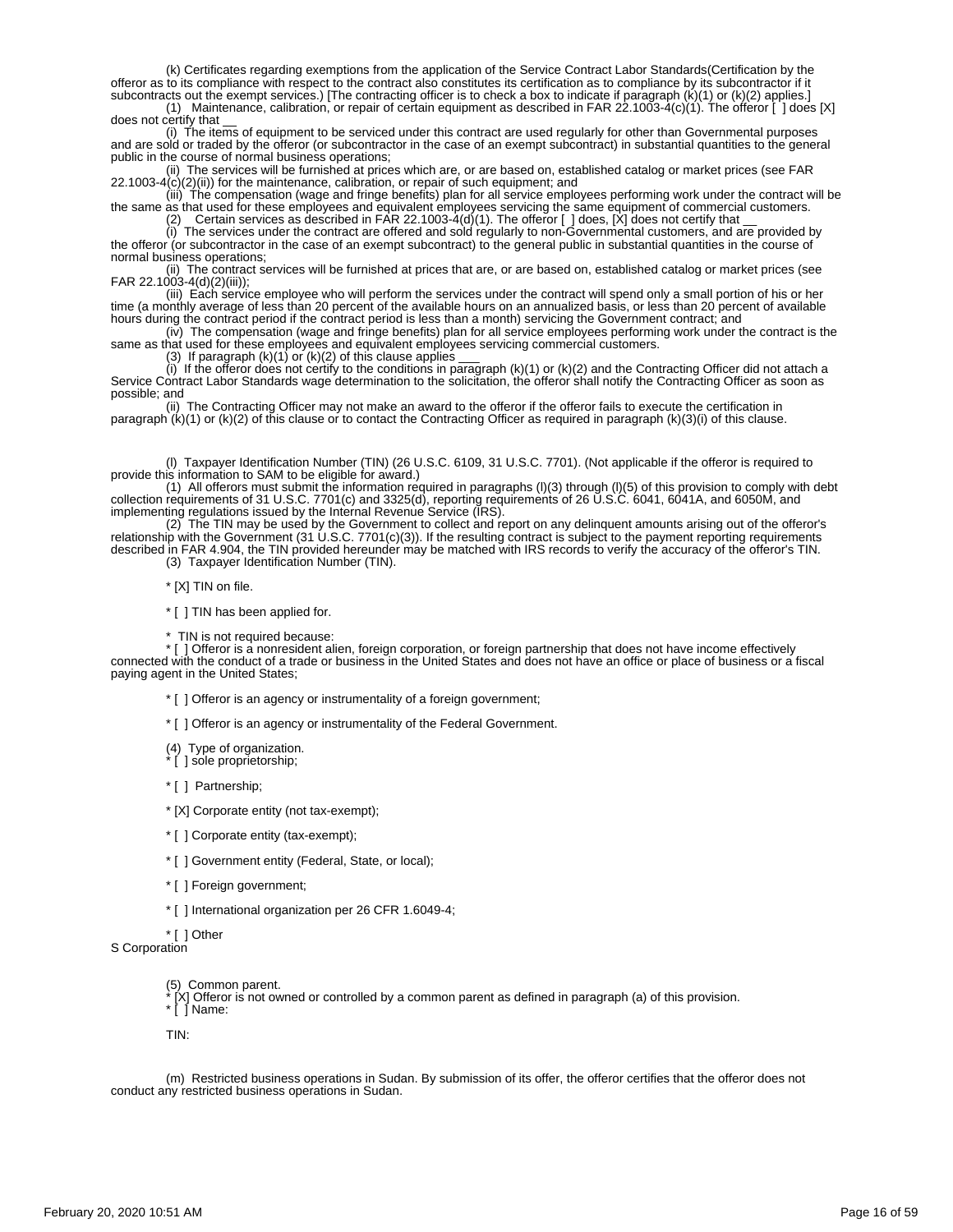(k) Certificates regarding exemptions from the application of the Service Contract Labor Standards(Certification by the offeror as to its compliance with respect to the contract also constitutes its certification as to compliance by its subcontractor if it subcontracts out the exempt services.) [The contracting officer is to check a box to indicate if paragraph (k)(1) or (k)(2) applies.]

 (1) Maintenance, calibration, or repair of certain equipment as described in FAR 22.1003-4(c)(1). The offeror [ ] does [X] does not certify that \_\_

 (i) The items of equipment to be serviced under this contract are used regularly for other than Governmental purposes and are sold or traded by the offeror (or subcontractor in the case of an exempt subcontract) in substantial quantities to the general public in the course of normal business operations;

 (ii) The services will be furnished at prices which are, or are based on, established catalog or market prices (see FAR 22.1003-4(c)(2)(ii)) for the maintenance, calibration, or repair of such equipment; and

 (iii) The compensation (wage and fringe benefits) plan for all service employees performing work under the contract will be the same as that used for these employees and equivalent employees servicing the same equipment of commercial customers. (2) Certain services as described in FAR 22.1003-4(d)(1). The offeror [ ] does, [X] does not certify that  $\_$ 

 (i) The services under the contract are offered and sold regularly to non-Governmental customers, and are provided by the offeror (or subcontractor in the case of an exempt subcontract) to the general public in substantial quantities in the course of normal business operations;

 (ii) The contract services will be furnished at prices that are, or are based on, established catalog or market prices (see FAR 22.1003-4(d)(2)(iii));

 (iii) Each service employee who will perform the services under the contract will spend only a small portion of his or her time (a monthly average of less than 20 percent of the available hours on an annualized basis, or less than 20 percent of available hours during the contract period if the contract period is less than a month) servicing the Government contract; and

 (iv) The compensation (wage and fringe benefits) plan for all service employees performing work under the contract is the same as that used for these employees and equivalent employees servicing commercial customers.

(3) If paragraph  $(k)(1)$  or  $(k)(2)$  of this clause applies

 $(i)$  If the offeror does not certify to the conditions in paragraph  $(k)(1)$  or  $(k)(2)$  and the Contracting Officer did not attach a Service Contract Labor Standards wage determination to the solicitation, the offeror shall notify the Contracting Officer as soon as possible; and

 (ii) The Contracting Officer may not make an award to the offeror if the offeror fails to execute the certification in paragraph (k)(1) or (k)(2) of this clause or to contact the Contracting Officer as required in paragraph (k)(3)(i) of this clause.

 (l) Taxpayer Identification Number (TIN) (26 U.S.C. 6109, 31 U.S.C. 7701). (Not applicable if the offeror is required to provide this information to SAM to be eligible for award.)

 (1) All offerors must submit the information required in paragraphs (l)(3) through (l)(5) of this provision to comply with debt collection requirements of 31 U.S.C. 7701(c) and 3325(d), reporting requirements of 26 U.S.C. 6041, 6041A, and 6050M, and implementing regulations issued by the Internal Revenue Service (IRS).

 (2) The TIN may be used by the Government to collect and report on any delinquent amounts arising out of the offeror's relationship with the Government (31 U.S.C. 7701(c)(3)). If the resulting contract is subject to the payment reporting requirements described in FAR 4.904, the TIN provided hereunder may be matched with IRS records to verify the accuracy of the offeror's TIN. (3) Taxpayer Identification Number (TIN).

\* [X] TIN on file.

\* [ ] TIN has been applied for.

\* TIN is not required because:

 \* [ ] Offeror is a nonresident alien, foreign corporation, or foreign partnership that does not have income effectively connected with the conduct of a trade or business in the United States and does not have an office or place of business or a fiscal paying agent in the United States;

\* [ ] Offeror is an agency or instrumentality of a foreign government;

\* [ ] Offeror is an agency or instrumentality of the Federal Government.

(4) Type of organization.

\* [ ] sole proprietorship;

\* [ ] Partnership;

\* [X] Corporate entity (not tax-exempt);

\* [ ] Corporate entity (tax-exempt);

\* [ ] Government entity (Federal, State, or local);

\* [ ] Foreign government;

\* [ ] International organization per 26 CFR 1.6049-4;

\* [ ] Other

S Corporation

(5) Common parent.

\* [X] Offeror is not owned or controlled by a common parent as defined in paragraph (a) of this provision.

\* [ ] Name:

TIN:

 (m) Restricted business operations in Sudan. By submission of its offer, the offeror certifies that the offeror does not conduct any restricted business operations in Sudan.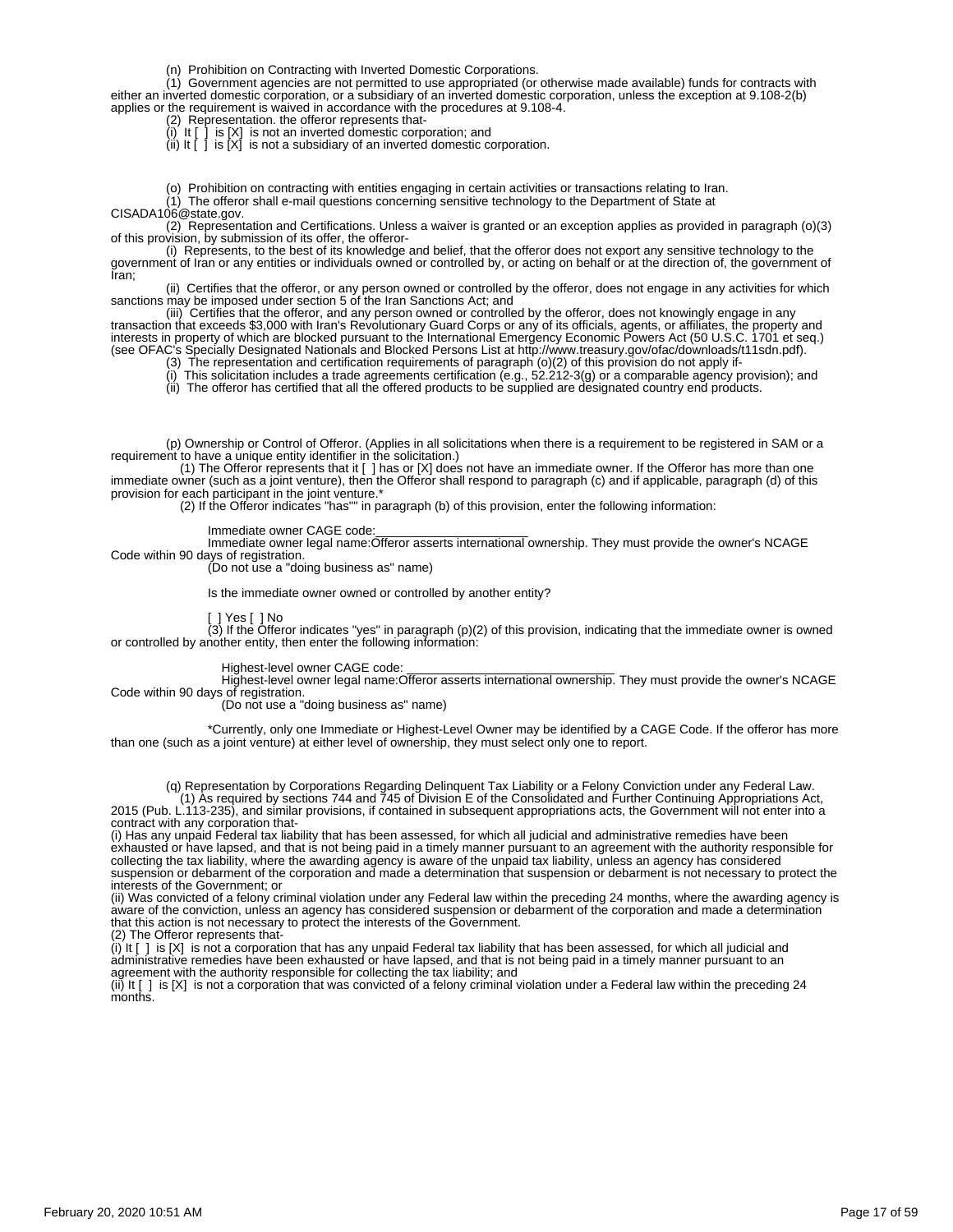(n) Prohibition on Contracting with Inverted Domestic Corporations.

 (1) Government agencies are not permitted to use appropriated (or otherwise made available) funds for contracts with either an inverted domestic corporation, or a subsidiary of an inverted domestic corporation, unless the exception at 9.108-2(b) applies or the requirement is waived in accordance with the procedures at 9.108-4.

(2) Representation. the offeror represents that-

(i) It [ ] is [X] is not an inverted domestic corporation; and

(ii) It [ ] is [X] is not a subsidiary of an inverted domestic corporation.

(o) Prohibition on contracting with entities engaging in certain activities or transactions relating to Iran.

 (1) The offeror shall e-mail questions concerning sensitive technology to the Department of State at CISADA106@state.gov.

 (2) Representation and Certifications. Unless a waiver is granted or an exception applies as provided in paragraph (o)(3) of this provision, by submission of its offer, the offeror-

 (i) Represents, to the best of its knowledge and belief, that the offeror does not export any sensitive technology to the government of Iran or any entities or individuals owned or controlled by, or acting on behalf or at the direction of, the government of Iran;

 (ii) Certifies that the offeror, or any person owned or controlled by the offeror, does not engage in any activities for which sanctions may be imposed under section 5 of the Iran Sanctions Act; and

 (iii) Certifies that the offeror, and any person owned or controlled by the offeror, does not knowingly engage in any transaction that exceeds \$3,000 with Iran's Revolutionary Guard Corps or any of its officials, agents, or affiliates, the property and interests in property of which are blocked pursuant to the International Emergency Economic Powers Act (50 U.S.C. 1701 et seq.) (see OFAC's Specially Designated Nationals and Blocked Persons List at http://www.treasury.gov/ofac/downloads/t11sdn.pdf).

(3) The representation and certification requirements of paragraph (o)(2) of this provision do not apply if-

(i) This solicitation includes a trade agreements certification (e.g., 52.212-3(g) or a comparable agency provision); and

(ii) The offeror has certified that all the offered products to be supplied are designated country end products.

 (p) Ownership or Control of Offeror. (Applies in all solicitations when there is a requirement to be registered in SAM or a requirement to have a unique entity identifier in the solicitation.)

 (1) The Offeror represents that it [ ] has or [X] does not have an immediate owner. If the Offeror has more than one immediate owner (such as a joint venture), then the Offeror shall respond to paragraph (c) and if applicable, paragraph (d) of this provision for each participant in the joint venture.\*

(2) If the Offeror indicates "has"" in paragraph (b) of this provision, enter the following information:

Immediate owner CAGE code:

 Immediate owner legal name:Offeror asserts international ownership. They must provide the owner's NCAGE Code within 90 days of registration.

(Do not use a "doing business as" name)

Is the immediate owner owned or controlled by another entity?

[ ] Yes [ ] No

 (3) If the Offeror indicates "yes" in paragraph (p)(2) of this provision, indicating that the immediate owner is owned or controlled by another entity, then enter the following information:

Highest-level owner CAGE code:

 Highest-level owner legal name:Offeror asserts international ownership. They must provide the owner's NCAGE Code within 90 days of registration.

(Do not use a "doing business as" name)

 \*Currently, only one Immediate or Highest-Level Owner may be identified by a CAGE Code. If the offeror has more than one (such as a joint venture) at either level of ownership, they must select only one to report.

(q) Representation by Corporations Regarding Delinquent Tax Liability or a Felony Conviction under any Federal Law.

 (1) As required by sections 744 and 745 of Division E of the Consolidated and Further Continuing Appropriations Act, 2015 (Pub. L.113-235), and similar provisions, if contained in subsequent appropriations acts, the Government will not enter into a contract with any corporation that-

 (i) Has any unpaid Federal tax liability that has been assessed, for which all judicial and administrative remedies have been exhausted or have lapsed, and that is not being paid in a timely manner pursuant to an agreement with the authority responsible for collecting the tax liability, where the awarding agency is aware of the unpaid tax liability, unless an agency has considered suspension or debarment of the corporation and made a determination that suspension or debarment is not necessary to protect the interests of the Government; or

 (ii) Was convicted of a felony criminal violation under any Federal law within the preceding 24 months, where the awarding agency is aware of the conviction, unless an agency has considered suspension or debarment of the corporation and made a determination that this action is not necessary to protect the interests of the Government.

 (2) The Offeror represents that-

 (i) It [ ] is [X] is not a corporation that has any unpaid Federal tax liability that has been assessed, for which all judicial and administrative remedies have been exhausted or have lapsed, and that is not being paid in a timely manner pursuant to an agreement with the authority responsible for collecting the tax liability; and

 (ii) It [ ] is [X] is not a corporation that was convicted of a felony criminal violation under a Federal law within the preceding 24 months.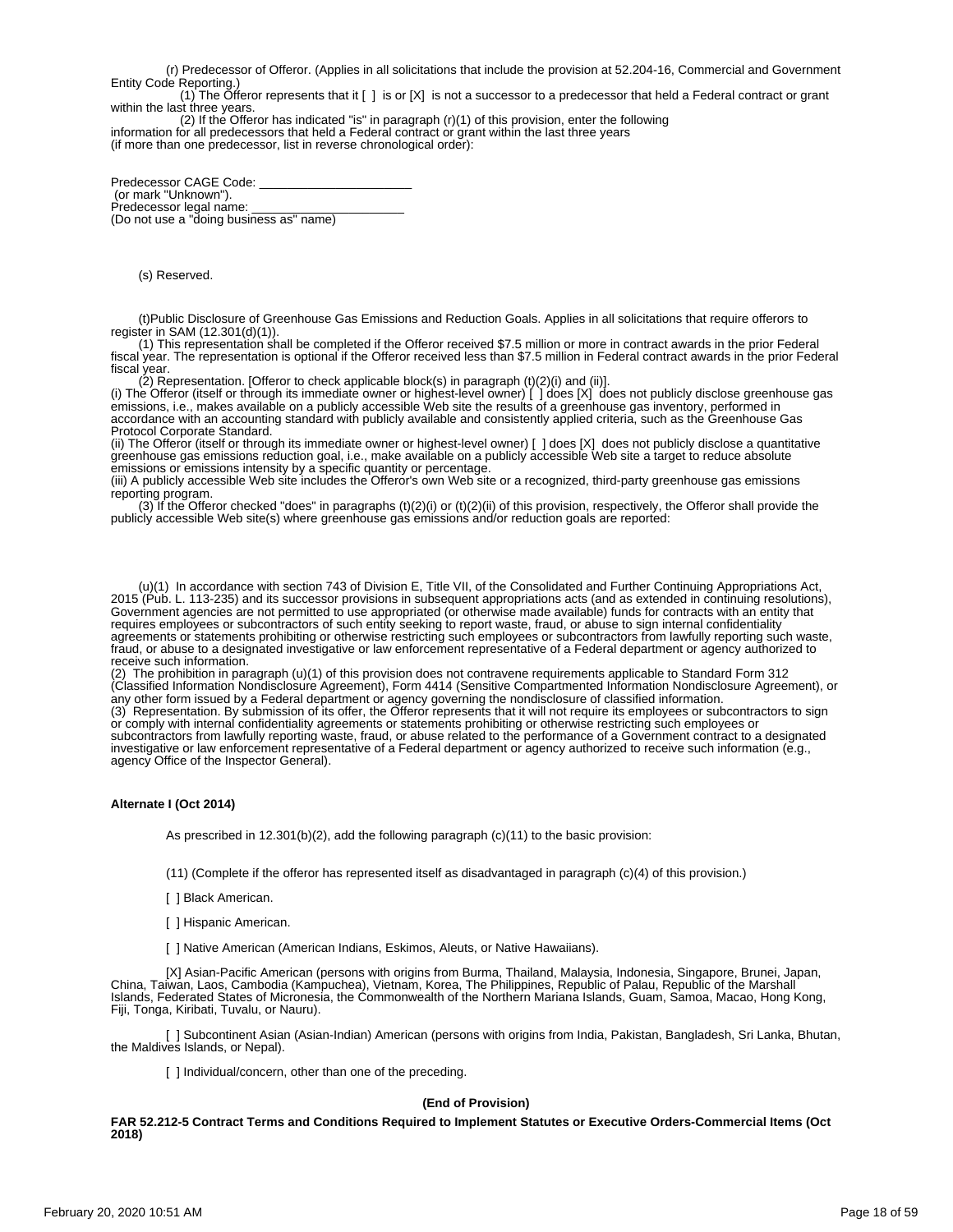(r) Predecessor of Offeror. (Applies in all solicitations that include the provision at 52.204-16, Commercial and Government Entity Code Reporting.)

 (1) The Offeror represents that it [ ] is or [X] is not a successor to a predecessor that held a Federal contract or grant within the last three years.

 (2) If the Offeror has indicated "is" in paragraph (r)(1) of this provision, enter the following information for all predecessors that held a Federal contract or grant within the last three years (if more than one predecessor, list in reverse chronological order):

Predecessor CAGE Code:

 (or mark "Unknown"). Predecessor legal name: \_\_\_\_\_\_\_\_\_\_\_\_\_\_\_\_\_\_\_\_\_\_

 (Do not use a "doing business as" name)

 (s) Reserved.

 (t)Public Disclosure of Greenhouse Gas Emissions and Reduction Goals. Applies in all solicitations that require offerors to register in SAM (12.301(d)(1)).

 (1) This representation shall be completed if the Offeror received \$7.5 million or more in contract awards in the prior Federal fiscal year. The representation is optional if the Offeror received less than \$7.5 million in Federal contract awards in the prior Federal fiscal year.

 (2) Representation. [Offeror to check applicable block(s) in paragraph (t)(2)(i) and (ii)].

 (i) The Offeror (itself or through its immediate owner or highest-level owner) [ ] does [X] does not publicly disclose greenhouse gas emissions, i.e., makes available on a publicly accessible Web site the results of a greenhouse gas inventory, performed in accordance with an accounting standard with publicly available and consistently applied criteria, such as the Greenhouse Gas Protocol Corporate Standard.

 (ii) The Offeror (itself or through its immediate owner or highest-level owner) [ ] does [X] does not publicly disclose a quantitative greenhouse gas emissions reduction goal, i.e., make available on a publicly accessible Web site a target to reduce absolute emissions or emissions intensity by a specific quantity or percentage.

 (iii) A publicly accessible Web site includes the Offeror's own Web site or a recognized, third-party greenhouse gas emissions reporting program.

 (3) If the Offeror checked "does" in paragraphs (t)(2)(i) or (t)(2)(ii) of this provision, respectively, the Offeror shall provide the publicly accessible Web site(s) where greenhouse gas emissions and/or reduction goals are reported:

 (u)(1) In accordance with section 743 of Division E, Title VII, of the Consolidated and Further Continuing Appropriations Act, 2015 (Pub. L. 113-235) and its successor provisions in subsequent appropriations acts (and as extended in continuing resolutions), Government agencies are not permitted to use appropriated (or otherwise made available) funds for contracts with an entity that requires employees or subcontractors of such entity seeking to report waste, fraud, or abuse to sign internal confidentiality agreements or statements prohibiting or otherwise restricting such employees or subcontractors from lawfully reporting such waste, fraud, or abuse to a designated investigative or law enforcement representative of a Federal department or agency authorized to receive such information.

 (2) The prohibition in paragraph (u)(1) of this provision does not contravene requirements applicable to Standard Form 312 (Classified Information Nondisclosure Agreement), Form 4414 (Sensitive Compartmented Information Nondisclosure Agreement), or any other form issued by a Federal department or agency governing the nondisclosure of classified information.

 (3) Representation. By submission of its offer, the Offeror represents that it will not require its employees or subcontractors to sign or comply with internal confidentiality agreements or statements prohibiting or otherwise restricting such employees or subcontractors from lawfully reporting waste, fraud, or abuse related to the performance of a Government contract to a designated investigative or law enforcement representative of a Federal department or agency authorized to receive such information (e.g., agency Office of the Inspector General).

# **Alternate I (Oct 2014)**

As prescribed in 12.301(b)(2), add the following paragraph (c)(11) to the basic provision:

(11) (Complete if the offeror has represented itself as disadvantaged in paragraph (c)(4) of this provision.)

- [ ] Black American.
- [ ] Hispanic American.
- [ ] Native American (American Indians, Eskimos, Aleuts, or Native Hawaiians).

 [X] Asian-Pacific American (persons with origins from Burma, Thailand, Malaysia, Indonesia, Singapore, Brunei, Japan, China, Taiwan, Laos, Cambodia (Kampuchea), Vietnam, Korea, The Philippines, Republic of Palau, Republic of the Marshall Islands, Federated States of Micronesia, the Commonwealth of the Northern Mariana Islands, Guam, Samoa, Macao, Hong Kong, Fiji, Tonga, Kiribati, Tuvalu, or Nauru).

 [ ] Subcontinent Asian (Asian-Indian) American (persons with origins from India, Pakistan, Bangladesh, Sri Lanka, Bhutan, the Maldives Islands, or Nepal).

[ ] Individual/concern, other than one of the preceding.

# **(End of Provision)**

**FAR 52.212-5 Contract Terms and Conditions Required to Implement Statutes or Executive Orders-Commercial Items (Oct 2018)**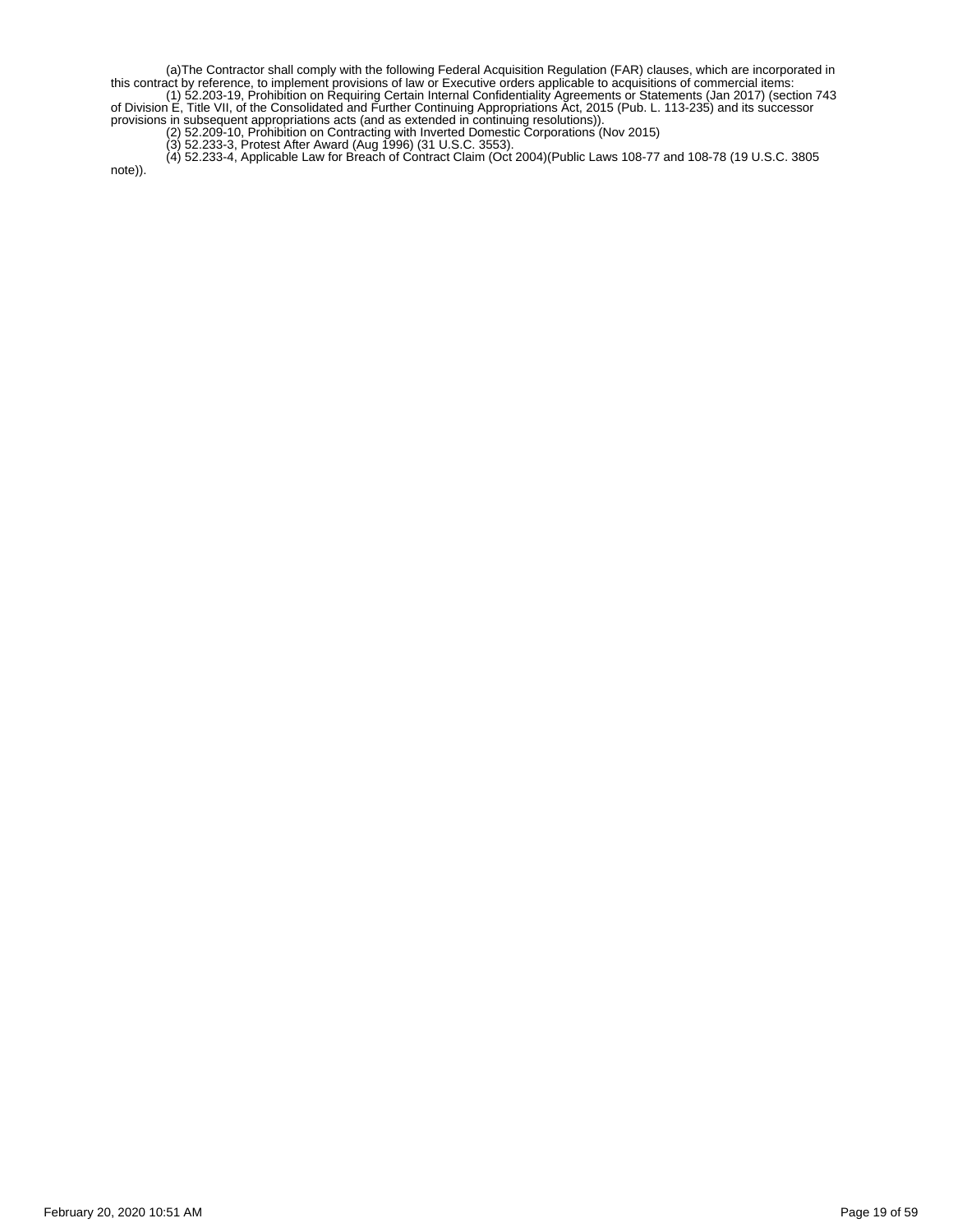(a)The Contractor shall comply with the following Federal Acquisition Regulation (FAR) clauses, which are incorporated in this contract by reference, to implement provisions of law or Executive orders applicable to acquisitions of commercial items:

 (1) 52.203-19, Prohibition on Requiring Certain Internal Confidentiality Agreements or Statements (Jan 2017) (section 743 of Division E, Title VII, of the Consolidated and Further Continuing Appropriations Act, 2015 (Pub. L. 113-235) and its successor provisions in subsequent appropriations acts (and as extended in continuing resolutions)).

 (2) 52.209-10, Prohibition on Contracting with Inverted Domestic Corporations (Nov 2015)

 (3) 52.233-3, Protest After Award (Aug 1996) (31 U.S.C. 3553).

 (4) 52.233-4, Applicable Law for Breach of Contract Claim (Oct 2004)(Public Laws 108-77 and 108-78 (19 U.S.C. 3805 note)).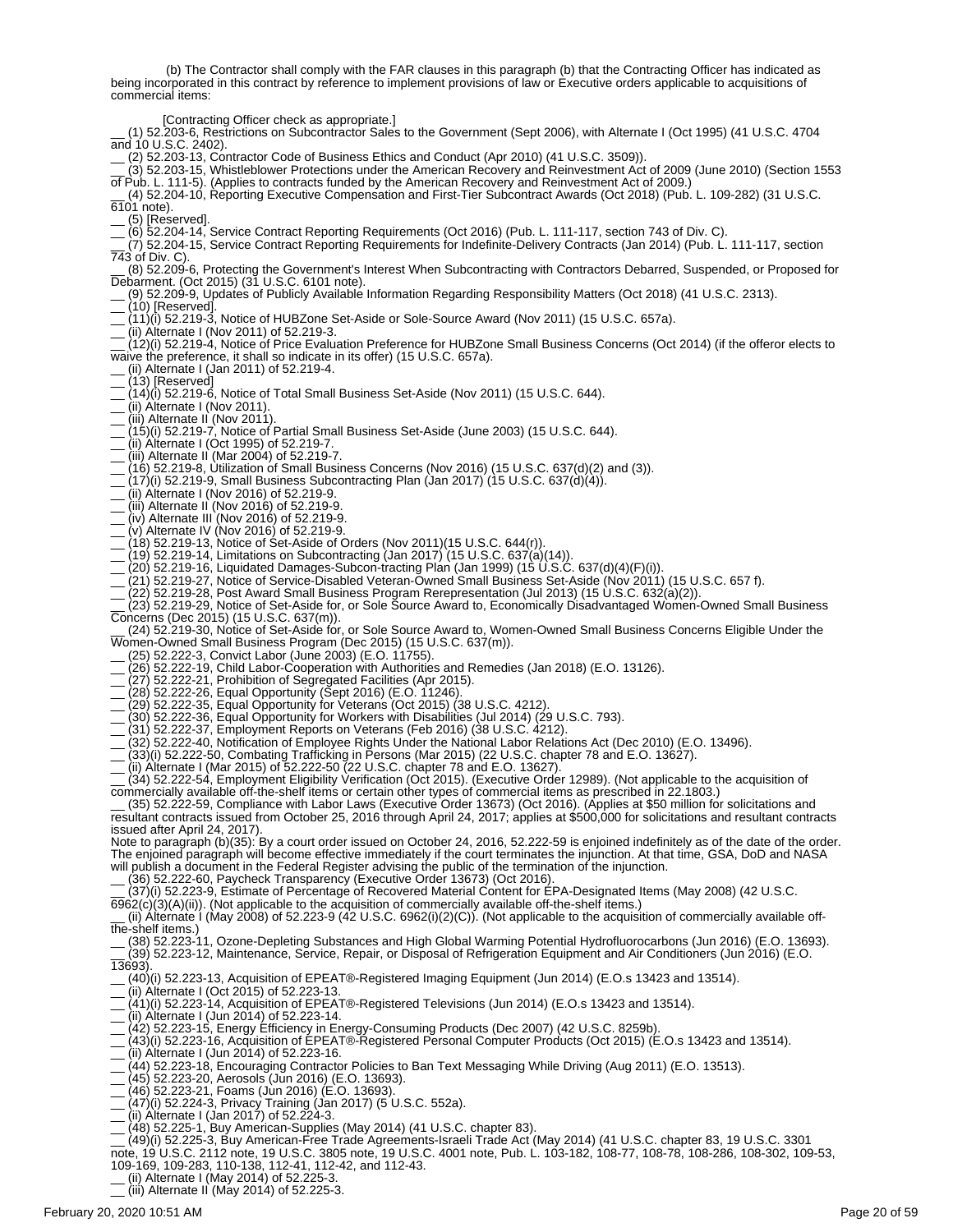(b) The Contractor shall comply with the FAR clauses in this paragraph (b) that the Contracting Officer has indicated as being incorporated in this contract by reference to implement provisions of law or Executive orders applicable to acquisitions of commercial items:

 [Contracting Officer check as appropriate.]

 \_\_ (1) 52.203-6, Restrictions on Subcontractor Sales to the Government (Sept 2006), with Alternate I (Oct 1995) (41 U.S.C. 4704 and  $10 \overline{U}$ .S.C. 2402).

 \_\_ (2) 52.203-13, Contractor Code of Business Ethics and Conduct (Apr 2010) (41 U.S.C. 3509)).

 \_\_ (3) 52.203-15, Whistleblower Protections under the American Recovery and Reinvestment Act of 2009 (June 2010) (Section 1553

of Pub. L. 111-5). (Applies to contracts funded by the American Recovery and Reinvestment Act of 2009.)

 \_\_ (4) 52.204-10, Reporting Executive Compensation and First-Tier Subcontract Awards (Oct 2018) (Pub. L. 109-282) (31 U.S.C.  $610\overline{1}$  note)

 \_\_ (5) [Reserved].

 \_\_ (6) 52.204-14, Service Contract Reporting Requirements (Oct 2016) (Pub. L. 111-117, section 743 of Div. C).

 \_\_ (7) 52.204-15, Service Contract Reporting Requirements for Indefinite-Delivery Contracts (Jan 2014) (Pub. L. 111-117, section  $743\overline{of}$  Div. C).

 \_\_ (8) 52.209-6, Protecting the Government's Interest When Subcontracting with Contractors Debarred, Suspended, or Proposed for Debarment. (Oct 2015) (31 U.S.C. 6101 note).

 \_\_ (9) 52.209-9, Updates of Publicly Available Information Regarding Responsibility Matters (Oct 2018) (41 U.S.C. 2313).

 $\__$  (10) [Reserved].

 $(11)(i)$  52.219-3, Notice of HUBZone Set-Aside or Sole-Source Award (Nov 2011) (15 U.S.C. 657a).

(ii) Alternate I (Nov 2011) of 52.219-3.

 \_\_ (12)(i) 52.219-4, Notice of Price Evaluation Preference for HUBZone Small Business Concerns (Oct 2014) (if the offeror elects to waive the preference, it shall so indicate in its offer) (15 U.S.C. 657a).

 \_\_ (ii) Alternate I (Jan 2011) of 52.219-4.

 $\__$  (13) [Reserved]

 $(14)(i)$  52.219-6, Notice of Total Small Business Set-Aside (Nov 2011) (15 U.S.C. 644).

(ii) Alternate I (Nov 2011)

\_\_ (iii) Alternate II (Nov 2011).<br>\_\_ (15)(i) 52.219-7, Notice of Partial Small Business Set-Aside (June 2003) (15 U.S.C. 644).

 \_\_ (ii) Alternate I (Oct 1995) of 52.219-7.

 \_\_ (iii) Alternate II (Mar 2004) of 52.219-7.

 \_\_ (16) 52.219-8, Utilization of Small Business Concerns (Nov 2016) (15 U.S.C. 637(d)(2) and (3)).

 $\mu$  (17)(i) 52.219-9, Small Business Subcontracting Plan (Jan 2017) (15 U.S.C. 637(d)(4)).

 \_\_ (ii) Alternate I (Nov 2016) of 52.219-9.

 \_\_ (iii) Alternate II (Nov 2016) of 52.219-9.

 $\mu$  (iv) Alternate III (Nov 2016) of 52.219-9.

 $\mu$  (v) Alternate IV (Nov 2016) of 52.219-9.

 \_\_ (18) 52.219-13, Notice of Set-Aside of Orders (Nov 2011)(15 U.S.C. 644(r)).

 \_\_ (19) 52.219-14, Limitations on Subcontracting (Jan 2017) (15 U.S.C. 637(a)(14)).

 $\_\_$  (20) 52.219-16, Liquidated Damages-Subcon-tracting Plan (Jan 1999) (15 U.S.C. 637(d)(4)(F)(i)). \_\_ (21) 52.219-27, Notice of Service-Disabled Veteran-Owned Small Business Set-Aside (Nov 2011) (15 U.S.C. 657 f).

 $(22)$  52.219-28, Post Award Small Business Program Rerepresentation (Jul 2013) (15 U.S.C. 632(a)(2)).

 \_\_ (23) 52.219-29, Notice of Set-Aside for, or Sole Source Award to, Economically Disadvantaged Women-Owned Small Business Concerns (Dec 2015) (15 U.S.C. 637(m)).

 \_\_ (24) 52.219-30, Notice of Set-Aside for, or Sole Source Award to, Women-Owned Small Business Concerns Eligible Under the Women-Owned Small Business Program (Dec 2015) (15 U.S.C. 637(m)).

 \_\_ (25) 52.222-3, Convict Labor (June 2003) (E.O. 11755).

 $(26)$  52.222-19, Child Labor-Cooperation with Authorities and Remedies (Jan 2018) (E.O. 13126).

 $\mu$  (27) 52.222-21, Prohibition of Segregated Facilities (Apr 2015).

 \_\_ (28) 52.222-26, Equal Opportunity (Sept 2016) (E.O. 11246).

 \_\_ (29) 52.222-35, Equal Opportunity for Veterans (Oct 2015) (38 U.S.C. 4212).

 $\_\_$  (30) 52.222-36, Equal Opportunity for Workers with Disabilities (Jul 2014) (29 U.S.C. 793).

 \_\_ (31) 52.222-37, Employment Reports on Veterans (Feb 2016) (38 U.S.C. 4212).

 \_\_ (32) 52.222-40, Notification of Employee Rights Under the National Labor Relations Act (Dec 2010) (E.O. 13496).

 \_\_ (33)(i) 52.222-50, Combating Trafficking in Persons (Mar 2015) (22 U.S.C. chapter 78 and E.O. 13627).

 \_\_ (ii) Alternate I (Mar 2015) of 52.222-50 (22 U.S.C. chapter 78 and E.O. 13627).

 \_\_ (34) 52.222-54, Employment Eligibility Verification (Oct 2015). (Executive Order 12989). (Not applicable to the acquisition of commercially available off-the-shelf items or certain other types of commercial items as prescribed in 22.1803.)

 \_\_ (35) 52.222-59, Compliance with Labor Laws (Executive Order 13673) (Oct 2016). (Applies at \$50 million for solicitations and resultant contracts issued from October 25, 2016 through April 24, 2017; applies at \$500,000 for solicitations and resultant contracts issued after April 24, 2017).

 Note to paragraph (b)(35): By a court order issued on October 24, 2016, 52.222-59 is enjoined indefinitely as of the date of the order. The enjoined paragraph will become effective immediately if the court terminates the injunction. At that time, GSA, DoD and NASA will publish a document in the Federal Register advising the public of the termination of the injunction.

 \_\_ (36) 52.222-60, Paycheck Transparency (Executive Order 13673) (Oct 2016).

 \_\_ (37)(i) 52.223-9, Estimate of Percentage of Recovered Material Content for EPA-Designated Items (May 2008) (42 U.S.C.

6962(c)(3)(A)(ii)). (Not applicable to the acquisition of commercially available off-the-shelf items.) \_\_ (ii) Alternate I (May 2008) of 52.223-9 (42 U.S.C. 6962(i)(2)(C)). (Not applicable to the acquisition of commercially available off-

the-shelf items.)

 \_\_ (38) 52.223-11, Ozone-Depleting Substances and High Global Warming Potential Hydrofluorocarbons (Jun 2016) (E.O. 13693). \_\_ (39) 52.223-12, Maintenance, Service, Repair, or Disposal of Refrigeration Equipment and Air Conditioners (Jun 2016) (E.O.

13693).

 \_\_ (40)(i) 52.223-13, Acquisition of EPEAT®-Registered Imaging Equipment (Jun 2014) (E.O.s 13423 and 13514).

 \_\_ (ii) Alternate I (Oct 2015) of 52.223-13. \_\_ (41)(i) 52.223-14, Acquisition of EPEAT®-Registered Televisions (Jun 2014) (E.O.s 13423 and 13514).

 \_\_ (ii) Alternate I (Jun 2014) of 52.223-14.

 \_\_ (42) 52.223-15, Energy Efficiency in Energy-Consuming Products (Dec 2007) (42 U.S.C. 8259b).

 \_\_ (43)(i) 52.223-16, Acquisition of EPEAT®-Registered Personal Computer Products (Oct 2015) (E.O.s 13423 and 13514).

 \_\_ (ii) Alternate I (Jun 2014) of 52.223-16.

(44) 52.223-18, Encouraging Contractor Policies to Ban Text Messaging While Driving (Aug 2011) (E.O. 13513).

 \_\_ (45) 52.223-20, Aerosols (Jun 2016) (E.O. 13693).

 \_\_ (46) 52.223-21, Foams (Jun 2016) (E.O. 13693).

 \_\_ (47)(i) 52.224-3, Privacy Training (Jan 2017) (5 U.S.C. 552a).

 $\_\$  (ii) Alternate I (Jan 2017) of 52.224-3.

 \_\_ (48) 52.225-1, Buy American-Supplies (May 2014) (41 U.S.C. chapter 83).

 \_\_ (49)(i) 52.225-3, Buy American-Free Trade Agreements-Israeli Trade Act (May 2014) (41 U.S.C. chapter 83, 19 U.S.C. 3301 note, 19 U.S.C. 2112 note, 19 U.S.C. 3805 note, 19 U.S.C. 4001 note, Pub. L. 103-182, 108-77, 108-78, 108-286, 108-302, 109-53, 109-169, 109-283, 110-138, 112-41, 112-42, and 112-43. \_\_ (ii) Alternate I (May 2014) of 52.225-3.

 \_\_ (iii) Alternate II (May 2014) of 52.225-3.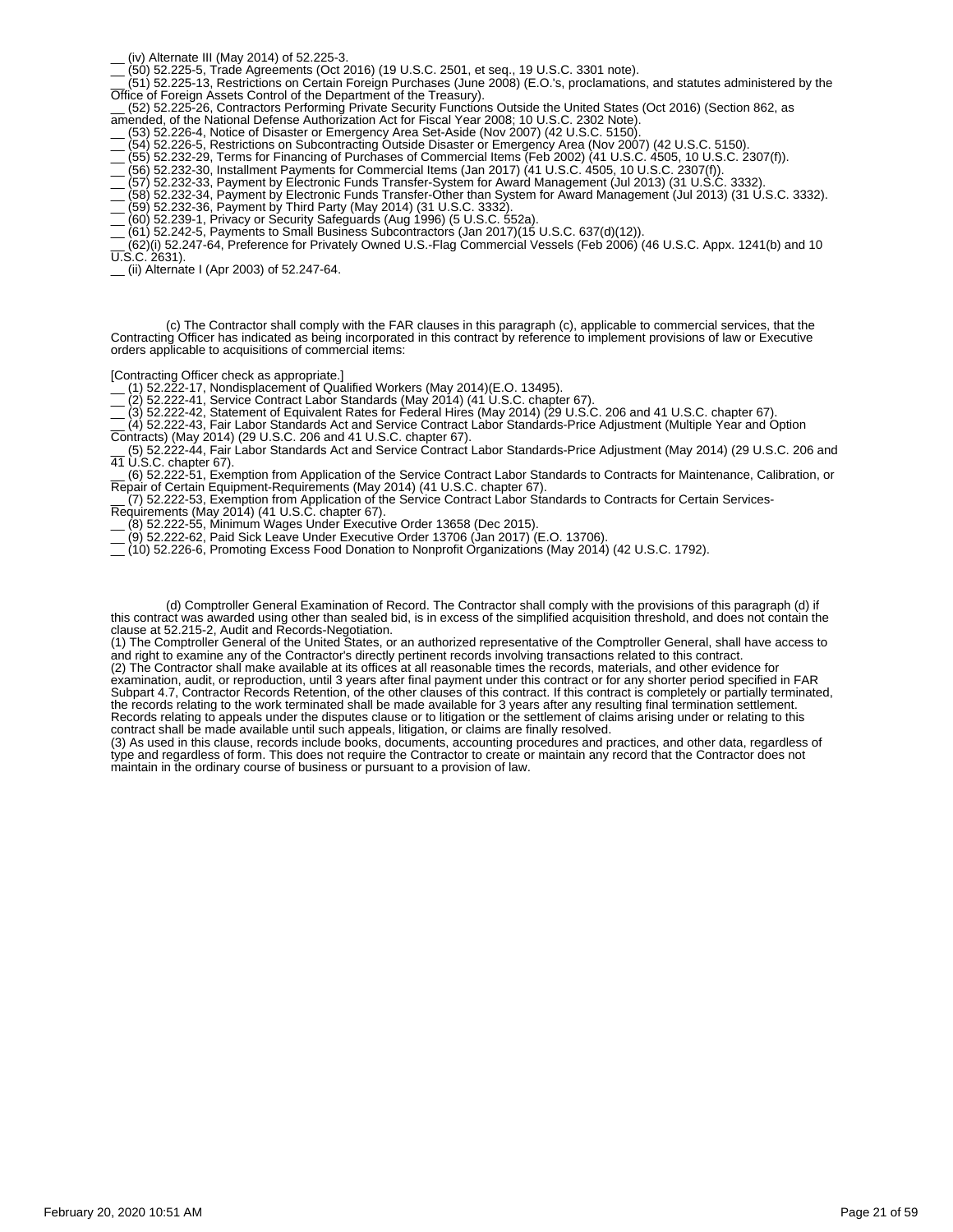(iv) Alternate III (May 2014) of 52.225-3.

 \_\_ (50) 52.225-5, Trade Agreements (Oct 2016) (19 U.S.C. 2501, et seq., 19 U.S.C. 3301 note).

COST 152.225-13, Restrictions on Certain Foreign Purchases (June 2008) (E.O.'s, proclamations, and statutes administered by the Office of Foreign Assets Control of the Department of the Treasury). Office of Foreign Assets Control of the Department of the Treasury).

 \_\_ (52) 52.225-26, Contractors Performing Private Security Functions Outside the United States (Oct 2016) (Section 862, as amended, of the National Defense Authorization Act for Fiscal Year 2008; 10 U.S.C. 2302 Note).

 \_\_ (53) 52.226-4, Notice of Disaster or Emergency Area Set-Aside (Nov 2007) (42 U.S.C. 5150).

 \_\_ (54) 52.226-5, Restrictions on Subcontracting Outside Disaster or Emergency Area (Nov 2007) (42 U.S.C. 5150).

 \_\_ (55) 52.232-29, Terms for Financing of Purchases of Commercial Items (Feb 2002) (41 U.S.C. 4505, 10 U.S.C. 2307(f)).

 \_\_ (56) 52.232-30, Installment Payments for Commercial Items (Jan 2017) (41 U.S.C. 4505, 10 U.S.C. 2307(f)).

 \_\_ (57) 52.232-33, Payment by Electronic Funds Transfer-System for Award Management (Jul 2013) (31 U.S.C. 3332).

 \_\_ (58) 52.232-34, Payment by Electronic Funds Transfer-Other than System for Award Management (Jul 2013) (31 U.S.C. 3332).

 \_\_ (59) 52.232-36, Payment by Third Party (May 2014) (31 U.S.C. 3332).

 \_\_ (60) 52.239-1, Privacy or Security Safeguards (Aug 1996) (5 U.S.C. 552a).

 $(61)$  52.242-5, Payments to Small Business Subcontractors (Jan 2017)(15 U.S.C. 637(d)(12)).

 \_\_ (62)(i) 52.247-64, Preference for Privately Owned U.S.-Flag Commercial Vessels (Feb 2006) (46 U.S.C. Appx. 1241(b) and 10  $U.S.\overline{C}$ . 2631).

 $\frac{1}{2}$  (ii) Alternate I (Apr 2003) of 52.247-64.

 (c) The Contractor shall comply with the FAR clauses in this paragraph (c), applicable to commercial services, that the Contracting Officer has indicated as being incorporated in this contract by reference to implement provisions of law or Executive orders applicable to acquisitions of commercial items:

 [Contracting Officer check as appropriate.]

 $\_$  (1) 52.222-17, Nondisplacement of Qualified Workers (May 2014)(E.O. 13495).

 $\mu$  (2) 52.222-41, Service Contract Labor Standards (May 2014) (41 U.S.C. chapter 67).

 \_\_ (3) 52.222-42, Statement of Equivalent Rates for Federal Hires (May 2014) (29 U.S.C. 206 and 41 U.S.C. chapter 67).

 \_\_ (4) 52.222-43, Fair Labor Standards Act and Service Contract Labor Standards-Price Adjustment (Multiple Year and Option

Contracts) (May 2014) (29 U.S.C. 206 and 41 U.S.C. chapter 67).<br>(5) 52.222-44, Fair Labor Standards Act and Service Contract Labor Standards-Price Adjustment (May 2014) (29 U.S.C. 206 and 41 U.S.C. chapter 67).

 \_\_ (6) 52.222-51, Exemption from Application of the Service Contract Labor Standards to Contracts for Maintenance, Calibration, or Repair of Certain Equipment-Requirements (May 2014) (41 U.S.C. chapter 67).

 \_\_ (7) 52.222-53, Exemption from Application of the Service Contract Labor Standards to Contracts for Certain Services-Requirements (May 2014) (41 U.S.C. chapter 67).

 \_\_ (8) 52.222-55, Minimum Wages Under Executive Order 13658 (Dec 2015).

 \_\_ (9) 52.222-62, Paid Sick Leave Under Executive Order 13706 (Jan 2017) (E.O. 13706).

 \_\_ (10) 52.226-6, Promoting Excess Food Donation to Nonprofit Organizations (May 2014) (42 U.S.C. 1792).

 (d) Comptroller General Examination of Record. The Contractor shall comply with the provisions of this paragraph (d) if this contract was awarded using other than sealed bid, is in excess of the simplified acquisition threshold, and does not contain the clause at 52.215-2, Audit and Records-Negotiation.

 (1) The Comptroller General of the United States, or an authorized representative of the Comptroller General, shall have access to and right to examine any of the Contractor's directly pertinent records involving transactions related to this contract.

 (2) The Contractor shall make available at its offices at all reasonable times the records, materials, and other evidence for examination, audit, or reproduction, until 3 years after final payment under this contract or for any shorter period specified in FAR Subpart 4.7, Contractor Records Retention, of the other clauses of this contract. If this contract is completely or partially terminated, the records relating to the work terminated shall be made available for 3 years after any resulting final termination settlement. Records relating to appeals under the disputes clause or to litigation or the settlement of claims arising under or relating to this contract shall be made available until such appeals, litigation, or claims are finally resolved.

 (3) As used in this clause, records include books, documents, accounting procedures and practices, and other data, regardless of type and regardless of form. This does not require the Contractor to create or maintain any record that the Contractor does not maintain in the ordinary course of business or pursuant to a provision of law.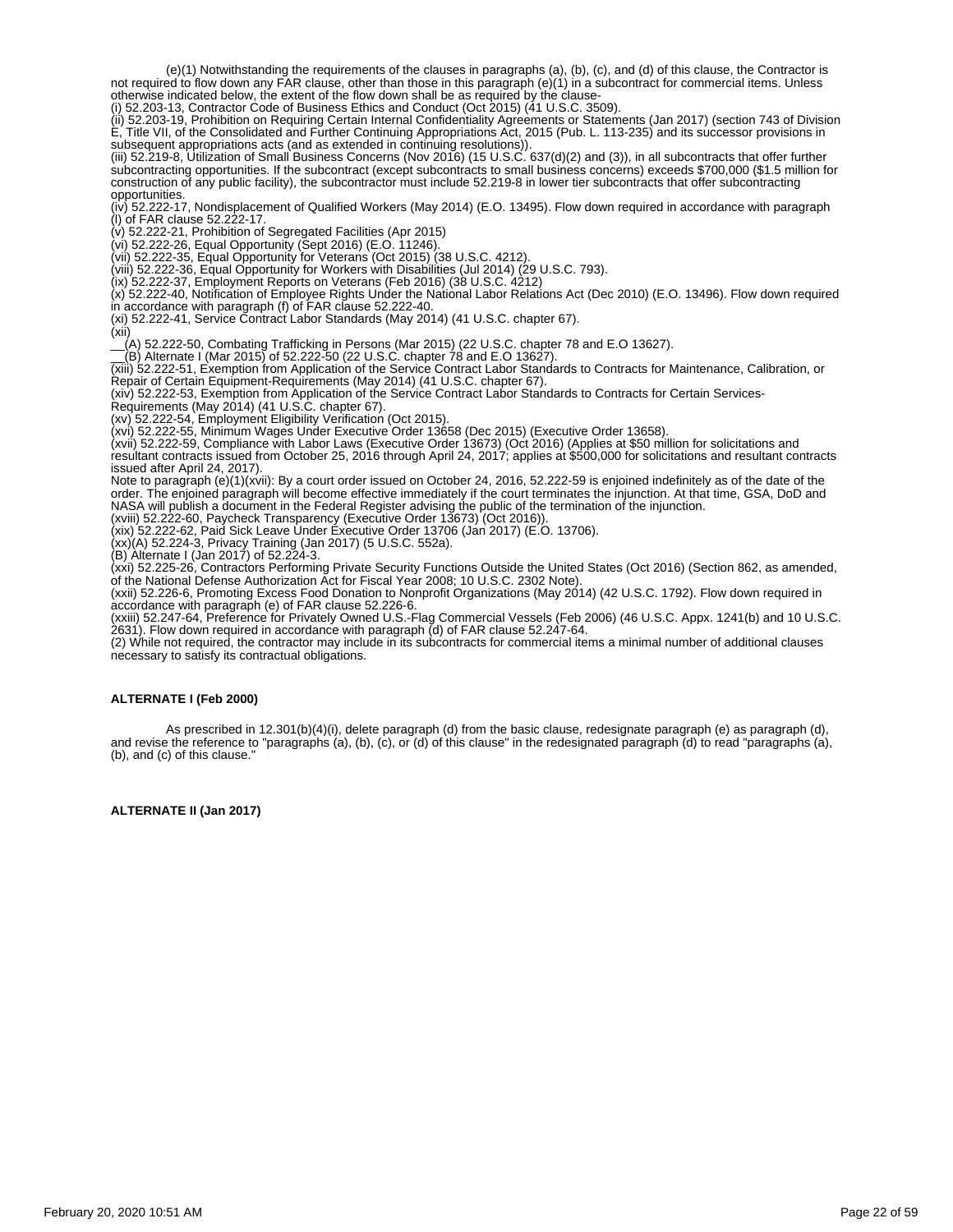(e)(1) Notwithstanding the requirements of the clauses in paragraphs (a), (b), (c), and (d) of this clause, the Contractor is not required to flow down any FAR clause, other than those in this paragraph (e)(1) in a subcontract for commercial items. Unless otherwise indicated below, the extent of the flow down shall be as required by the clause-

 (i) 52.203-13, Contractor Code of Business Ethics and Conduct (Oct 2015) (41 U.S.C. 3509).

 (ii) 52.203-19, Prohibition on Requiring Certain Internal Confidentiality Agreements or Statements (Jan 2017) (section 743 of Division E, Title VII, of the Consolidated and Further Continuing Appropriations Act, 2015 (Pub. L. 113-235) and its successor provisions in subsequent appropriations acts (and as extended in continuing resolutions)).

 (iii) 52.219-8, Utilization of Small Business Concerns (Nov 2016) (15 U.S.C. 637(d)(2) and (3)), in all subcontracts that offer further subcontracting opportunities. If the subcontract (except subcontracts to small business concerns) exceeds \$700,000 (\$1.5 million for construction of any public facility), the subcontractor must include 52.219-8 in lower tier subcontracts that offer subcontracting opportunities.

 (iv) 52.222-17, Nondisplacement of Qualified Workers (May 2014) (E.O. 13495). Flow down required in accordance with paragraph (l) of FAR clause 52.222-17.

 (v) 52.222-21, Prohibition of Segregated Facilities (Apr 2015)

 (vi) 52.222-26, Equal Opportunity (Sept 2016) (E.O. 11246).

 (vii) 52.222-35, Equal Opportunity for Veterans (Oct 2015) (38 U.S.C. 4212).

 (viii) 52.222-36, Equal Opportunity for Workers with Disabilities (Jul 2014) (29 U.S.C. 793).

 (ix) 52.222-37, Employment Reports on Veterans (Feb 2016) (38 U.S.C. 4212)

 (x) 52.222-40, Notification of Employee Rights Under the National Labor Relations Act (Dec 2010) (E.O. 13496). Flow down required in accordance with paragraph (f) of FAR clause 52.222-40.

 (xi) 52.222-41, Service Contract Labor Standards (May 2014) (41 U.S.C. chapter 67). (xii)

 \_\_(A) 52.222-50, Combating Trafficking in Persons (Mar 2015) (22 U.S.C. chapter 78 and E.O 13627).

 \_\_(B) Alternate I (Mar 2015) of 52.222-50 (22 U.S.C. chapter 78 and E.O 13627).

 (xiii) 52.222-51, Exemption from Application of the Service Contract Labor Standards to Contracts for Maintenance, Calibration, or Repair of Certain Equipment-Requirements (May 2014) (41 U.S.C. chapter 67).

 (xiv) 52.222-53, Exemption from Application of the Service Contract Labor Standards to Contracts for Certain Services-

Requirements (May 2014) (41 U.S.C. chapter 67).

(xv) 52.222-54, Employment Eligibility Verification (Oct 2015).<br>(xvi) 52.222-55, Minimum Wages Under Executive Order 13658 (Dec 2015) (Executive Order 13658).

 (xvii) 52.222-59, Compliance with Labor Laws (Executive Order 13673) (Oct 2016) (Applies at \$50 million for solicitations and resultant contracts issued from October 25, 2016 through April 24, 2017; applies at \$500,000 for solicitations and resultant contracts issued after April 24, 2017).

 Note to paragraph (e)(1)(xvii): By a court order issued on October 24, 2016, 52.222-59 is enjoined indefinitely as of the date of the order. The enjoined paragraph will become effective immediately if the court terminates the injunction. At that time, GSA, DoD and NASA will publish a document in the Federal Register advising the public of the termination of the injunction.

 (xviii) 52.222-60, Paycheck Transparency (Executive Order 13673) (Oct 2016)).

 (xix) 52.222-62, Paid Sick Leave Under Executive Order 13706 (Jan 2017) (E.O. 13706).

 (xx)(A) 52.224-3, Privacy Training (Jan 2017) (5 U.S.C. 552a).

 (B) Alternate I (Jan 2017) of 52.224-3.

 (xxi) 52.225-26, Contractors Performing Private Security Functions Outside the United States (Oct 2016) (Section 862, as amended, of the National Defense Authorization Act for Fiscal Year 2008; 10 U.S.C. 2302 Note).

 (xxii) 52.226-6, Promoting Excess Food Donation to Nonprofit Organizations (May 2014) (42 U.S.C. 1792). Flow down required in accordance with paragraph (e) of FAR clause 52.226-6.

 (xxiii) 52.247-64, Preference for Privately Owned U.S.-Flag Commercial Vessels (Feb 2006) (46 U.S.C. Appx. 1241(b) and 10 U.S.C. 2631). Flow down required in accordance with paragraph (d) of FAR clause 52.247-64.

 (2) While not required, the contractor may include in its subcontracts for commercial items a minimal number of additional clauses necessary to satisfy its contractual obligations.

# **ALTERNATE I (Feb 2000)**

 As prescribed in 12.301(b)(4)(i), delete paragraph (d) from the basic clause, redesignate paragraph (e) as paragraph (d), and revise the reference to "paragraphs (a), (b), (c), or (d) of this clause" in the redesignated paragraph (d) to read "paragraphs (a), (b), and (c) of this clause.

# **ALTERNATE II (Jan 2017)**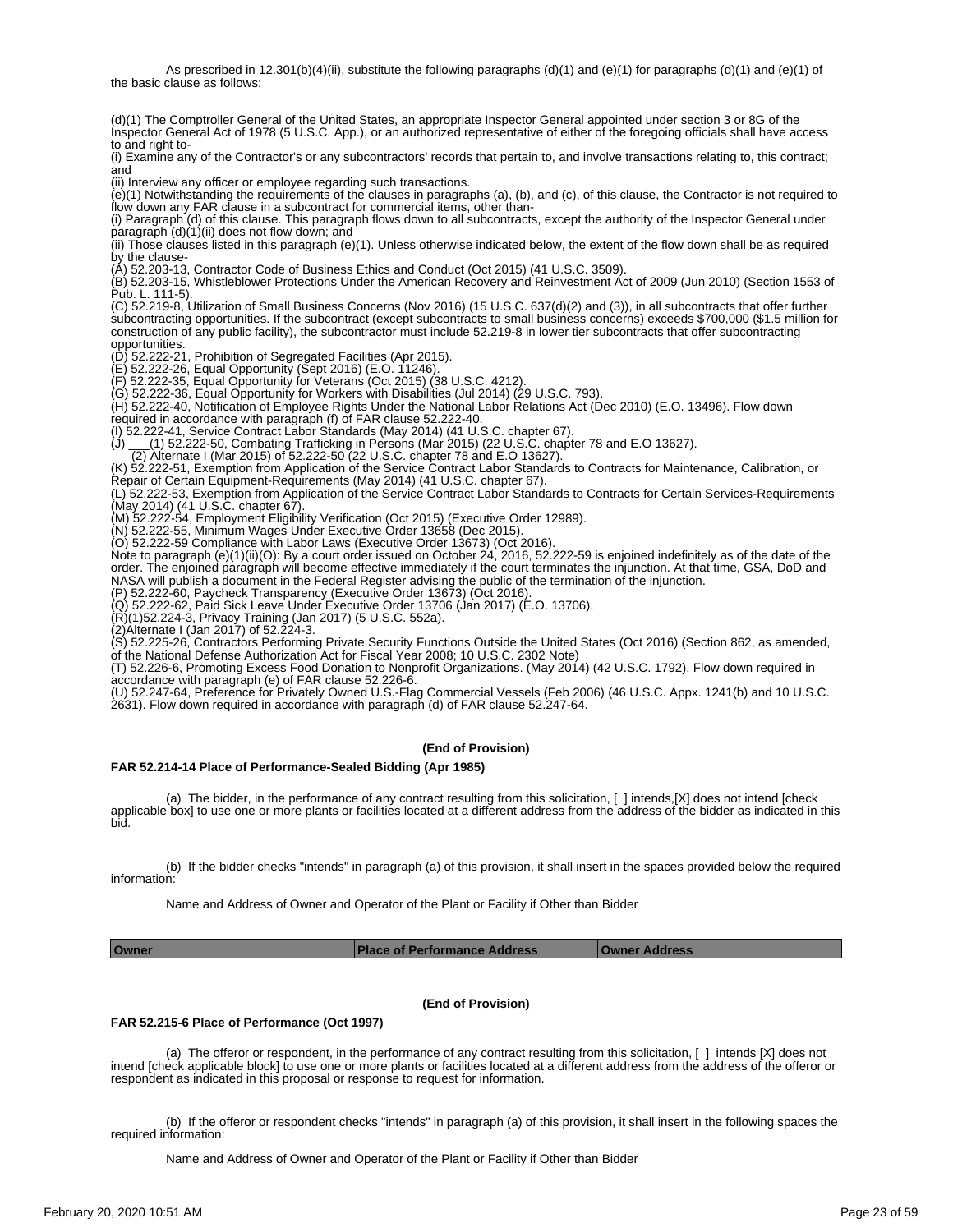As prescribed in 12.301(b)(4)(ii), substitute the following paragraphs (d)(1) and (e)(1) for paragraphs (d)(1) and (e)(1) of the basic clause as follows:

 (d)(1) The Comptroller General of the United States, an appropriate Inspector General appointed under section 3 or 8G of the Inspector General Act of 1978 (5 U.S.C. App.), or an authorized representative of either of the foregoing officials shall have access to and right to-

 (i) Examine any of the Contractor's or any subcontractors' records that pertain to, and involve transactions relating to, this contract; and

 (ii) Interview any officer or employee regarding such transactions.

 (e)(1) Notwithstanding the requirements of the clauses in paragraphs (a), (b), and (c), of this clause, the Contractor is not required to flow down any FAR clause in a subcontract for commercial items, other than-

 (i) Paragraph (d) of this clause. This paragraph flows down to all subcontracts, except the authority of the Inspector General under paragraph (d)(1)(ii) does not flow down; and

 (ii) Those clauses listed in this paragraph (e)(1). Unless otherwise indicated below, the extent of the flow down shall be as required by the clause-

 (A) 52.203-13, Contractor Code of Business Ethics and Conduct (Oct 2015) (41 U.S.C. 3509).

 (B) 52.203-15, Whistleblower Protections Under the American Recovery and Reinvestment Act of 2009 (Jun 2010) (Section 1553 of Pub. L. 111-5).

 (C) 52.219-8, Utilization of Small Business Concerns (Nov 2016) (15 U.S.C. 637(d)(2) and (3)), in all subcontracts that offer further subcontracting opportunities. If the subcontract (except subcontracts to small business concerns) exceeds \$700,000 (\$1.5 million for construction of any public facility), the subcontractor must include 52.219-8 in lower tier subcontracts that offer subcontracting opportunities.

 (D) 52.222-21, Prohibition of Segregated Facilities (Apr 2015).

 (E) 52.222-26, Equal Opportunity (Sept 2016) (E.O. 11246).

 (F) 52.222-35, Equal Opportunity for Veterans (Oct 2015) (38 U.S.C. 4212).

 (G) 52.222-36, Equal Opportunity for Workers with Disabilities (Jul 2014) (29 U.S.C. 793).

 (H) 52.222-40, Notification of Employee Rights Under the National Labor Relations Act (Dec 2010) (E.O. 13496). Flow down

required in accordance with paragraph (f) of FAR clause 52.222-40.<br>(I) 52.222-41, Service Contract Labor Standards (May 2014) (41 U.S.C. chapter 67).<br>(J) \_\_\_(1) 52.222-50, Combating Trafficking in Persons (Mar 2015) (22 U.

 \_\_\_(2) Alternate I (Mar 2015) of 52.222-50 (22 U.S.C. chapter 78 and E.O 13627).

 (K) 52.222-51, Exemption from Application of the Service Contract Labor Standards to Contracts for Maintenance, Calibration, or Repair of Certain Equipment-Requirements (May 2014) (41 U.S.C. chapter 67).

 (L) 52.222-53, Exemption from Application of the Service Contract Labor Standards to Contracts for Certain Services-Requirements (May 2014) (41 U.S.C. chapter 67).

 (M) 52.222-54, Employment Eligibility Verification (Oct 2015) (Executive Order 12989).

 (N) 52.222-55, Minimum Wages Under Executive Order 13658 (Dec 2015).

 (O) 52.222-59 Compliance with Labor Laws (Executive Order 13673) (Oct 2016).

 Note to paragraph (e)(1)(ii)(O): By a court order issued on October 24, 2016, 52.222-59 is enjoined indefinitely as of the date of the order. The enjoined paragraph will become effective immediately if the court terminates the injunction. At that time, GSA, DoD and

NASA will publish a document in the Federal Register advising the public of the termination of the injunction.

 (P) 52.222-60, Paycheck Transparency (Executive Order 13673) (Oct 2016).

 (Q) 52.222-62, Paid Sick Leave Under Executive Order 13706 (Jan 2017) (E.O. 13706).

 (R)(1)52.224-3, Privacy Training (Jan 2017) (5 U.S.C. 552a).

 (2)Alternate I (Jan 2017) of 52.224-3.

 (S) 52.225-26, Contractors Performing Private Security Functions Outside the United States (Oct 2016) (Section 862, as amended, of the National Defense Authorization Act for Fiscal Year 2008; 10 U.S.C. 2302 Note)

 (T) 52.226-6, Promoting Excess Food Donation to Nonprofit Organizations. (May 2014) (42 U.S.C. 1792). Flow down required in accordance with paragraph (e) of FAR clause 52.226-6.

 (U) 52.247-64, Preference for Privately Owned U.S.-Flag Commercial Vessels (Feb 2006) (46 U.S.C. Appx. 1241(b) and 10 U.S.C. 2631). Flow down required in accordance with paragraph (d) of FAR clause 52.247-64.

# **(End of Provision)**

# **FAR 52.214-14 Place of Performance-Sealed Bidding (Apr 1985)**

 (a) The bidder, in the performance of any contract resulting from this solicitation, [ ] intends,[X] does not intend [check applicable box] to use one or more plants or facilities located at a different address from the address of the bidder as indicated in this bid.

 (b) If the bidder checks "intends" in paragraph (a) of this provision, it shall insert in the spaces provided below the required information:

Name and Address of Owner and Operator of the Plant or Facility if Other than Bidder

**Owner Place of Performance Address Owner Address Owner Address** 

# **(End of Provision)**

# **FAR 52.215-6 Place of Performance (Oct 1997)**

 (a) The offeror or respondent, in the performance of any contract resulting from this solicitation, [ ] intends [X] does not intend [check applicable block] to use one or more plants or facilities located at a different address from the address of the offeror or respondent as indicated in this proposal or response to request for information.

 (b) If the offeror or respondent checks "intends" in paragraph (a) of this provision, it shall insert in the following spaces the required information:

Name and Address of Owner and Operator of the Plant or Facility if Other than Bidder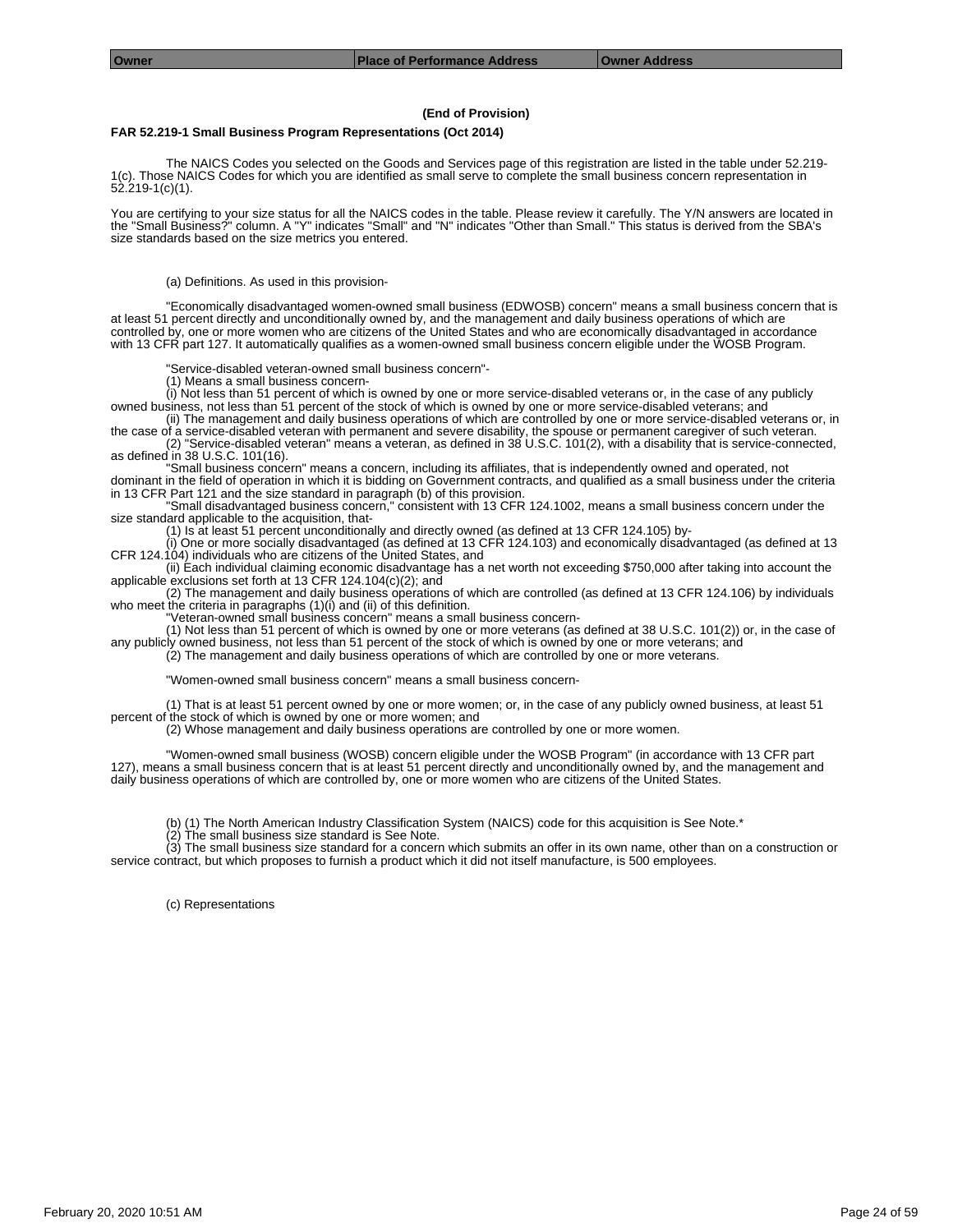# **(End of Provision)**

#### **FAR 52.219-1 Small Business Program Representations (Oct 2014)**

 The NAICS Codes you selected on the Goods and Services page of this registration are listed in the table under 52.219- 1(c). Those NAICS Codes for which you are identified as small serve to complete the small business concern representation in  $52.219 - 1(c)(1)$ .

 You are certifying to your size status for all the NAICS codes in the table. Please review it carefully. The Y/N answers are located in the "Small Business?" column. A "Y" indicates "Small" and "N" indicates "Other than Small." This status is derived from the SBA's size standards based on the size metrics you entered.

(a) Definitions. As used in this provision-

 "Economically disadvantaged women-owned small business (EDWOSB) concern" means a small business concern that is at least 51 percent directly and unconditionally owned by, and the management and daily business operations of which are controlled by, one or more women who are citizens of the United States and who are economically disadvantaged in accordance with 13 CFR part 127. It automatically qualifies as a women-owned small business concern eligible under the WOSB Program.

"Service-disabled veteran-owned small business concern"-

(1) Means a small business concern-

 (i) Not less than 51 percent of which is owned by one or more service-disabled veterans or, in the case of any publicly owned business, not less than 51 percent of the stock of which is owned by one or more service-disabled veterans; and (ii) The management and daily business operations of which are controlled by one or more service-disabled veterans or, in

the case of a service-disabled veteran with permanent and severe disability, the spouse or permanent caregiver of such veteran. (2) "Service-disabled veteran" means a veteran, as defined in 38 U.S.C. 101(2), with a disability that is service-connected,

as defined in 38 U.S.C. 101(16). "Small business concern" means a concern, including its affiliates, that is independently owned and operated, not dominant in the field of operation in which it is bidding on Government contracts, and qualified as a small business under the criteria

in 13 CFR Part 121 and the size standard in paragraph (b) of this provision. "Small disadvantaged business concern," consistent with 13 CFR 124.1002, means a small business concern under the size standard applicable to the acquisition, that-

(1) Is at least 51 percent unconditionally and directly owned (as defined at 13 CFR 124.105) by-

 (i) One or more socially disadvantaged (as defined at 13 CFR 124.103) and economically disadvantaged (as defined at 13 CFR 124.104) individuals who are citizens of the United States, and

 (ii) Each individual claiming economic disadvantage has a net worth not exceeding \$750,000 after taking into account the applicable exclusions set forth at 13 CFR 124.104(c)(2); and

 $(2)$  The management and daily business operations of which are controlled (as defined at 13 CFR 124.106) by individuals who meet the criteria in paragraphs (1)(i) and (ii) of this definition.

"Veteran-owned small business concern" means a small business concern-

 (1) Not less than 51 percent of which is owned by one or more veterans (as defined at 38 U.S.C. 101(2)) or, in the case of any publicly owned business, not less than 51 percent of the stock of which is owned by one or more veterans; and

(2) The management and daily business operations of which are controlled by one or more veterans.

"Women-owned small business concern" means a small business concern-

 (1) That is at least 51 percent owned by one or more women; or, in the case of any publicly owned business, at least 51 percent of the stock of which is owned by one or more women; and

(2) Whose management and daily business operations are controlled by one or more women.

 "Women-owned small business (WOSB) concern eligible under the WOSB Program" (in accordance with 13 CFR part 127), means a small business concern that is at least 51 percent directly and unconditionally owned by, and the management and daily business operations of which are controlled by, one or more women who are citizens of the United States.

(b) (1) The North American Industry Classification System (NAICS) code for this acquisition is See Note.\*

(2) The small business size standard is See Note.

 (3) The small business size standard for a concern which submits an offer in its own name, other than on a construction or service contract, but which proposes to furnish a product which it did not itself manufacture, is 500 employees.

(c) Representations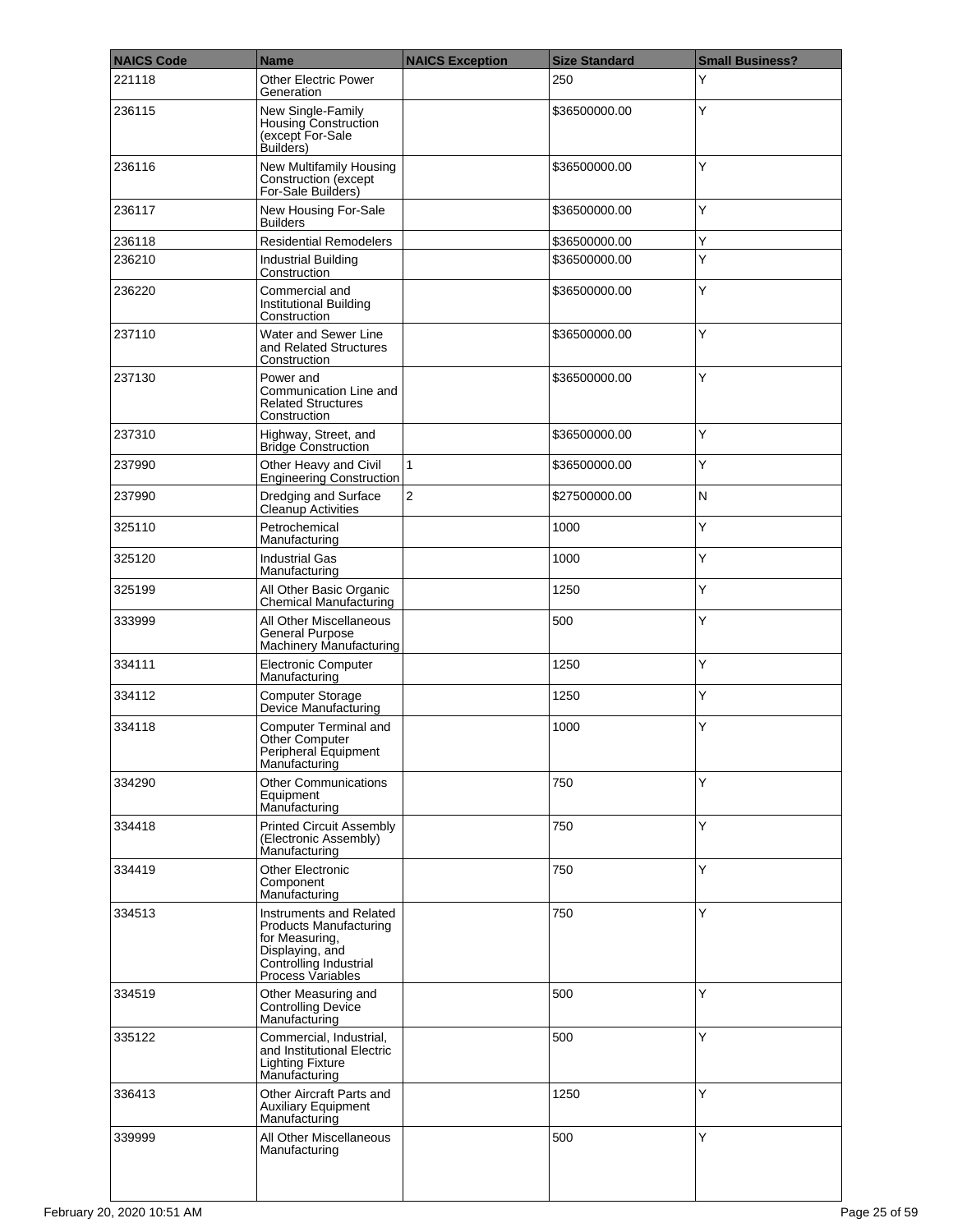| <b>NAICS Code</b> | <b>Name</b>                                                                                                                           | <b>NAICS Exception</b> | <b>Size Standard</b> | <b>Small Business?</b> |
|-------------------|---------------------------------------------------------------------------------------------------------------------------------------|------------------------|----------------------|------------------------|
| 221118            | <b>Other Electric Power</b><br>Generation                                                                                             |                        | 250                  | Y                      |
| 236115            | New Single-Family<br><b>Housing Construction</b><br>(except For-Sale<br>Builders)                                                     |                        | \$36500000.00        | Y                      |
| 236116            | New Multifamily Housing<br>Construction (except<br>For-Sale Builders)                                                                 |                        | \$36500000.00        | Y                      |
| 236117            | New Housing For-Sale<br><b>Builders</b>                                                                                               |                        | \$36500000.00        | Y                      |
| 236118            | <b>Residential Remodelers</b>                                                                                                         |                        | \$36500000.00        | Y                      |
| 236210            | <b>Industrial Building</b><br>Construction                                                                                            |                        | \$36500000.00        | Y                      |
| 236220            | Commercial and<br>Institutional Building<br>Construction                                                                              |                        | \$36500000.00        | Y                      |
| 237110            | Water and Sewer Line<br>and Related Structures<br>Construction                                                                        |                        | \$36500000.00        | Y                      |
| 237130            | Power and<br>Communication Line and<br><b>Related Structures</b><br>Construction                                                      |                        | \$36500000.00        | Y                      |
| 237310            | Highway, Street, and<br>Bridge Construction                                                                                           |                        | \$36500000.00        | Y                      |
| 237990            | Other Heavy and Civil<br>Engineering Construction                                                                                     | $\mathbf{1}$           | \$36500000.00        | Y                      |
| 237990            | Dredging and Surface<br>Cleanup Activities                                                                                            | $\overline{2}$         | \$27500000.00        | N                      |
| 325110            | Petrochemical<br>Manufacturing                                                                                                        |                        | 1000                 | Y                      |
| 325120            | <b>Industrial Gas</b><br>Manufacturing                                                                                                |                        | 1000                 | Y                      |
| 325199            | All Other Basic Organic<br>Chemical Manufacturing                                                                                     |                        | 1250                 | Y                      |
| 333999            | All Other Miscellaneous<br><b>General Purpose</b><br>Machinery Manufacturing                                                          |                        | 500                  | Y                      |
| 334111            | <b>Electronic Computer</b><br>Manufacturing                                                                                           |                        | 1250                 | Y                      |
| 334112            | <b>Computer Storage</b><br>Device Manufacturing                                                                                       |                        | 1250                 | Y                      |
| 334118            | <b>Computer Terminal and</b><br>Other Computer<br>Peripheral Equipment<br>Manufacturing                                               |                        | 1000                 | Y                      |
| 334290            | <b>Other Communications</b><br>Equipment<br>Manufacturing                                                                             |                        | 750                  | Y                      |
| 334418            | <b>Printed Circuit Assembly</b><br>(Electronic Assembly)<br>Manufacturing                                                             |                        | 750                  | Y                      |
| 334419            | <b>Other Electronic</b><br>Component<br>Manufacturing                                                                                 |                        | 750                  | Y                      |
| 334513            | Instruments and Related<br>Products Manufacturing<br>for Measuring,<br>Displaying, and<br>Controlling Industrial<br>Process Variables |                        | 750                  | Y                      |
| 334519            | Other Measuring and<br><b>Controlling Device</b><br>Manufacturing                                                                     |                        | 500                  | Y                      |
| 335122            | Commercial, Industrial,<br>and Institutional Electric<br><b>Lighting Fixture</b><br>Manufacturing                                     |                        | 500                  | Y                      |
| 336413            | Other Aircraft Parts and<br><b>Auxiliary Equipment</b><br>Manufacturing                                                               |                        | 1250                 | Y                      |
| 339999            | All Other Miscellaneous<br>Manufacturing                                                                                              |                        | 500                  | Y                      |

 $\mathbf{I}$ 

 $\perp$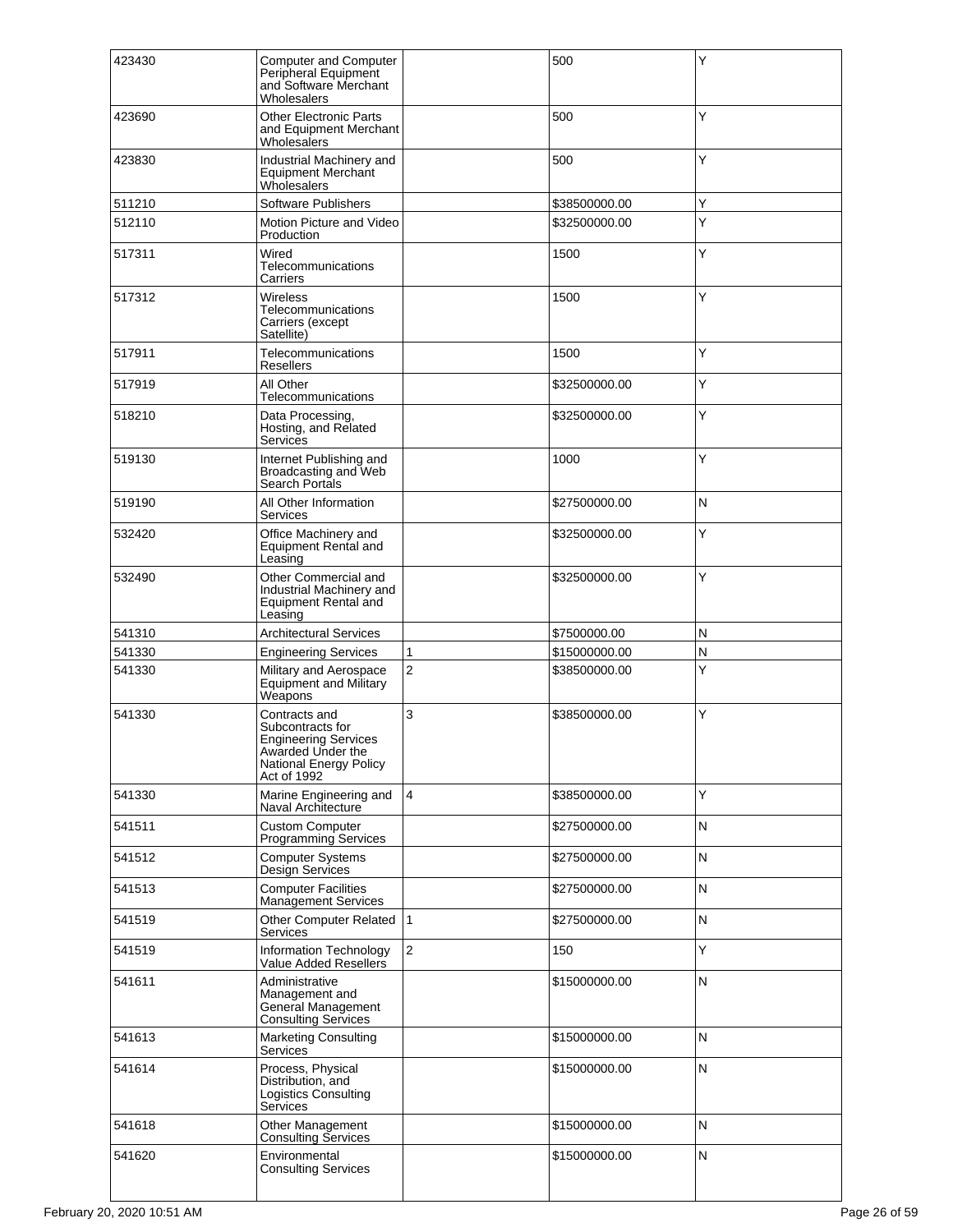| 423430 | <b>Computer and Computer</b><br>Peripheral Equipment<br>and Software Merchant<br>Wholesalers                                          |                | 500           | Y |
|--------|---------------------------------------------------------------------------------------------------------------------------------------|----------------|---------------|---|
| 423690 | <b>Other Electronic Parts</b><br>and Equipment Merchant<br>Wholesalers                                                                |                | 500           | Y |
| 423830 | Industrial Machinery and<br><b>Equipment Merchant</b><br>Wholesalers                                                                  |                | 500           | Y |
| 511210 | <b>Software Publishers</b>                                                                                                            |                | \$38500000.00 | Y |
| 512110 | Motion Picture and Video<br>Production                                                                                                |                | \$32500000.00 | Ý |
| 517311 | Wired<br>Telecommunications<br>Carriers                                                                                               |                | 1500          | Y |
| 517312 | Wireless<br>Telecommunications<br>Carriers (except<br>Satellite)                                                                      |                | 1500          | Ý |
| 517911 | Telecommunications<br><b>Resellers</b>                                                                                                |                | 1500          | Ý |
| 517919 | All Other<br>Telecommunications                                                                                                       |                | \$32500000.00 | Y |
| 518210 | Data Processing,<br>Hosting, and Related<br>Services                                                                                  |                | \$32500000.00 | Y |
| 519130 | Internet Publishing and<br>Broadcasting and Web<br>Search Portals                                                                     |                | 1000          | Y |
| 519190 | All Other Information<br>Services                                                                                                     |                | \$27500000.00 | N |
| 532420 | Office Machinery and<br>Equipment Rental and<br>Leasing                                                                               |                | \$32500000.00 | Y |
| 532490 | Other Commercial and<br>Industrial Machinery and<br>Equipment Rental and<br>Leasing                                                   |                | \$32500000.00 | Ý |
| 541310 | <b>Architectural Services</b>                                                                                                         |                | \$7500000.00  | N |
| 541330 | <b>Engineering Services</b>                                                                                                           | 1              | \$15000000.00 | N |
| 541330 | Military and Aerospace<br><b>Equipment and Military</b><br>Weapons                                                                    | $\overline{2}$ | \$38500000.00 | Ý |
| 541330 | Contracts and<br>Subcontracts for<br><b>Engineering Services</b><br>Awarded Under the<br><b>National Energy Policy</b><br>Act of 1992 | 3              | \$38500000.00 | Y |
| 541330 | Marine Engineering and<br>Naval Architecture                                                                                          | $\overline{4}$ | \$38500000.00 | Y |
| 541511 | <b>Custom Computer</b><br>Programming Services                                                                                        |                | \$27500000.00 | N |
| 541512 | <b>Computer Systems</b><br><b>Design Services</b>                                                                                     |                | \$27500000.00 | N |
| 541513 | <b>Computer Facilities</b><br>Management Services                                                                                     |                | \$27500000.00 | N |
| 541519 | Other Computer Related<br><b>Services</b>                                                                                             | $\mathbf{1}$   | \$27500000.00 | N |
| 541519 | Information Technology<br>Value Added Resellers                                                                                       | $\vert$ 2      | 150           | Y |
| 541611 | Administrative<br>Management and<br>General Management<br><b>Consulting Services</b>                                                  |                | \$15000000.00 | N |
| 541613 | <b>Marketing Consulting</b><br>Services                                                                                               |                | \$15000000.00 | N |
| 541614 | Process, Physical<br>Distribution, and<br><b>Logistics Consulting</b><br>Services                                                     |                | \$15000000.00 | N |
| 541618 | Other Management<br>Consulting Services                                                                                               |                | \$15000000.00 | N |
| 541620 | Environmental<br><b>Consulting Services</b>                                                                                           |                | \$15000000.00 | N |

 $\mathbf{I}$ 

 $\perp$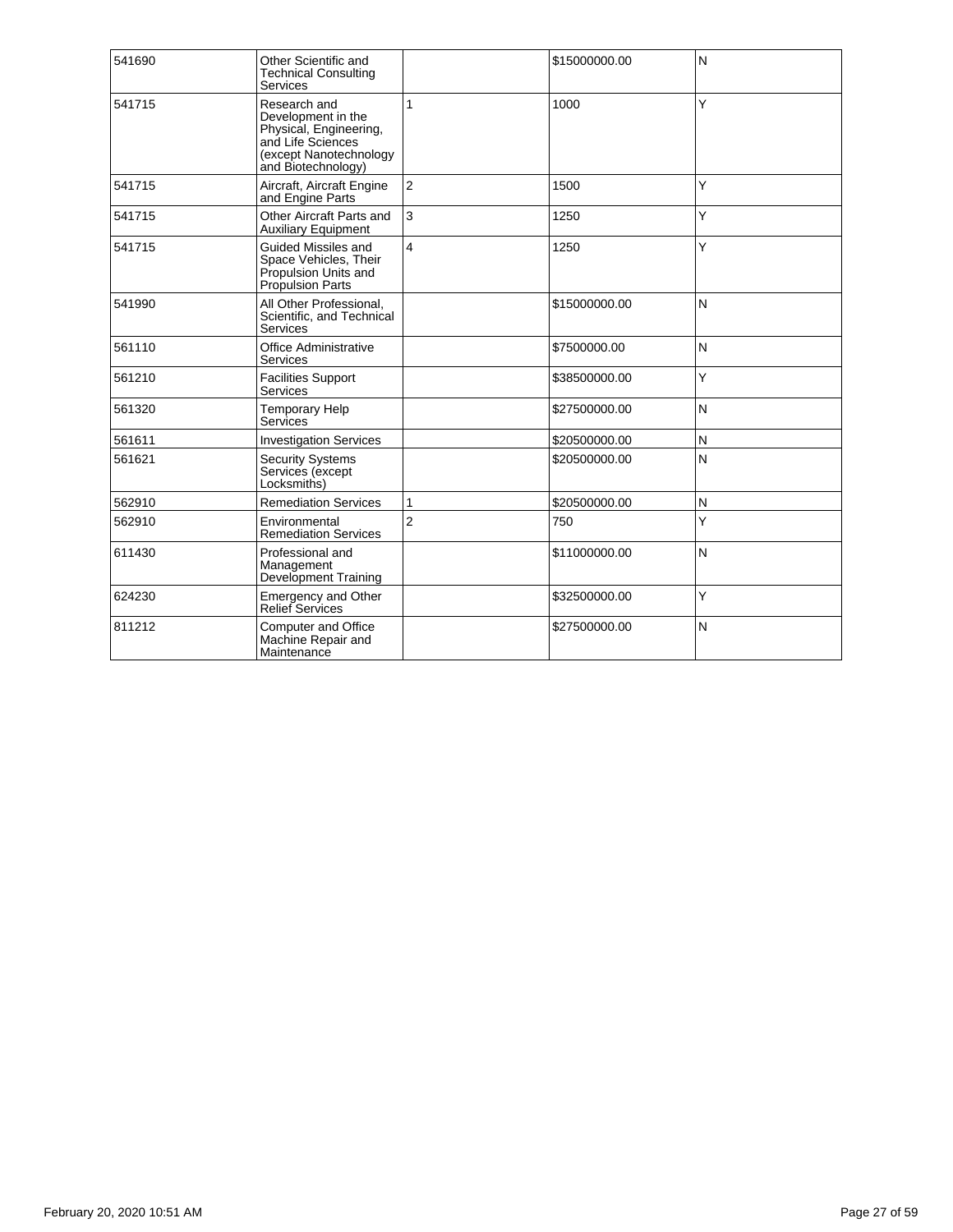| 541690 | Other Scientific and<br><b>Technical Consulting</b><br>Services                                                                   |                         | \$15000000.00 | N |
|--------|-----------------------------------------------------------------------------------------------------------------------------------|-------------------------|---------------|---|
| 541715 | Research and<br>Development in the<br>Physical, Engineering,<br>and Life Sciences<br>(except Nanotechnology<br>and Biotechnology) | 1                       | 1000          | Y |
| 541715 | Aircraft, Aircraft Engine<br>and Engine Parts                                                                                     | l2                      | 1500          | Y |
| 541715 | Other Aircraft Parts and<br><b>Auxiliary Equipment</b>                                                                            | 3                       | 1250          | Υ |
| 541715 | Guided Missiles and<br>Space Vehicles, Their<br>Propulsion Units and<br><b>Propulsion Parts</b>                                   | $\overline{\mathbf{4}}$ | 1250          | Y |
| 541990 | All Other Professional,<br>Scientific, and Technical<br>Services                                                                  |                         | \$15000000.00 | N |
| 561110 | Office Administrative<br>Services                                                                                                 |                         | \$7500000.00  | N |
| 561210 | <b>Facilities Support</b><br>Services                                                                                             |                         | \$38500000.00 | Y |
| 561320 | <b>Temporary Help</b><br>Services                                                                                                 |                         | \$27500000.00 | N |
| 561611 | <b>Investigation Services</b>                                                                                                     |                         | \$20500000.00 | N |
| 561621 | <b>Security Systems</b><br>Services (except<br>Locksmiths)                                                                        |                         | \$20500000.00 | N |
| 562910 | <b>Remediation Services</b>                                                                                                       | 1                       | \$20500000.00 | N |
| 562910 | Environmental<br><b>Remediation Services</b>                                                                                      | $\overline{2}$          | 750           | Ý |
| 611430 | Professional and<br>Management<br>Development Training                                                                            |                         | \$11000000.00 | N |
| 624230 | <b>Emergency and Other</b><br>Relief Services                                                                                     |                         | \$32500000.00 | Ý |
| 811212 | <b>Computer and Office</b><br>Machine Repair and<br>Maintenance                                                                   |                         | \$27500000.00 | N |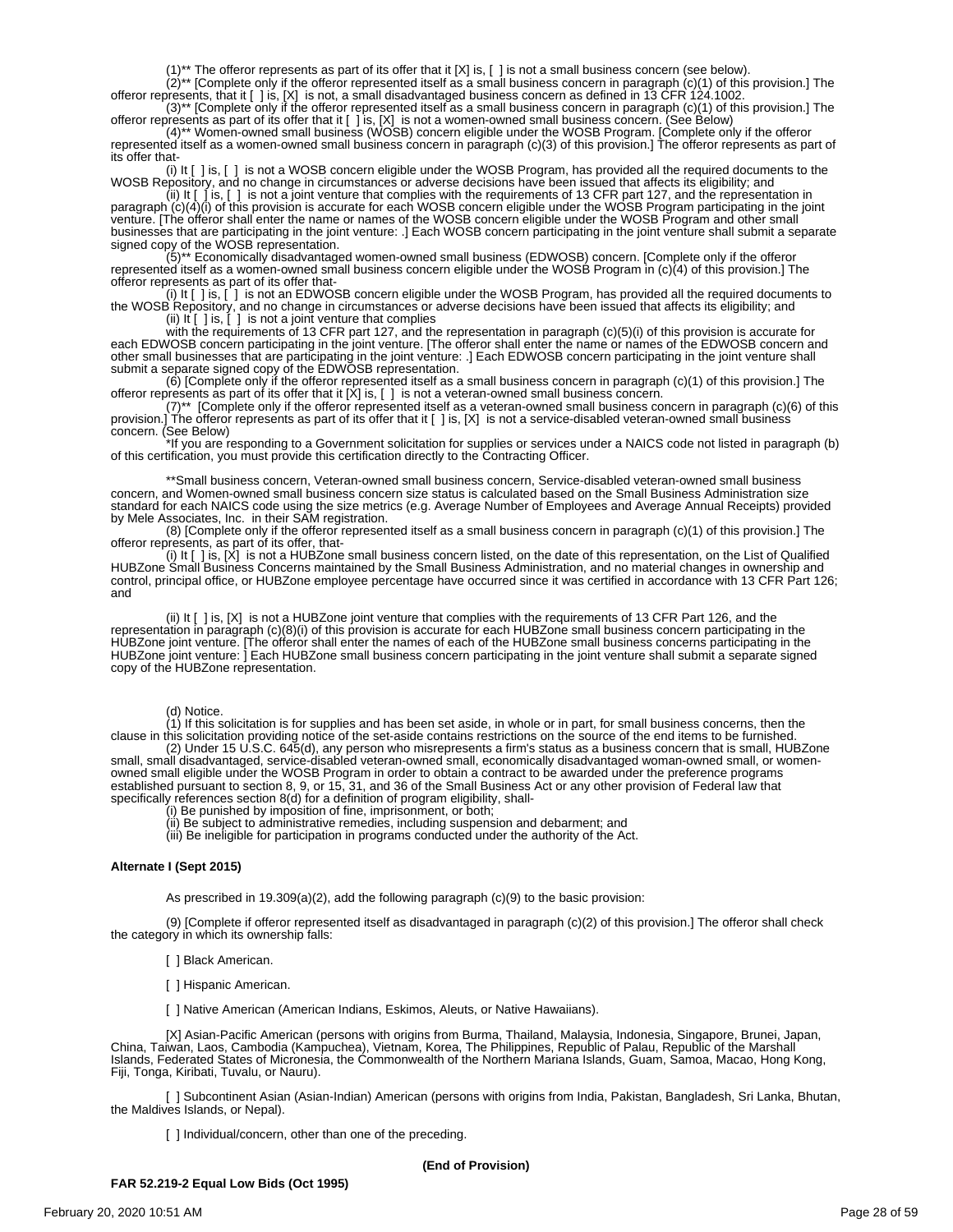(1)\*\* The offeror represents as part of its offer that it [X] is, [ ] is not a small business concern (see below).

 (2)\*\* [Complete only if the offeror represented itself as a small business concern in paragraph (c)(1) of this provision.] The offeror represents, that it [ ] is, [X] is not, a small disadvantaged business concern as defined in 13 CFR 124.1002.

 (3)\*\* [Complete only if the offeror represented itself as a small business concern in paragraph (c)(1) of this provision.] The offeror represents as part of its offer that it [ ] is, [X] is not a women-owned small business concern. (See Below)

 (4)\*\* Women-owned small business (WOSB) concern eligible under the WOSB Program. [Complete only if the offeror represented itself as a women-owned small business concern in paragraph (c)(3) of this provision.] The offeror represents as part of its offer that-

 (i) It [ ] is, [ ] is not a WOSB concern eligible under the WOSB Program, has provided all the required documents to the WOSB Repository, and no change in circumstances or adverse decisions have been issued that affects its eligibility; and

 (ii) It [ ] is, [ ] is not a joint venture that complies with the requirements of 13 CFR part 127, and the representation in paragraph (c)(4)(i) of this provision is accurate for each WOSB concern eligible under the WOSB Program participating in the joint venture. [The offeror shall enter the name or names of the WOSB concern eligible under the WOSB Program and other small businesses that are participating in the joint venture: .] Each WOSB concern participating in the joint venture shall submit a separate signed copy of the WOSB representation.

 (5)\*\* Economically disadvantaged women-owned small business (EDWOSB) concern. [Complete only if the offeror represented itself as a women-owned small business concern eligible under the WOSB Program in (c)(4) of this provision.] The offeror represents as part of its offer that-

 (i) It [ ] is, [ ] is not an EDWOSB concern eligible under the WOSB Program, has provided all the required documents to the WOSB Repository, and no change in circumstances or adverse decisions have been issued that affects its eligibility; and (ii) It [ ] is, [ ] is not a joint venture that complies

 with the requirements of 13 CFR part 127, and the representation in paragraph (c)(5)(i) of this provision is accurate for each EDWOSB concern participating in the joint venture. [The offeror shall enter the name or names of the EDWOSB concern and other small businesses that are participating in the joint venture: .] Each EDWOSB concern participating in the joint venture shall submit a separate signed copy of the EDWOSB representation.

 (6) [Complete only if the offeror represented itself as a small business concern in paragraph (c)(1) of this provision.] The offeror represents as part of its offer that it [X] is, [ ] is not a veteran-owned small business concern.

 $(7)$ <sup>\*\*</sup> [Complete only if the offeror represented itself as a veteran-owned small business concern in paragraph  $(c)(6)$  of this provision.] The offeror represents as part of its offer that it [ ] is, [X] is not a service-disabled veteran-owned small business concern. (See Below)

 \*If you are responding to a Government solicitation for supplies or services under a NAICS code not listed in paragraph (b) of this certification, you must provide this certification directly to the Contracting Officer.

 \*\*Small business concern, Veteran-owned small business concern, Service-disabled veteran-owned small business concern, and Women-owned small business concern size status is calculated based on the Small Business Administration size standard for each NAICS code using the size metrics (e.g. Average Number of Employees and Average Annual Receipts) provided by Mele Associates, Inc. in their SAM registration.

 (8) [Complete only if the offeror represented itself as a small business concern in paragraph (c)(1) of this provision.] The offeror represents, as part of its offer, that-

 (i) It [ ] is, [X] is not a HUBZone small business concern listed, on the date of this representation, on the List of Qualified HUBZone Small Business Concerns maintained by the Small Business Administration, and no material changes in ownership and control, principal office, or HUBZone employee percentage have occurred since it was certified in accordance with 13 CFR Part 126; and

 (ii) It [ ] is, [X] is not a HUBZone joint venture that complies with the requirements of 13 CFR Part 126, and the representation in paragraph (c)(8)(i) of this provision is accurate for each HUBZone small business concern participating in the HUBZone joint venture. [The offeror shall enter the names of each of the HUBZone small business concerns participating in the HUBZone joint venture: ] Each HUBZone small business concern participating in the joint venture shall submit a separate signed copy of the HUBZone representation.

### (d) Notice.

 $(1)$  If this solicitation is for supplies and has been set aside, in whole or in part, for small business concerns, then the clause in this solicitation providing notice of the set-aside contains restrictions on the source of the end items to be furnished.

 (2) Under 15 U.S.C. 645(d), any person who misrepresents a firm's status as a business concern that is small, HUBZone small, small disadvantaged, service-disabled veteran-owned small, economically disadvantaged woman-owned small, or womenowned small eligible under the WOSB Program in order to obtain a contract to be awarded under the preference programs established pursuant to section 8, 9, or 15, 31, and 36 of the Small Business Act or any other provision of Federal law that specifically references section 8(d) for a definition of program eligibility, shall-

(i) Be punished by imposition of fine, imprisonment, or both;

- (ii) Be subject to administrative remedies, including suspension and debarment; and
	- (iii) Be ineligible for participation in programs conducted under the authority of the Act.

# **Alternate I (Sept 2015)**

As prescribed in 19.309(a)(2), add the following paragraph (c)(9) to the basic provision:

 (9) [Complete if offeror represented itself as disadvantaged in paragraph (c)(2) of this provision.] The offeror shall check the category in which its ownership falls:

- [ ] Black American.
- [ ] Hispanic American.

[ ] Native American (American Indians, Eskimos, Aleuts, or Native Hawaiians).

 [X] Asian-Pacific American (persons with origins from Burma, Thailand, Malaysia, Indonesia, Singapore, Brunei, Japan, China, Taiwan, Laos, Cambodia (Kampuchea), Vietnam, Korea, The Philippines, Republic of Palau, Republic of the Marshall Islands, Federated States of Micronesia, the Commonwealth of the Northern Mariana Islands, Guam, Samoa, Macao, Hong Kong, Fiji, Tonga, Kiribati, Tuvalu, or Nauru).

 [ ] Subcontinent Asian (Asian-Indian) American (persons with origins from India, Pakistan, Bangladesh, Sri Lanka, Bhutan, the Maldives Islands, or Nepal).

[ ] Individual/concern, other than one of the preceding.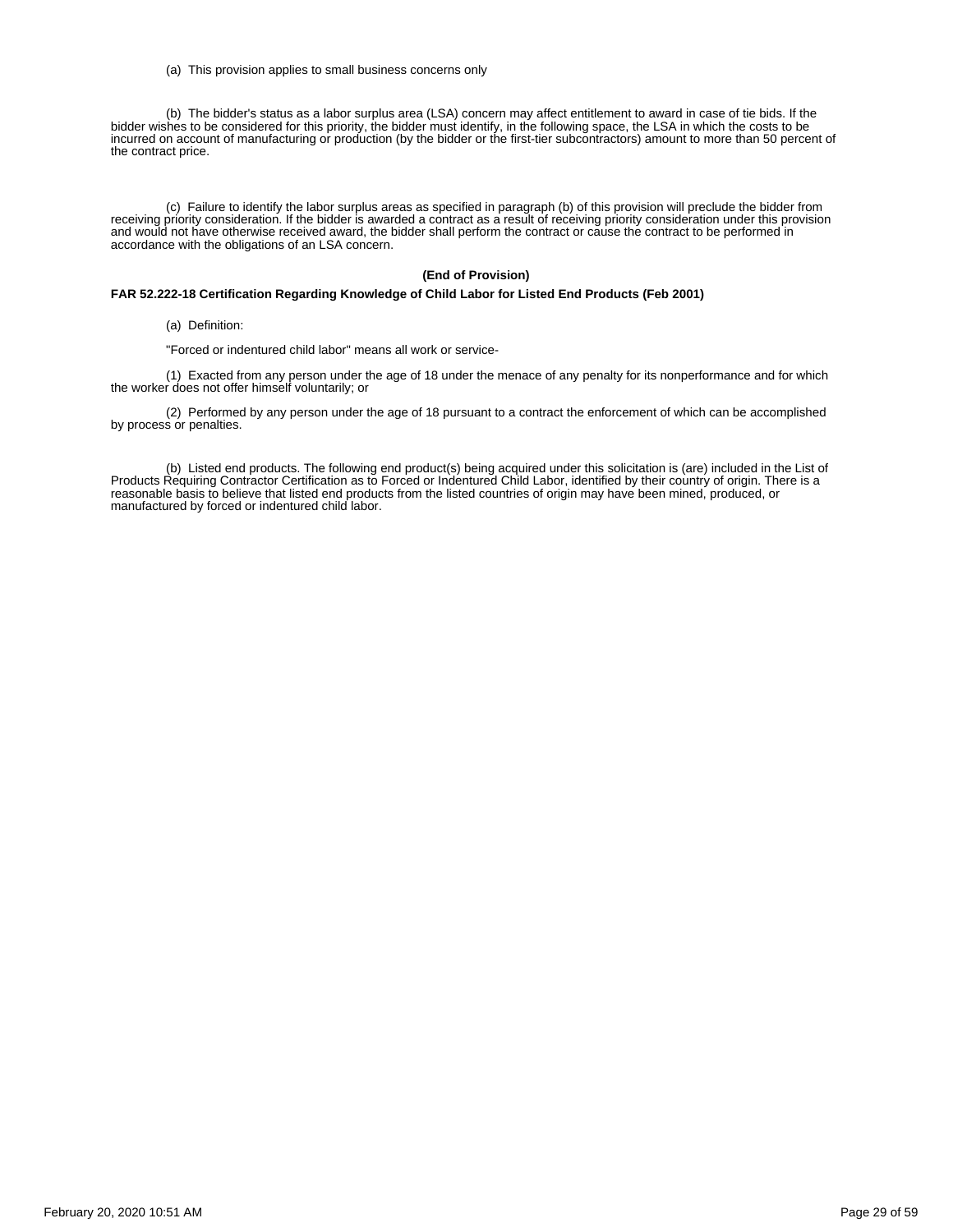(a) This provision applies to small business concerns only

 (b) The bidder's status as a labor surplus area (LSA) concern may affect entitlement to award in case of tie bids. If the bidder wishes to be considered for this priority, the bidder must identify, in the following space, the LSA in which the costs to be incurred on account of manufacturing or production (by the bidder or the first-tier subcontractors) amount to more than 50 percent of the contract price.

 (c) Failure to identify the labor surplus areas as specified in paragraph (b) of this provision will preclude the bidder from receiving priority consideration. If the bidder is awarded a contract as a result of receiving priority consideration under this provision and would not have otherwise received award, the bidder shall perform the contract or cause the contract to be performed in accordance with the obligations of an LSA concern.

# **(End of Provision)**

### **FAR 52.222-18 Certification Regarding Knowledge of Child Labor for Listed End Products (Feb 2001)**

(a) Definition:

"Forced or indentured child labor" means all work or service-

 (1) Exacted from any person under the age of 18 under the menace of any penalty for its nonperformance and for which the worker does not offer himself voluntarily; or

 (2) Performed by any person under the age of 18 pursuant to a contract the enforcement of which can be accomplished by process or penalties.

 (b) Listed end products. The following end product(s) being acquired under this solicitation is (are) included in the List of Products Requiring Contractor Certification as to Forced or Indentured Child Labor, identified by their country of origin. There is a reasonable basis to believe that listed end products from the listed countries of origin may have been mined, produced, or manufactured by forced or indentured child labor.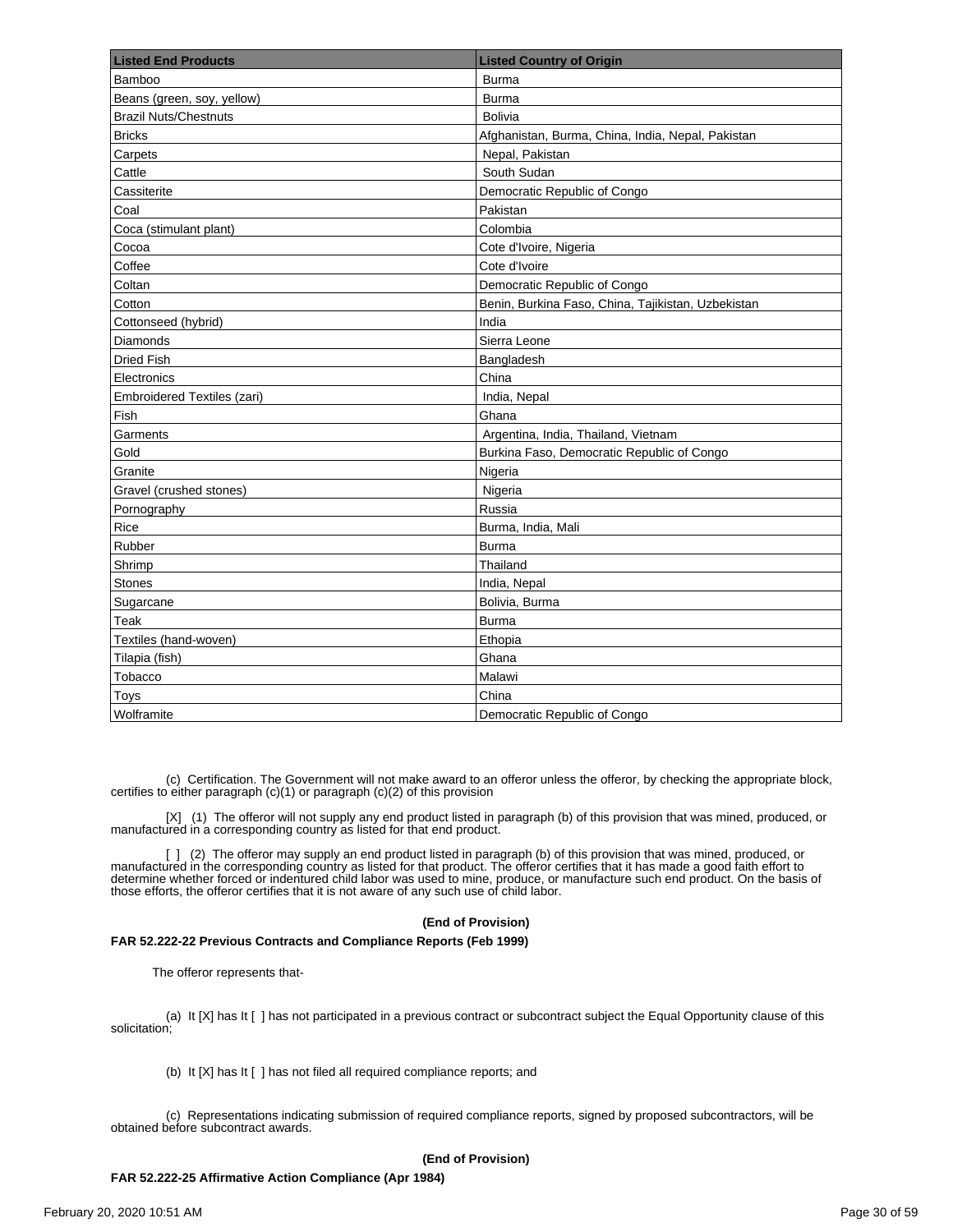| <b>Listed End Products</b>         | <b>Listed Country of Origin</b>                    |
|------------------------------------|----------------------------------------------------|
| Bamboo                             | <b>Burma</b>                                       |
| Beans (green, soy, yellow)         | <b>Burma</b>                                       |
| <b>Brazil Nuts/Chestnuts</b>       | <b>Bolivia</b>                                     |
| <b>Bricks</b>                      | Afghanistan, Burma, China, India, Nepal, Pakistan  |
| Carpets                            | Nepal, Pakistan                                    |
| Cattle                             | South Sudan                                        |
| Cassiterite                        | Democratic Republic of Congo                       |
| Coal                               | Pakistan                                           |
| Coca (stimulant plant)             | Colombia                                           |
| Cocoa                              | Cote d'Ivoire, Nigeria                             |
| Coffee                             | Cote d'Ivoire                                      |
| Coltan                             | Democratic Republic of Congo                       |
| Cotton                             | Benin, Burkina Faso, China, Tajikistan, Uzbekistan |
| Cottonseed (hybrid)                | India                                              |
| <b>Diamonds</b>                    | Sierra Leone                                       |
| <b>Dried Fish</b>                  | Bangladesh                                         |
| Electronics                        | China                                              |
| <b>Embroidered Textiles (zari)</b> | India, Nepal                                       |
| Fish                               | Ghana                                              |
| Garments                           | Argentina, India, Thailand, Vietnam                |
| Gold                               | Burkina Faso, Democratic Republic of Congo         |
| Granite                            | Nigeria                                            |
| Gravel (crushed stones)            | Nigeria                                            |
| Pornography                        | Russia                                             |
| Rice                               | Burma, India, Mali                                 |
| Rubber                             | Burma                                              |
| Shrimp                             | Thailand                                           |
| <b>Stones</b>                      | India, Nepal                                       |
| Sugarcane                          | Bolivia, Burma                                     |
| Teak                               | <b>Burma</b>                                       |
| Textiles (hand-woven)              | Ethopia                                            |
| Tilapia (fish)                     | Ghana                                              |
| Tobacco                            | Malawi                                             |
| Toys                               | China                                              |
| Wolframite                         | Democratic Republic of Congo                       |

 (c) Certification. The Government will not make award to an offeror unless the offeror, by checking the appropriate block, certifies to either paragraph (c)(1) or paragraph (c)(2) of this provision

 [X] (1) The offeror will not supply any end product listed in paragraph (b) of this provision that was mined, produced, or manufactured in a corresponding country as listed for that end product.

 [ ] (2) The offeror may supply an end product listed in paragraph (b) of this provision that was mined, produced, or manufactured in the corresponding country as listed for that product. The offeror certifies that it has made a good faith effort to determine whether forced or indentured child labor was used to mine, produce, or manufacture such end product. On the basis of those efforts, the offeror certifies that it is not aware of any such use of child labor.

# **(End of Provision)**

# **FAR 52.222-22 Previous Contracts and Compliance Reports (Feb 1999)**

The offeror represents that-

 (a) It [X] has It [ ] has not participated in a previous contract or subcontract subject the Equal Opportunity clause of this solicitation;

(b) It [X] has It [ ] has not filed all required compliance reports; and

 (c) Representations indicating submission of required compliance reports, signed by proposed subcontractors, will be obtained before subcontract awards.

# **(End of Provision)**

**FAR 52.222-25 Affirmative Action Compliance (Apr 1984)**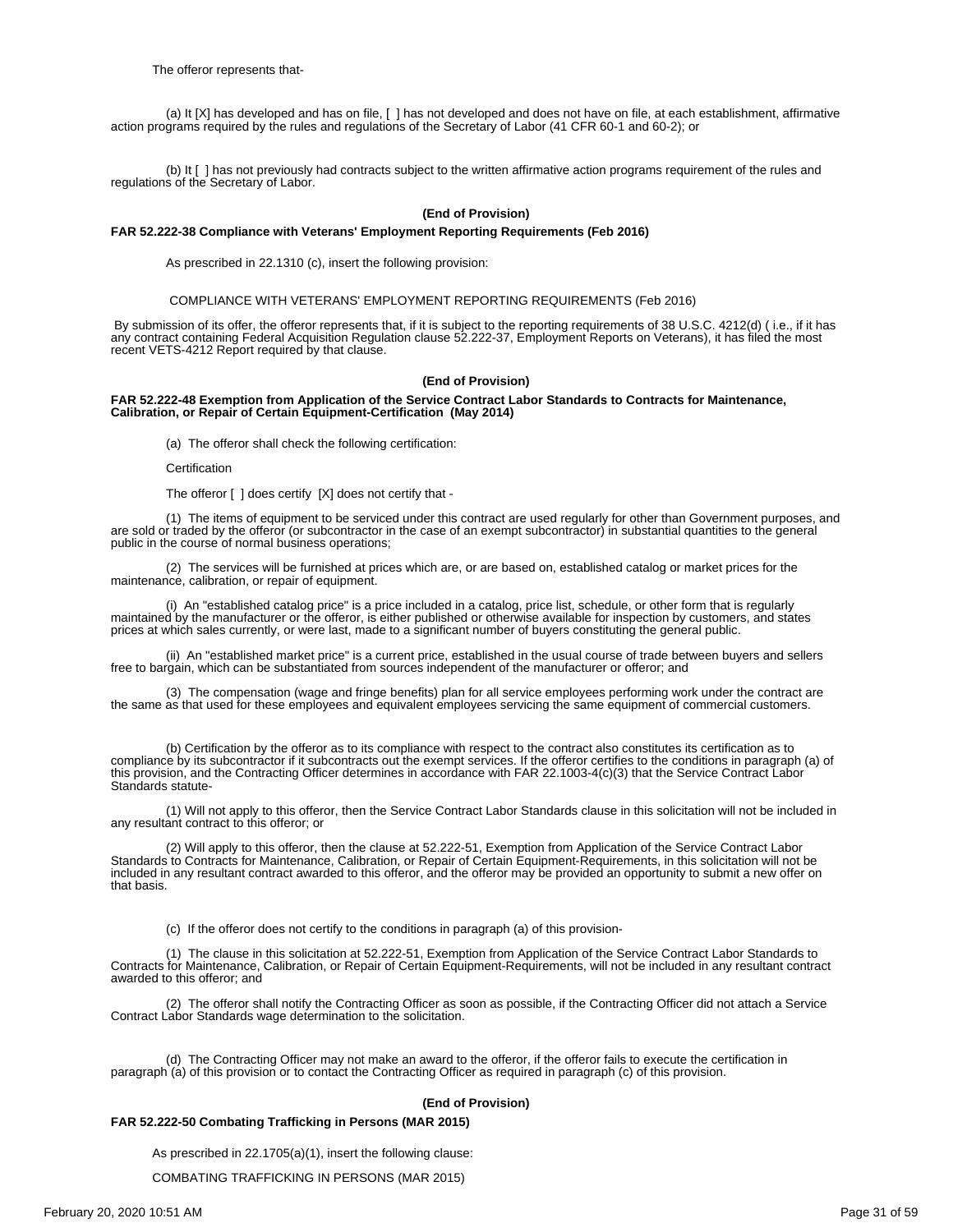The offeror represents that-

 (a) It [X] has developed and has on file, [ ] has not developed and does not have on file, at each establishment, affirmative action programs required by the rules and regulations of the Secretary of Labor (41 CFR 60-1 and 60-2); or

 (b) It [ ] has not previously had contracts subject to the written affirmative action programs requirement of the rules and regulations of the Secretary of Labor.

# **(End of Provision)**

# **FAR 52.222-38 Compliance with Veterans' Employment Reporting Requirements (Feb 2016)**

As prescribed in 22.1310 (c), insert the following provision:

# COMPLIANCE WITH VETERANS' EMPLOYMENT REPORTING REQUIREMENTS (Feb 2016)

 By submission of its offer, the offeror represents that, if it is subject to the reporting requirements of 38 U.S.C. 4212(d) ( i.e., if it has any contract containing Federal Acquisition Regulation clause 52.222-37, Employment Reports on Veterans), it has filed the most recent VETS-4212 Report required by that clause.

# **(End of Provision)**

### **FAR 52.222-48 Exemption from Application of the Service Contract Labor Standards to Contracts for Maintenance, Calibration, or Repair of Certain Equipment-Certification (May 2014)**

(a) The offeror shall check the following certification:

**Certification** 

The offeror [ ] does certify [X] does not certify that -

 (1) The items of equipment to be serviced under this contract are used regularly for other than Government purposes, and are sold or traded by the offeror (or subcontractor in the case of an exempt subcontractor) in substantial quantities to the general public in the course of normal business operations;

 (2) The services will be furnished at prices which are, or are based on, established catalog or market prices for the maintenance, calibration, or repair of equipment.

 (i) An "established catalog price" is a price included in a catalog, price list, schedule, or other form that is regularly maintained by the manufacturer or the offeror, is either published or otherwise available for inspection by customers, and states prices at which sales currently, or were last, made to a significant number of buyers constituting the general public.

 (ii) An "established market price" is a current price, established in the usual course of trade between buyers and sellers free to bargain, which can be substantiated from sources independent of the manufacturer or offeror; and

 (3) The compensation (wage and fringe benefits) plan for all service employees performing work under the contract are the same as that used for these employees and equivalent employees servicing the same equipment of commercial customers.

 (b) Certification by the offeror as to its compliance with respect to the contract also constitutes its certification as to compliance by its subcontractor if it subcontracts out the exempt services. If the offeror certifies to the conditions in paragraph (a) of this provision, and the Contracting Officer determines in accordance with FAR 22.1003-4(c)(3) that the Service Contract Labor Standards statute-

 (1) Will not apply to this offeror, then the Service Contract Labor Standards clause in this solicitation will not be included in any resultant contract to this offeror; or

 (2) Will apply to this offeror, then the clause at 52.222-51, Exemption from Application of the Service Contract Labor Standards to Contracts for Maintenance, Calibration, or Repair of Certain Equipment-Requirements, in this solicitation will not be included in any resultant contract awarded to this offeror, and the offeror may be provided an opportunity to submit a new offer on that basis.

(c) If the offeror does not certify to the conditions in paragraph (a) of this provision-

 (1) The clause in this solicitation at 52.222-51, Exemption from Application of the Service Contract Labor Standards to Contracts for Maintenance, Calibration, or Repair of Certain Equipment-Requirements, will not be included in any resultant contract awarded to this offeror; and

 (2) The offeror shall notify the Contracting Officer as soon as possible, if the Contracting Officer did not attach a Service Contract Labor Standards wage determination to the solicitation.

 (d) The Contracting Officer may not make an award to the offeror, if the offeror fails to execute the certification in paragraph (a) of this provision or to contact the Contracting Officer as required in paragraph (c) of this provision.

# **(End of Provision)**

# **FAR 52.222-50 Combating Trafficking in Persons (MAR 2015)**

As prescribed in 22.1705(a)(1), insert the following clause:

COMBATING TRAFFICKING IN PERSONS (MAR 2015)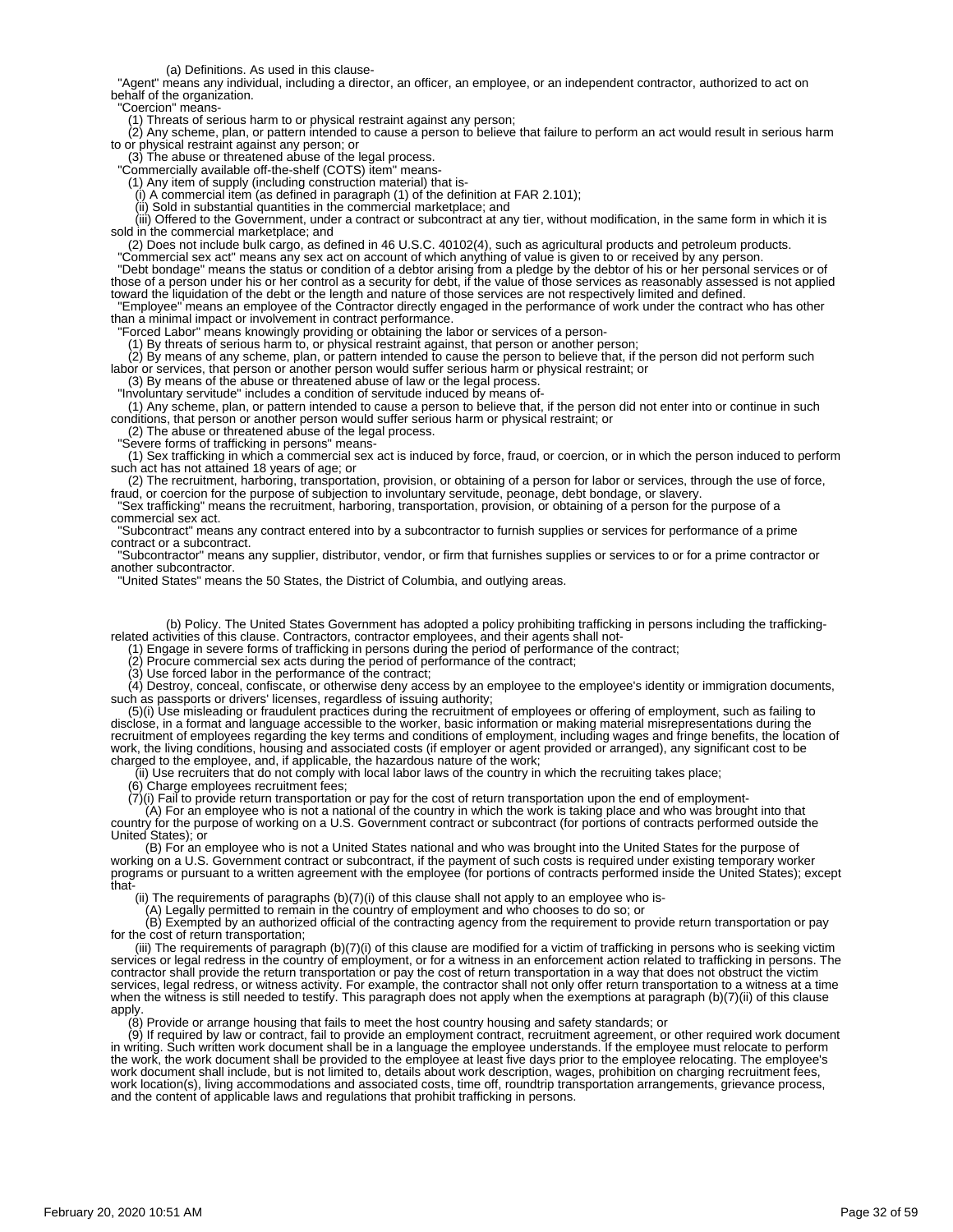(a) Definitions. As used in this clause-

 "Agent" means any individual, including a director, an officer, an employee, or an independent contractor, authorized to act on behalf of the organization.

'Coercion" means-

 (1) Threats of serious harm to or physical restraint against any person;

 (2) Any scheme, plan, or pattern intended to cause a person to believe that failure to perform an act would result in serious harm to or physical restraint against any person; or

 (3) The abuse or threatened abuse of the legal process.

 "Commercially available off-the-shelf (COTS) item" means-

 (1) Any item of supply (including construction material) that is- (i) A commercial item (as defined in paragraph (1) of the definition at FAR 2.101);

 (ii) Sold in substantial quantities in the commercial marketplace; and

 (iii) Offered to the Government, under a contract or subcontract at any tier, without modification, in the same form in which it is sold in the commercial marketplace; and

 (2) Does not include bulk cargo, as defined in 46 U.S.C. 40102(4), such as agricultural products and petroleum products.

 "Commercial sex act" means any sex act on account of which anything of value is given to or received by any person. "Debt bondage" means the status or condition of a debtor arising from a pledge by the debtor of his or her personal services or of those of a person under his or her control as a security for debt, if the value of those services as reasonably assessed is not applied toward the liquidation of the debt or the length and nature of those services are not respectively limited and defined.

 "Employee" means an employee of the Contractor directly engaged in the performance of work under the contract who has other than a minimal impact or involvement in contract performance.

"Forced Labor" means knowingly providing or obtaining the labor or services of a person-

 (1) By threats of serious harm to, or physical restraint against, that person or another person;

 (2) By means of any scheme, plan, or pattern intended to cause the person to believe that, if the person did not perform such labor or services, that person or another person would suffer serious harm or physical restraint; or

 (3) By means of the abuse or threatened abuse of law or the legal process.

 "Involuntary servitude" includes a condition of servitude induced by means of- (1) Any scheme, plan, or pattern intended to cause a person to believe that, if the person did not enter into or continue in such conditions, that person or another person would suffer serious harm or physical restraint; or

 (2) The abuse or threatened abuse of the legal process.

"Severe forms of trafficking in persons" means-

 (1) Sex trafficking in which a commercial sex act is induced by force, fraud, or coercion, or in which the person induced to perform such act has not attained 18 years of age; or

 (2) The recruitment, harboring, transportation, provision, or obtaining of a person for labor or services, through the use of force, fraud, or coercion for the purpose of subjection to involuntary servitude, peonage, debt bondage, or slavery.

 "Sex trafficking" means the recruitment, harboring, transportation, provision, or obtaining of a person for the purpose of a

commercial sex act. "Subcontract" means any contract entered into by a subcontractor to furnish supplies or services for performance of a prime contract or a subcontract.

 "Subcontractor" means any supplier, distributor, vendor, or firm that furnishes supplies or services to or for a prime contractor or another subcontractor.

 "United States" means the 50 States, the District of Columbia, and outlying areas.

 (b) Policy. The United States Government has adopted a policy prohibiting trafficking in persons including the traffickingrelated activities of this clause. Contractors, contractor employees, and their agents shall not-

 (1) Engage in severe forms of trafficking in persons during the period of performance of the contract;

 (2) Procure commercial sex acts during the period of performance of the contract;

 (3) Use forced labor in the performance of the contract;

 (4) Destroy, conceal, confiscate, or otherwise deny access by an employee to the employee's identity or immigration documents, such as passports or drivers' licenses, regardless of issuing authority;

 (5)(i) Use misleading or fraudulent practices during the recruitment of employees or offering of employment, such as failing to disclose, in a format and language accessible to the worker, basic information or making material misrepresentations during the recruitment of employees regarding the key terms and conditions of employment, including wages and fringe benefits, the location of work, the living conditions, housing and associated costs (if employer or agent provided or arranged), any significant cost to be charged to the employee, and, if applicable, the hazardous nature of the work;

 (ii) Use recruiters that do not comply with local labor laws of the country in which the recruiting takes place;

 (6) Charge employees recruitment fees;

 $(7)(i)$  Fail to provide return transportation or pay for the cost of return transportation upon the end of employment-

 (A) For an employee who is not a national of the country in which the work is taking place and who was brought into that country for the purpose of working on a U.S. Government contract or subcontract (for portions of contracts performed outside the United States); or

 (B) For an employee who is not a United States national and who was brought into the United States for the purpose of working on a U.S. Government contract or subcontract, if the payment of such costs is required under existing temporary worker programs or pursuant to a written agreement with the employee (for portions of contracts performed inside the United States); except that-

 (ii) The requirements of paragraphs (b)(7)(i) of this clause shall not apply to an employee who is-

 (A) Legally permitted to remain in the country of employment and who chooses to do so; or

 (B) Exempted by an authorized official of the contracting agency from the requirement to provide return transportation or pay for the cost of return transportation;

 (iii) The requirements of paragraph (b)(7)(i) of this clause are modified for a victim of trafficking in persons who is seeking victim services or legal redress in the country of employment, or for a witness in an enforcement action related to trafficking in persons. The contractor shall provide the return transportation or pay the cost of return transportation in a way that does not obstruct the victim services, legal redress, or witness activity. For example, the contractor shall not only offer return transportation to a witness at a time when the witness is still needed to testify. This paragraph does not apply when the exemptions at paragraph (b)(7)(ii) of this clause apply.

 (8) Provide or arrange housing that fails to meet the host country housing and safety standards; or

 (9) If required by law or contract, fail to provide an employment contract, recruitment agreement, or other required work document in writing. Such written work document shall be in a language the employee understands. If the employee must relocate to perform the work, the work document shall be provided to the employee at least five days prior to the employee relocating. The employee's work document shall include, but is not limited to, details about work description, wages, prohibition on charging recruitment fees, work location(s), living accommodations and associated costs, time off, roundtrip transportation arrangements, grievance process, and the content of applicable laws and regulations that prohibit trafficking in persons.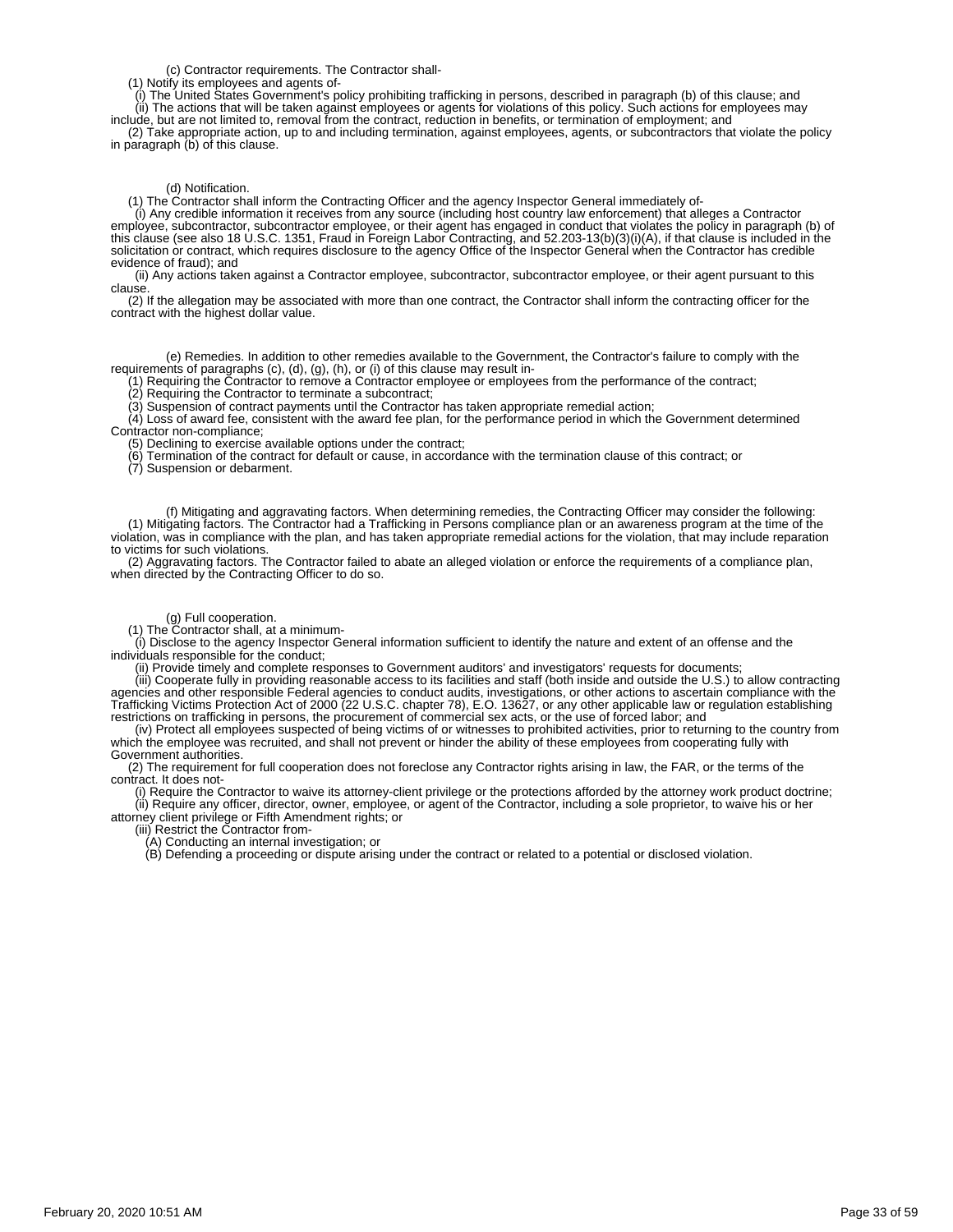(c) Contractor requirements. The Contractor shall-

 (1) Notify its employees and agents of-

 (i) The United States Government's policy prohibiting trafficking in persons, described in paragraph (b) of this clause; and (ii) The actions that will be taken against employees or agents for violations of this policy. Such actions for employees may

include, but are not limited to, removal from the contract, reduction in benefits, or termination of employment; and

 (2) Take appropriate action, up to and including termination, against employees, agents, or subcontractors that violate the policy in paragraph (b) of this clause.

(d) Notification.

 (1) The Contractor shall inform the Contracting Officer and the agency Inspector General immediately of-

 (i) Any credible information it receives from any source (including host country law enforcement) that alleges a Contractor employee, subcontractor, subcontractor employee, or their agent has engaged in conduct that violates the policy in paragraph (b) of this clause (see also 18 U.S.C. 1351, Fraud in Foreign Labor Contracting, and 52.203-13(b)(3)(i)(A), if that clause is included in the solicitation or contract, which requires disclosure to the agency Office of the Inspector General when the Contractor has credible evidence of fraud); and

 (ii) Any actions taken against a Contractor employee, subcontractor, subcontractor employee, or their agent pursuant to this clause.

 (2) If the allegation may be associated with more than one contract, the Contractor shall inform the contracting officer for the contract with the highest dollar value.

 (e) Remedies. In addition to other remedies available to the Government, the Contractor's failure to comply with the requirements of paragraphs (c), (d), (g), (h), or (i) of this clause may result in-

 (1) Requiring the Contractor to remove a Contractor employee or employees from the performance of the contract;

 (2) Requiring the Contractor to terminate a subcontract;

 (3) Suspension of contract payments until the Contractor has taken appropriate remedial action;

 (4) Loss of award fee, consistent with the award fee plan, for the performance period in which the Government determined Contractor non-compliance;

 (5) Declining to exercise available options under the contract;

 (6) Termination of the contract for default or cause, in accordance with the termination clause of this contract; or

 (7) Suspension or debarment.

 (f) Mitigating and aggravating factors. When determining remedies, the Contracting Officer may consider the following: (1) Mitigating factors. The Contractor had a Trafficking in Persons compliance plan or an awareness program at the time of the violation, was in compliance with the plan, and has taken appropriate remedial actions for the violation, that may include reparation

to victims for such violations.

 (2) Aggravating factors. The Contractor failed to abate an alleged violation or enforce the requirements of a compliance plan, when directed by the Contracting Officer to do so.

(g) Full cooperation.

 (1) The Contractor shall, at a minimum-

 (i) Disclose to the agency Inspector General information sufficient to identify the nature and extent of an offense and the individuals responsible for the conduct;

 (ii) Provide timely and complete responses to Government auditors' and investigators' requests for documents;

 (iii) Cooperate fully in providing reasonable access to its facilities and staff (both inside and outside the U.S.) to allow contracting agencies and other responsible Federal agencies to conduct audits, investigations, or other actions to ascertain compliance with the Trafficking Victims Protection Act of 2000 (22 U.S.C. chapter 78), E.O. 13627, or any other applicable law or regulation establishing restrictions on trafficking in persons, the procurement of commercial sex acts, or the use of forced labor; and

 (iv) Protect all employees suspected of being victims of or witnesses to prohibited activities, prior to returning to the country from which the employee was recruited, and shall not prevent or hinder the ability of these employees from cooperating fully with Government authorities.

 (2) The requirement for full cooperation does not foreclose any Contractor rights arising in law, the FAR, or the terms of the contract. It does not-

 (i) Require the Contractor to waive its attorney-client privilege or the protections afforded by the attorney work product doctrine; (ii) Require any officer, director, owner, employee, or agent of the Contractor, including a sole proprietor, to waive his or her attorney client privilege or Fifth Amendment rights; or

 (iii) Restrict the Contractor from-

 (A) Conducting an internal investigation; or

 (B) Defending a proceeding or dispute arising under the contract or related to a potential or disclosed violation.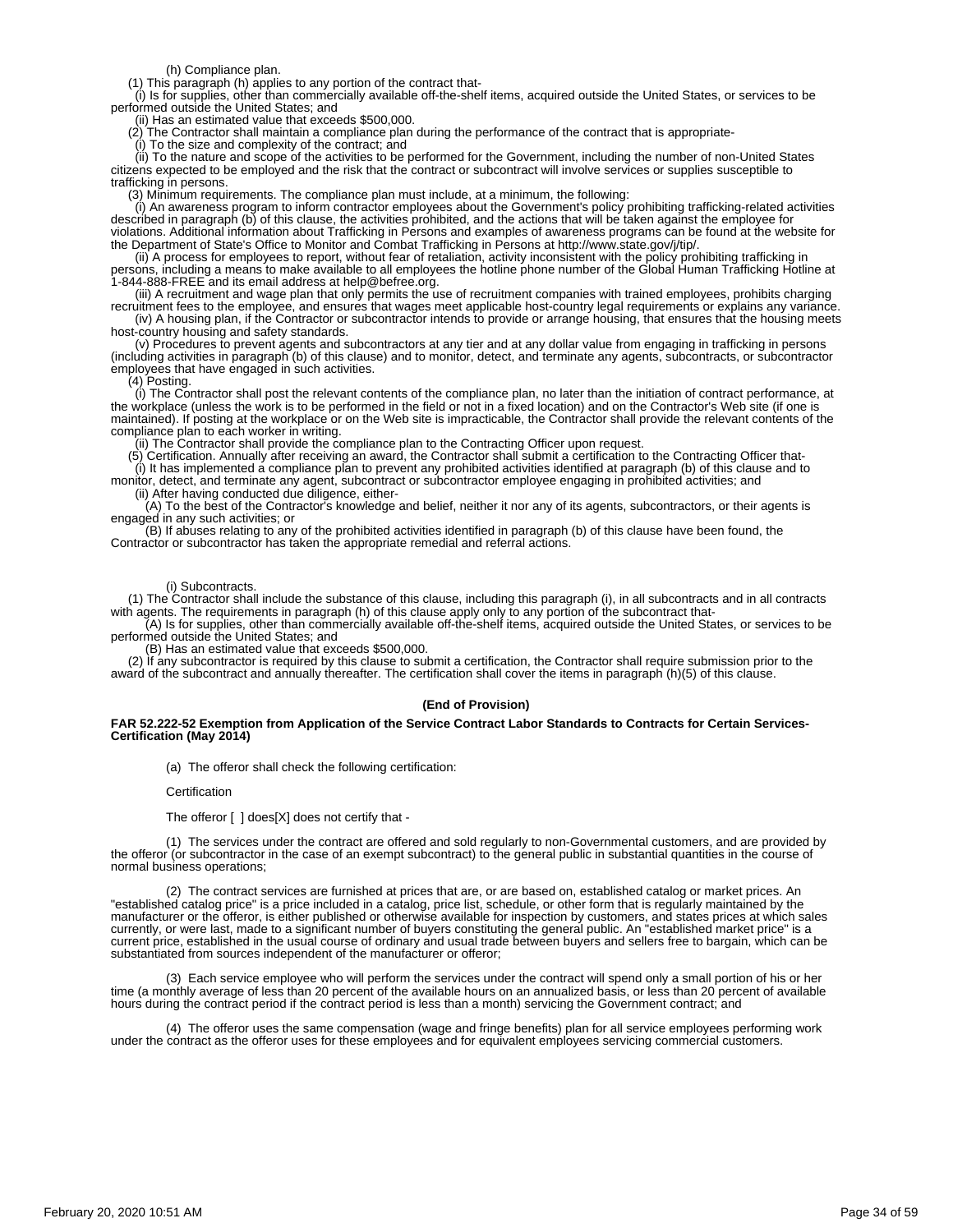(h) Compliance plan.

 (1) This paragraph (h) applies to any portion of the contract that-

 (i) Is for supplies, other than commercially available off-the-shelf items, acquired outside the United States, or services to be performed outside the United States; and

 (ii) Has an estimated value that exceeds \$500,000.

 (2) The Contractor shall maintain a compliance plan during the performance of the contract that is appropriate-

 (i) To the size and complexity of the contract; and

 (ii) To the nature and scope of the activities to be performed for the Government, including the number of non-United States citizens expected to be employed and the risk that the contract or subcontract will involve services or supplies susceptible to trafficking in persons.

 (3) Minimum requirements. The compliance plan must include, at a minimum, the following:

 (i) An awareness program to inform contractor employees about the Government's policy prohibiting trafficking-related activities described in paragraph (b) of this clause, the activities prohibited, and the actions that will be taken against the employee for violations. Additional information about Trafficking in Persons and examples of awareness programs can be found at the website for the Department of State's Office to Monitor and Combat Trafficking in Persons at http://www.state.gov/j/tip/.

 (ii) A process for employees to report, without fear of retaliation, activity inconsistent with the policy prohibiting trafficking in persons, including a means to make available to all employees the hotline phone number of the Global Human Trafficking Hotline at 1-844-888-FREE and its email address at help@befree.org.

 (iii) A recruitment and wage plan that only permits the use of recruitment companies with trained employees, prohibits charging recruitment fees to the employee, and ensures that wages meet applicable host-country legal requirements or explains any variance.

 (iv) A housing plan, if the Contractor or subcontractor intends to provide or arrange housing, that ensures that the housing meets host-country housing and safety standards.

 (v) Procedures to prevent agents and subcontractors at any tier and at any dollar value from engaging in trafficking in persons (including activities in paragraph (b) of this clause) and to monitor, detect, and terminate any agents, subcontracts, or subcontractor employees that have engaged in such activities.

 (4) Posting.

 (i) The Contractor shall post the relevant contents of the compliance plan, no later than the initiation of contract performance, at the workplace (unless the work is to be performed in the field or not in a fixed location) and on the Contractor's Web site (if one is maintained). If posting at the workplace or on the Web site is impracticable, the Contractor shall provide the relevant contents of the compliance plan to each worker in writing.

 (ii) The Contractor shall provide the compliance plan to the Contracting Officer upon request.

 (5) Certification. Annually after receiving an award, the Contractor shall submit a certification to the Contracting Officer that- (i) It has implemented a compliance plan to prevent any prohibited activities identified at paragraph (b) of this clause and to monitor, detect, and terminate any agent, subcontract or subcontractor employee engaging in prohibited activities; and (ii) After having conducted due diligence, either-

 (A) To the best of the Contractor's knowledge and belief, neither it nor any of its agents, subcontractors, or their agents is engaged in any such activities; or

 (B) If abuses relating to any of the prohibited activities identified in paragraph (b) of this clause have been found, the Contractor or subcontractor has taken the appropriate remedial and referral actions.

(i) Subcontracts.

 (1) The Contractor shall include the substance of this clause, including this paragraph (i), in all subcontracts and in all contracts with agents. The requirements in paragraph (h) of this clause apply only to any portion of the subcontract that-

 (A) Is for supplies, other than commercially available off-the-shelf items, acquired outside the United States, or services to be performed outside the United States; and

 (B) Has an estimated value that exceeds \$500,000.

 (2) If any subcontractor is required by this clause to submit a certification, the Contractor shall require submission prior to the award of the subcontract and annually thereafter. The certification shall cover the items in paragraph (h)(5) of this clause.

# **(End of Provision)**

#### **FAR 52.222-52 Exemption from Application of the Service Contract Labor Standards to Contracts for Certain Services-Certification (May 2014)**

(a) The offeror shall check the following certification:

**Certification** 

The offeror  $\lceil \ \rceil$  does $[X]$  does not certify that -

 (1) The services under the contract are offered and sold regularly to non-Governmental customers, and are provided by the offeror (or subcontractor in the case of an exempt subcontract) to the general public in substantial quantities in the course of normal business operations;

 (2) The contract services are furnished at prices that are, or are based on, established catalog or market prices. An "established catalog price" is a price included in a catalog, price list, schedule, or other form that is regularly maintained by the manufacturer or the offeror, is either published or otherwise available for inspection by customers, and states prices at which sales currently, or were last, made to a significant number of buyers constituting the general public. An "established market price" is a current price, established in the usual course of ordinary and usual trade between buyers and sellers free to bargain, which can be substantiated from sources independent of the manufacturer or offeror;

 (3) Each service employee who will perform the services under the contract will spend only a small portion of his or her time (a monthly average of less than 20 percent of the available hours on an annualized basis, or less than 20 percent of available hours during the contract period if the contract period is less than a month) servicing the Government contract; and

 (4) The offeror uses the same compensation (wage and fringe benefits) plan for all service employees performing work under the contract as the offeror uses for these employees and for equivalent employees servicing commercial customers.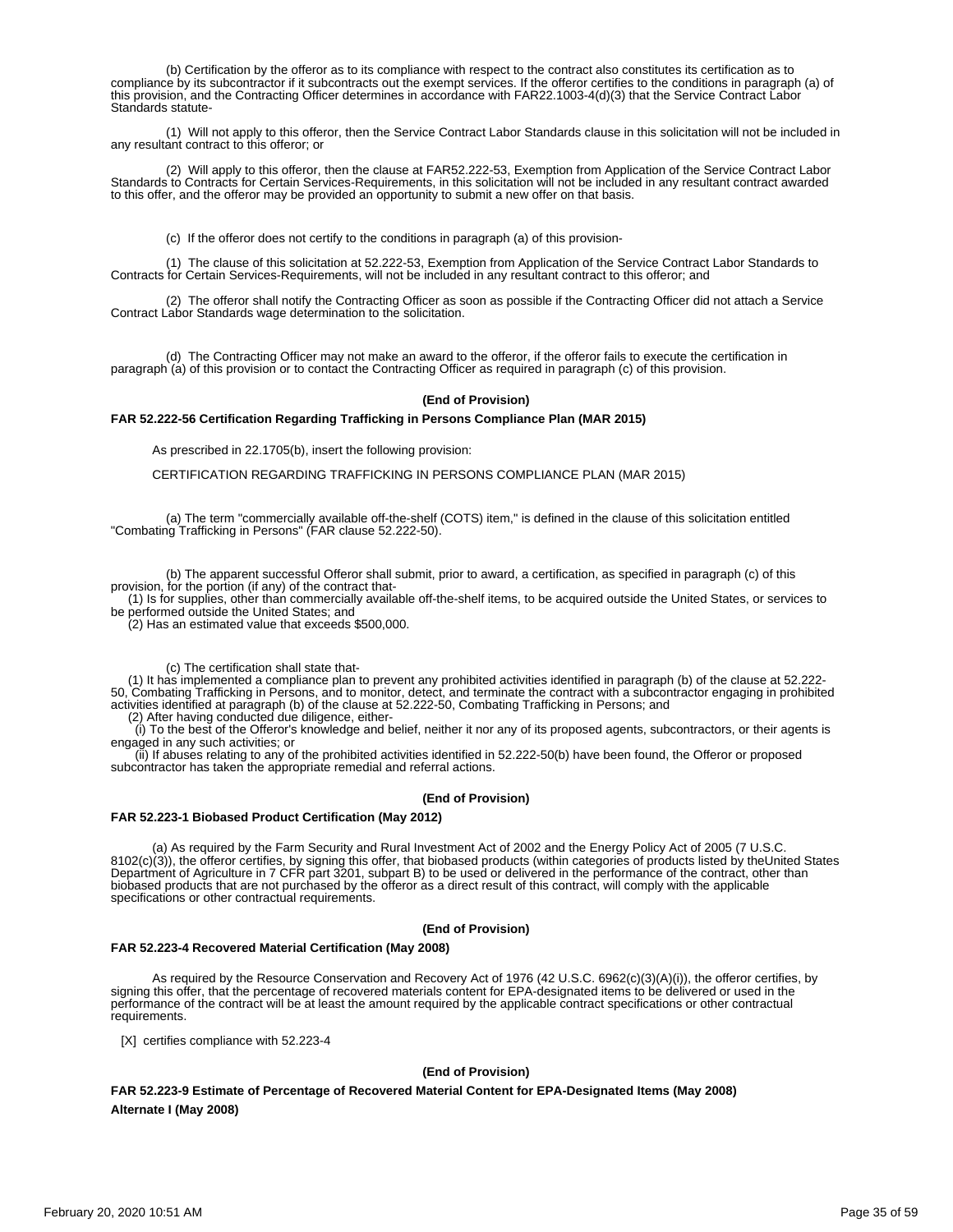(b) Certification by the offeror as to its compliance with respect to the contract also constitutes its certification as to compliance by its subcontractor if it subcontracts out the exempt services. If the offeror certifies to the conditions in paragraph (a) of this provision, and the Contracting Officer determines in accordance with FAR22.1003-4(d)(3) that the Service Contract Labor Standards statute-

 (1) Will not apply to this offeror, then the Service Contract Labor Standards clause in this solicitation will not be included in any resultant contract to this offeror; or

 (2) Will apply to this offeror, then the clause at FAR52.222-53, Exemption from Application of the Service Contract Labor Standards to Contracts for Certain Services-Requirements, in this solicitation will not be included in any resultant contract awarded to this offer, and the offeror may be provided an opportunity to submit a new offer on that basis.

(c) If the offeror does not certify to the conditions in paragraph (a) of this provision-

 (1) The clause of this solicitation at 52.222-53, Exemption from Application of the Service Contract Labor Standards to Contracts for Certain Services-Requirements, will not be included in any resultant contract to this offeror; and

 (2) The offeror shall notify the Contracting Officer as soon as possible if the Contracting Officer did not attach a Service Contract Labor Standards wage determination to the solicitation.

 (d) The Contracting Officer may not make an award to the offeror, if the offeror fails to execute the certification in paragraph (a) of this provision or to contact the Contracting Officer as required in paragraph (c) of this provision.

# **(End of Provision)**

# **FAR 52.222-56 Certification Regarding Trafficking in Persons Compliance Plan (MAR 2015)**

As prescribed in 22.1705(b), insert the following provision:

CERTIFICATION REGARDING TRAFFICKING IN PERSONS COMPLIANCE PLAN (MAR 2015)

 (a) The term "commercially available off-the-shelf (COTS) item," is defined in the clause of this solicitation entitled "Combating Trafficking in Persons" (FAR clause 52.222-50).

 (b) The apparent successful Offeror shall submit, prior to award, a certification, as specified in paragraph (c) of this provision, for the portion (if any) of the contract that-

 (1) Is for supplies, other than commercially available off-the-shelf items, to be acquired outside the United States, or services to be performed outside the United States; and

 (2) Has an estimated value that exceeds \$500,000.

(c) The certification shall state that-

 (1) It has implemented a compliance plan to prevent any prohibited activities identified in paragraph (b) of the clause at 52.222- 50, Combating Trafficking in Persons, and to monitor, detect, and terminate the contract with a subcontractor engaging in prohibited activities identified at paragraph (b) of the clause at 52.222-50, Combating Trafficking in Persons; and

 (2) After having conducted due diligence, either-

 (i) To the best of the Offeror's knowledge and belief, neither it nor any of its proposed agents, subcontractors, or their agents is engaged in any such activities; or

 (ii) If abuses relating to any of the prohibited activities identified in 52.222-50(b) have been found, the Offeror or proposed subcontractor has taken the appropriate remedial and referral actions.

# **(End of Provision)**

# **FAR 52.223-1 Biobased Product Certification (May 2012)**

 (a) As required by the Farm Security and Rural Investment Act of 2002 and the Energy Policy Act of 2005 (7 U.S.C. 8102(c)(3)), the offeror certifies, by signing this offer, that biobased products (within categories of products listed by theUnited States Department of Agriculture in 7 CFR part 3201, subpart B) to be used or delivered in the performance of the contract, other than biobased products that are not purchased by the offeror as a direct result of this contract, will comply with the applicable specifications or other contractual requirements.

# **(End of Provision)**

# **FAR 52.223-4 Recovered Material Certification (May 2008)**

 As required by the Resource Conservation and Recovery Act of 1976 (42 U.S.C. 6962(c)(3)(A)(i)), the offeror certifies, by signing this offer, that the percentage of recovered materials content for EPA-designated items to be delivered or used in the performance of the contract will be at least the amount required by the applicable contract specifications or other contractual requirements.

[X] certifies compliance with 52.223-4

# **(End of Provision)**

# **FAR 52.223-9 Estimate of Percentage of Recovered Material Content for EPA-Designated Items (May 2008) Alternate I (May 2008)**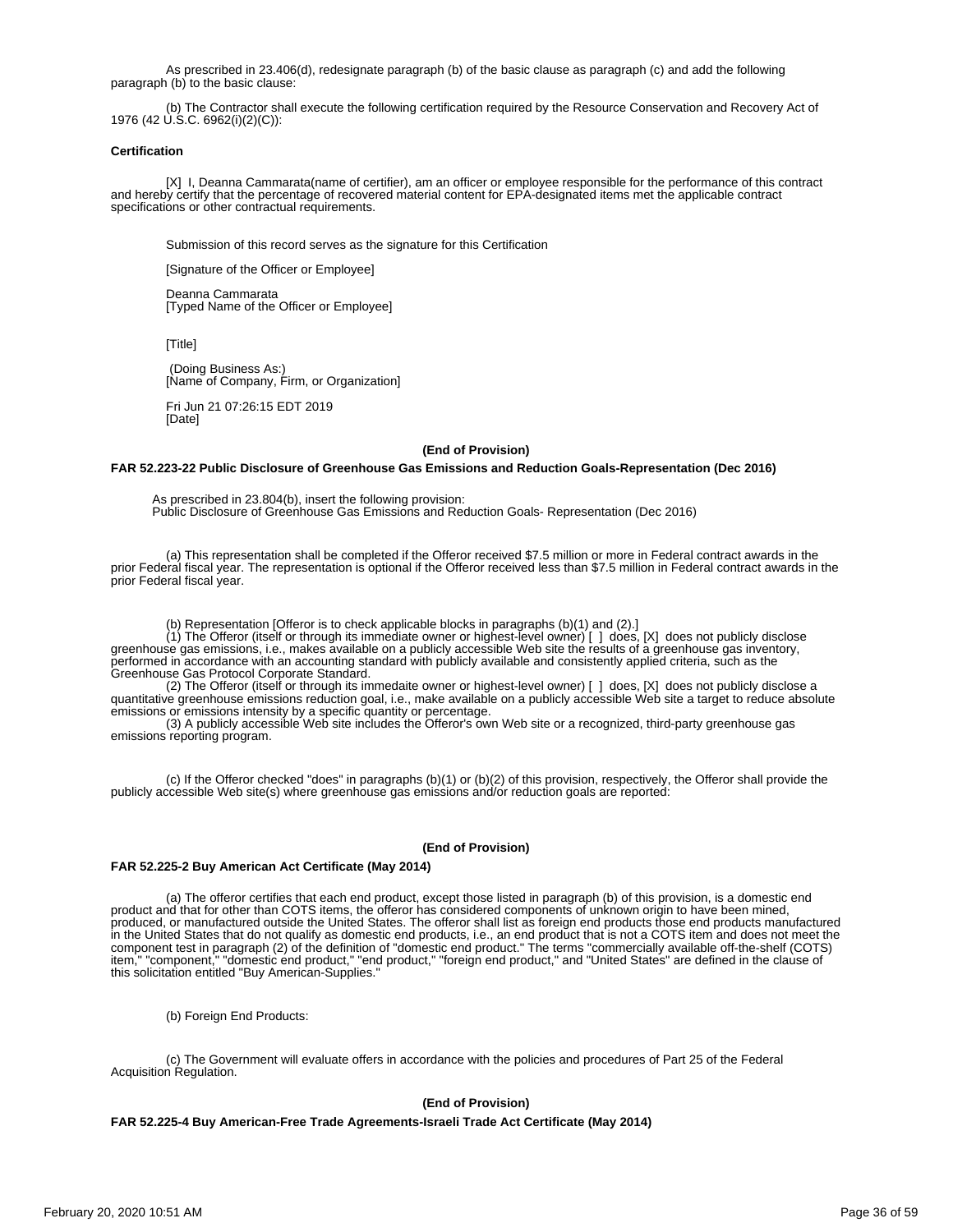As prescribed in 23.406(d), redesignate paragraph (b) of the basic clause as paragraph (c) and add the following paragraph (b) to the basic clause:

 (b) The Contractor shall execute the following certification required by the Resource Conservation and Recovery Act of 1976 (42 U.S.C. 6962(i)(2)(C)):

# **Certification**

 [X] I, Deanna Cammarata(name of certifier), am an officer or employee responsible for the performance of this contract and hereby certify that the percentage of recovered material content for EPA-designated items met the applicable contract specifications or other contractual requirements.

Submission of this record serves as the signature for this Certification

[Signature of the Officer or Employee]

 Deanna Cammarata [Typed Name of the Officer or Employee]

[Title]

 (Doing Business As:) [Name of Company, Firm, or Organization]

 Fri Jun 21 07:26:15 EDT 2019 [Date]

#### **(End of Provision)**

# **FAR 52.223-22 Public Disclosure of Greenhouse Gas Emissions and Reduction Goals-Representation (Dec 2016)**

 As prescribed in 23.804(b), insert the following provision: Public Disclosure of Greenhouse Gas Emissions and Reduction Goals- Representation (Dec 2016)

 (a) This representation shall be completed if the Offeror received \$7.5 million or more in Federal contract awards in the prior Federal fiscal year. The representation is optional if the Offeror received less than \$7.5 million in Federal contract awards in the prior Federal fiscal year.

(b) Representation [Offeror is to check applicable blocks in paragraphs (b)(1) and (2).]

 (1) The Offeror (itself or through its immediate owner or highest-level owner) [ ] does, [X] does not publicly disclose greenhouse gas emissions, i.e., makes available on a publicly accessible Web site the results of a greenhouse gas inventory, performed in accordance with an accounting standard with publicly available and consistently applied criteria, such as the Greenhouse Gas Protocol Corporate Standard.

 (2) The Offeror (itself or through its immedaite owner or highest-level owner) [ ] does, [X] does not publicly disclose a quantitative greenhouse emissions reduction goal, i.e., make available on a publicly accessible Web site a target to reduce absolute emissions or emissions intensity by a specific quantity or percentage.

 (3) A publicly accessible Web site includes the Offeror's own Web site or a recognized, third-party greenhouse gas emissions reporting program.

 (c) If the Offeror checked "does" in paragraphs (b)(1) or (b)(2) of this provision, respectively, the Offeror shall provide the publicly accessible Web site(s) where greenhouse gas emissions and/or reduction goals are reported:

# **(End of Provision)**

### **FAR 52.225-2 Buy American Act Certificate (May 2014)**

 (a) The offeror certifies that each end product, except those listed in paragraph (b) of this provision, is a domestic end product and that for other than COTS items, the offeror has considered components of unknown origin to have been mined, produced, or manufactured outside the United States. The offeror shall list as foreign end products those end products manufactured in the United States that do not qualify as domestic end products, i.e., an end product that is not a COTS item and does not meet the component test in paragraph (2) of the definition of "domestic end product." The terms "commercially available off-the-shelf (COTS) item," "component," "domestic end product," "end product," "foreign end product," and "United States" are defined in the clause of this solicitation entitled "Buy American-Supplies."

(b) Foreign End Products:

 (c) The Government will evaluate offers in accordance with the policies and procedures of Part 25 of the Federal Acquisition Regulation.

# **(End of Provision)**

# **FAR 52.225-4 Buy American-Free Trade Agreements-Israeli Trade Act Certificate (May 2014)**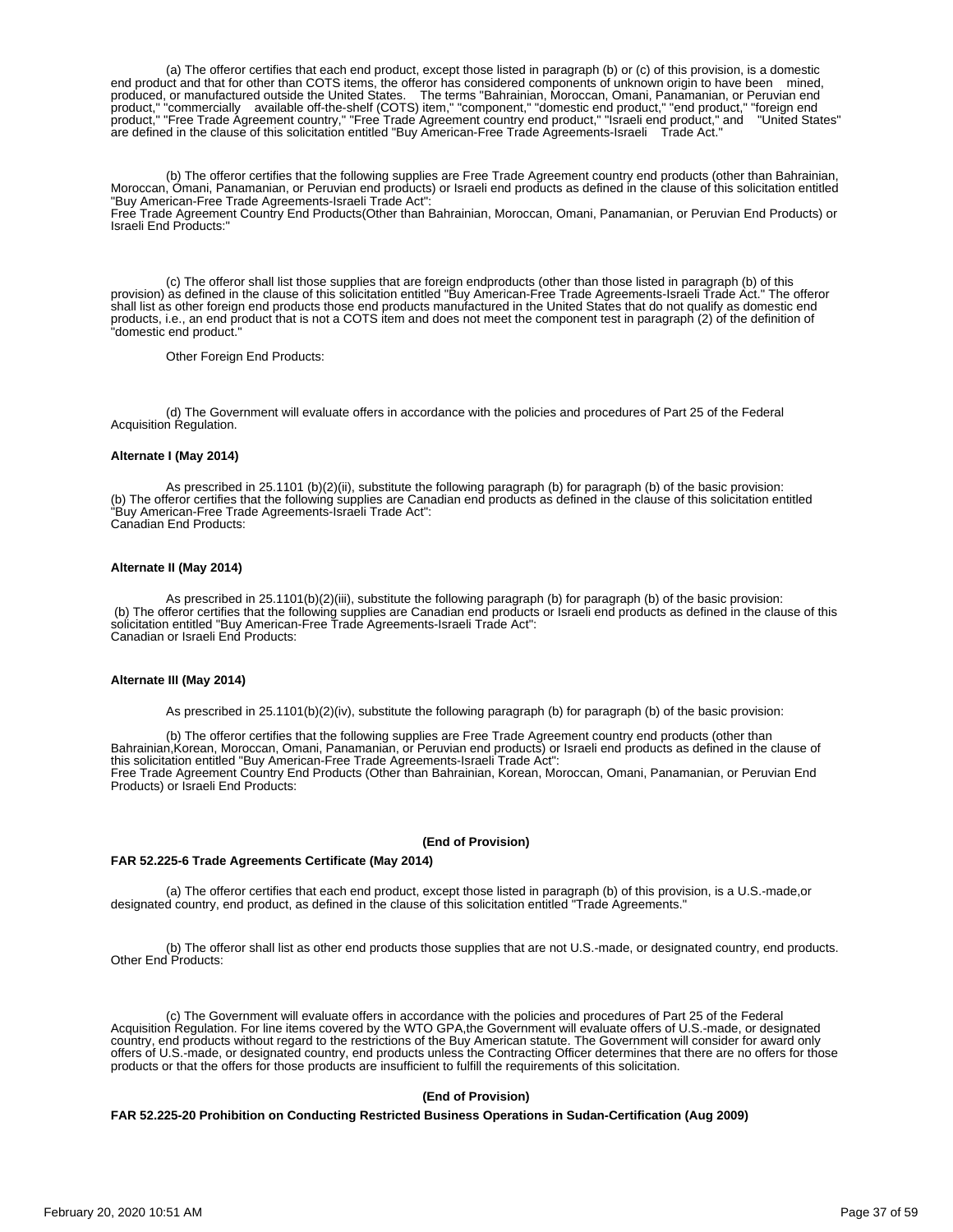(a) The offeror certifies that each end product, except those listed in paragraph (b) or (c) of this provision, is a domestic end product and that for other than COTS items, the offeror has considered components of unknown origin to have been mined, produced, or manufactured outside the United States. The terms "Bahrainian, Moroccan, Omani, Panamanian, or Peruvian end product," "commercially available off-the-shelf (COTS) item," "component," "domestic end product," "end product," "foreign end product," "Free Trade Agreement country," "Free Trade Agreement country end product," "Israeli end product," and "United States" are defined in the clause of this solicitation entitled "Buy American-Free Trade Agreements-Israeli Trade Act."

 (b) The offeror certifies that the following supplies are Free Trade Agreement country end products (other than Bahrainian, Moroccan, Omani, Panamanian, or Peruvian end products) or Israeli end products as defined in the clause of this solicitation entitled "Buy American-Free Trade Agreements-Israeli Trade Act": Free Trade Agreement Country End Products(Other than Bahrainian, Moroccan, Omani, Panamanian, or Peruvian End Products) or Israeli End Products:"

 (c) The offeror shall list those supplies that are foreign endproducts (other than those listed in paragraph (b) of this provision) as defined in the clause of this solicitation entitled "Buy American-Free Trade Agreements-Israeli Trade Act." The offeror shall list as other foreign end products those end products manufactured in the United States that do not qualify as domestic end products, i.e., an end product that is not a COTS item and does not meet the component test in paragraph (2) of the definition of "domestic end product."

Other Foreign End Products:

 (d) The Government will evaluate offers in accordance with the policies and procedures of Part 25 of the Federal Acquisition Regulation.

#### **Alternate I (May 2014)**

As prescribed in 25.1101 (b)(2)(ii), substitute the following paragraph (b) for paragraph (b) of the basic provision: (b) The offeror certifies that the following supplies are Canadian end products as defined in the clause of this solicitation entitled "Buy American-Free Trade Agreements-Israeli Trade Act": Canadian End Products:

#### **Alternate II (May 2014)**

 As prescribed in 25.1101(b)(2)(iii), substitute the following paragraph (b) for paragraph (b) of the basic provision: (b) The offeror certifies that the following supplies are Canadian end products or Israeli end products as defined in the clause of this solicitation entitled "Buy American-Free Trade Agreements-Israeli Trade Act": Canadian or Israeli End Products:

#### **Alternate III (May 2014)**

As prescribed in 25.1101(b)(2)(iv), substitute the following paragraph (b) for paragraph (b) of the basic provision:

 (b) The offeror certifies that the following supplies are Free Trade Agreement country end products (other than Bahrainian,Korean, Moroccan, Omani, Panamanian, or Peruvian end products) or Israeli end products as defined in the clause of this solicitation entitled "Buy American-Free Trade Agreements-Israeli Trade Act": Free Trade Agreement Country End Products (Other than Bahrainian, Korean, Moroccan, Omani, Panamanian, or Peruvian End Products) or Israeli End Products:

#### **(End of Provision)**

#### **FAR 52.225-6 Trade Agreements Certificate (May 2014)**

 (a) The offeror certifies that each end product, except those listed in paragraph (b) of this provision, is a U.S.-made,or designated country, end product, as defined in the clause of this solicitation entitled "Trade Agreements."

 (b) The offeror shall list as other end products those supplies that are not U.S.-made, or designated country, end products. Other End Products:

 (c) The Government will evaluate offers in accordance with the policies and procedures of Part 25 of the Federal Acquisition Regulation. For line items covered by the WTO GPA,the Government will evaluate offers of U.S.-made, or designated country, end products without regard to the restrictions of the Buy American statute. The Government will consider for award only offers of U.S.-made, or designated country, end products unless the Contracting Officer determines that there are no offers for those products or that the offers for those products are insufficient to fulfill the requirements of this solicitation.

# **(End of Provision)**

#### **FAR 52.225-20 Prohibition on Conducting Restricted Business Operations in Sudan-Certification (Aug 2009)**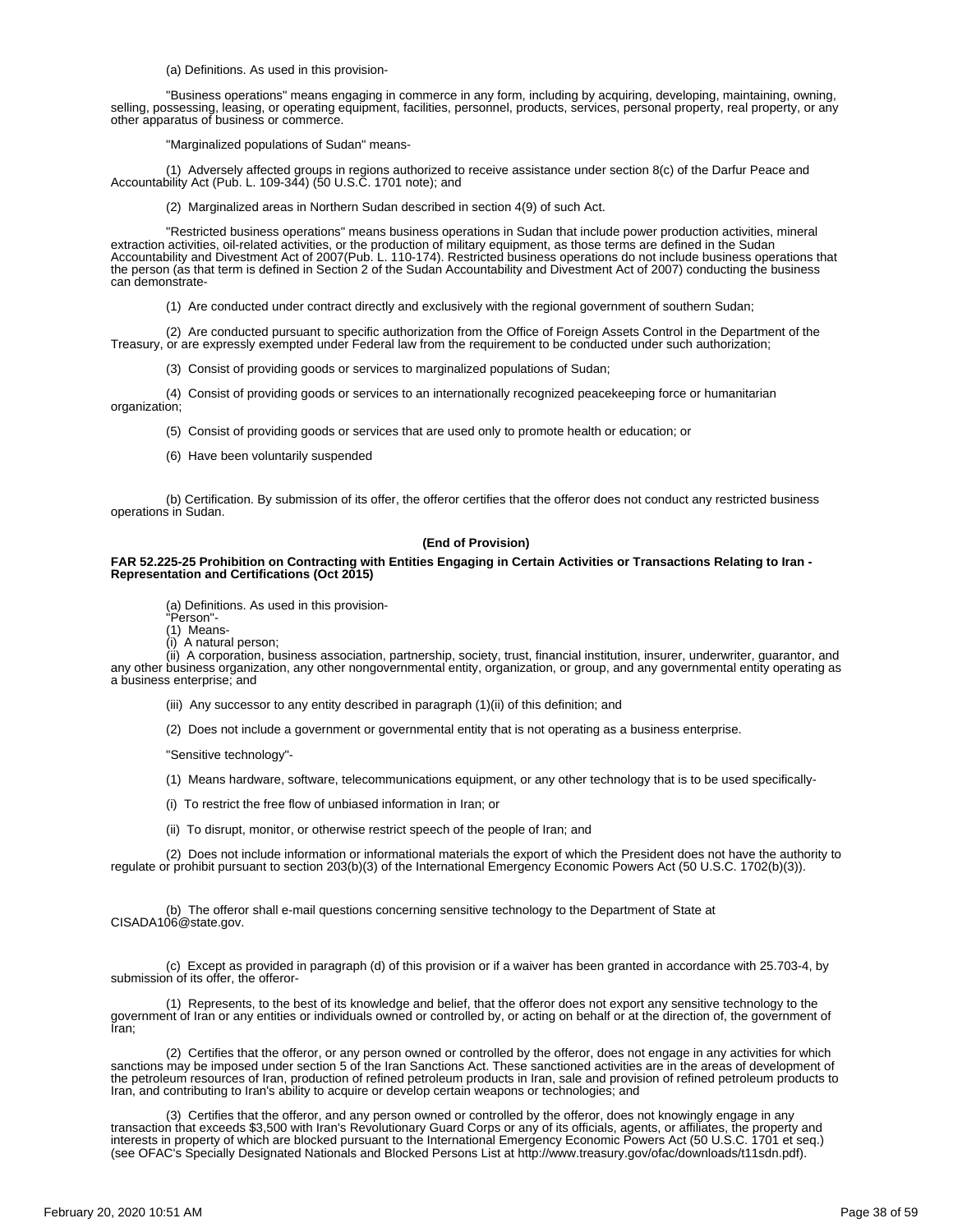(a) Definitions. As used in this provision-

 "Business operations" means engaging in commerce in any form, including by acquiring, developing, maintaining, owning, selling, possessing, leasing, or operating equipment, facilities, personnel, products, services, personal property, real property, or any other apparatus of business or commerce.

"Marginalized populations of Sudan" means-

 (1) Adversely affected groups in regions authorized to receive assistance under section 8(c) of the Darfur Peace and Accountability Act (Pub. L. 109-344) (50 U.S.C. 1701 note); and

(2) Marginalized areas in Northern Sudan described in section 4(9) of such Act.

 "Restricted business operations" means business operations in Sudan that include power production activities, mineral extraction activities, oil-related activities, or the production of military equipment, as those terms are defined in the Sudan Accountability and Divestment Act of 2007(Pub. L. 110-174). Restricted business operations do not include business operations that the person (as that term is defined in Section 2 of the Sudan Accountability and Divestment Act of 2007) conducting the business can demonstrate-

(1) Are conducted under contract directly and exclusively with the regional government of southern Sudan;

 (2) Are conducted pursuant to specific authorization from the Office of Foreign Assets Control in the Department of the Treasury, or are expressly exempted under Federal law from the requirement to be conducted under such authorization;

(3) Consist of providing goods or services to marginalized populations of Sudan;

 (4) Consist of providing goods or services to an internationally recognized peacekeeping force or humanitarian organization;

(5) Consist of providing goods or services that are used only to promote health or education; or

(6) Have been voluntarily suspended

 (b) Certification. By submission of its offer, the offeror certifies that the offeror does not conduct any restricted business operations in Sudan.

# **(End of Provision)**

### **FAR 52.225-25 Prohibition on Contracting with Entities Engaging in Certain Activities or Transactions Relating to Iran - Representation and Certifications (Oct 2015)**

(a) Definitions. As used in this provision-

"Person"-

(1) Means-

(i) A natural person;

 (ii) A corporation, business association, partnership, society, trust, financial institution, insurer, underwriter, guarantor, and any other business organization, any other nongovernmental entity, organization, or group, and any governmental entity operating as a business enterprise; and

(iii) Any successor to any entity described in paragraph (1)(ii) of this definition; and

(2) Does not include a government or governmental entity that is not operating as a business enterprise.

"Sensitive technology"-

(1) Means hardware, software, telecommunications equipment, or any other technology that is to be used specifically-

- (i) To restrict the free flow of unbiased information in Iran; or
- (ii) To disrupt, monitor, or otherwise restrict speech of the people of Iran; and

 (2) Does not include information or informational materials the export of which the President does not have the authority to regulate or prohibit pursuant to section 203(b)(3) of the International Emergency Economic Powers Act (50 U.S.C. 1702(b)(3)).

 (b) The offeror shall e-mail questions concerning sensitive technology to the Department of State at CISADA106@state.gov.

 (c) Except as provided in paragraph (d) of this provision or if a waiver has been granted in accordance with 25.703-4, by submission of its offer, the offeror-

 (1) Represents, to the best of its knowledge and belief, that the offeror does not export any sensitive technology to the government of Iran or any entities or individuals owned or controlled by, or acting on behalf or at the direction of, the government of Iran;

 (2) Certifies that the offeror, or any person owned or controlled by the offeror, does not engage in any activities for which sanctions may be imposed under section 5 of the Iran Sanctions Act. These sanctioned activities are in the areas of development of the petroleum resources of Iran, production of refined petroleum products in Iran, sale and provision of refined petroleum products to Iran, and contributing to Iran's ability to acquire or develop certain weapons or technologies; and

 (3) Certifies that the offeror, and any person owned or controlled by the offeror, does not knowingly engage in any transaction that exceeds \$3,500 with Iran's Revolutionary Guard Corps or any of its officials, agents, or affiliates, the property and interests in property of which are blocked pursuant to the International Emergency Economic Powers Act (50 U.S.C. 1701 et seq.) (see OFAC's Specially Designated Nationals and Blocked Persons List at http://www.treasury.gov/ofac/downloads/t11sdn.pdf).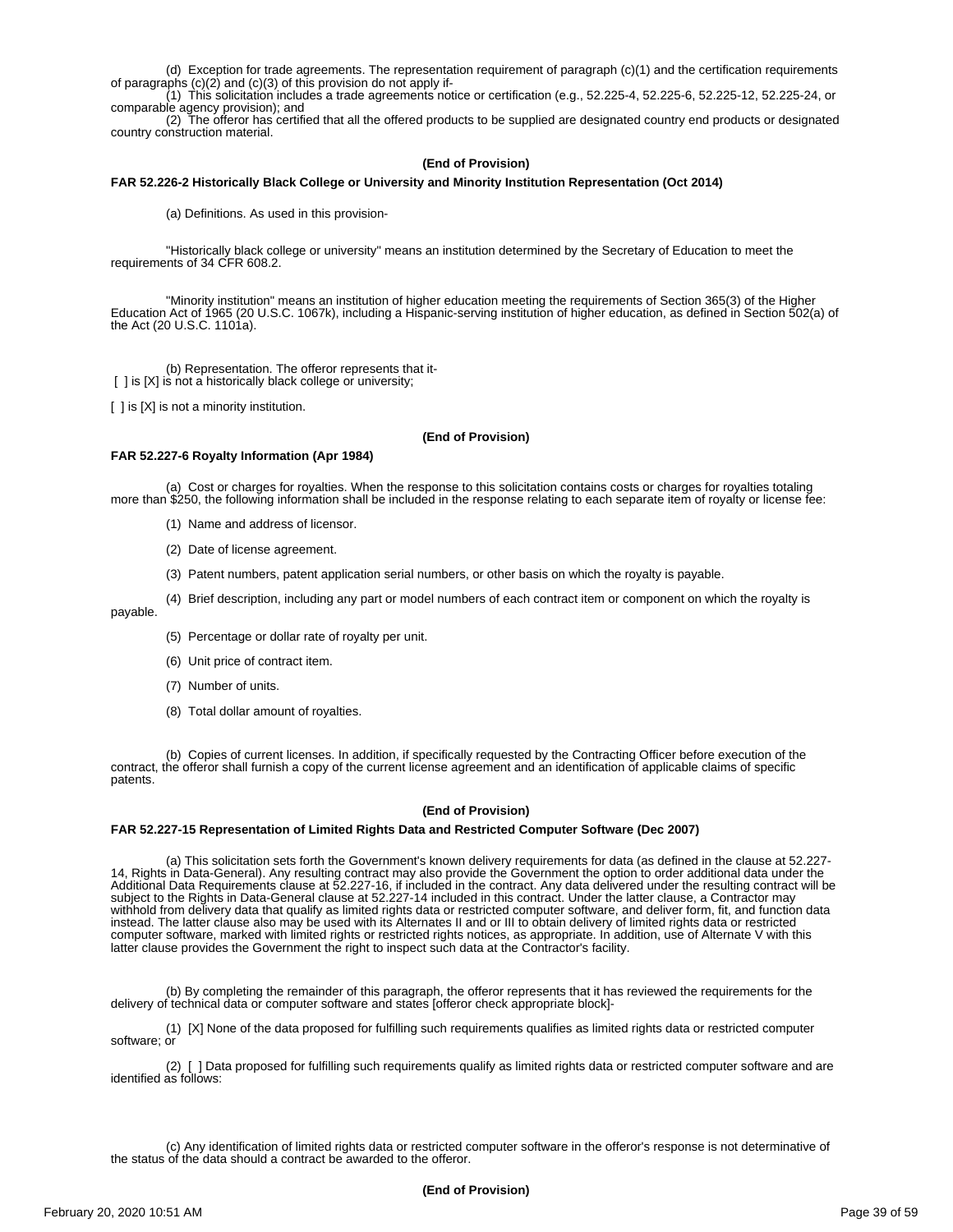(d) Exception for trade agreements. The representation requirement of paragraph (c)(1) and the certification requirements of paragraphs (c)(2) and (c)(3) of this provision do not apply if-

 (1) This solicitation includes a trade agreements notice or certification (e.g., 52.225-4, 52.225-6, 52.225-12, 52.225-24, or comparable agency provision); and

 (2) The offeror has certified that all the offered products to be supplied are designated country end products or designated country construction material.

# **(End of Provision)**

### **FAR 52.226-2 Historically Black College or University and Minority Institution Representation (Oct 2014)**

(a) Definitions. As used in this provision-

 "Historically black college or university" means an institution determined by the Secretary of Education to meet the requirements of 34 CFR 608.2.

 "Minority institution" means an institution of higher education meeting the requirements of Section 365(3) of the Higher Education Act of 1965 (20 U.S.C. 1067k), including a Hispanic-serving institution of higher education, as defined in Section 502(a) of the Act (20 U.S.C. 1101a).

 (b) Representation. The offeror represents that it- [ ] is [X] is not a historically black college or university;

[ ] is  $[X]$  is not a minority institution.

#### **(End of Provision)**

#### **FAR 52.227-6 Royalty Information (Apr 1984)**

 (a) Cost or charges for royalties. When the response to this solicitation contains costs or charges for royalties totaling more than \$250, the following information shall be included in the response relating to each separate item of royalty or license fee:

- (1) Name and address of licensor.
- (2) Date of license agreement.
- (3) Patent numbers, patent application serial numbers, or other basis on which the royalty is payable.

 (4) Brief description, including any part or model numbers of each contract item or component on which the royalty is payable.

- (5) Percentage or dollar rate of royalty per unit.
- (6) Unit price of contract item.
- (7) Number of units.
- (8) Total dollar amount of royalties.

 (b) Copies of current licenses. In addition, if specifically requested by the Contracting Officer before execution of the contract, the offeror shall furnish a copy of the current license agreement and an identification of applicable claims of specific patents.

#### **(End of Provision)**

# **FAR 52.227-15 Representation of Limited Rights Data and Restricted Computer Software (Dec 2007)**

 (a) This solicitation sets forth the Government's known delivery requirements for data (as defined in the clause at 52.227- 14, Rights in Data-General). Any resulting contract may also provide the Government the option to order additional data under the Additional Data Requirements clause at 52.227-16, if included in the contract. Any data delivered under the resulting contract will be subject to the Rights in Data-General clause at 52.227-14 included in this contract. Under the latter clause, a Contractor may withhold from delivery data that qualify as limited rights data or restricted computer software, and deliver form, fit, and function data instead. The latter clause also may be used with its Alternates II and or III to obtain delivery of limited rights data or restricted computer software, marked with limited rights or restricted rights notices, as appropriate. In addition, use of Alternate V with this latter clause provides the Government the right to inspect such data at the Contractor's facility.

 (b) By completing the remainder of this paragraph, the offeror represents that it has reviewed the requirements for the delivery of technical data or computer software and states [offeror check appropriate block]-

 (1) [X] None of the data proposed for fulfilling such requirements qualifies as limited rights data or restricted computer software; or

 (2) [ ] Data proposed for fulfilling such requirements qualify as limited rights data or restricted computer software and are identified as follows:

 (c) Any identification of limited rights data or restricted computer software in the offeror's response is not determinative of the status of the data should a contract be awarded to the offeror.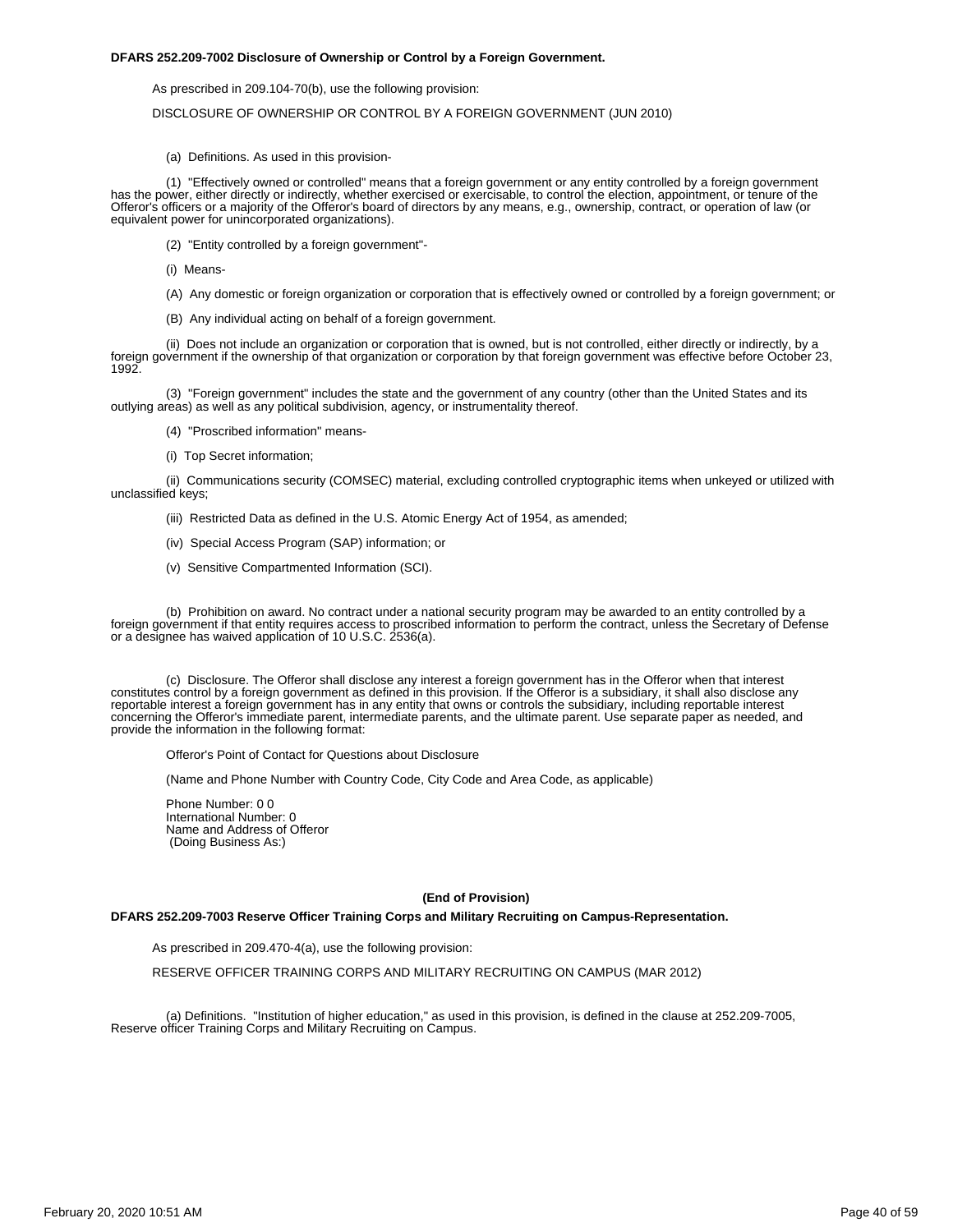#### **DFARS 252.209-7002 Disclosure of Ownership or Control by a Foreign Government.**

As prescribed in 209.104-70(b), use the following provision:

### DISCLOSURE OF OWNERSHIP OR CONTROL BY A FOREIGN GOVERNMENT (JUN 2010)

(a) Definitions. As used in this provision-

 (1) "Effectively owned or controlled" means that a foreign government or any entity controlled by a foreign government has the power, either directly or indirectly, whether exercised or exercisable, to control the election, appointment, or tenure of the Offeror's officers or a majority of the Offeror's board of directors by any means, e.g., ownership, contract, or operation of law (or equivalent power for unincorporated organizations).

- (2) "Entity controlled by a foreign government"-
- (i) Means-
- (A) Any domestic or foreign organization or corporation that is effectively owned or controlled by a foreign government; or
- (B) Any individual acting on behalf of a foreign government.

 (ii) Does not include an organization or corporation that is owned, but is not controlled, either directly or indirectly, by a foreign government if the ownership of that organization or corporation by that foreign government was effective before October 23, 1992.

 (3) "Foreign government" includes the state and the government of any country (other than the United States and its outlying areas) as well as any political subdivision, agency, or instrumentality thereof.

(4) "Proscribed information" means-

(i) Top Secret information;

 (ii) Communications security (COMSEC) material, excluding controlled cryptographic items when unkeyed or utilized with unclassified keys;

- (iii) Restricted Data as defined in the U.S. Atomic Energy Act of 1954, as amended;
- (iv) Special Access Program (SAP) information; or
- (v) Sensitive Compartmented Information (SCI).

 (b) Prohibition on award. No contract under a national security program may be awarded to an entity controlled by a foreign government if that entity requires access to proscribed information to perform the contract, unless the Secretary of Defense or a designee has waived application of 10 U.S.C. 2536(a).

 (c) Disclosure. The Offeror shall disclose any interest a foreign government has in the Offeror when that interest constitutes control by a foreign government as defined in this provision. If the Offeror is a subsidiary, it shall also disclose any reportable interest a foreign government has in any entity that owns or controls the subsidiary, including reportable interest concerning the Offeror's immediate parent, intermediate parents, and the ultimate parent. Use separate paper as needed, and provide the information in the following format:

Offeror's Point of Contact for Questions about Disclosure

(Name and Phone Number with Country Code, City Code and Area Code, as applicable)

 Phone Number: 0 0 International Number: 0 Name and Address of Offeror (Doing Business As:)

# **(End of Provision)**

#### **DFARS 252.209-7003 Reserve Officer Training Corps and Military Recruiting on Campus-Representation.**

As prescribed in 209.470-4(a), use the following provision:

RESERVE OFFICER TRAINING CORPS AND MILITARY RECRUITING ON CAMPUS (MAR 2012)

 (a) Definitions. "Institution of higher education," as used in this provision, is defined in the clause at 252.209-7005, Reserve officer Training Corps and Military Recruiting on Campus.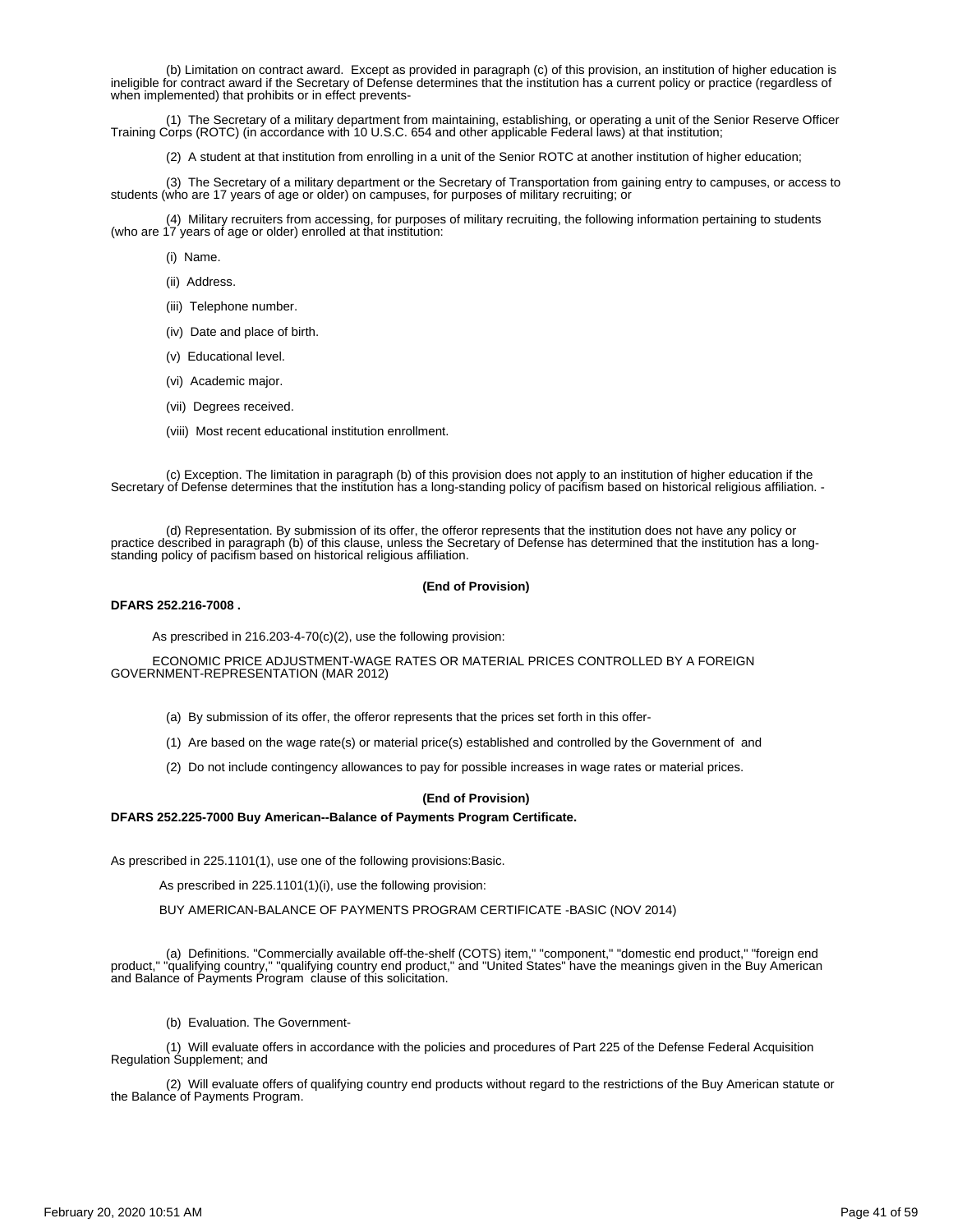(b) Limitation on contract award. Except as provided in paragraph (c) of this provision, an institution of higher education is ineligible for contract award if the Secretary of Defense determines that the institution has a current policy or practice (regardless of when implemented) that prohibits or in effect prevents-

 (1) The Secretary of a military department from maintaining, establishing, or operating a unit of the Senior Reserve Officer Training Corps (ROTC) (in accordance with 10 U.S.C. 654 and other applicable Federal laws) at that institution;

(2) A student at that institution from enrolling in a unit of the Senior ROTC at another institution of higher education;

 (3) The Secretary of a military department or the Secretary of Transportation from gaining entry to campuses, or access to students (who are 17 years of age or older) on campuses, for purposes of military recruiting; or

 (4) Military recruiters from accessing, for purposes of military recruiting, the following information pertaining to students (who are 17 years of age or older) enrolled at that institution:

(i) Name.

- (ii) Address.
- (iii) Telephone number.
- (iv) Date and place of birth.
- (v) Educational level.
- (vi) Academic major.
- (vii) Degrees received.
- (viii) Most recent educational institution enrollment.

 (c) Exception. The limitation in paragraph (b) of this provision does not apply to an institution of higher education if the Secretary of Defense determines that the institution has a long-standing policy of pacifism based on historical religious affiliation. -

 (d) Representation. By submission of its offer, the offeror represents that the institution does not have any policy or practice described in paragraph (b) of this clause, unless the Secretary of Defense has determined that the institution has a longstanding policy of pacifism based on historical religious affiliation.

# **(End of Provision)**

### **DFARS 252.216-7008 .**

As prescribed in 216.203-4-70(c)(2), use the following provision:

 ECONOMIC PRICE ADJUSTMENT-WAGE RATES OR MATERIAL PRICES CONTROLLED BY A FOREIGN GOVERNMENT-REPRESENTATION (MAR 2012)

- (a) By submission of its offer, the offeror represents that the prices set forth in this offer-
- (1) Are based on the wage rate(s) or material price(s) established and controlled by the Government of and
- (2) Do not include contingency allowances to pay for possible increases in wage rates or material prices.

# **(End of Provision)**

# **DFARS 252.225-7000 Buy American--Balance of Payments Program Certificate.**

As prescribed in 225.1101(1), use one of the following provisions:Basic.

As prescribed in 225.1101(1)(i), use the following provision:

BUY AMERICAN-BALANCE OF PAYMENTS PROGRAM CERTIFICATE -BASIC (NOV 2014)

 (a) Definitions. "Commercially available off-the-shelf (COTS) item," "component," "domestic end product," "foreign end product," "qualifying country," "qualifying country end product," and "United States" have the meanings given in the Buy American and Balance of Payments Program clause of this solicitation.

(b) Evaluation. The Government-

 (1) Will evaluate offers in accordance with the policies and procedures of Part 225 of the Defense Federal Acquisition Regulation Supplement; and

 (2) Will evaluate offers of qualifying country end products without regard to the restrictions of the Buy American statute or the Balance of Payments Program.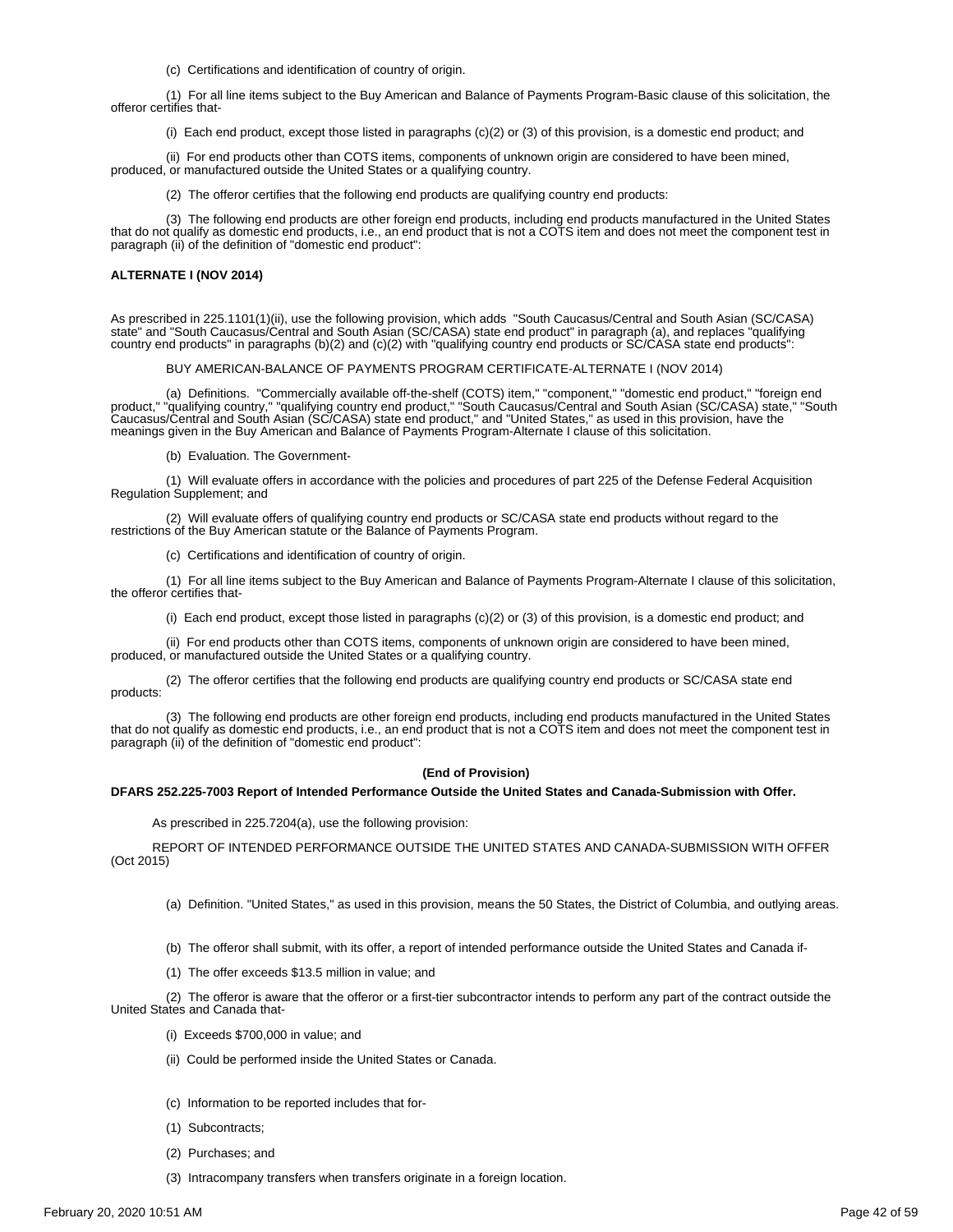(c) Certifications and identification of country of origin.

 (1) For all line items subject to the Buy American and Balance of Payments Program-Basic clause of this solicitation, the offeror certifies that-

(i) Each end product, except those listed in paragraphs  $(c)(2)$  or  $(3)$  of this provision, is a domestic end product; and

 (ii) For end products other than COTS items, components of unknown origin are considered to have been mined, produced, or manufactured outside the United States or a qualifying country.

(2) The offeror certifies that the following end products are qualifying country end products:

 (3) The following end products are other foreign end products, including end products manufactured in the United States that do not qualify as domestic end products, i.e., an end product that is not a COTS item and does not meet the component test in paragraph (ii) of the definition of "domestic end product":

# **ALTERNATE I (NOV 2014)**

As prescribed in 225.1101(1)(ii), use the following provision, which adds "South Caucasus/Central and South Asian (SC/CASA) state" and "South Caucasus/Central and South Asian (SC/CASA) state end product" in paragraph (a), and replaces "qualifying country end products" in paragraphs (b)(2) and (c)(2) with "qualifying country end products or SC/CASA state end products":

#### BUY AMERICAN-BALANCE OF PAYMENTS PROGRAM CERTIFICATE-ALTERNATE I (NOV 2014)

 (a) Definitions. "Commercially available off-the-shelf (COTS) item," "component," "domestic end product," "foreign end product," "qualifying country," "qualifying country end product," "South Caucasus/Central and South Asian (SC/CASA) state," "South Caucasus/Central and South Asian (SC/CASA) state end product," and "United States," as used in this provision, have the<br>meanings given in the Buy American and Balance of Payments Program-Alternate I clause of this solicita

(b) Evaluation. The Government-

 (1) Will evaluate offers in accordance with the policies and procedures of part 225 of the Defense Federal Acquisition Regulation Supplement; and

 (2) Will evaluate offers of qualifying country end products or SC/CASA state end products without regard to the restrictions of the Buy American statute or the Balance of Payments Program.

(c) Certifications and identification of country of origin.

 (1) For all line items subject to the Buy American and Balance of Payments Program-Alternate I clause of this solicitation, the offeror certifies that-

(i) Each end product, except those listed in paragraphs (c)(2) or (3) of this provision, is a domestic end product; and

 (ii) For end products other than COTS items, components of unknown origin are considered to have been mined, produced, or manufactured outside the United States or a qualifying country.

 (2) The offeror certifies that the following end products are qualifying country end products or SC/CASA state end products:

 (3) The following end products are other foreign end products, including end products manufactured in the United States that do not qualify as domestic end products, i.e., an end product that is not a COTS item and does not meet the component test in paragraph (ii) of the definition of "domestic end product":

#### **(End of Provision)**

# **DFARS 252.225-7003 Report of Intended Performance Outside the United States and Canada-Submission with Offer.**

As prescribed in 225.7204(a), use the following provision:

 REPORT OF INTENDED PERFORMANCE OUTSIDE THE UNITED STATES AND CANADA-SUBMISSION WITH OFFER (Oct 2015)

- (a) Definition. "United States," as used in this provision, means the 50 States, the District of Columbia, and outlying areas.
- (b) The offeror shall submit, with its offer, a report of intended performance outside the United States and Canada if-
- (1) The offer exceeds \$13.5 million in value; and

 (2) The offeror is aware that the offeror or a first-tier subcontractor intends to perform any part of the contract outside the United States and Canada that-

- (i) Exceeds \$700,000 in value; and
- (ii) Could be performed inside the United States or Canada.
- (c) Information to be reported includes that for-
- (1) Subcontracts;
- (2) Purchases; and
- (3) Intracompany transfers when transfers originate in a foreign location.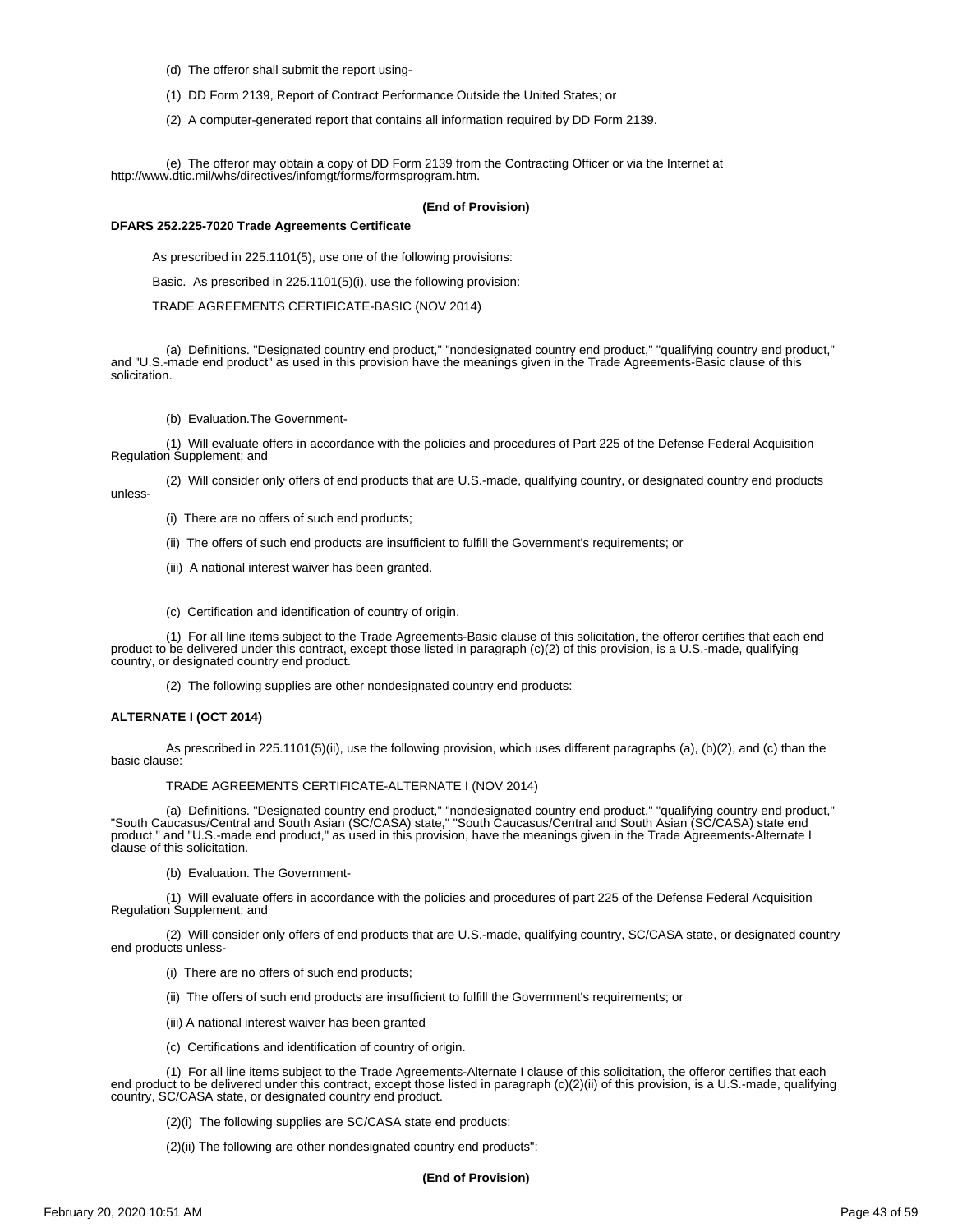- (d) The offeror shall submit the report using-
- (1) DD Form 2139, Report of Contract Performance Outside the United States; or
- (2) A computer-generated report that contains all information required by DD Form 2139.

 (e) The offeror may obtain a copy of DD Form 2139 from the Contracting Officer or via the Internet at http://www.dtic.mil/whs/directives/infomgt/forms/formsprogram.htm.

#### **(End of Provision)**

#### **DFARS 252.225-7020 Trade Agreements Certificate**

As prescribed in 225.1101(5), use one of the following provisions:

Basic. As prescribed in 225.1101(5)(i), use the following provision:

TRADE AGREEMENTS CERTIFICATE-BASIC (NOV 2014)

 (a) Definitions. "Designated country end product," "nondesignated country end product," "qualifying country end product," and "U.S.-made end product" as used in this provision have the meanings given in the Trade Agreements-Basic clause of this solicitation.

#### (b) Evaluation.The Government-

 (1) Will evaluate offers in accordance with the policies and procedures of Part 225 of the Defense Federal Acquisition Regulation Supplement; and

 (2) Will consider only offers of end products that are U.S.-made, qualifying country, or designated country end products unless-

- (i) There are no offers of such end products;
- (ii) The offers of such end products are insufficient to fulfill the Government's requirements; or
- (iii) A national interest waiver has been granted.
- (c) Certification and identification of country of origin.

 (1) For all line items subject to the Trade Agreements-Basic clause of this solicitation, the offeror certifies that each end product to be delivered under this contract, except those listed in paragraph (c)(2) of this provision, is a U.S.-made, qualifying country, or designated country end product.

(2) The following supplies are other nondesignated country end products:

# **ALTERNATE I (OCT 2014)**

 As prescribed in 225.1101(5)(ii), use the following provision, which uses different paragraphs (a), (b)(2), and (c) than the basic clause:

# TRADE AGREEMENTS CERTIFICATE-ALTERNATE I (NOV 2014)

 (a) Definitions. "Designated country end product," "nondesignated country end product," "qualifying country end product," "South Caucasus/Central and South Asian (SC/CASA) state," "South Caucasus/Central and South Asian (SC/CASA) state end product," and "U.S.-made end product," as used in this provision, have the meanings given in the Trade Agreements-Alternate I clause of this solicitation.

(b) Evaluation. The Government-

 (1) Will evaluate offers in accordance with the policies and procedures of part 225 of the Defense Federal Acquisition Regulation Supplement; and

 (2) Will consider only offers of end products that are U.S.-made, qualifying country, SC/CASA state, or designated country end products unless-

- (i) There are no offers of such end products;
- (ii) The offers of such end products are insufficient to fulfill the Government's requirements; or
- (iii) A national interest waiver has been granted
- (c) Certifications and identification of country of origin.

 (1) For all line items subject to the Trade Agreements-Alternate I clause of this solicitation, the offeror certifies that each end product to be delivered under this contract, except those listed in paragraph (c)(2)(ii) of this provision, is a U.S.-made, qualifying country, SC/CASA state, or designated country end product.

(2)(i) The following supplies are SC/CASA state end products:

(2)(ii) The following are other nondesignated country end products":

# **(End of Provision)**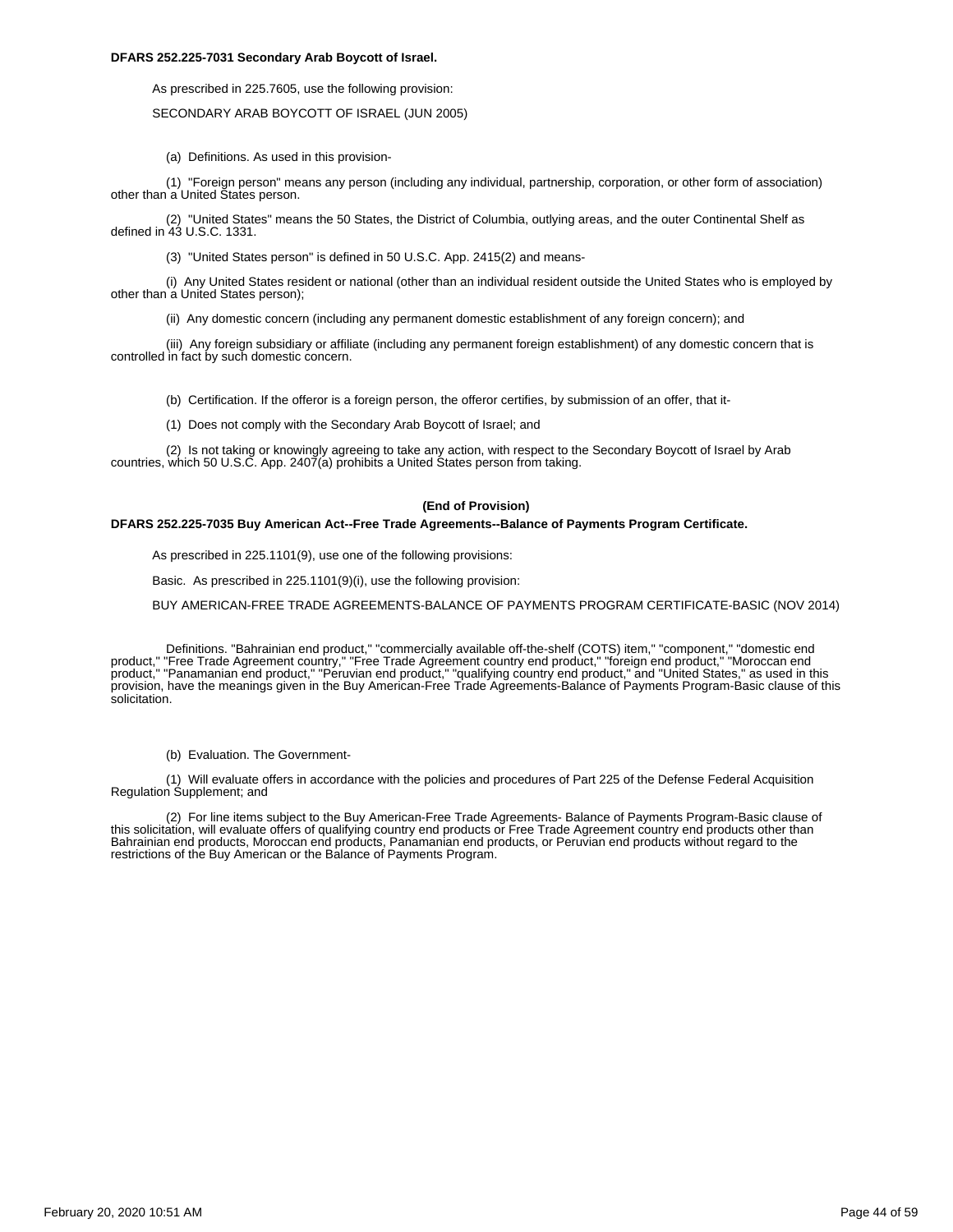### **DFARS 252.225-7031 Secondary Arab Boycott of Israel.**

As prescribed in 225.7605, use the following provision:

# SECONDARY ARAB BOYCOTT OF ISRAEL (JUN 2005)

(a) Definitions. As used in this provision-

 (1) "Foreign person" means any person (including any individual, partnership, corporation, or other form of association) other than a United States person.

 (2) "United States" means the 50 States, the District of Columbia, outlying areas, and the outer Continental Shelf as defined in 43 U.S.C. 1331.

(3) "United States person" is defined in 50 U.S.C. App. 2415(2) and means-

 (i) Any United States resident or national (other than an individual resident outside the United States who is employed by other than a United States person);

(ii) Any domestic concern (including any permanent domestic establishment of any foreign concern); and

 (iii) Any foreign subsidiary or affiliate (including any permanent foreign establishment) of any domestic concern that is controlled in fact by such domestic concern.

(b) Certification. If the offeror is a foreign person, the offeror certifies, by submission of an offer, that it-

(1) Does not comply with the Secondary Arab Boycott of Israel; and

 (2) Is not taking or knowingly agreeing to take any action, with respect to the Secondary Boycott of Israel by Arab countries, which 50 U.S.C. App. 2407(a) prohibits a United States person from taking.

# **(End of Provision)**

# **DFARS 252.225-7035 Buy American Act--Free Trade Agreements--Balance of Payments Program Certificate.**

As prescribed in 225.1101(9), use one of the following provisions:

Basic. As prescribed in 225.1101(9)(i), use the following provision:

BUY AMERICAN-FREE TRADE AGREEMENTS-BALANCE OF PAYMENTS PROGRAM CERTIFICATE-BASIC (NOV 2014)

 Definitions. "Bahrainian end product," "commercially available off-the-shelf (COTS) item," "component," "domestic end product," "Free Trade Agreement country," "Free Trade Agreement country end product," "foreign end product," "Moroccan end product," "Panamanian end product," "Peruvian end product," "qualifying country end product," and "United States," as used in this provision, have the meanings given in the Buy American-Free Trade Agreements-Balance of Payments Program-Basic clause of this solicitation.

# (b) Evaluation. The Government-

 (1) Will evaluate offers in accordance with the policies and procedures of Part 225 of the Defense Federal Acquisition Regulation Supplement; and

 (2) For line items subject to the Buy American-Free Trade Agreements- Balance of Payments Program-Basic clause of this solicitation, will evaluate offers of qualifying country end products or Free Trade Agreement country end products other than Bahrainian end products, Moroccan end products, Panamanian end products, or Peruvian end products without regard to the restrictions of the Buy American or the Balance of Payments Program.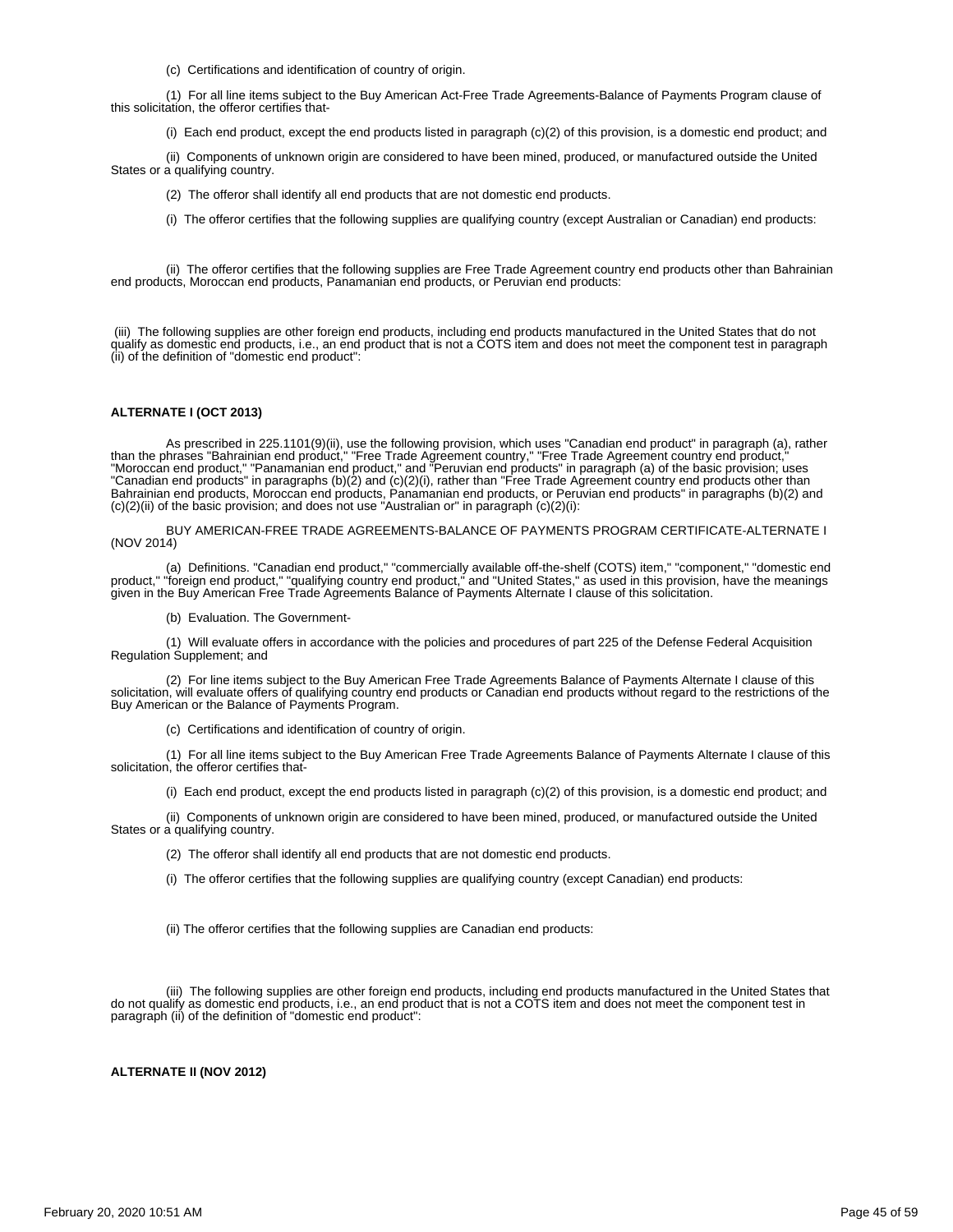(c) Certifications and identification of country of origin.

 (1) For all line items subject to the Buy American Act-Free Trade Agreements-Balance of Payments Program clause of this solicitation, the offeror certifies that-

(i) Each end product, except the end products listed in paragraph  $(c)(2)$  of this provision, is a domestic end product; and

 (ii) Components of unknown origin are considered to have been mined, produced, or manufactured outside the United States or a qualifying country.

(2) The offeror shall identify all end products that are not domestic end products.

(i) The offeror certifies that the following supplies are qualifying country (except Australian or Canadian) end products:

 (ii) The offeror certifies that the following supplies are Free Trade Agreement country end products other than Bahrainian end products, Moroccan end products, Panamanian end products, or Peruvian end products:

 (iii) The following supplies are other foreign end products, including end products manufactured in the United States that do not qualify as domestic end products, i.e., an end product that is not a COTS item and does not meet the component test in paragraph (ii) of the definition of "domestic end product":

# **ALTERNATE I (OCT 2013)**

 As prescribed in 225.1101(9)(ii), use the following provision, which uses "Canadian end product" in paragraph (a), rather than the phrases "Bahrainian end product," "Free Trade Agreement country," "Free Trade Agreement country end product," "Moroccan end product," "Panamanian end product," and "Peruvian end products" in paragraph (a) of the basic provision; uses "Canadian end products" in paragraphs (b)(2) and (c)(2)(i), rather than "Free Trade Agreement country end products other than Bahrainian end products, Moroccan end products, Panamanian end products, or Peruvian end products" in paragraphs (b)(2) and  $(c)(2)$ (ii) of the basic provision; and does not use "Australian or" in paragraph  $(c)(2)$ (i):

 BUY AMERICAN-FREE TRADE AGREEMENTS-BALANCE OF PAYMENTS PROGRAM CERTIFICATE-ALTERNATE I (NOV 2014)

 (a) Definitions. "Canadian end product," "commercially available off-the-shelf (COTS) item," "component," "domestic end product," "foreign end product," "qualifying country end product," and "United States," as used in this provision, have the meanings given in the Buy American Free Trade Agreements Balance of Payments Alternate I clause of this solicitation.

(b) Evaluation. The Government-

 (1) Will evaluate offers in accordance with the policies and procedures of part 225 of the Defense Federal Acquisition Regulation Supplement; and

 (2) For line items subject to the Buy American Free Trade Agreements Balance of Payments Alternate I clause of this solicitation, will evaluate offers of qualifying country end products or Canadian end products without regard to the restrictions of the Buy American or the Balance of Payments Program.

(c) Certifications and identification of country of origin.

 (1) For all line items subject to the Buy American Free Trade Agreements Balance of Payments Alternate I clause of this solicitation, the offeror certifies that-

(i) Each end product, except the end products listed in paragraph (c)(2) of this provision, is a domestic end product; and

 (ii) Components of unknown origin are considered to have been mined, produced, or manufactured outside the United States or a qualifying country.

(2) The offeror shall identify all end products that are not domestic end products.

(i) The offeror certifies that the following supplies are qualifying country (except Canadian) end products:

(ii) The offeror certifies that the following supplies are Canadian end products:

 (iii) The following supplies are other foreign end products, including end products manufactured in the United States that do not qualify as domestic end products, i.e., an end product that is not a COTS item and does not meet the component test in paragraph (ii) of the definition of "domestic end product":

# **ALTERNATE II (NOV 2012)**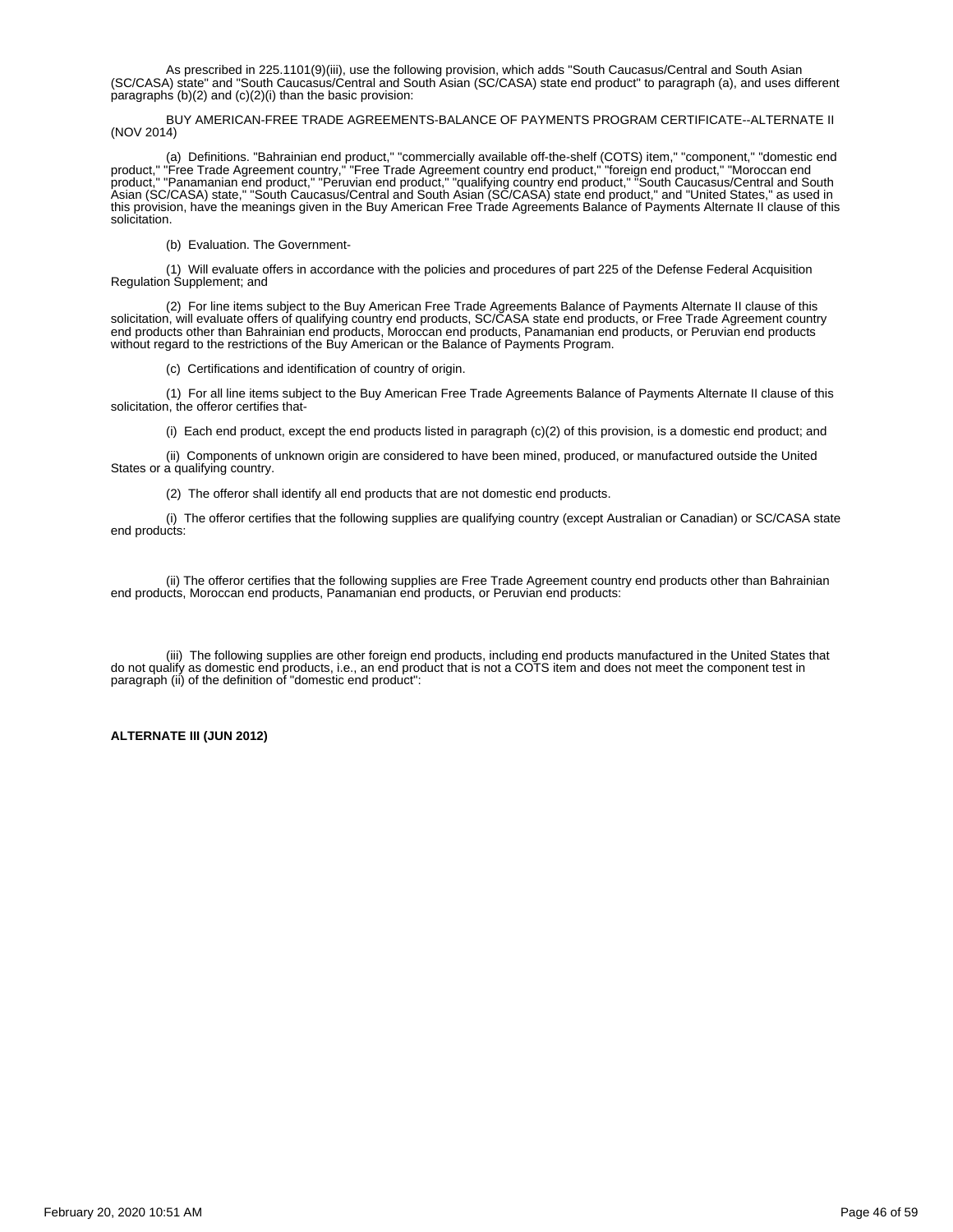As prescribed in 225.1101(9)(iii), use the following provision, which adds "South Caucasus/Central and South Asian (SC/CASA) state" and "South Caucasus/Central and South Asian (SC/CASA) state end product" to paragraph (a), and uses different paragraphs (b)(2) and (c)(2)(i) than the basic provision:

 BUY AMERICAN-FREE TRADE AGREEMENTS-BALANCE OF PAYMENTS PROGRAM CERTIFICATE--ALTERNATE II (NOV 2014)

 (a) Definitions. "Bahrainian end product," "commercially available off-the-shelf (COTS) item," "component," "domestic end product," "Free Trade Agreement country," "Free Trade Agreement country end product," "foreign end product," "Moroccan end product," "Panamanian end product," "Peruvian end product," "qualifying country end product," "South Caucasus/Central and South Asian (SC/CASA) state," "South Caucasus/Central and South Asian (SC/CASA) state end product," and "United States," as used in this provision, have the meanings given in the Buy American Free Trade Agreements Balance of Payments Alternate II clause of this solicitation.

(b) Evaluation. The Government-

 (1) Will evaluate offers in accordance with the policies and procedures of part 225 of the Defense Federal Acquisition Regulation Supplement; and

 (2) For line items subject to the Buy American Free Trade Agreements Balance of Payments Alternate II clause of this solicitation, will evaluate offers of qualifying country end products, SC/CASA state end products, or Free Trade Agreement country end products other than Bahrainian end products, Moroccan end products, Panamanian end products, or Peruvian end products without regard to the restrictions of the Buy American or the Balance of Payments Program.

(c) Certifications and identification of country of origin.

 (1) For all line items subject to the Buy American Free Trade Agreements Balance of Payments Alternate II clause of this solicitation, the offeror certifies that-

(i) Each end product, except the end products listed in paragraph  $(c)(2)$  of this provision, is a domestic end product; and

 (ii) Components of unknown origin are considered to have been mined, produced, or manufactured outside the United States or a qualifying country.

(2) The offeror shall identify all end products that are not domestic end products.

 (i) The offeror certifies that the following supplies are qualifying country (except Australian or Canadian) or SC/CASA state end products:

 (ii) The offeror certifies that the following supplies are Free Trade Agreement country end products other than Bahrainian end products, Moroccan end products, Panamanian end products, or Peruvian end products:

 (iii) The following supplies are other foreign end products, including end products manufactured in the United States that do not qualify as domestic end products, i.e., an end product that is not a COTS item and does not meet the component test in paragraph (ii) of the definition of "domestic end product":

# **ALTERNATE III (JUN 2012)**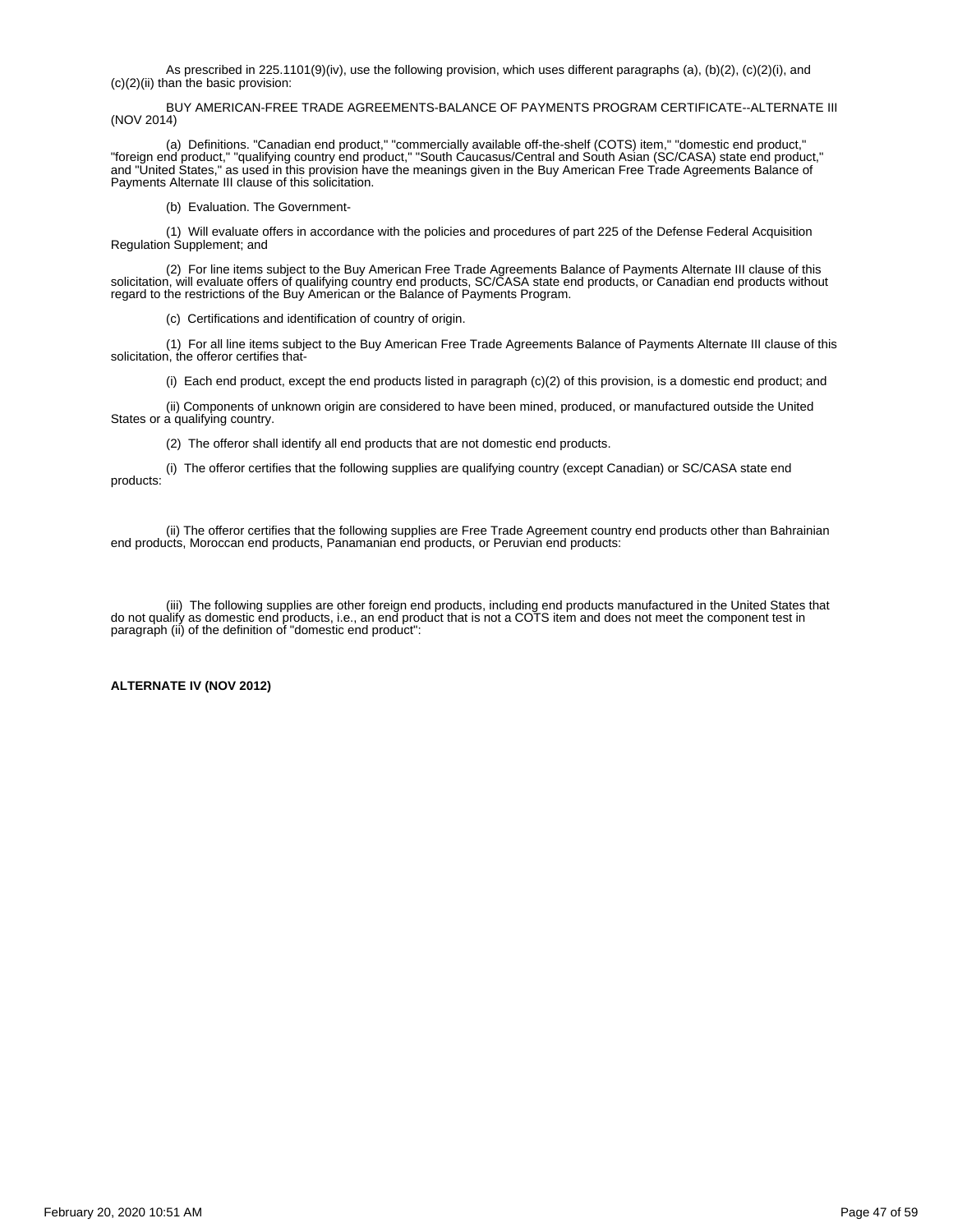As prescribed in 225.1101(9)(iv), use the following provision, which uses different paragraphs (a), (b)(2), (c)(2)(i), and  $(c)(2)$ (ii) than the basic provision:

 BUY AMERICAN-FREE TRADE AGREEMENTS-BALANCE OF PAYMENTS PROGRAM CERTIFICATE--ALTERNATE III (NOV 2014)

 (a) Definitions. "Canadian end product," "commercially available off-the-shelf (COTS) item," "domestic end product," "foreign end product," "qualifying country end product," "South Caucasus/Central and South Asian (SC/CASA) state end product," and "United States," as used in this provision have the meanings given in the Buy American Free Trade Agreements Balance of Payments Alternate III clause of this solicitation.

(b) Evaluation. The Government-

 (1) Will evaluate offers in accordance with the policies and procedures of part 225 of the Defense Federal Acquisition Regulation Supplement; and

 (2) For line items subject to the Buy American Free Trade Agreements Balance of Payments Alternate III clause of this solicitation, will evaluate offers of qualifying country end products, SC/CASA state end products, or Canadian end products without regard to the restrictions of the Buy American or the Balance of Payments Program.

(c) Certifications and identification of country of origin.

 (1) For all line items subject to the Buy American Free Trade Agreements Balance of Payments Alternate III clause of this solicitation, the offeror certifies that-

(i) Each end product, except the end products listed in paragraph (c)(2) of this provision, is a domestic end product; and

 (ii) Components of unknown origin are considered to have been mined, produced, or manufactured outside the United States or a qualifying country.

(2) The offeror shall identify all end products that are not domestic end products.

 (i) The offeror certifies that the following supplies are qualifying country (except Canadian) or SC/CASA state end products:

 (ii) The offeror certifies that the following supplies are Free Trade Agreement country end products other than Bahrainian end products, Moroccan end products, Panamanian end products, or Peruvian end products:

 (iii) The following supplies are other foreign end products, including end products manufactured in the United States that do not qualify as domestic end products, i.e., an end product that is not a COTS item and does not meet the component test in paragraph (ii) of the definition of "domestic end product":

**ALTERNATE IV (NOV 2012)**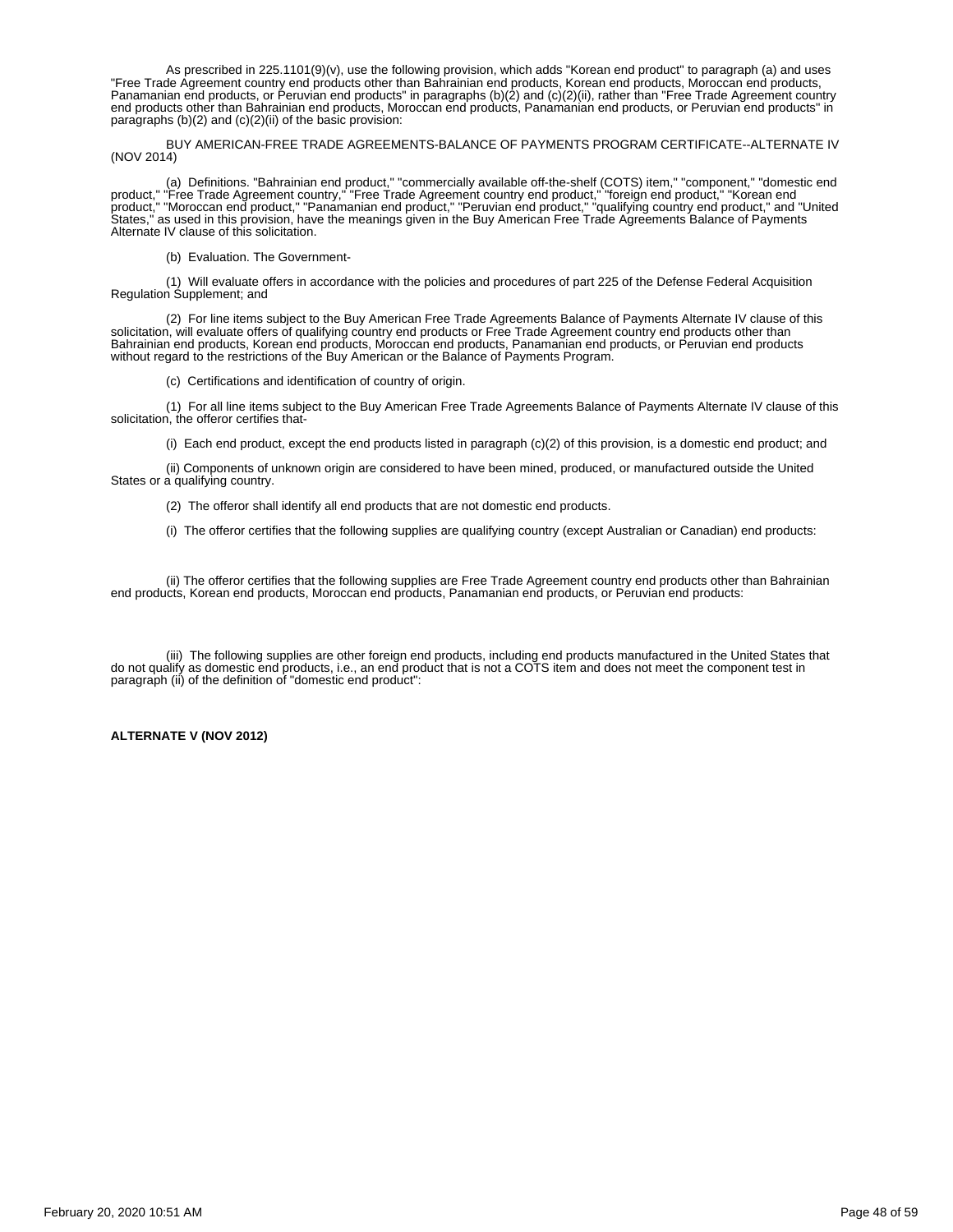As prescribed in 225.1101(9)(v), use the following provision, which adds "Korean end product" to paragraph (a) and uses "Free Trade Agreement country end products other than Bahrainian end products, Korean end products, Moroccan end products, Panamanian end products, or Peruvian end products" in paragraphs (b)(2) and (c)(2)(ii), rather than "Free Trade Agreement country end products other than Bahrainian end products, Moroccan end products, Panamanian end products, or Peruvian end products" in paragraphs  $(b)(2)$  and  $(c)(2)(ii)$  of the basic provision:

 BUY AMERICAN-FREE TRADE AGREEMENTS-BALANCE OF PAYMENTS PROGRAM CERTIFICATE--ALTERNATE IV (NOV 2014)

 (a) Definitions. "Bahrainian end product," "commercially available off-the-shelf (COTS) item," "component," "domestic end product," "Free Trade Agreement country," "Free Trade Agreement country end product," "foreign end product," "Korean end product," "Moroccan end product," "Panamanian end product," "Peruvian end product," "qualifying country end product," and "United States," as used in this provision, have the meanings given in the Buy American Free Trade Agreements Balance of Payments Alternate IV clause of this solicitation.

(b) Evaluation. The Government-

 (1) Will evaluate offers in accordance with the policies and procedures of part 225 of the Defense Federal Acquisition Regulation Supplement; and

 (2) For line items subject to the Buy American Free Trade Agreements Balance of Payments Alternate IV clause of this solicitation, will evaluate offers of qualifying country end products or Free Trade Agreement country end products other than Bahrainian end products, Korean end products, Moroccan end products, Panamanian end products, or Peruvian end products without regard to the restrictions of the Buy American or the Balance of Payments Program.

(c) Certifications and identification of country of origin.

 (1) For all line items subject to the Buy American Free Trade Agreements Balance of Payments Alternate IV clause of this solicitation, the offeror certifies that-

(i) Each end product, except the end products listed in paragraph (c)(2) of this provision, is a domestic end product; and

 (ii) Components of unknown origin are considered to have been mined, produced, or manufactured outside the United States or a qualifying country.

(2) The offeror shall identify all end products that are not domestic end products.

(i) The offeror certifies that the following supplies are qualifying country (except Australian or Canadian) end products:

 (ii) The offeror certifies that the following supplies are Free Trade Agreement country end products other than Bahrainian end products, Korean end products, Moroccan end products, Panamanian end products, or Peruvian end products:

 (iii) The following supplies are other foreign end products, including end products manufactured in the United States that do not qualify as domestic end products, i.e., an end product that is not a COTS item and does not meet the component test in paragraph (ii) of the definition of "domestic end product":

**ALTERNATE V (NOV 2012)**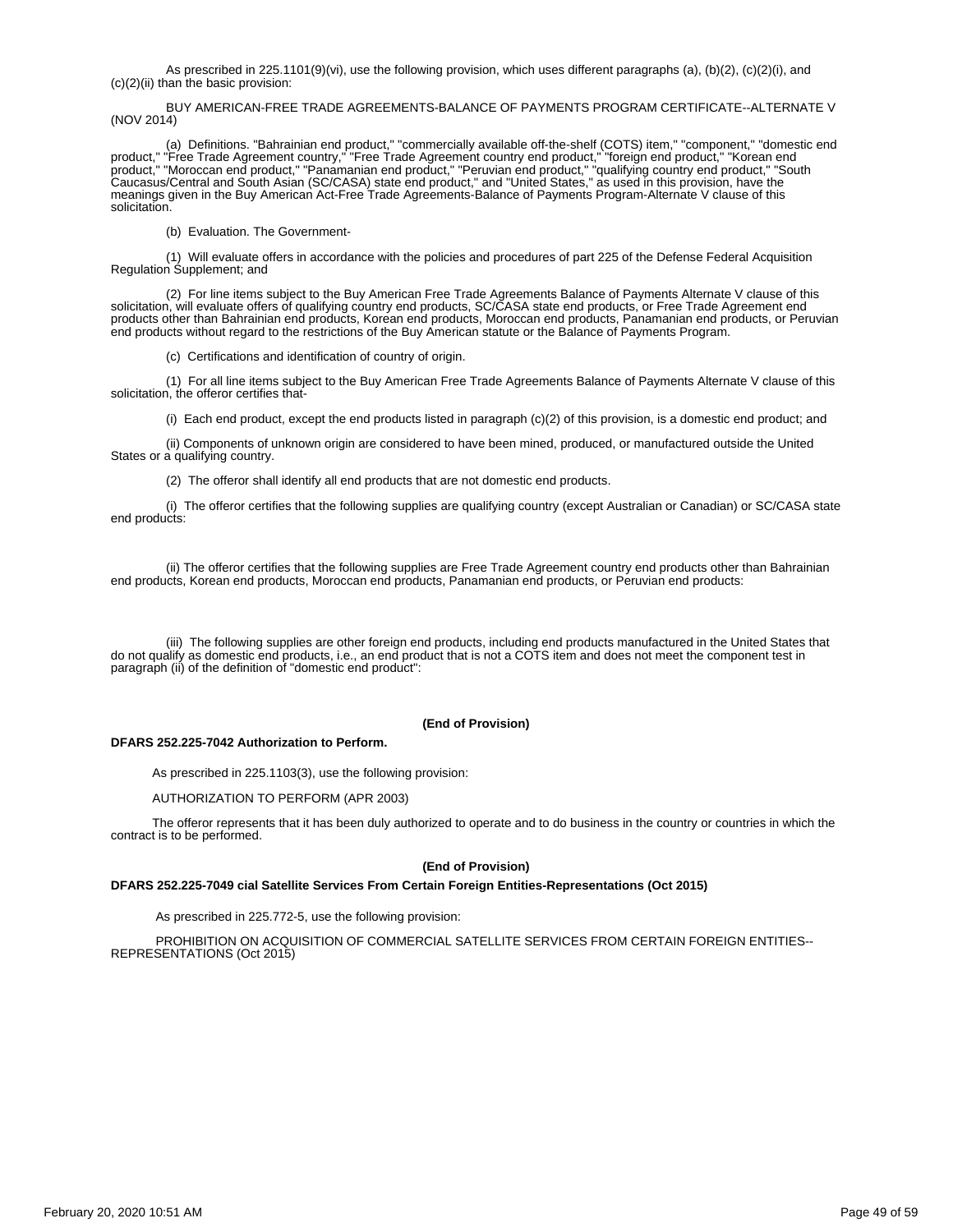As prescribed in 225.1101(9)(vi), use the following provision, which uses different paragraphs (a), (b)(2), (c)(2)(i), and  $(c)(2)$ (ii) than the basic provision:

 BUY AMERICAN-FREE TRADE AGREEMENTS-BALANCE OF PAYMENTS PROGRAM CERTIFICATE--ALTERNATE V (NOV 2014)

 (a) Definitions. "Bahrainian end product," "commercially available off-the-shelf (COTS) item," "component," "domestic end product," "Free Trade Agreement country," "Free Trade Agreement country end product," "foreign end product," "Korean end product," "Moroccan end product," "Panamanian end product," "Peruvian end product," "qualifying country end product," "South Caucasus/Central and South Asian (SC/CASA) state end product," and "United States," as used in this provision, have the meanings given in the Buy American Act-Free Trade Agreements-Balance of Payments Program-Alternate V clause of this solicitation.

(b) Evaluation. The Government-

 (1) Will evaluate offers in accordance with the policies and procedures of part 225 of the Defense Federal Acquisition Regulation Supplement; and

 (2) For line items subject to the Buy American Free Trade Agreements Balance of Payments Alternate V clause of this solicitation, will evaluate offers of qualifying country end products, SC/CASA state end products, or Free Trade Agreement end products other than Bahrainian end products, Korean end products, Moroccan end products, Panamanian end products, or Peruvian end products without regard to the restrictions of the Buy American statute or the Balance of Payments Program.

(c) Certifications and identification of country of origin.

 (1) For all line items subject to the Buy American Free Trade Agreements Balance of Payments Alternate V clause of this solicitation, the offeror certifies that-

(i) Each end product, except the end products listed in paragraph (c)(2) of this provision, is a domestic end product; and

 (ii) Components of unknown origin are considered to have been mined, produced, or manufactured outside the United States or a qualifying country.

(2) The offeror shall identify all end products that are not domestic end products.

 (i) The offeror certifies that the following supplies are qualifying country (except Australian or Canadian) or SC/CASA state end products:

 (ii) The offeror certifies that the following supplies are Free Trade Agreement country end products other than Bahrainian end products, Korean end products, Moroccan end products, Panamanian end products, or Peruvian end products:

 (iii) The following supplies are other foreign end products, including end products manufactured in the United States that do not qualify as domestic end products, i.e., an end product that is not a COTS item and does not meet the component test in paragraph (ii) of the definition of "domestic end product":

# **(End of Provision)**

# **DFARS 252.225-7042 Authorization to Perform.**

As prescribed in 225.1103(3), use the following provision:

AUTHORIZATION TO PERFORM (APR 2003)

 The offeror represents that it has been duly authorized to operate and to do business in the country or countries in which the contract is to be performed.

# **(End of Provision)**

# **DFARS 252.225-7049 cial Satellite Services From Certain Foreign Entities-Representations (Oct 2015)**

As prescribed in 225.772-5, use the following provision:

 PROHIBITION ON ACQUISITION OF COMMERCIAL SATELLITE SERVICES FROM CERTAIN FOREIGN ENTITIES-- REPRESENTATIONS (Oct 2015)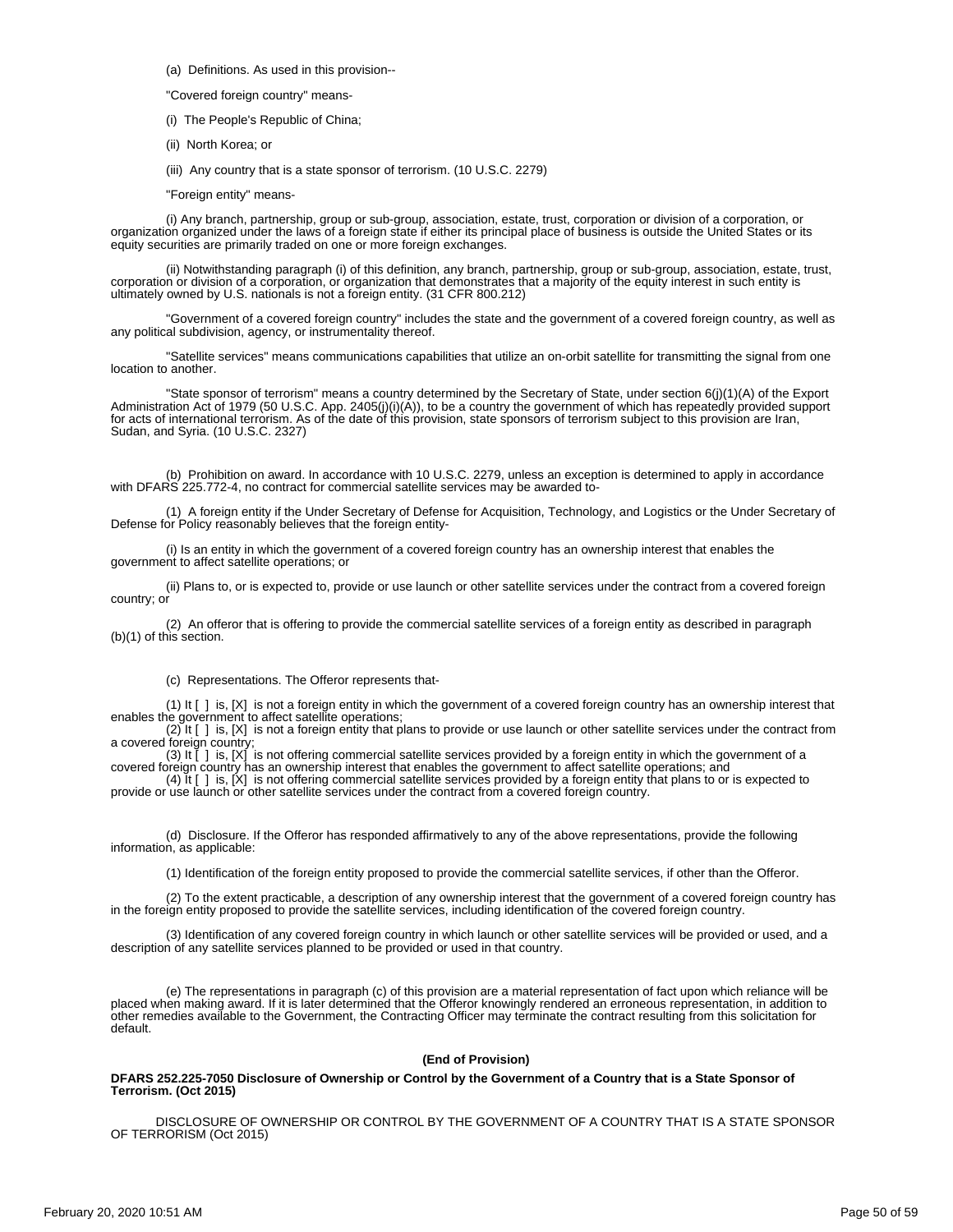- (a) Definitions. As used in this provision--
- "Covered foreign country" means-
- (i) The People's Republic of China;
- (ii) North Korea; or

(iii) Any country that is a state sponsor of terrorism. (10 U.S.C. 2279)

"Foreign entity" means-

 (i) Any branch, partnership, group or sub-group, association, estate, trust, corporation or division of a corporation, or organization organized under the laws of a foreign state if either its principal place of business is outside the United States or its equity securities are primarily traded on one or more foreign exchanges.

 (ii) Notwithstanding paragraph (i) of this definition, any branch, partnership, group or sub-group, association, estate, trust, corporation or division of a corporation, or organization that demonstrates that a majority of the equity interest in such entity is ultimately owned by U.S. nationals is not a foreign entity. (31 CFR 800.212)

 "Government of a covered foreign country" includes the state and the government of a covered foreign country, as well as any political subdivision, agency, or instrumentality thereof.

 "Satellite services" means communications capabilities that utilize an on-orbit satellite for transmitting the signal from one location to another.

 "State sponsor of terrorism" means a country determined by the Secretary of State, under section 6(j)(1)(A) of the Export Administration Act of 1979 (50 U.S.C. App. 2405(j)(i)(A)), to be a country the government of which has repeatedly provided support for acts of international terrorism. As of the date of this provision, state sponsors of terrorism subject to this provision are Iran, Sudan, and Syria. (10 U.S.C. 2327)

 (b) Prohibition on award. In accordance with 10 U.S.C. 2279, unless an exception is determined to apply in accordance with DFARS 225.772-4, no contract for commercial satellite services may be awarded to-

 (1) A foreign entity if the Under Secretary of Defense for Acquisition, Technology, and Logistics or the Under Secretary of Defense for Policy reasonably believes that the foreign entity-

 (i) Is an entity in which the government of a covered foreign country has an ownership interest that enables the government to affect satellite operations; or

 (ii) Plans to, or is expected to, provide or use launch or other satellite services under the contract from a covered foreign country; or

 (2) An offeror that is offering to provide the commercial satellite services of a foreign entity as described in paragraph  $(b)(1)$  of this section.

#### (c) Representations. The Offeror represents that-

 (1) It [ ] is, [X] is not a foreign entity in which the government of a covered foreign country has an ownership interest that enables the government to affect satellite operations;

(2) It [ ] is, [X] is not a foreign entity that plans to provide or use launch or other satellite services under the contract from a covered foreign country;

 (3) It [ ] is, [X] is not offering commercial satellite services provided by a foreign entity in which the government of a covered foreign country has an ownership interest that enables the government to affect satellite operations; and

 (4) It [ ] is, [X] is not offering commercial satellite services provided by a foreign entity that plans to or is expected to provide or use launch or other satellite services under the contract from a covered foreign country.

 (d) Disclosure. If the Offeror has responded affirmatively to any of the above representations, provide the following information, as applicable:

(1) Identification of the foreign entity proposed to provide the commercial satellite services, if other than the Offeror.

 (2) To the extent practicable, a description of any ownership interest that the government of a covered foreign country has in the foreign entity proposed to provide the satellite services, including identification of the covered foreign country.

 (3) Identification of any covered foreign country in which launch or other satellite services will be provided or used, and a description of any satellite services planned to be provided or used in that country.

 (e) The representations in paragraph (c) of this provision are a material representation of fact upon which reliance will be placed when making award. If it is later determined that the Offeror knowingly rendered an erroneous representation, in addition to other remedies available to the Government, the Contracting Officer may terminate the contract resulting from this solicitation for default.

# **(End of Provision)**

# **DFARS 252.225-7050 Disclosure of Ownership or Control by the Government of a Country that is a State Sponsor of Terrorism. (Oct 2015)**

 DISCLOSURE OF OWNERSHIP OR CONTROL BY THE GOVERNMENT OF A COUNTRY THAT IS A STATE SPONSOR OF TERRORISM (Oct 2015)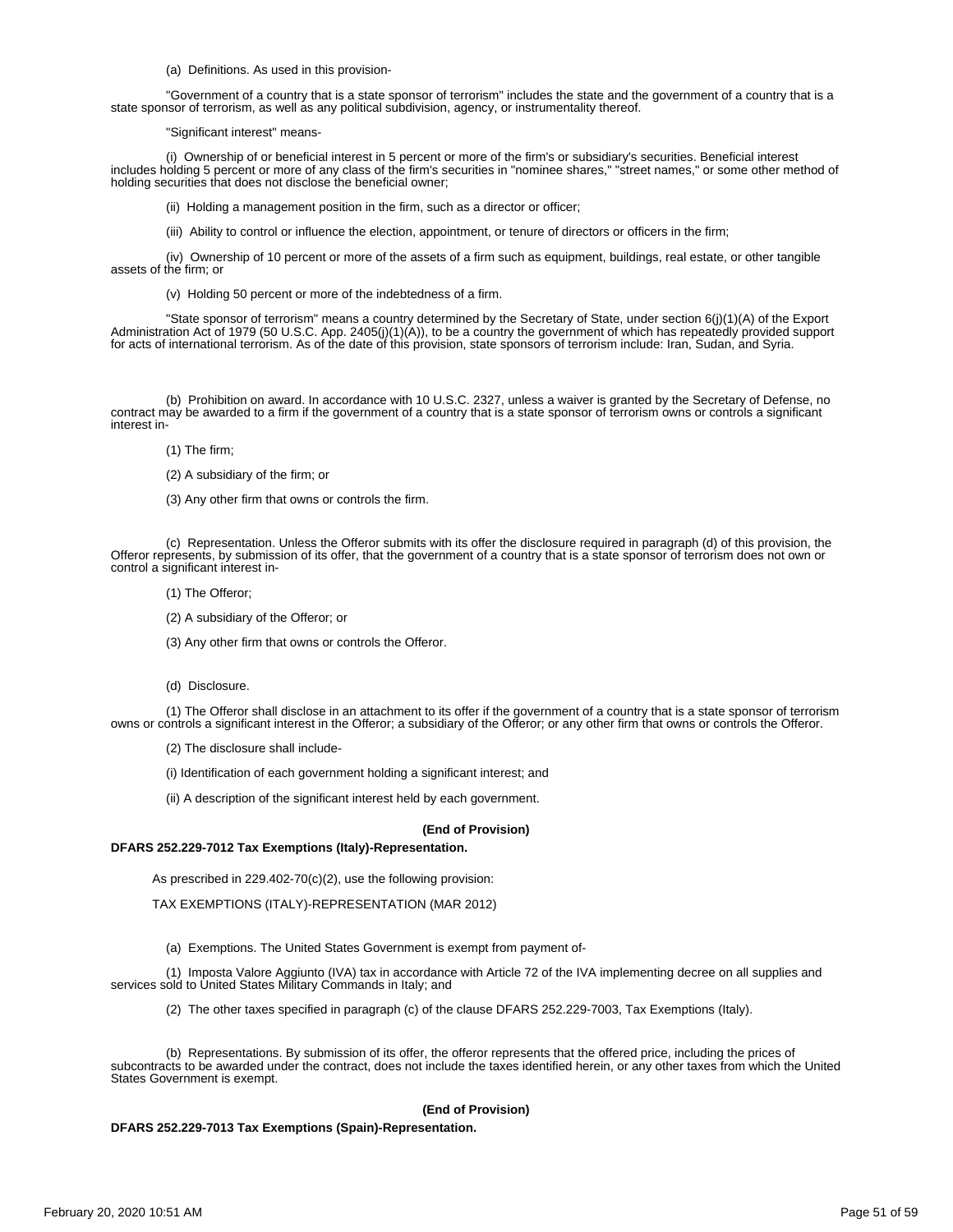(a) Definitions. As used in this provision-

 "Government of a country that is a state sponsor of terrorism" includes the state and the government of a country that is a state sponsor of terrorism, as well as any political subdivision, agency, or instrumentality thereof.

"Significant interest" means-

 (i) Ownership of or beneficial interest in 5 percent or more of the firm's or subsidiary's securities. Beneficial interest includes holding 5 percent or more of any class of the firm's securities in "nominee shares," "street names," or some other method of holding securities that does not disclose the beneficial owner;

- (ii) Holding a management position in the firm, such as a director or officer;
- (iii) Ability to control or influence the election, appointment, or tenure of directors or officers in the firm;

 (iv) Ownership of 10 percent or more of the assets of a firm such as equipment, buildings, real estate, or other tangible assets of the firm; or

(v) Holding 50 percent or more of the indebtedness of a firm.

 "State sponsor of terrorism" means a country determined by the Secretary of State, under section 6(j)(1)(A) of the Export Administration Act of 1979 (50 U.S.C. App. 2405(j)(1)(A)), to be a country the government of which has repeatedly provided support for acts of international terrorism. As of the date of this provision, state sponsors of terrorism include: Iran, Sudan, and Syria.

 (b) Prohibition on award. In accordance with 10 U.S.C. 2327, unless a waiver is granted by the Secretary of Defense, no contract may be awarded to a firm if the government of a country that is a state sponsor of terrorism owns or controls a significant interest in-

- (1) The firm;
- (2) A subsidiary of the firm; or
- (3) Any other firm that owns or controls the firm.

 (c) Representation. Unless the Offeror submits with its offer the disclosure required in paragraph (d) of this provision, the Offeror represents, by submission of its offer, that the government of a country that is a state sponsor of terrorism does not own or control a significant interest in-

- (1) The Offeror;
- (2) A subsidiary of the Offeror; or
- (3) Any other firm that owns or controls the Offeror.
- (d) Disclosure.

 (1) The Offeror shall disclose in an attachment to its offer if the government of a country that is a state sponsor of terrorism owns or controls a significant interest in the Offeror; a subsidiary of the Offeror; or any other firm that owns or controls the Offeror.

(2) The disclosure shall include-

- (i) Identification of each government holding a significant interest; and
- (ii) A description of the significant interest held by each government.

# **(End of Provision)**

# **DFARS 252.229-7012 Tax Exemptions (Italy)-Representation.**

As prescribed in 229.402-70(c)(2), use the following provision:

TAX EXEMPTIONS (ITALY)-REPRESENTATION (MAR 2012)

(a) Exemptions. The United States Government is exempt from payment of-

 (1) Imposta Valore Aggiunto (IVA) tax in accordance with Article 72 of the IVA implementing decree on all supplies and services sold to United States Military Commands in Italy; and

(2) The other taxes specified in paragraph (c) of the clause DFARS 252.229-7003, Tax Exemptions (Italy).

 (b) Representations. By submission of its offer, the offeror represents that the offered price, including the prices of subcontracts to be awarded under the contract, does not include the taxes identified herein, or any other taxes from which the United States Government is exempt.

# **(End of Provision)**

# **DFARS 252.229-7013 Tax Exemptions (Spain)-Representation.**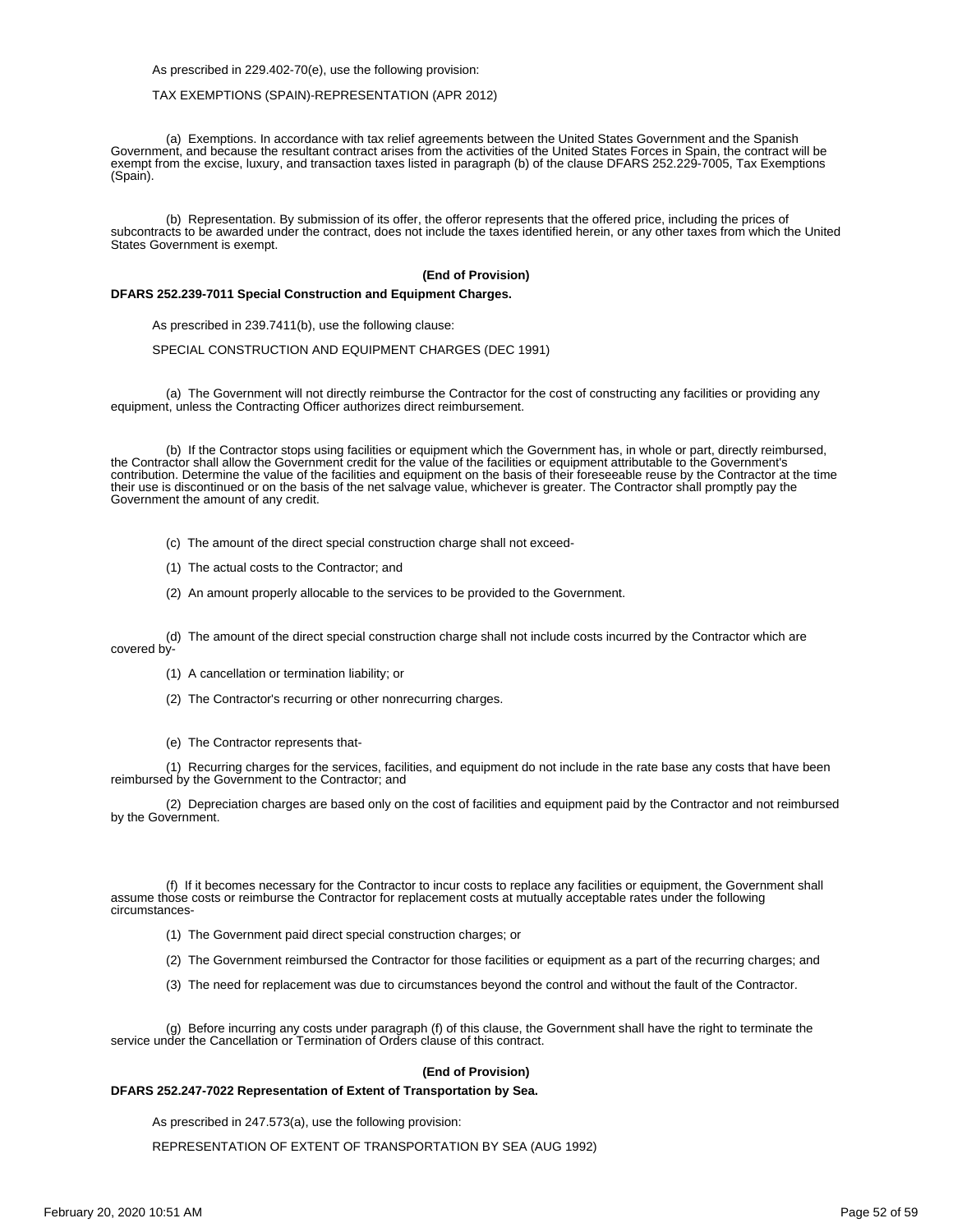As prescribed in 229.402-70(e), use the following provision:

# TAX EXEMPTIONS (SPAIN)-REPRESENTATION (APR 2012)

 (a) Exemptions. In accordance with tax relief agreements between the United States Government and the Spanish Government, and because the resultant contract arises from the activities of the United States Forces in Spain, the contract will be exempt from the excise, luxury, and transaction taxes listed in paragraph (b) of the clause DFARS 252.229-7005, Tax Exemptions (Spain).

 (b) Representation. By submission of its offer, the offeror represents that the offered price, including the prices of subcontracts to be awarded under the contract, does not include the taxes identified herein, or any other taxes from which the United States Government is exempt.

### **(End of Provision)**

#### **DFARS 252.239-7011 Special Construction and Equipment Charges.**

As prescribed in 239.7411(b), use the following clause:

### SPECIAL CONSTRUCTION AND EQUIPMENT CHARGES (DEC 1991)

 (a) The Government will not directly reimburse the Contractor for the cost of constructing any facilities or providing any equipment, unless the Contracting Officer authorizes direct reimbursement.

 (b) If the Contractor stops using facilities or equipment which the Government has, in whole or part, directly reimbursed, the Contractor shall allow the Government credit for the value of the facilities or equipment attributable to the Government's contribution. Determine the value of the facilities and equipment on the basis of their foreseeable reuse by the Contractor at the time their use is discontinued or on the basis of the net salvage value, whichever is greater. The Contractor shall promptly pay the Government the amount of any credit.

- (c) The amount of the direct special construction charge shall not exceed-
- (1) The actual costs to the Contractor; and
- (2) An amount properly allocable to the services to be provided to the Government.

 (d) The amount of the direct special construction charge shall not include costs incurred by the Contractor which are covered by-

- (1) A cancellation or termination liability; or
- (2) The Contractor's recurring or other nonrecurring charges.
- (e) The Contractor represents that-

 (1) Recurring charges for the services, facilities, and equipment do not include in the rate base any costs that have been reimbursed by the Government to the Contractor; and

 (2) Depreciation charges are based only on the cost of facilities and equipment paid by the Contractor and not reimbursed by the Government.

 (f) If it becomes necessary for the Contractor to incur costs to replace any facilities or equipment, the Government shall assume those costs or reimburse the Contractor for replacement costs at mutually acceptable rates under the following circumstances-

- (1) The Government paid direct special construction charges; or
- (2) The Government reimbursed the Contractor for those facilities or equipment as a part of the recurring charges; and
- (3) The need for replacement was due to circumstances beyond the control and without the fault of the Contractor.

 (g) Before incurring any costs under paragraph (f) of this clause, the Government shall have the right to terminate the service under the Cancellation or Termination of Orders clause of this contract.

#### **(End of Provision)**

#### **DFARS 252.247-7022 Representation of Extent of Transportation by Sea.**

As prescribed in 247.573(a), use the following provision:

REPRESENTATION OF EXTENT OF TRANSPORTATION BY SEA (AUG 1992)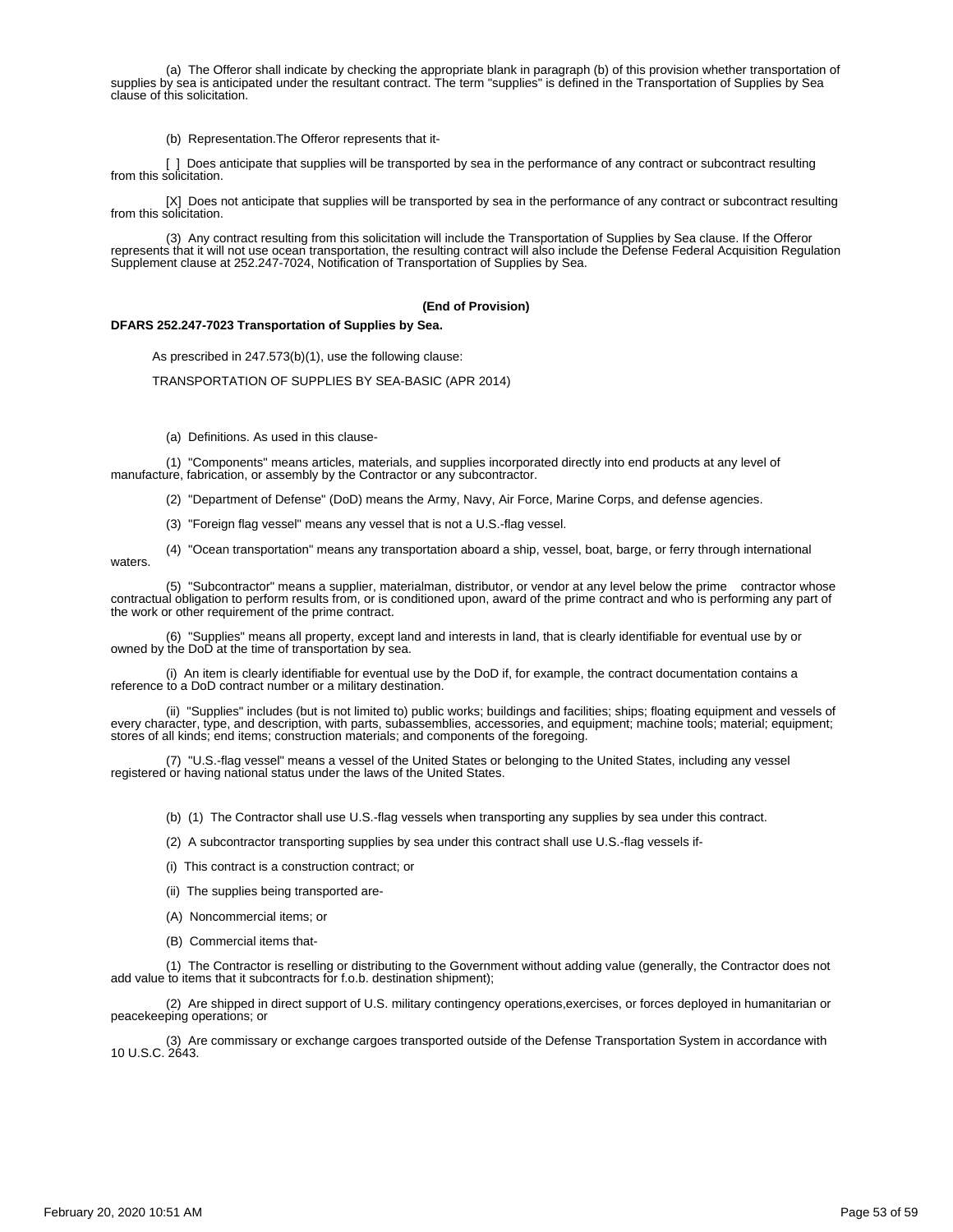(a) The Offeror shall indicate by checking the appropriate blank in paragraph (b) of this provision whether transportation of supplies by sea is anticipated under the resultant contract. The term "supplies" is defined in the Transportation of Supplies by Sea clause of this solicitation.

(b) Representation.The Offeror represents that it-

[ ] Does anticipate that supplies will be transported by sea in the performance of any contract or subcontract resulting from this solicitation.

 [X] Does not anticipate that supplies will be transported by sea in the performance of any contract or subcontract resulting from this solicitation.

 (3) Any contract resulting from this solicitation will include the Transportation of Supplies by Sea clause. If the Offeror represents that it will not use ocean transportation, the resulting contract will also include the Defense Federal Acquisition Regulation Supplement clause at 252.247-7024, Notification of Transportation of Supplies by Sea.

### **(End of Provision)**

# **DFARS 252.247-7023 Transportation of Supplies by Sea.**

As prescribed in 247.573(b)(1), use the following clause:

TRANSPORTATION OF SUPPLIES BY SEA-BASIC (APR 2014)

(a) Definitions. As used in this clause-

 (1) "Components" means articles, materials, and supplies incorporated directly into end products at any level of manufacture, fabrication, or assembly by the Contractor or any subcontractor.

- (2) "Department of Defense" (DoD) means the Army, Navy, Air Force, Marine Corps, and defense agencies.
- (3) "Foreign flag vessel" means any vessel that is not a U.S.-flag vessel.

 (4) "Ocean transportation" means any transportation aboard a ship, vessel, boat, barge, or ferry through international waters.

 (5) "Subcontractor" means a supplier, materialman, distributor, or vendor at any level below the prime contractor whose contractual obligation to perform results from, or is conditioned upon, award of the prime contract and who is performing any part of the work or other requirement of the prime contract.

 (6) "Supplies" means all property, except land and interests in land, that is clearly identifiable for eventual use by or owned by the DoD at the time of transportation by sea.

 (i) An item is clearly identifiable for eventual use by the DoD if, for example, the contract documentation contains a reference to a DoD contract number or a military destination.

 (ii) "Supplies" includes (but is not limited to) public works; buildings and facilities; ships; floating equipment and vessels of every character, type, and description, with parts, subassemblies, accessories, and equipment; machine tools; material; equipment; stores of all kinds; end items; construction materials; and components of the foregoing.

 (7) "U.S.-flag vessel" means a vessel of the United States or belonging to the United States, including any vessel registered or having national status under the laws of the United States.

- (b) (1) The Contractor shall use U.S.-flag vessels when transporting any supplies by sea under this contract.
- (2) A subcontractor transporting supplies by sea under this contract shall use U.S.-flag vessels if-
- (i) This contract is a construction contract; or
- (ii) The supplies being transported are-
- (A) Noncommercial items; or
- (B) Commercial items that-

 (1) The Contractor is reselling or distributing to the Government without adding value (generally, the Contractor does not add value to items that it subcontracts for f.o.b. destination shipment);

 (2) Are shipped in direct support of U.S. military contingency operations,exercises, or forces deployed in humanitarian or peacekeeping operations; or

 (3) Are commissary or exchange cargoes transported outside of the Defense Transportation System in accordance with 10 U.S.C. 2643.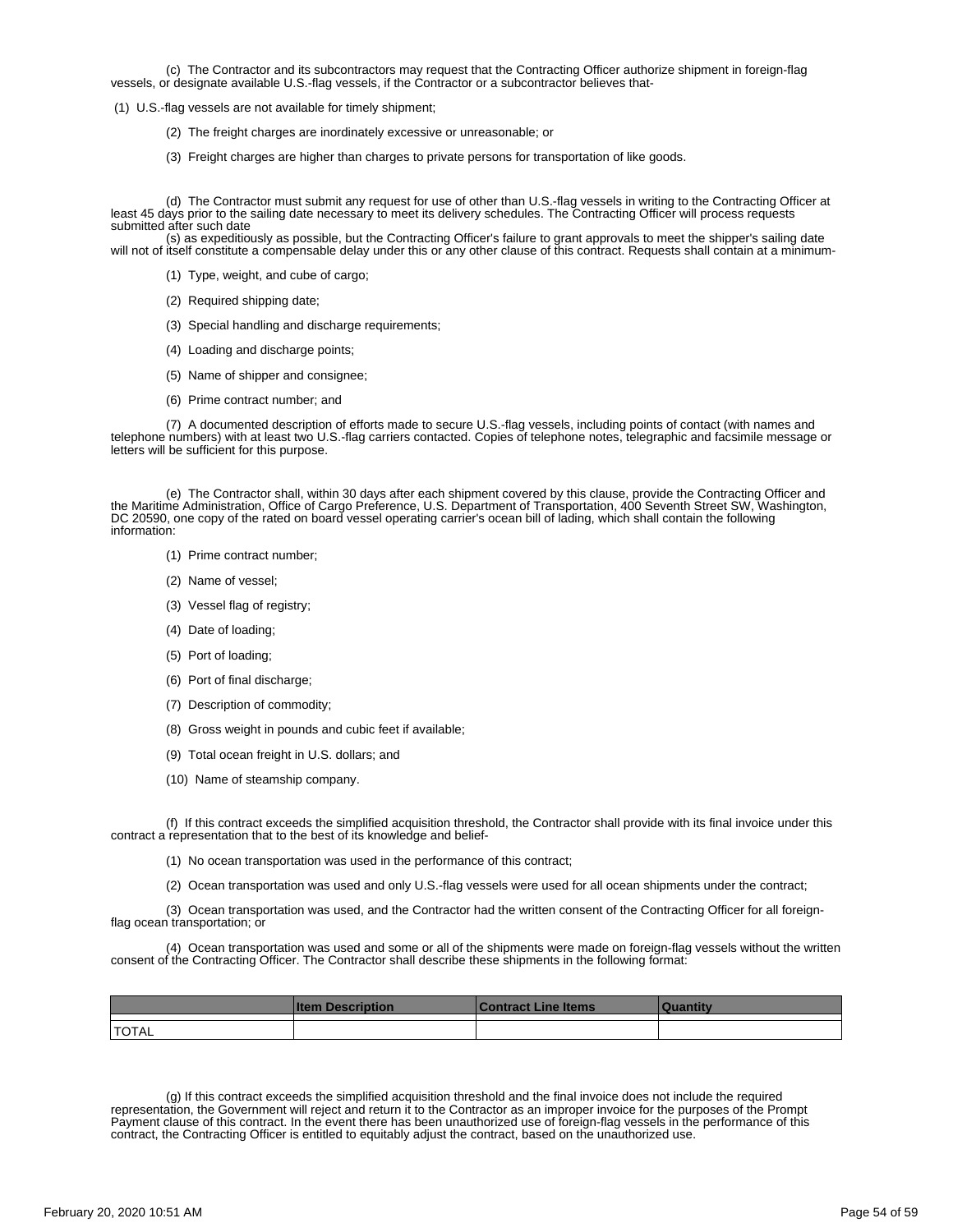(c) The Contractor and its subcontractors may request that the Contracting Officer authorize shipment in foreign-flag vessels, or designate available U.S.-flag vessels, if the Contractor or a subcontractor believes that-

(1) U.S.-flag vessels are not available for timely shipment;

- (2) The freight charges are inordinately excessive or unreasonable; or
- (3) Freight charges are higher than charges to private persons for transportation of like goods.

 (d) The Contractor must submit any request for use of other than U.S.-flag vessels in writing to the Contracting Officer at least 45 days prior to the sailing date necessary to meet its delivery schedules. The Contracting Officer will process requests submitted after such date

 (s) as expeditiously as possible, but the Contracting Officer's failure to grant approvals to meet the shipper's sailing date will not of itself constitute a compensable delay under this or any other clause of this contract. Requests shall contain at a minimum-

- (1) Type, weight, and cube of cargo;
- (2) Required shipping date;
- (3) Special handling and discharge requirements;
- (4) Loading and discharge points;
- (5) Name of shipper and consignee;
- (6) Prime contract number; and

 (7) A documented description of efforts made to secure U.S.-flag vessels, including points of contact (with names and telephone numbers) with at least two U.S.-flag carriers contacted. Copies of telephone notes, telegraphic and facsimile message or letters will be sufficient for this purpose.

 (e) The Contractor shall, within 30 days after each shipment covered by this clause, provide the Contracting Officer and the Maritime Administration, Office of Cargo Preference, U.S. Department of Transportation, 400 Seventh Street SW, Washington, DC 20590, one copy of the rated on board vessel operating carrier's ocean bill of lading, which shall contain the following information:

- (1) Prime contract number;
- (2) Name of vessel;
- (3) Vessel flag of registry;
- (4) Date of loading;
- (5) Port of loading;
- (6) Port of final discharge;
- (7) Description of commodity;
- (8) Gross weight in pounds and cubic feet if available;
- (9) Total ocean freight in U.S. dollars; and
- (10) Name of steamship company.

 (f) If this contract exceeds the simplified acquisition threshold, the Contractor shall provide with its final invoice under this contract a representation that to the best of its knowledge and belief-

- (1) No ocean transportation was used in the performance of this contract;
- (2) Ocean transportation was used and only U.S.-flag vessels were used for all ocean shipments under the contract;

 (3) Ocean transportation was used, and the Contractor had the written consent of the Contracting Officer for all foreignflag ocean transportation; or

 (4) Ocean transportation was used and some or all of the shipments were made on foreign-flag vessels without the written consent of the Contracting Officer. The Contractor shall describe these shipments in the following format:

|        | <b>Item Description</b> | <b>Contract Line Items</b> | <b>Quantity</b> |
|--------|-------------------------|----------------------------|-----------------|
|        |                         |                            |                 |
| 'TOTAL |                         |                            |                 |

 (g) If this contract exceeds the simplified acquisition threshold and the final invoice does not include the required representation, the Government will reject and return it to the Contractor as an improper invoice for the purposes of the Prompt Payment clause of this contract. In the event there has been unauthorized use of foreign-flag vessels in the performance of this contract, the Contracting Officer is entitled to equitably adjust the contract, based on the unauthorized use.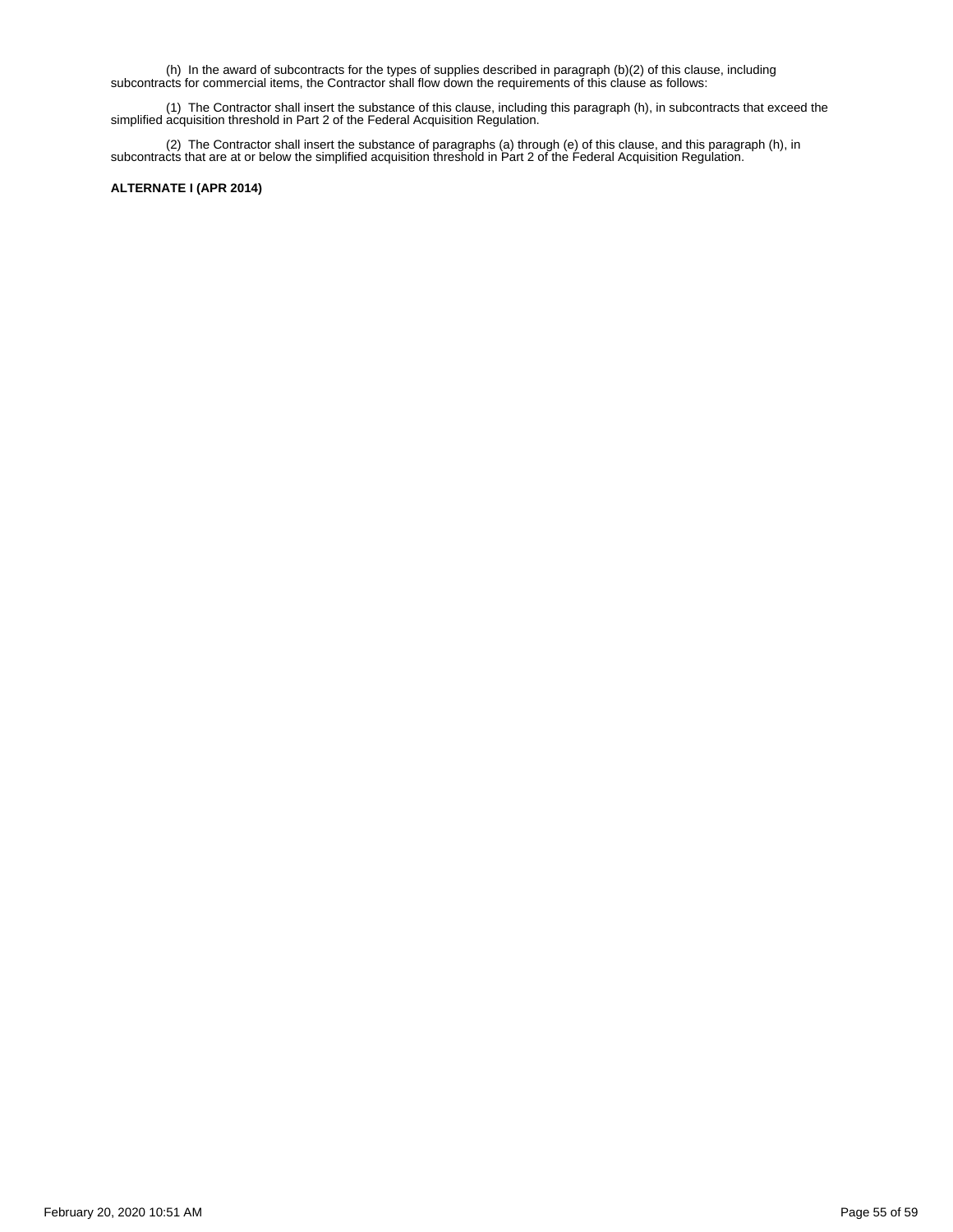(h) In the award of subcontracts for the types of supplies described in paragraph (b)(2) of this clause, including subcontracts for commercial items, the Contractor shall flow down the requirements of this clause as follows:

 (1) The Contractor shall insert the substance of this clause, including this paragraph (h), in subcontracts that exceed the simplified acquisition threshold in Part 2 of the Federal Acquisition Regulation.

 (2) The Contractor shall insert the substance of paragraphs (a) through (e) of this clause, and this paragraph (h), in subcontracts that are at or below the simplified acquisition threshold in Part 2 of the Federal Acquisition Regulation.

# **ALTERNATE I (APR 2014)**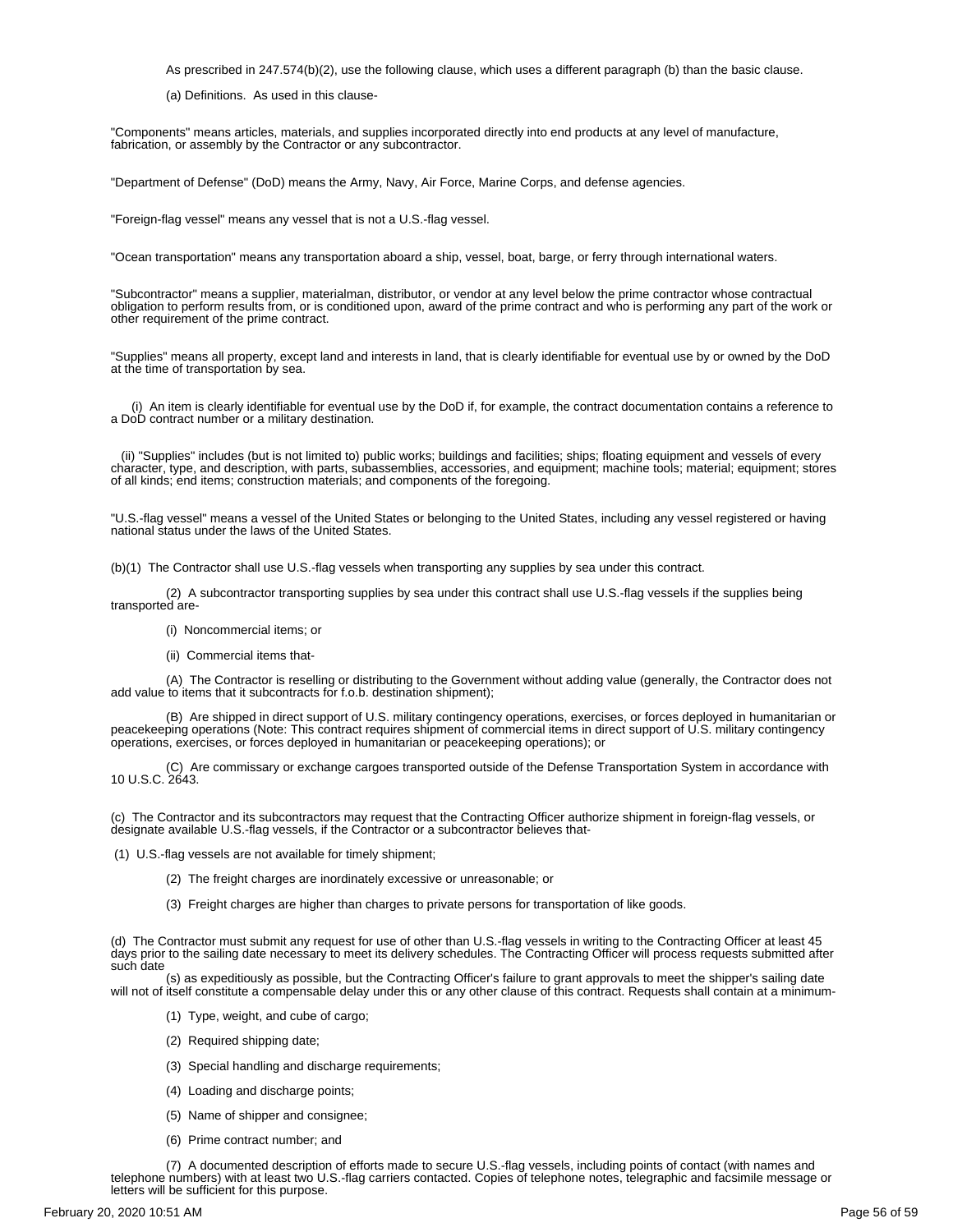As prescribed in 247.574(b)(2), use the following clause, which uses a different paragraph (b) than the basic clause.

(a) Definitions. As used in this clause-

"Components" means articles, materials, and supplies incorporated directly into end products at any level of manufacture, fabrication, or assembly by the Contractor or any subcontractor.

"Department of Defense" (DoD) means the Army, Navy, Air Force, Marine Corps, and defense agencies.

"Foreign-flag vessel" means any vessel that is not a U.S.-flag vessel.

"Ocean transportation" means any transportation aboard a ship, vessel, boat, barge, or ferry through international waters.

"Subcontractor" means a supplier, materialman, distributor, or vendor at any level below the prime contractor whose contractual obligation to perform results from, or is conditioned upon, award of the prime contract and who is performing any part of the work or other requirement of the prime contract.

"Supplies" means all property, except land and interests in land, that is clearly identifiable for eventual use by or owned by the DoD at the time of transportation by sea.

 (i) An item is clearly identifiable for eventual use by the DoD if, for example, the contract documentation contains a reference to a DoD contract number or a military destination.

 (ii) "Supplies" includes (but is not limited to) public works; buildings and facilities; ships; floating equipment and vessels of every character, type, and description, with parts, subassemblies, accessories, and equipment; machine tools; material; equipment; stores of all kinds; end items; construction materials; and components of the foregoing.

"U.S.-flag vessel" means a vessel of the United States or belonging to the United States, including any vessel registered or having national status under the laws of the United States.

(b)(1) The Contractor shall use U.S.-flag vessels when transporting any supplies by sea under this contract.

 (2) A subcontractor transporting supplies by sea under this contract shall use U.S.-flag vessels if the supplies being transported are-

(i) Noncommercial items; or

(ii) Commercial items that-

 (A) The Contractor is reselling or distributing to the Government without adding value (generally, the Contractor does not add value to items that it subcontracts for f.o.b. destination shipment);

 (B) Are shipped in direct support of U.S. military contingency operations, exercises, or forces deployed in humanitarian or peacekeeping operations (Note: This contract requires shipment of commercial items in direct support of U.S. military contingency operations, exercises, or forces deployed in humanitarian or peacekeeping operations); or

 (C) Are commissary or exchange cargoes transported outside of the Defense Transportation System in accordance with 10 U.S.C. 2643.

(c) The Contractor and its subcontractors may request that the Contracting Officer authorize shipment in foreign-flag vessels, or designate available U.S.-flag vessels, if the Contractor or a subcontractor believes that-

(1) U.S.-flag vessels are not available for timely shipment;

- (2) The freight charges are inordinately excessive or unreasonable; or
- (3) Freight charges are higher than charges to private persons for transportation of like goods.

(d) The Contractor must submit any request for use of other than U.S.-flag vessels in writing to the Contracting Officer at least 45 days prior to the sailing date necessary to meet its delivery schedules. The Contracting Officer will process requests submitted after such date

 (s) as expeditiously as possible, but the Contracting Officer's failure to grant approvals to meet the shipper's sailing date will not of itself constitute a compensable delay under this or any other clause of this contract. Requests shall contain at a minimum-

- (1) Type, weight, and cube of cargo;
- (2) Required shipping date;
- (3) Special handling and discharge requirements;
- (4) Loading and discharge points;
- (5) Name of shipper and consignee;
- (6) Prime contract number; and

 (7) A documented description of efforts made to secure U.S.-flag vessels, including points of contact (with names and telephone numbers) with at least two U.S.-flag carriers contacted. Copies of telephone notes, telegraphic and facsimile message or letters will be sufficient for this purpose.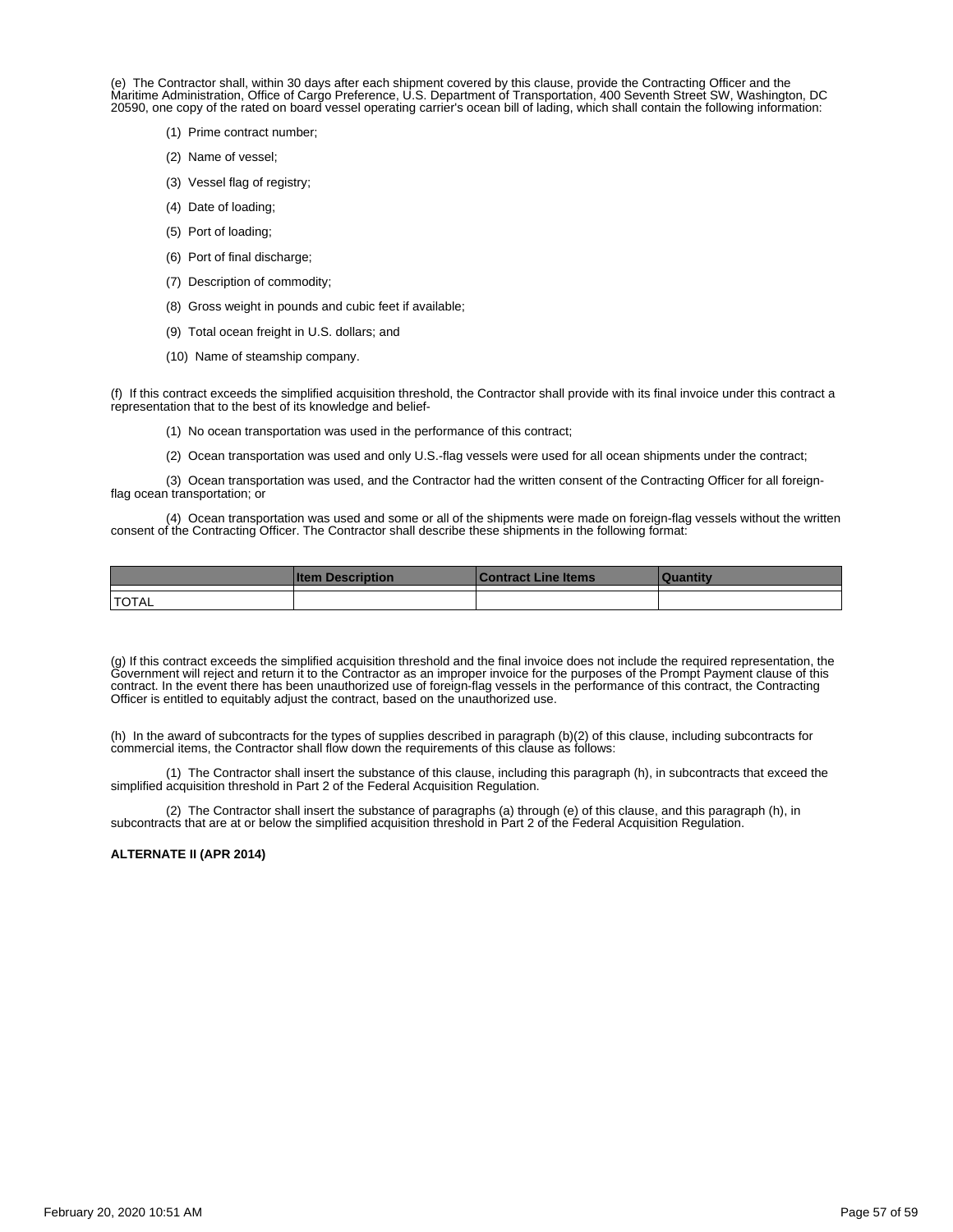(e) The Contractor shall, within 30 days after each shipment covered by this clause, provide the Contracting Officer and the Maritime Administration, Office of Cargo Preference, U.S. Department of Transportation, 400 Seventh Street SW, Washington, DC 20590, one copy of the rated on board vessel operating carrier's ocean bill of lading, which shall contain the following information:

- (1) Prime contract number;
- (2) Name of vessel;
- (3) Vessel flag of registry;
- (4) Date of loading;
- (5) Port of loading;
- (6) Port of final discharge;
- (7) Description of commodity;
- (8) Gross weight in pounds and cubic feet if available;
- (9) Total ocean freight in U.S. dollars; and
- (10) Name of steamship company.

(f) If this contract exceeds the simplified acquisition threshold, the Contractor shall provide with its final invoice under this contract a representation that to the best of its knowledge and belief-

- (1) No ocean transportation was used in the performance of this contract;
- (2) Ocean transportation was used and only U.S.-flag vessels were used for all ocean shipments under the contract;

 (3) Ocean transportation was used, and the Contractor had the written consent of the Contracting Officer for all foreignflag ocean transportation; or

 (4) Ocean transportation was used and some or all of the shipments were made on foreign-flag vessels without the written consent of the Contracting Officer. The Contractor shall describe these shipments in the following format:

|              | ltem Description | <b>Contract Line Items</b> |  |
|--------------|------------------|----------------------------|--|
|              |                  |                            |  |
| <b>TOTAL</b> |                  |                            |  |

(g) If this contract exceeds the simplified acquisition threshold and the final invoice does not include the required representation, the Government will reject and return it to the Contractor as an improper invoice for the purposes of the Prompt Payment clause of this contract. In the event there has been unauthorized use of foreign-flag vessels in the performance of this contract, the Contracting Officer is entitled to equitably adjust the contract, based on the unauthorized use.

(h) In the award of subcontracts for the types of supplies described in paragraph (b)(2) of this clause, including subcontracts for commercial items, the Contractor shall flow down the requirements of this clause as follows:

 (1) The Contractor shall insert the substance of this clause, including this paragraph (h), in subcontracts that exceed the simplified acquisition threshold in Part 2 of the Federal Acquisition Regulation.

 (2) The Contractor shall insert the substance of paragraphs (a) through (e) of this clause, and this paragraph (h), in subcontracts that are at or below the simplified acquisition threshold in Part 2 of the Federal Acquisition Regulation.

# **ALTERNATE II (APR 2014)**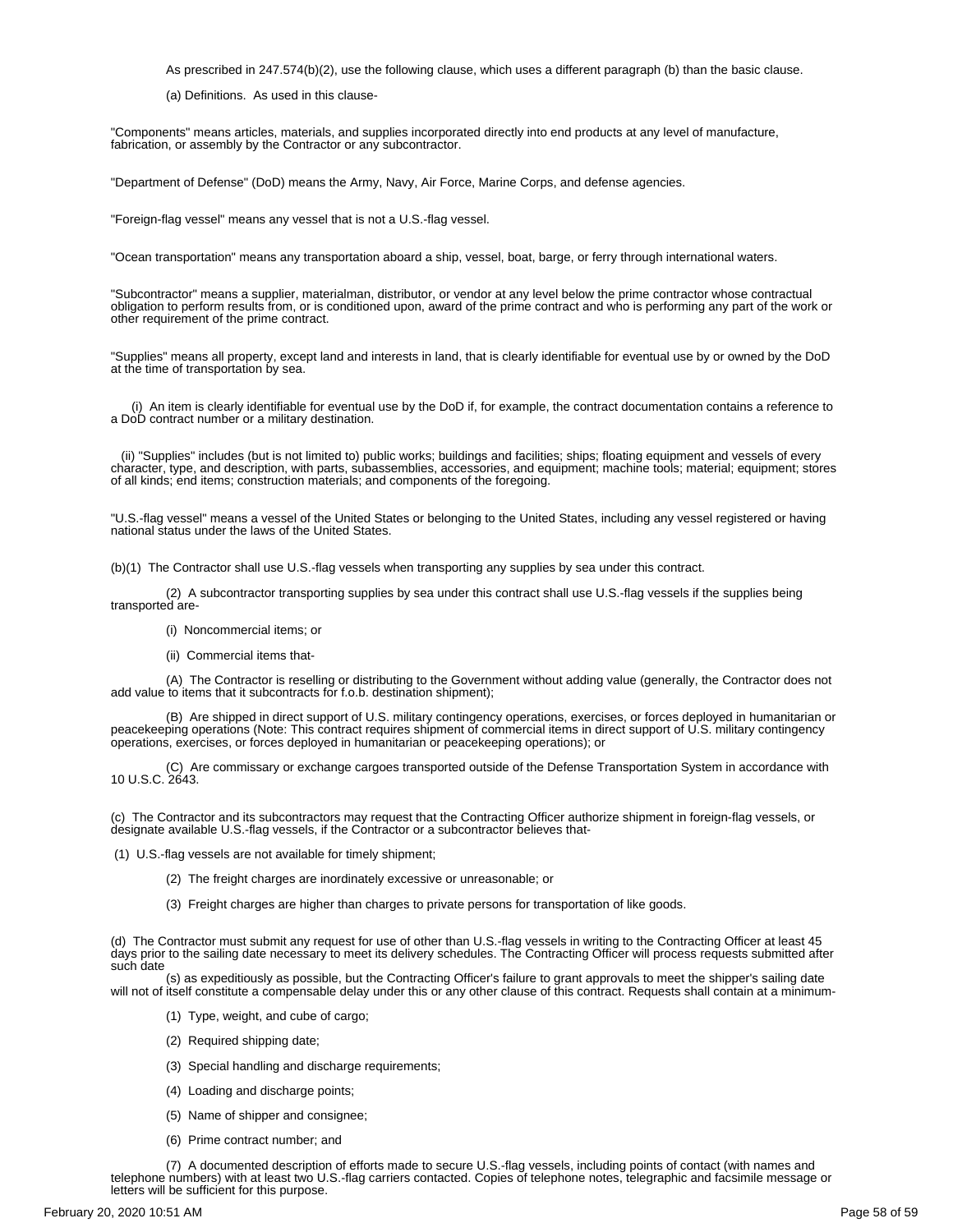As prescribed in 247.574(b)(2), use the following clause, which uses a different paragraph (b) than the basic clause.

(a) Definitions. As used in this clause-

"Components" means articles, materials, and supplies incorporated directly into end products at any level of manufacture, fabrication, or assembly by the Contractor or any subcontractor.

"Department of Defense" (DoD) means the Army, Navy, Air Force, Marine Corps, and defense agencies.

"Foreign-flag vessel" means any vessel that is not a U.S.-flag vessel.

"Ocean transportation" means any transportation aboard a ship, vessel, boat, barge, or ferry through international waters.

"Subcontractor" means a supplier, materialman, distributor, or vendor at any level below the prime contractor whose contractual obligation to perform results from, or is conditioned upon, award of the prime contract and who is performing any part of the work or other requirement of the prime contract.

"Supplies" means all property, except land and interests in land, that is clearly identifiable for eventual use by or owned by the DoD at the time of transportation by sea.

 (i) An item is clearly identifiable for eventual use by the DoD if, for example, the contract documentation contains a reference to a DoD contract number or a military destination.

 (ii) "Supplies" includes (but is not limited to) public works; buildings and facilities; ships; floating equipment and vessels of every character, type, and description, with parts, subassemblies, accessories, and equipment; machine tools; material; equipment; stores of all kinds; end items; construction materials; and components of the foregoing.

"U.S.-flag vessel" means a vessel of the United States or belonging to the United States, including any vessel registered or having national status under the laws of the United States.

(b)(1) The Contractor shall use U.S.-flag vessels when transporting any supplies by sea under this contract.

 (2) A subcontractor transporting supplies by sea under this contract shall use U.S.-flag vessels if the supplies being transported are-

(i) Noncommercial items; or

(ii) Commercial items that-

 (A) The Contractor is reselling or distributing to the Government without adding value (generally, the Contractor does not add value to items that it subcontracts for f.o.b. destination shipment);

 (B) Are shipped in direct support of U.S. military contingency operations, exercises, or forces deployed in humanitarian or peacekeeping operations (Note: This contract requires shipment of commercial items in direct support of U.S. military contingency operations, exercises, or forces deployed in humanitarian or peacekeeping operations); or

 (C) Are commissary or exchange cargoes transported outside of the Defense Transportation System in accordance with 10 U.S.C. 2643.

(c) The Contractor and its subcontractors may request that the Contracting Officer authorize shipment in foreign-flag vessels, or designate available U.S.-flag vessels, if the Contractor or a subcontractor believes that-

(1) U.S.-flag vessels are not available for timely shipment;

- (2) The freight charges are inordinately excessive or unreasonable; or
- (3) Freight charges are higher than charges to private persons for transportation of like goods.

(d) The Contractor must submit any request for use of other than U.S.-flag vessels in writing to the Contracting Officer at least 45 days prior to the sailing date necessary to meet its delivery schedules. The Contracting Officer will process requests submitted after such date

 (s) as expeditiously as possible, but the Contracting Officer's failure to grant approvals to meet the shipper's sailing date will not of itself constitute a compensable delay under this or any other clause of this contract. Requests shall contain at a minimum-

- (1) Type, weight, and cube of cargo;
- (2) Required shipping date;
- (3) Special handling and discharge requirements;
- (4) Loading and discharge points;
- (5) Name of shipper and consignee;
- (6) Prime contract number; and

 (7) A documented description of efforts made to secure U.S.-flag vessels, including points of contact (with names and telephone numbers) with at least two U.S.-flag carriers contacted. Copies of telephone notes, telegraphic and facsimile message or letters will be sufficient for this purpose.